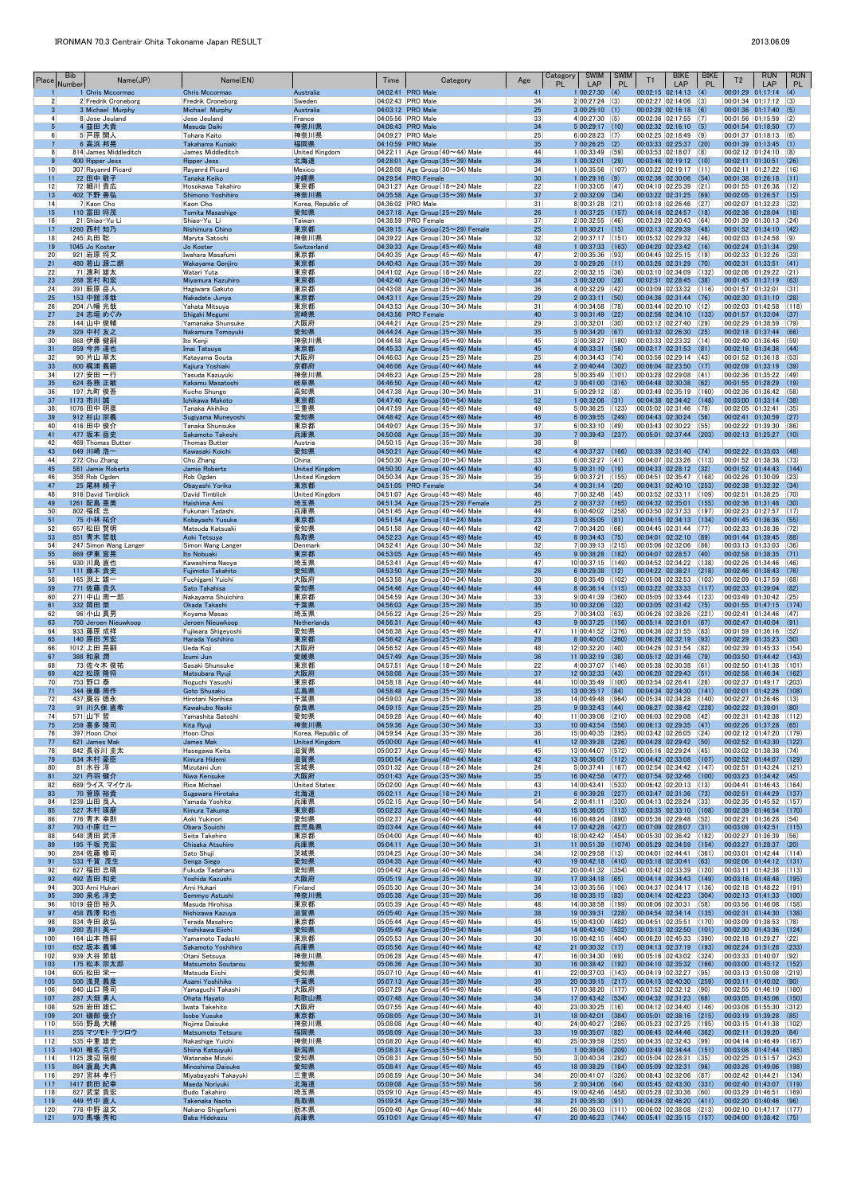| Place                 | <b>Bib</b><br>Number      | Name(JP)                                | Name(EN)                                   |                                         | Time                                   | Category                                                                               | Age                   | <b>SWIM</b><br>Category<br><b>PL</b><br><b>LAP</b> | <b>SWIM</b><br><b>PL</b> | T1                | <b>BIKE</b><br>LAP                                              | <b>BIKE</b><br><b>PL</b> | T <sub>2</sub>                                                             | <b>RUN</b><br>LAP | <b>RUN</b><br>PL. |
|-----------------------|---------------------------|-----------------------------------------|--------------------------------------------|-----------------------------------------|----------------------------------------|----------------------------------------------------------------------------------------|-----------------------|----------------------------------------------------|--------------------------|-------------------|-----------------------------------------------------------------|--------------------------|----------------------------------------------------------------------------|-------------------|-------------------|
|                       | $\overline{2}$            | 1 Chris Mccormac<br>2 Fredrik Croneborg | <b>Chris Mccormac</b><br>Fredrik Croneborg | Australia<br>Sweden                     | 04:02:41 PRO Male<br>04:02:43 PRO Male |                                                                                        | 41<br>34              | 1 00:27:30(4) <br>$2 00:27:24 $ (3)                |                          |                   | $[00:02:15 \mid 02:14:13 \mid (4)]$<br> 00:02:27 02:14:06 (3)   |                          | $[00:01:29 \mid 01:17:14 \mid (4)]$<br> 00:01:34 01:17:12 (3)              |                   |                   |
|                       | $\overline{3}$            | 3 Michael Murphy                        | Michael Murphy                             | Australia                               | 04:03:12 PRO Male                      |                                                                                        | 25                    | 3 00:25:10(1)                                      |                          |                   | $00:02:28$ 02:16:18 (6)                                         |                          | $[00:01:36 \mid 01:17:40 \mid (5)]$                                        |                   |                   |
|                       | $\vert$<br>5 <sub>5</sub> | 8 Jose Jeuland<br>4 益田 大貴               | Jose Jeuland<br>Masuda Daiki               | France<br>神奈川県                          | 04:05:56 PRO Male<br>04:08:43 PRO Male |                                                                                        | 33<br>34              | $4 00:27:30 $ (5)<br>5 00:29:17 (10)               |                          |                   | $ 00:02:36 02:17:55 $ (7)<br>$00:02:32$ $02:16:10$ (5)          |                          | $ 00:01:56$ $ 01:15:59$ $ (2)$<br>$ 00:01:54$ 01:18:50 (7)                 |                   |                   |
|                       | 6 <sup>1</sup><br>7       | 5 戸原 開人<br>6 高浜 邦晃                      | Tohara Kaito<br>Takahama Kuniaki           | 神奈川県<br>福岡県                             | 04:09:27 PRO Male<br>04:10:59 PRO Male |                                                                                        | 25<br>35              | 6 00:28:23 (7)<br>$7 00:26:25$ (2)                 |                          |                   | $00:02:25$ 02:18:49 (9)<br>00:03:33 02:25:37 (20)               |                          | 00:01:37 01:18:13 0<br>$ 00:01:39 \t  01:13:45 \t (1)$                     |                   |                   |
|                       | 8 <sup>1</sup>            | 814 James Middleditch                   | James Middleditch                          | United Kingdom                          |                                        | $ 04:22:11 $ Age Group (40 $\sim$ 44) Male                                             | 44                    | 1 00:33:49 (59)                                    |                          |                   | 00:03:53 02:18:07 (8)                                           |                          | 00:02:12 01:24:10 (8)                                                      |                   |                   |
| 10 <sup>1</sup>       | 9                         | 400 Ripper Jess<br>307 Rayanrd Picard   | <b>Ripper Jess</b><br>Rayanrd Picard       | 北海道<br>Mexico                           |                                        | 04:28:01 Age Group $(35 \sim 39)$ Male<br>$ 04:28:08 $ Age Group (30 $\sim$ 34) Male   | 36<br>34              | $1 00:32:01$ (29)<br>$1 00:35:56$ (107)            |                          |                   | $[00:03:46 \mid 02:19:12 \mid (10)]$<br> 00:03:22 02:19:17 (11) |                          | $[00:02:11 \quad 01:30:51]$<br> 00:02:11 01:27:22 (16)                     |                   | (26)              |
| 11                    |                           | 22 田中 敬子                                | Tanaka Keiko                               | 沖縄県                                     | 04:29:54 PRO Female                    |                                                                                        | 30 <sup>°</sup>       | $1 00:29:16$ (9)                                   |                          |                   | $00:02:36$ 02:30:06 (54)                                        |                          | $ 00:01:38 01:26:18$ (11)                                                  |                   |                   |
| 12<br>13              |                           | 72 細川 貴広<br>402 下野 善弘                   | Hosokawa Takahiro<br>Shimono Yoshihiro     | 東京都<br>神奈川県                             |                                        | 04:31:27 Age Group (18 $\sim$ 24) Male<br>04:35:58 Age Group $(35 \sim 39)$ Male       | 22<br>37              | $1 00:33:05$ (47)<br>$2 00:32:09$ (34)             |                          |                   | $00:04:10$ 02:25:39 (21)<br>$00:03:22$ 02:31:25 (69)            |                          | 00:01:55 01:26:38 (12)<br>$00:02:05$ 01:26:57 (15)                         |                   |                   |
| 14                    |                           | 7 Kaon Cho                              | Kaon Cho                                   | Korea, Republic of                      | 04:36:02 PRO Male                      |                                                                                        | 31                    | $8 00:31:28$ (21)                                  |                          |                   | $ 00:03:18 02:26:46 27\rangle$                                  |                          | 00:02:07 01:32:23 (32)                                                     |                   |                   |
| 15<br>16              |                           | 110 富田 将茂<br>21 Shiao-Yu Li             | <b>Tomita Masashige</b><br>Shiao-Yu Li     | 愛知県<br>Taiwan                           | 04:38:59 PRO Female                    | 04:37:18 Age Group $(25 \sim 29)$ Male                                                 | 26<br>37              | $1 00:37:25$ (157)<br>$2 00:32:55 $ (46)           |                          |                   | $[00:04:16 \t 02:24:57 \t (18)]$<br>$00:03:29$ 02:30:43 (64)    |                          | $00:02:36$ 01:28:04 (18)<br> 00:01:39 01:30:13 (24)                        |                   |                   |
| 17<br>18              |                           | 1260 西村 知乃<br>245 丸田 聡                  | Nishimura Chino<br>Maryta Satoshi          | 東京都<br> 神奈川県                            |                                        | 04:39:15 Age Group $(25 \sim 29)$ Female<br>$ 04:39:22 $ Age Group (30 $\sim$ 34) Male | 25<br>32              | $1 00:30:21 $ (15)<br>2 00:37:17 (151)             |                          |                   | $00:03:13$ 02:29:39 (48)<br>$ 00:05:32 02:29:32 $ (46)          |                          | $ 00:01:52 \t  01:34:10 \t (42)$<br> 00:02:03 01:24:58 0                   |                   |                   |
| 19                    |                           | 1045 Jo Koster                          | Jo Koster                                  | Switzerland                             |                                        | 04:39:33 Age Group $(45 \sim 49)$ Male                                                 | 48                    | $1 00:37:33$ (163)                                 |                          |                   | $00:04:20$ 02:23:42 (16)                                        |                          | $00:02:24$ $01:31:34$ (29)                                                 |                   |                   |
| 20 <sup>2</sup><br>21 |                           | 921 岩原 将文<br>480 若山 源二朗                 | Iwahara Masafumi<br>Wakayama Genjiro       | 東京都<br>東京都                              |                                        | $ 04:40:35 $ Age Group (45 $\sim$ 49) Male<br>04:40:43 Age Group $(35 \sim 39)$ Male   | 47<br>39              | $2 00:35:36 $ (93)<br>3 00:29:26 (11)              |                          |                   | $00:04:45$ 02:25:15 (19)<br>$00:03:26$ 02:31:29 (70)            |                          | $00:02:33$ 01:32:26 (33)<br>$[00:02:31 \mid 01:33:51]$                     |                   | (41)              |
| 22                    |                           | 71 渡利 雄太                                | Watari Yuta                                | 東京都                                     |                                        | 04:41:02 Age Group (18 $\sim$ 24) Male                                                 | 22                    | $2 00:32:15 $ (36)                                 |                          |                   | $00:03:10$ 02:34:09 (132)                                       |                          | $ 00:02:06$ $ 01:29:22$ $ (21)$                                            |                   |                   |
| 23<br>24              |                           | 288 宮村 和宏<br>391 萩原 岳人                  | Miyamura Kazuhiro<br>Hagiwara Gakuto       | 東京都<br> 東京都                             |                                        | 04:42:40 Age Group $(30 \sim 34)$ Male<br>04:43:08 Age Group (35 $\sim$ 39) Male       | 34<br>36              | $3 00:32:00$ (28)<br>$4 00:32:29 $ (42)            |                          |                   | $00:02:51$ 02:28:45 (38)<br>$00:03:09$ 02:33:32 (116)           |                          | $00:01:45$ 01:37:19 (63)<br>00:01:57 01:32:01                              |                   | (31)              |
| 25                    |                           | 153 中舘 淳哉                               | Nakadate Junya                             | 東京都                                     |                                        | 04:43:11 Age Group $(25 \sim 29)$ Male                                                 | 29                    | $2 00:33:11 $ (50)                                 |                          |                   | 00:04:36 02:31:44 (76)                                          |                          | 00:02:30 01:31:10 (28)                                                     |                   |                   |
| 26<br>27              |                           | 204 八幡 光哉<br>24 志垣 めぐみ                  | Yahata Mitsuya<br>Shigaki Megumi           | 東京都<br>宮崎県                              | 04:43:56 PRO Female                    | 04:43:53 Age Group (30 $\sim$ 34) Male                                                 | 31<br>40              | $4 00:34:58 $ (78)<br>$3 00:31:49 $ (22)           |                          |                   | 00:03:44 02:20:10 (12)<br>$00:02:56$ 02:34:10 (133)             |                          | $00:02:03$ 01:42:58 (118)<br> 00:01:57 01:33:04 (37)                       |                   |                   |
| 28<br>29              |                           | 144 山中 俊輔<br>329 中村 友之                  | Yamanaka Shunsuke<br>Nakamura Tomoyuki     | 大阪府<br>愛知県                              |                                        | 04:44:21 Age Group ( $25 \sim 29$ ) Male<br>04:44:24 Age Group $(35 \sim 39)$ Male     | 29<br>35              | $3 00:32:01 $ (30)<br>5 00:34:20(67)               |                          |                   | $00:03:12$ 02:27:40 (29)<br>$00:03:32$ 02:26:30 (25)            |                          | $00:02:29$ 01:38:59 (79)<br>$[00:02:18 \mid 01:37:44 \mid (66)]$           |                   |                   |
| 30 <sup>°</sup>       |                           | 868 伊藤 健嗣                               | Ito Kenji                                  | 神奈川県                                    |                                        | $ 04:44:58 $ Age Group (45 $\sim$ 49) Male                                             | 45                    | $3 00:38:27 $ (180)                                |                          |                   | 00:03:33 02:23:32 (14)                                          |                          | $ 00:02:40$ $ 01:36:46$ (59)                                               |                   |                   |
| 31<br>32              |                           | 859 今井 達也<br>90 片山 草太                   | Imai Tatsuya<br>Katayama Souta             | 東京都<br> 大阪府                             |                                        | 04:45:33 Age Group $(45 \sim 49)$ Male<br>04:46:03 Age Group $(25 \sim 29)$ Male       | 45<br>25              | $4 00:33:31 $ (56)<br>$4 00:34:43 $ (74)           |                          |                   | $00:03:17$ 02:31:53 (81)<br>$00:03:56$ 02:29:14 (43)            |                          | $[00:02:16 \mid 01:34:36 \mid (44)]$<br> 00:01:52 01:36:18 (53)            |                   |                   |
| 33                    |                           | 800 梶浦 義顕                               | Kajiura Yoshiaki                           | 京都府                                     |                                        | 04:46:06 Age Group $(40 \sim 44)$ Male                                                 | 44                    | $2 00:40:44 $ (302)                                |                          |                   | $ 00:06:04 02:23:50 $ (17)                                      |                          | 00:02:09 01:33:19 (39)                                                     |                   |                   |
| 34<br>35              |                           | 127 安田 一行<br>624 各務 正敏                  | Yasuda Kazuyuki<br>Kakamu Masatoshi        | 神奈川県<br>岐阜県                             |                                        | $ 04:46:23 $ Age Group (25 $\sim$ 29) Male<br>04:46:50 Age Group $(40 \sim 44)$ Male   | 28<br>42              | 5 00:35:49 (101)<br>$3 00:41:00$ (316)             |                          |                   | 00:03:28 02:29:08 (41)<br>$[00:04:48]$ 02:30:38 (62)            |                          | 00:02:36 01:35:22 (49)<br> 00:01:55 01:28:29 (19)                          |                   |                   |
| 36                    |                           | 197 九町 俊吾                               | Kucho Shungo                               | 高知県                                     |                                        | $ 04:47:38 $ Age Group (30 $\sim$ 34) Male                                             | 31                    | $5 00:29:12$ (8)                                   |                          |                   | $00:03:49$ 02:35:19 (160)                                       |                          | $ 00:02:36$ $ 01:36:42$ (58)                                               |                   |                   |
| 37<br>38              |                           | 1173 市川 誠<br>1076 田中 明彦                 | Ichikawa Makoto<br>Tanaka Akihiko          | 東京都<br> 三重県                             |                                        | 04:47:40 Age Group $(50 \sim 54)$ Male<br>04:47:59 Age Group (45 $\sim$ 49) Male       | 52<br>49              | $1 00:32:06$ (31)<br>$5 00:36:25 $ (123)           |                          |                   | $00:04:38$ $02:34:42$ (148)<br> 00:05:02 02:31:46 (78)          |                          | $[00:03:00 \t 01:33:14 \t (38)]$<br>00:02:05 01:32:41                      |                   | (35)              |
| 39<br>40              |                           | 912 杉山 宗義<br>416 田中 俊介                  | Sugiyama Muneyoshi<br>Tanaka Shunsuke      | 愛知県<br> 東京都                             |                                        | 04:48:42 Age Group $(45 \sim 49)$ Male<br>04:49:07 Age Group (35 $\sim$ 39) Male       | 46<br>37              | $6 00:39:55 $ (249)<br>6 00:33:10 (49)             |                          |                   | $00:04:43$ 02:30:24 (56)<br> 00:03:43 02:30:22 (55)             |                          | $00:02:41$ $01:30:59$ (27)<br>00:02:22 01:39:30                            |                   | (86)              |
| 41                    |                           | 477 坂本 岳史                               | Sakamoto Takeshi                           | 兵庫県                                     |                                        | 04:50:08 Age Group $(35 \sim 39)$ Male                                                 | 39                    | $7 00:39:43$ (237)                                 |                          |                   | 00:05:01 02:37:44 (203)                                         |                          | $ 00:02:13$ $ 01:25:27$ (10)                                               |                   |                   |
| 42<br>43              |                           | 469 Thomas Butter<br>649 川崎 浩一          | Thomas Butter<br>Kawasaki Koichi           | Austria<br>愛知県                          |                                        | 04:50:15 Age Group (35 $\sim$ 39) Male<br>04:50:21 Age Group $(40 \sim 44)$ Male       | 38<br>42              | 8<br>4 00:37:37 (166)                              |                          |                   | 00:03:39 02:31:40 (74)                                          |                          | 00:02:22 01:35:03 (48)                                                     |                   |                   |
| 44                    |                           | 272 Chu Zhang                           | Chu Zhang                                  | China                                   |                                        | 04:50:30 Age Group (30 $\sim$ 34) Male                                                 | 33                    | $6 00:32:27 $ (41)                                 |                          |                   | $00:04:07$ 02:33:26 (113)                                       |                          | 00:01:52 01:38:38                                                          |                   | (73)              |
| 45<br>46              |                           | 581 Jamie Roberts<br>358 Rob Ogden      | Jamie Roberts<br>Rob Ogden                 | <b>United Kingdom</b><br>United Kingdom |                                        | 04:50:30 Age Group $(40 \sim 44)$ Male<br>04:50:34 Age Group (35 $\sim$ 39) Male       | 40<br>35              | 5 00:31:10(19) <br>$9 00:37:21 $ (155)             |                          |                   | 00:04:33 02:28:12 (32)<br> 00:04:51 02:35:47 (168)              |                          | 00:01:52 01:44:43<br>00:02:26 01:30:09                                     |                   | (144)<br>(23)     |
| 47                    |                           | 25 尾林 頼子                                | Obayashi Yoriko                            | 東京都                                     | 04:51:05 PRO Female                    |                                                                                        | 34                    | $4 00:31:14$ (20)                                  |                          |                   | 00:04:31 02:40:10 (253)                                         |                          | 00:02:38 01:32:32                                                          |                   | (34)              |
| 48<br>49              |                           | 916 David Timblick<br>1261 配島 亜美        | David Timblick<br>Haishima Ami             | United Kingdom<br>埼玉県                   |                                        | $ 04:51:07 $ Age Group (45 $\sim$ 49) Male<br>04:51:34 Age Group $(25 \sim 29)$ Female | 46<br>25              | $7 00:32:48 $ (45)<br>$2 00:37:37 $ (165)          |                          |                   | $00:03:52$ 02:33:11 (109)<br>$ 00:04:32 02:35:01 $ (155)        |                          | 00:02:51 01:38:25<br>00:02:36 01:31:48 (30)                                |                   | (70)              |
| 50<br>51              |                           | 802 福成 忠<br><u>75 小林 祐介</u>             | Fukunari Tadashi<br>Kobayashi Yusuke       | 兵庫県<br>東京都                              |                                        | 04:51:45 Age Group (40 $\sim$ 44) Male<br>04:51:54 Age Group (18~24) Male              | 44<br>23              | $6 00:40:02 $ (258)<br>$3 00:35:05 $ (81)          |                          |                   | 00:03:50 02:37:33 (197)<br>$00:04:15$ 02:34:13 (134)            |                          | 00:02:23 01:27:57 (17)<br> 00:01:45 01:36:36 (55)                          |                   |                   |
| 52                    |                           | 657 松田 賢明                               | Matsuda Katsuaki                           | 愛知県                                     |                                        | $ 04:51:58 $ Age Group (40 $\sim$ 44) Male                                             | 42                    | $7 00:34:20 $ (66)                                 |                          |                   | 00:04:45 02:31:44 (77)                                          |                          | $00:02:33$   01:38:36   (72)                                               |                   |                   |
| 53<br>54              |                           | 851 青木 哲哉<br>247 Simon Wang Langer      | Aoki Tetsuya<br>Simon Wang Langer          | 鳥取県<br>Denmark                          |                                        | 04:52:23 Age Group $(45 \sim 49)$ Male<br>04:52:41 Age Group (30 $\sim$ 34) Male       | 45<br>32              | $8 00:34:43 $ (75)<br>7 00:39:13 (215)             |                          |                   | $00:04:01$ 02:32:10 (89)<br>00:05:06 02:32:06                   | (86)                     | 00:01:44 01:39:45 (88)<br>00:03:13 01:33:03                                |                   | $\vert$ (36)      |
| 55                    |                           | 869 伊東 宣晃                               | Ito Nobuaki                                | 東京都                                     |                                        | 04:53:05 Age Group $(45 \sim 49)$ Male                                                 | 45                    | $9$ 00:38:28 (182)                                 |                          |                   | 00:04:07 02:28:57 (40)                                          |                          | $00:02:58$ $01:38:35$ (71)                                                 |                   |                   |
| 56<br>57              |                           | 930 川島 直也<br>111 藤本 貴史                  | Kawashima Naoya<br>Fujimoto Takahito       | 埼玉県<br>愛知県                              |                                        | 04:53:41 Age Group (45 $\sim$ 49) Male<br>04:53:50 Age Group $(25 \sim 29)$ Male       | 47<br>26              | $10 00:37:15$ (149)<br>$6$ 00:29:38 (12)           |                          |                   | 00:04:52 02:34:22 (138)<br>00:04:22 02:38:21                    | (218)                    | 00:02:26 01:34:46 (46)<br>$00:02:46$ 01:38:43 (76)                         |                   |                   |
| 58                    |                           | 165 渕上 雄一                               | Fuchigami Yuichi                           | 大阪府                                     |                                        | $ 04:53:58 $ Age Group (30 $\sim$ 34) Male                                             | 30 <sup>°</sup>       | $8 00:35:49 $ (102)                                |                          |                   | 00:05:08 02:32:53 (103)                                         |                          | 00:02:09 01:37:59                                                          |                   | (68)              |
| 59<br>60              |                           | <b>771 佐藤 貴久</b><br>271中山 周一郎           | Sato Takahisa<br>Nakayama Shuichiro        | 愛知県<br> 東京都                             |                                        | 04:54:46 Age Group $(40 \sim 44)$ Male<br>04:54:59 Age Group (30 $\sim$ 34) Male       | 44<br>33              | $8 00:36:14 $ (115)<br>$9 00:41:39 $ (360)         |                          |                   | $00:03:22$ 02:33:33 (117)<br> 00:05:05 02:33:44 (123)           |                          | 00:02:33 01:39:04<br>00:03:49 01:30:42                                     |                   | (82)<br>(25)      |
| 61<br>62              |                           | 332 岡田 崇<br>96 小山 真男                    | Okada Takashi<br>Koyama Masao              | 千葉県<br> 埼玉県                             |                                        | 04:56:03 Age Group $(35 \sim 39)$ Male<br>04:56:22 Age Group (25 $\sim$ 29) Male       | 35<br>25              | $10 00:32:06$ (32)<br>$7 00:34:03$ (63)            |                          |                   | $00:03:05$ 02:31:42 (75)<br>$00:06:26$ 02:38:26 (221)           |                          | 00:01:55 01:47:15 (174)<br>$ 00:02:41 \t  01:34:46 \t  (47)$               |                   |                   |
| 63                    |                           | 750 Jeroen Nieuwkoop                    | Jeroen Nieuwkoop                           | <b>Netherlands</b>                      |                                        | 04:56:31 Age Group (40~44) Male                                                        | 43                    | $9 00:37:25 $ (156)                                |                          |                   | $00:05:14$ 02:31:01 (67)                                        |                          | 00:02:47 01:40:04 (91)                                                     |                   |                   |
| 64<br>65              |                           | 933 藤原 成祥<br>140 原田 芳宏                  | Fujiwara Shigeyoshi<br>Harada Yoshihiro    | 愛知県<br>東京都                              |                                        | $ 04:56:38 $ Age Group (45 $\sim$ 49) Male<br>04:56:42 Age Group $(25 \sim 29)$ Male   | 47<br>29              | $11 00:41:52$ (376)<br>8 00:40:05 (260)            |                          |                   | 00:04:36 02:31:55 (83)<br>$00:06:26$ 02:32:19 (93)              |                          | 00:01:59 01:36:16<br>00:02:29 01:35:23                                     |                   | (52)<br>(50)      |
| 66                    |                           | 1012 上田 晃嗣                              | Ueda Koji                                  | 大阪府                                     |                                        | 04:56:52 Age Group (45 $\sim$ 49) Male                                                 | 48                    | $12 00:32:20 $ (40)                                |                          |                   | $00:04:26$ 02:31:54 (82)                                        |                          | 00:02:39 01:45:33                                                          |                   | (154)             |
| 67<br>68              |                           | 388 和泉 潤<br>73 佐々木 俊祐                   | Izumi Jun<br>Sasaki Shunsuke               | 愛媛県<br> 東京都                             |                                        | 04:57:49 Age Group $(35 \sim 39)$ Male<br>04:57:51 Age Group (18 $\sim$ 24) Male       | 36<br>22              | $11$ 00:32:19 (38)<br>4 00:37:07 (146)             |                          |                   | 00:05:12 02:31:46 (79)<br> 00:05:38 02:30:38 (61)               |                          | 00:03:50 01:44:42<br>00:02:50 01:41:38                                     |                   | (143)<br>(101)    |
| 69                    |                           | 422 松原 隆将                               | Matsubara Ryuji                            | 大阪府                                     |                                        | 04:58:08 Age Group $(35 \sim 39)$ Male                                                 | 37                    | $12$ 00:32:33 (43)                                 |                          |                   | $00:06:20$ 02:29:43 (51)                                        |                          | 00:02:58 01:46:34                                                          |                   | (162)             |
| 70<br>71              |                           | 753 野口 泰<br>344 後藤 周作                   | Noguchi Yasushi<br>Goto Shusaku            | 東京都<br>広島県                              |                                        | 04:58:18 Age Group (40 $\sim$ 44) Male<br>04:58:48 Age Group ( $35 \sim 39$ ) Male     | 44<br>35              | 10 00:35:49 (100)<br>$13 00:35:17$ (84)            |                          |                   | 00:03:54 02:26:41 (26)<br>$00:04:34$ 02:34:30 (141)             |                          | $00:02:37$ 01:49:17 (203)<br>00:02:01 01:42:26                             |                   | (108)             |
| 72<br>73              |                           | 437 廣谷 徳永<br>91 川久保 直希                  | Hirotani Norihisa<br>Kawakubo Naoki        | 千葉県<br>奈良県                              |                                        | 04:59:03 Age Group (35 $\sim$ 39) Male<br>04:59:15 Age Group $(25 \sim 29)$ Male       | 38<br>25              | 14 00:49:48 (964)<br>9 00:32:43(44)                |                          |                   | 00:05:34 02:34:28 (140)<br>00:06:27 02:38:42 (228)              |                          | 00:02:27 01:26:46<br>00:02:22 01:39:01                                     |                   | (13)<br>(80)      |
| 74                    |                           | 571 山下 哲                                | Yamashita Satoshi                          | 愛知県                                     |                                        | 04:59:28 Age Group $(40 \sim 44)$ Male                                                 | 40                    | $11 00:39:08$ (210)                                |                          |                   | 00:06:03 02:29:08 (42)                                          |                          | 00:02:31 01:42:38                                                          |                   | (112)             |
| 75<br>76              |                           | 259 喜多 隆司<br>397 Hoon Choi              | Kita Ryuji<br>Hoon Choi                    | 神奈川県<br>Korea, Republic of              |                                        | 04:59:36 Age Group $(30 \sim 34)$ Male<br>$ 04:59:54 $ Age Group (35 $\sim$ 39) Male   | 33 <sup>°</sup><br>36 | 10 00:43:54 (556)<br>15 00:40:35                   | (295)                    |                   | $00:06:13$ 02:29:35 (47)<br> 00:03:42 02:26:05 (24)             |                          | $00:02:26$ 01:37:28 (65)<br>00:02:12 01:47:20                              |                   | (179)             |
| 77<br>78              |                           | 621 James Mak                           | <b>James Mak</b>                           | <b>United Kingdom</b>                   |                                        | 05:00:00 Age Group $(40 \sim 44)$ Male                                                 | 41                    | 12 00:39:28<br>13 00:44:07                         | (226)                    |                   | 00:04:28 02:29:42 (50)                                          |                          | 00:02:52 01:43:30                                                          |                   | (122)             |
| 79                    |                           | 842 長谷川 圭太<br>634 木村 豪臣                 | Hasegawa Keita<br>Kimura Hidemi            | 滋賀県<br>滋賀県                              |                                        | 05:00:27 Age Group (45 $\sim$ 49) Male<br>05:00:54 Age Group $(40 \sim 44)$ Male       | 45<br>42              | 13 00:36:05                                        | (572)<br>(112)           |                   | 00:05:16 02:29:24 (45)<br>00:04:42 02:33:08 (107)               |                          | 00:03:02 01:38:38<br>00:02:52 01:44:07                                     |                   | (74)<br>(129)     |
| 80<br>81              |                           | 81 水谷 淳<br>321 丹羽 健介                    | Mizutani Jun<br>Niwa Kensuke               | 宮城県<br>大阪府                              |                                        | $ 05:01:32 $ Age Group (18 $\sim$ 24) Male<br>05:01:43 Age Group $(35 \sim 39)$ Male   | 24<br>35              | $5 00:37:41 $ (167)<br>16 00:42:58 (477)           |                          |                   | 00:02:54 02:34:42 (147)<br> 00:07:54 02:32:46 (100)             |                          | $ 00:02:51 \t  01:43:24 \t  (121)$<br>$[00:03:23 \mid 01:34:42 \mid (45)]$ |                   |                   |
| 82                    |                           | 689 ライス マイケル                            | <b>Rice Michael</b>                        | <b>United States</b>                    |                                        | 05:02:00 Age Group (40~44) Male                                                        | 43                    | 14 00:43:41 (533)                                  |                          |                   | 00:06:42 02:20:13 (13)                                          |                          | $00:04:41$ 01:46:43 (164)                                                  |                   |                   |
| 83<br>84              |                           | 70 菅原 裕貴<br>1239 山田 良人                  | Sugawara Hirotaka<br>Yamada Yoshito        | 北海道<br> 兵庫県                             |                                        | 05:02:11 Age Group (18 $\sim$ 24) Male<br>05:02:15 Age Group (50 $\sim$ 54) Male       | 21<br>54              | $6$ 00:39:28 (227)<br>2 00:41:11                   | (330)                    |                   | $00:03:47$ 02:31:36 (73)<br> 00:04:13 02:28:24 (33)             |                          | 00:02:51 01:44:29<br>00:02:35 01:45:52                                     |                   | (137)<br>(157)    |
| 85                    |                           | 527 木村 琢磨                               | Kimura Takuma                              | 東京都                                     |                                        | 05:02:23 Age Group $(40 \sim 44)$ Male                                                 | 40                    | 15 00:36:05                                        | (113)                    |                   | $[00:03:35 \mid 02:33:10 \mid (108)]$                           |                          | 00:02:39 01:46:54                                                          |                   | (170)             |
| 86<br>87              |                           | 776 青木 幸則<br>793 小原 壮一                  | Aoki Yukinori<br>Obara Souichi             | 愛知県<br>鹿児島県                             |                                        | 05:02:37 Age Group (40 $\sim$ 44) Male<br>05:03:44 Age Group $(40 \sim 44)$ Male       | 44<br>44              | 16 00:48:24<br>17 00:42:28 (427)                   | (890)                    |                   | 00:05:36 02:29:48 (52)<br>$00:07:09$ 02:28:07 (31)              |                          | 00:02:21 01:36:28<br>00:03:09 01:42:51                                     |                   | (54)<br>(115)     |
| 88<br>89              |                           | 548 清田 武洋<br>195 千坂 充宏                  | Seita Takehiro<br>Chisaka Atsuhiro         | 東京都<br>兵庫県                              |                                        | 05:04:00 Age Group (40 $\sim$ 44) Male<br>05:04:11 Age Group $(30 \sim 34)$ Male       | 40<br>31              | 18 00:42:42 (454)<br>$11$ 00:51:39 (1074)          |                          |                   | 00:05:30 02:36:42 (182)<br> 00:05:29 02:34:59 (154)             |                          | 00:02:27 01:36:39<br>00:03:27 01:28:37                                     |                   | (56)<br>(20)      |
| 90                    |                           | 284 佐藤 修司                               | Sato Shuji                                 | 茨城県                                     |                                        | 05:04:25 Age Group (30 $\sim$ 34) Male                                                 | 34                    | $12 00:29:58$ (13)                                 |                          |                   | 00:04:01 02:44:41                                               | (361)                    | 00:03:01 01:42:44                                                          |                   | (114)             |
| 91<br>92              |                           | 533 千賀 茂生<br>627 福田 忠晴                  | Senga Siego<br>Fukuda Tadaharu             | 愛知県<br>愛知県                              |                                        | 05:04:35 Age Group (40~44) Male<br>05:04:42 Age Group $(40 \sim 44)$ Male              | 40<br>42              | 19 00:42:18 (410)<br>20 00:41:32 (354)             |                          |                   | 00:05:18 02:30:41<br>$ 00:03:42 02:33:39 $ (120)                | (63)                     | 00:02:06 01:44:12<br>00:03:11 01:42:38                                     |                   | (131)<br>(113)    |
| 93                    |                           | 492 吉田 和史                               | Yoshida Kazushi                            | 大阪府                                     |                                        | 05:05:19 Age Group $(35 \sim 39)$ Male                                                 | 39                    | $17 00:34:18$ (65)                                 |                          |                   | $00:04:14$ 02:34:43 (149)                                       |                          | 00:03:16 01:48:48                                                          |                   | (195)             |
| 94<br>95              |                           | 303 Arni Hukari<br>390 泉名 淳史            | Arni Hukari<br>Semmyo Astushi              | Finland<br>神奈川県                         |                                        | 05:05:30 Age Group (30 $\sim$ 34) Male<br>$05:05:38$ Age Group ( $35 \sim 39$ ) Male   | 34<br>36              | 13 00:35:56 (106)<br>$18$ 00:35:15 (83)            |                          |                   | $00:04:37$ 02:34:17 (136)<br>00:04:14 02:42:23 (304)            |                          | $00:02:18$ 01:48:22 (191)<br>00:02:13 01:41:33                             |                   | (100)             |
| 96                    |                           | 1019 益田 裕久                              | Masuda Hirohisa                            | 東京都                                     |                                        | 05:05:39 Age Group (45 $\sim$ 49) Male                                                 | 48                    | 14 00:38:58 (199)                                  |                          |                   | 00:06:06 02:30:31 (58)                                          |                          | 00:03:56 01:46:08                                                          |                   | (158)             |
| 97<br>98              |                           | 458 西澤 和也<br>834 寺田 政弘                  | Nishizawa Kazuya<br>Terada Masahiro        | 滋賀県<br> 東京都                             |                                        | 05:05:40 Age Group $(35 \sim 39)$ Male<br>$ 05:05:44 $ Age Group (45 $\sim$ 49) Male   | 38<br>45              | 19 00:39:31<br>15 00:43:00 (482)                   | (228)                    | 00:04:51 02:35:51 | $00:04:54$ 02:34:14 (135)                                       | (170)                    | 00:02:31 01:44:30<br>00:03:09 01:38:53                                     |                   | (138)<br>(78)     |
| 99<br>100             |                           | 280 吉川 英一<br>164 山本 格嗣                  | Yoshikawa Eiichi<br>Yamamoto Tadashi       | 愛知県<br> 東京都                             |                                        | 05:05:49 Age Group $(30 \sim 34)$ Male<br>05:05:53 Age Group (30 $\sim$ 34) Male       | 34<br>30 <sup>°</sup> | 14 00:43:40 (532)<br>15 00:42:15 (404)             |                          |                   | $00:03:13$ 02:32:50 (101)<br> 00:06:20 02:45:33 (390)           |                          | 00:02:30 01:43:36 (124)<br>00:02:18 01:29:27                               |                   | (22)              |
| 101                   |                           | 652 坂本 義博                               | Sakamoto Yoshihiro                         | 兵庫県                                     |                                        | 05:05:56 Age Group $(40 \sim 44)$ Male                                                 | 42                    | $21 00:30:32$ (17)                                 |                          |                   | $00:04:13$ 02:37:19 (193)                                       |                          | $00:02:24$ 01:51:28 (233)                                                  |                   |                   |
| 102<br>103            |                           | 939 大谷 節哉<br>175 松本 宗太郎                 | Otani Setsuya<br>Matsumoto Soutarou        | 神奈川県<br>愛知県                             |                                        | $ 05:06:28 $ Age Group (45 $\sim$ 49) Male<br>05:06:36 Age Group $(30 \sim 34)$ Male   | 47<br>30 <sup>°</sup> | 16 00:34:30 (69)<br>16 00:38:42 (192)              |                          |                   | $00:05:16$ 02:43:02 (324)<br>$ 00:04:10$ $ 02:35:32$ (166)      |                          | 00:03:33 01:40:07<br>$ 00:03:00 01:45:12$ (152)                            |                   | (92)              |
| 104                   |                           | 605 松田 栄一                               | Matsuda Eiichi                             | 愛知県                                     |                                        | $ 05:07:10 $ Age Group (40 $\sim$ 44) Male                                             | 41                    | 22 00:37:03 (143)                                  |                          |                   | $ 00:04:19 02:32:27 05\rangle$                                  |                          | 00:03:13 01:50:08 (219)                                                    |                   |                   |
| 105<br>106            |                           | 500 浅見 義彦<br>840 山口 隆司                  | Asami Yoshihiko<br>Yamaguchi Takashi       | 千葉県<br>大阪府                              |                                        | 05:07:13 Age Group $(35 \sim 39)$ Male<br>05:07:29 Age Group (45 $\sim$ 49) Male       | 39<br>45              | $20\,00:39:15$ (217)<br>$17 00:38:20$ (177)        |                          |                   | $ 00:04:15 02:40:30 $ (259)<br>$ 00:07:52 02:32:12 00\rangle$   |                          | $ 00:03:11 \t  01:40:02 \t (90)$<br>$00:02:55$ 01:46:10 (160)              |                   |                   |
| 107                   |                           | 287 大畑 勇人                               | Ohata Hayato                               | 和歌山県                                    |                                        | 05:07:48 Age Group $(30 \sim 34)$ Male                                                 | 34                    | 17 00:43:42 (534)                                  |                          |                   | $00:04:32$ $02:31:23$ (68)                                      |                          | $00:03:05$ 01:45:06 (150)                                                  |                   |                   |
| 108<br>109            |                           | 526 岩田 雄仁<br>201 磯部 優介                  | Iwata Takehito<br><b>Isobe Yusuke</b>      | 大阪府<br>東京都                              |                                        | 05:07:55 Age Group $(40 \sim 44)$ Male<br>05:08:05 Age Group $(30 \sim 34)$ Male       | 40<br>31              | $23 00:30:25 $ (16)<br>18 00:42:01 (384)           |                          |                   | $00:04:12$ 02:34:40 (146)<br>$ 00:05:01 02:38:16$ (215)         |                          | 00:03:08 01:55:30 (312)<br>$ 00:03:19$ $ 01:39:28$ (85)                    |                   |                   |
| 110<br>111            |                           | 555  野島 大輔<br>255 マツモト テツロウ             | Nojima Daisuke<br>Matsumoto Tetsuro        | 神奈川県<br> 福岡県                            |                                        | 05:08:08 Age Group $(40 \sim 44)$ Male<br>05:08:09 Age Group $(30 \sim 34)$ Male       | 40<br>33              | 24 00:40:27 (286)<br>$19 00:35:07$ (82)            |                          |                   | 00:05:23 02:37:25 (195)<br>00:06:45 02:44:46 (362)              |                          | 00:03:15 01:41:38 (102) <br>$ 00:02:11 \t  01:39:20 \t (84)$               |                   |                   |
| 112                   |                           | 535 中重 雄史                               | Nakashige Yuichi                           | 神奈川県                                    |                                        | 05:08:20 Age Group (40 $\sim$ 44) Male                                                 | 40                    | 25 00:39:59 (255)                                  |                          |                   | $ 00:04:35 02:32:43 09\rangle$                                  |                          | $00:04:14$ 01:46:49 (167)                                                  |                   |                   |
| 113<br>114            |                           | 1401 椎名 克行<br>1125 渡辺 瑞樹                | Shiina Katsuyuki<br>Watanabe Mizuki        | 新潟県<br> 愛知県                             |                                        | 05:08:31 Age Group ( $55 \sim 59$ ) Male<br>05:08:31 Age Group (50 $\sim$ 54) Male     | 55<br>50              | $1 00:39:06$ (209)<br>$3 00:40:34 $ (292)          |                          |                   | $00:03:49$ 02:34:44 (151)<br> 00:05:04 02:28:31 (35)            |                          | 00:03:08 01:47:44 (185)<br>$00:02:25$ 01:51:57 (243)                       |                   |                   |
| 115                   |                           | 864 蓑島 大典                               | Minoshima Daisuke                          | 愛知県                                     |                                        | 05:08:41 Age Group $(45 \sim 49)$ Male                                                 | 45                    | 18 00:38:29 (184)                                  |                          |                   | $ 00:05:09 02:32:31 $ (96)                                      |                          | 00:03:26 01:49:06 (198)                                                    |                   |                   |
| 116<br>117            |                           | 297 宮林 孝行<br>1417 前田 紀幸                 | Miyabayashi Takayuki<br>Maeda Noriyuki     | 三重県<br>北海道                              |                                        | 05:08:59 Age Group (30 $\sim$ 34) Male<br>05:09:08 Age Group $(55 \sim 59)$ Male       | 34<br>56              | 20 00:41:07 (326)<br>$2 00:34:06 $ (64)            |                          |                   | $ 00:08:43 02:32:06 03\rangle$<br>$00:05:45$ 02:43:30 (331)     |                          | $00:02:42$   01:44:21   (134)<br> 00:02:40 01:43:07 (119)                  |                   |                   |
| 118                   |                           | 827 武堂 貴宏                               | Budo Takahiro                              | 埼玉県                                     |                                        | 05:09:10 Age Group (45 $\sim$ 49) Male                                                 | 45                    | 19 00:42:46 (458)                                  |                          |                   | 00:05:28 02:30:36 (60)                                          |                          | $00:03:29$ 01:46:51 (169)                                                  |                   |                   |
| 119<br>120            |                           | 449 竹中 直人<br>778 中野 滋文                  | Takenaka Naoto<br>Nakano Shigefumi         | 鳥取県<br> 栃木県                             |                                        | 05:09:24 Age Group $(35 \sim 39)$ Male<br>05:09:40 Age Group (40 $\sim$ 44) Male       | 38<br>44              | $21$ 00:35:30 (91)<br>26 00:36:03 (111)            |                          |                   | $00:04:28$ 02:46:20 (411)<br> 00:06:02 02:38:08 (213)           |                          | 00:02:20 01:40:46 (96) <br>$ 00:02:10$ $ 01:47:17$ $ (177)$                |                   |                   |
| 121                   |                           | 970 馬場 秀和                               | Baba Hidekazu                              | 兵庫県                                     |                                        | 05:10:01 Age Group $(45 \sim 49)$ Male                                                 | 47                    | 20 00:46:23 (744)                                  |                          |                   | 00:05:41 02:35:15 (157)                                         |                          | 00:04:00 01:38:42 (75)                                                     |                   |                   |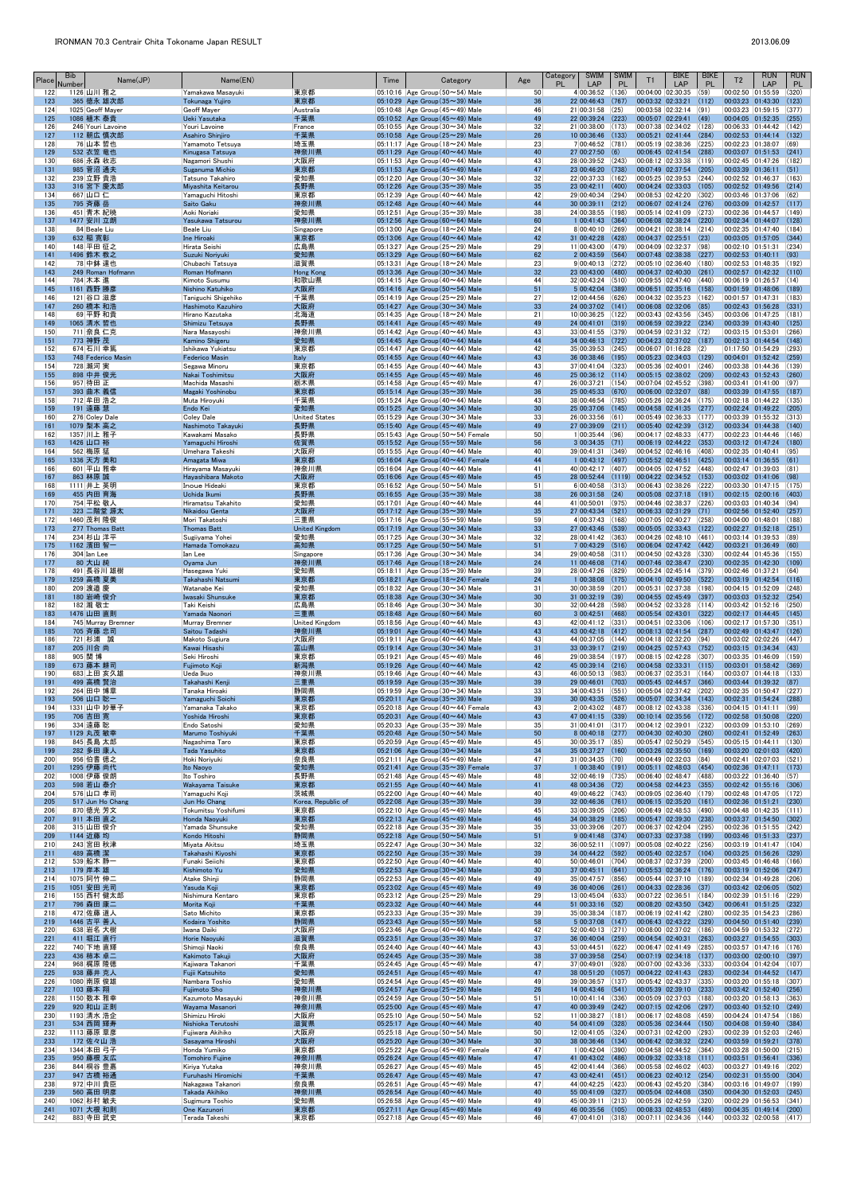| Place      | <b>Bib</b><br>Number | Name(JP)                        | Name(EN)                                  |                               | Time | Category                                                                               | Age                   | <b>SWIM</b><br>Category<br>PL<br>LAP         | <b>SWIM</b><br><b>PL</b> | T1                                     | <b>BIKE</b><br>LAP                                           | <b>BIKE</b><br><b>PL</b> | T <sub>2</sub>                                                         | <b>RUN</b><br>LAP | <b>RUN</b><br><b>PL</b> |
|------------|----------------------|---------------------------------|-------------------------------------------|-------------------------------|------|----------------------------------------------------------------------------------------|-----------------------|----------------------------------------------|--------------------------|----------------------------------------|--------------------------------------------------------------|--------------------------|------------------------------------------------------------------------|-------------------|-------------------------|
| 122<br>123 |                      | 1126 山川 雅之<br>365 徳永 雄次郎        | Yamakawa Masayuki<br>Tokunaga Yujiro      | 東京都<br>東京都                    |      | $ 05:10:16 $ Age Group (50 $\sim$ 54) Male<br>05:10:29 Age Group $(35 \sim 39)$ Male   | 50<br>36              | 4 00:36:52<br>22 00:46:43                    | (136)<br>(767)           | 00:04:00 02:30:35<br>00:03:32 02:33:21 |                                                              | (59)<br>(112)            | 00:02:50 01:55:59<br>00:03:23 01:43:30                                 |                   | (320)<br>(123)          |
| 124<br>125 |                      | 1025 Geoff Mayer<br>1086 植木 泰貴  | Geoff Mayer<br>Ueki Yasutaka              | Australia<br>千葉県              |      | 05:10:48 Age Group (45~49) Male<br>05:10:52 Age Group $(45 \sim 49)$ Male              | 46<br>49              | 21 00:31:58<br>22 00:39:24 (223)             | (25)                     | 00:03:58 02:32:14                      | (91)<br>$[00:05:07]$ 02:29:41 (49)                           |                          | 00:03:23 01:59:15<br>00:04:05 01:52:35                                 |                   | (377)<br>(255)          |
| 126        |                      | 246 Youri Lavoine               | Youri Lavoine                             | France                        |      | $ 05:10:55 $ Age Group (30 $\sim$ 34) Male                                             | 32                    | 21 00:38:00 (173)                            |                          |                                        | 00:07:38 02:34:02 (128)                                      |                          | 00:06:33 01:44:42                                                      |                   | (142)                   |
| 127<br>128 |                      | 112 朝広 慎次郎<br>76 山本 哲也          | Asahiro Shinjiro<br>Yamamoto Tetsuya      | 千葉県<br> 埼玉県                   |      | 05:10:58 Age Group $(25 \sim 29)$ Male<br>05:11:17 Age Group (18~24) Male              | 26<br>23              | 10 00:36:46 (133)<br>7 00:46:52 (781)        |                          |                                        | $00:05:21$ 02:41:44 (284)<br> 00:05:19 02:38:36 (225)        |                          | 00:02:53 01:44:14<br>00:02:23 01:38:07                                 |                   | (132)<br>(69)           |
| 129<br>130 |                      | 532 衣笠 竜也<br>686 永森 收志          | Kinugasa Tatsuya<br>Nagamori Shushi       | 神奈川県<br> 大阪府                  |      | 05:11:29 Age Group $(40 \sim 44)$ Male<br>05:11:53 Age Group (40 $\sim$ 44) Male       | 40<br>43              | $27 00:27:50$ (6)<br>28 00:39:52 (243)       |                          |                                        | 00:06:45 02:41:54 (288)<br>$00:08:12$ 02:33:38 (119)         |                          | 00:03:07 01:51:53<br>00:02:45 01:47:26                                 |                   | (241)<br>(182)          |
| 131        |                      | 985 菅沼 通夫                       | Suganuma Michio                           | 東京都                           |      | 05:11:53 Age Group $(45 \sim 49)$ Male                                                 | 47                    | 23 00:46:20 (738)                            |                          |                                        | 00:07:49 02:37:54                                            | (205)                    | 00:03:39 01:36:11                                                      |                   | (51)                    |
| 132<br>133 |                      | 239 立野 貴浩<br>316 宮下 慶太郎         | Tatsuno Takahiro<br>Miyashita Keitarou    | 愛知県<br>長野県                    |      | 05:12:20 Age Group (30 $\sim$ 34) Male<br>05:12:26 Age Group $(35 \sim 39)$ Male       | 32<br>35              | 22 00:37:33 (162)<br>23 00:42:11 (400)       |                          |                                        | $ 00:05:25 02:39:53 $ (244)<br>$00:04:24$ 02:33:03 (105)     |                          | 00:02:52 01:46:37<br>00:02:52 01:49:56                                 |                   | (163)<br>(214)          |
| 134<br>135 |                      | 667 山口 仁<br>795 斉藤 岳            | Yamaguchi Hitoshi<br>Saito Gaku           | 東京都<br>神奈川県                   |      | 05:12:39 Age Group (40 $\sim$ 44) Male<br>05:12:48 Age Group $(40 \sim 44)$ Male       | 42<br>44              | 29 00:40:34 (294)<br>30 00:39:11             | (212)                    |                                        | 00:08:53 02:42:20 (302)<br>$ 00:06:07 02:41:24$ (276)        |                          | 00:03:46 01:37:06<br>00:03:09 01:42:57                                 |                   | (62)<br>(117)           |
| 136        |                      | 451 青木 紀暁                       | Aoki Noriaki                              | 愛知県                           |      | $ 05:12:51 $ Age Group (35 $\sim$ 39) Male                                             | 38                    | 24 00:38:55 (198)                            |                          |                                        | $00:05:14$ 02:41:09 (273)                                    |                          | 00:02:36 01:44:57                                                      |                   | (149)                   |
| 137<br>138 |                      | 1477 安川 立朗<br>84 Beale Liu      | Yasukawa Tatsurou<br>Beale Liu            | 神奈川県<br>Singapore             |      | 05:12:56 Age Group $(60 \sim 64)$ Male<br>05:13:00 Age Group (18 $\sim$ 24) Male       | 60<br>24              | 1 00:41:43<br>$8 00:40:10 $ (269)            | (364)                    |                                        | 00:06:08 02:38:24 (220)<br> 00:04:21 02:38:14 (214)          |                          | 00:02:34 01:44:07<br>00:02:35 01:47:40                                 |                   | (128)<br>(184)          |
| 139<br>140 |                      | 632 稲 寛彰<br>148 平田 征之           | Ine Hiroaki<br>Hirata Seishi              | 東京都<br> 広島県                   |      | 05:13:06 Age Group $(40 \sim 44)$ Male<br>05:13:27 Age Group (25 $\sim$ 29) Male       | 42<br>29              | 31 00:42:28 (428)<br>11 00:43:00 (479)       |                          |                                        | $00:04:37$ 02:25:51 (23)<br>$00:04:09$ 02:32:37 (98)         |                          | 00:03:05 01:57:05<br>00:02:10 01:51:31                                 |                   | (344)<br>(234)          |
| 141<br>142 |                      | 1496 鈴木 教之                      | Suzuki Noriyuki                           | 愛知県                           |      | 05:13:29 Age Group $(60 \sim 64)$ Male                                                 | 62<br>23              | $2 00:43:59 $ (564)<br>9 00:40:13 (272)      |                          | 00:05:10 02:36:40                      | 00:07:48 02:38:38                                            | (227)<br>(180)           | 00:02:53 01:40:11<br>00:02:53 01:48:35                                 |                   | (93)<br>(192)           |
| 143        |                      | 78 中鉢 達也<br>249 Roman Hofmann   | Chubachi Tatsuya<br>Roman Hofmann         | 滋賀県<br><b>Hong Kong</b>       |      | 05:13:31 Age Group (18 $\sim$ 24) Male<br>05:13:36 Age Group $(30 \sim 34)$ Male       | 32                    | 23 00:43:00                                  | (480)                    | 00:04:37 02:40:30                      |                                                              | (261)                    | 00:02:57 01:42:32                                                      |                   | (110)                   |
| 144<br>145 |                      | 784 木本 進<br>1161 西野 勝彦          | Kimoto Susumu<br>Nishino Katuhiko         | 和歌山県<br>大阪府                   |      | 05:14:15 Age Group (40 $\sim$ 44) Male<br>05:14:16 Age Group $(50 \sim 54)$ Male       | 44<br>51              | 32 00:43:24 (510)<br>$5$ 00:42:04 (389)      |                          |                                        | $ 00:09:55 02:47:40 $ (440)<br> 00:06:51 02:35:16 (158)      |                          | 00:06:19 01:26:57<br>00:01:59 01:48:06                                 |                   | (14)<br>(189)           |
| 146<br>147 |                      | 121 谷口 滋彦<br>260 橋本 和浩          | Taniguchi Shigehiko<br>Hashimoto Kazuhiro | 千葉県                           |      | 05:14:19 Age Group (25 $\sim$ 29) Male                                                 | 27<br>33              | 12 00:44:56 (626)<br>24 00:37:02 (141)       |                          |                                        | $00:04:32$ 02:35:23 (162)<br>$00:06:08$ 02:32:06 (85)        |                          | 00:01:57 01:47:31<br>00:02:43 01:56:28                                 |                   | (183)<br>(331)          |
| 148        |                      | 69 平野 和貴                        | Hirano Kazutaka                           | 大阪府<br> 北海道                   |      | 05:14:27 Age Group $(30 \sim 34)$ Male<br>05:14:35 Age Group (18 $\sim$ 24) Male       | 21                    | 10 00:36:25 (122)                            |                          |                                        | 00:03:43 02:43:56 (345)                                      |                          | 00:03:06 01:47:25                                                      |                   | (181)                   |
| 149<br>150 |                      | 1065 清水 哲也<br>711 奈良 仁克         | Shimizu Tetsuya<br>Nara Masayoshi         | 長野県<br> 神奈川県                  |      | 05:14:41 Age Group $(45 \sim 49)$ Male<br>$ 05:14:42 $ Age Group (40 $\sim$ 44) Male   | 49<br>43              | 24 00:41:01<br>33 00:41:55                   | (319)<br>(379)           |                                        | 00:06:59 02:39:22 (234)<br> 00:04:59 02:31:32 (72)           |                          | 00:03:39 01:43:40<br>00:03:15 01:53:01                                 |                   | (125)<br>(266)          |
| 151<br>152 |                      | 773 神野 茂<br>674 石川 幸篤           | Kamino Shigeru<br>Ishikawa Yukiatsu       | 愛知県<br> 東京都                   |      | 05:14:45 Age Group $(40 \sim 44)$ Male<br>05:14:47 Age Group (40 $\sim$ 44) Male       | 44<br>42              | 34 00:46:13 (722)<br>$35 00:39:53$ (245)     |                          |                                        | $00:04:23$ 02:37:02 (187)<br> 00:06:07 01:16:28 2            |                          | 00:02:13 01:44:54<br>01:17:50 01:54:29                                 |                   | (148)<br>(293)          |
| 153        |                      | 748 Federico Masin              | <b>Federico Masin</b>                     | Italy                         |      | 05:14:55 Age Group $(40 \sim 44)$ Male                                                 | 43                    | 36 00:38:46 (195)                            |                          |                                        | 00:05:23 02:34:03 (129)                                      |                          | 00:04:01 01:52:42                                                      |                   | (259)                   |
| 154<br>155 |                      | 728 瀬河 実<br>898 中井 俊光           | Segawa Minoru<br>Nakai Toshimitsu         | 東京都<br>大阪府                    |      | $ 05:14:55 $ Age Group (40 $\sim$ 44) Male<br>05:14:55 Age Group $(45 \sim 49)$ Male   | 43<br>46              | $37 00:41:04$ (323)<br>25 00:36:12 (114)     |                          | 00:05:36 02:40:01                      | $00:05:15$ 02:38:02 (209)                                    | (246)                    | 00:03:38 01:44:36<br>00:02:43 01:52:43                                 |                   | (139)<br>(260)          |
| 156        |                      | 957 待田 正                        | Machida Masashi                           | 栃木県                           |      | 05:14:58 Age Group (45 $\sim$ 49) Male                                                 | 47                    | 26 00:37:21 (154)                            |                          |                                        | 00:07:04 02:45:52 (398)                                      |                          | 00:03:41  01:41:00                                                     |                   | (97)                    |
| 157<br>158 |                      | 393 曲木 義信<br>712 牟田 浩之          | Magaki Yoshinobu<br>Muta Hiroyuki         | 東京都<br> 千葉県                   |      | 05:15:14 Age Group $(35 \sim 39)$ Male<br>$ 05:15:24 $ Age Group (40 $\sim$ 44) Male   | 36<br>43              | 25 00:45:33 (670)<br>38 00:46:54 (785)       |                          |                                        | 00:06:00 02:32:07 (88)<br> 00:05:26 02:36:24 (175)           |                          | 00:03:39 01:47:55<br>00:02:18 01:44:22                                 |                   | (187)<br>(135)          |
| 159<br>160 |                      | 191 遠藤 慧<br>276 Coley Dale      | Endo Kei<br>Coley Dale                    | 愛知県<br><b>United States</b>   |      | 05:15:25 Age Group $(30 \sim 34)$ Male<br>$ 05:15:29 $ Age Group (30 $\sim$ 34) Male   | 30<br>33              | 25 00:37:06 (145)<br>$26 00:33:56 61\rangle$ |                          |                                        | 00:04:58 02:41:35 (277)<br> 00:05:49 02:36:33 (177)          |                          | 00:02:24 01:49:22<br>00:03:39 01:55:32                                 |                   | (205)<br>(313)          |
| 161        |                      | 1079 梨本 高之                      | Nashimoto Takayuki                        | 長野県                           |      | 05:15:40 Age Group $(45 \sim 49)$ Male                                                 | 49                    | 27 00:39:09                                  | (211)                    | 00:05:40 02:42:39                      |                                                              | (312)                    | 00:03:34 01:44:38                                                      |                   | (140)                   |
| 162<br>163 |                      | 1357 川上 雅子<br>1426 山口 裕         | Kawakami Masako<br>Yamaguchi Hiroshi      | 長野県<br>佐賀県                    |      | 05:15:43 Age Group (50~54) Female<br>05:15:52 Age Group ( $55 \sim 59$ ) Male          | 50<br>56              | $1 00:35:44 06\rangle$<br>$3 00:34:35 $ (71) |                          | 00:04:17 02:48:33                      | $00:06:19$ 02:44:22 (353)                                    | (477)                    | 00:02:23 01:44:46<br>00:03:12 01:47:24                                 |                   | (146)<br>(180)          |
| 164<br>165 |                      | 562 梅原 猛<br>1336 天方 美和          | Umehara Takeshi<br>Amagata Miwa           | 大阪府<br>東京都                    |      | 05:15:55 Age Group $(40 \sim 44)$ Male<br>05:16:04 Age Group $(40 \sim 44)$ Female     | 40<br>44              | 39 00:41:31<br>1 00:43:12 (497)              | (349)                    |                                        | 00:04:52 02:46:16 (408)<br>00:05:52 02:46:51                 | (425)                    | 00:02:35 01:40:41<br>$00:03:14$ 01:36:55 (61)                          |                   | (95)                    |
| 166        |                      | 601 平山 雅幸                       | Hirayama Masayuki                         | 神奈川県                          |      | $ 05:16:04 $ Age Group (40 $\sim$ 44) Male                                             | 41                    | 40 00:42:17 (407)                            |                          | 00:04:05 02:47:52                      |                                                              | (448)                    | 00:02:47 01:39:03                                                      |                   | (81)                    |
| 167<br>168 |                      | 863 林原 誠<br>1111 井上 英明          | Havashibara Makoto<br>Inoue Hideaki       | 大阪府<br>東京都                    |      | 05:16:06 Age Group $(45 \sim 49)$ Male<br>05:16:52 Age Group (50 $\sim$ 54) Male       | 45<br>51              | 28 00:52:44 (1119)<br>6 00:40:58             | (313)                    |                                        | 00:04:22 02:34:52 (153) <br> 00:06:43 02:38:26 (222)         |                          | 00:03:02 01:41:06<br>00:03:30 01:47:15                                 |                   | (98)<br>(175)           |
| 169<br>170 |                      | 455 内田 育海<br>754 平松 敬人          | Uchida Ikumi<br>Hiramatsu Takahito        | 長野県<br> 愛知県                   |      | 05:16:55 Age Group $(35 \sim 39)$ Male<br>$ 05:17:01 $ Age Group (40 $\sim$ 44) Male   | 38<br>44              | 26 00:31:58<br>41 00:50:01 (975)             | (24)                     | 00:05:08 02:37:18<br>00:04:46 02:38:37 |                                                              | (191)<br>(226)           | 00:02:15 02:00:16<br>00:03:03 01:40:34                                 |                   | (403)<br>(94)           |
| 171        |                      | 323 二階堂 源太                      | Nikaidou Genta                            | 大阪府                           |      | 05:17:12 Age Group $(35 \sim 39)$ Male                                                 | 35                    | 27 00:43:34 (521)                            |                          |                                        | 00:06:33 02:31:29 (71)                                       |                          | $00:02:56$ 01:52:40 (257)                                              |                   |                         |
| 172<br>173 |                      | 1460 茂利 隆俊<br>277 Thomas Batt   | Mori Takatoshi<br><b>Thomas Batt</b>      | 三重県<br><b>United Kingdom</b>  |      | $ 05:17:16 $ Age Group (55 $\sim$ 59) Male<br>05:17:19 Age Group (30~34) Male          | 59<br>33              | $4 00:37:43 $ (168)<br>27 00:43:46           | (539)                    | 00:05:05 02:33:43                      | 00:07:05 02:40:27 (258)                                      | (122)                    | 00:04:00 01:48:01<br>00:02:27 01:52:18                                 |                   | (188)<br>(251)          |
| 174<br>175 |                      | 234 杉山 洋平<br>1162 濱田 智一         | Sugiiyama Yohei<br>Hamada Tomokazu        | 愛知県<br>高知県                    |      | 05:17:25 Age Group ( $30 \sim 34$ ) Male<br>05:17:25 Age Group $(50 \sim 54)$ Male     | 32<br>51              | 28 00:41:42 (363)<br>$7 00:43:29 $ (516)     |                          | 00:04:26 02:48:10                      | 00:06:04 02:47:42 (442)                                      | (461)                    | 00:03:14 01:39:53<br>00:03:21 01:36:49                                 |                   | (89)<br>(60)            |
| 176        |                      | 304 Ian Lee                     | Ian Lee                                   | Singapore                     |      | $ 05:17:36 $ Age Group (30 $\sim$ 34) Male                                             | 34                    | 29 00:40:58 (311)                            |                          |                                        | 00:04:50 02:43:28 (330)                                      |                          | 00:02:44 01:45:36                                                      |                   | (155)                   |
| 177<br>178 |                      | 80 大山 純<br>491 長谷川 雄樹           | Oyama Jun<br>Hasegawa Yuki                | 神奈川県<br> 愛知県                  |      | 05:17:46 Age Group ( $18 \sim 24$ ) Male<br>$ 05:18:11 $ Age Group (35 $\sim$ 39) Male | 24<br>39              | 11 00:46:08 (714)<br>28 00:47:26             | (829)                    |                                        | 00:07:46 02:38:47 (230)<br>$ 00:05:24 02:45:14 379\rangle$   |                          | 00:02:35 01:42:30 (109)<br>00:02:46 01:37:21                           |                   | (64)                    |
| 179<br>180 |                      | 1259 高橋 夏美<br>209 渡邉 慶          | Takahashi Natsumi<br>Watanabe Kei         | 東京都<br>愛知県                    |      | 05:18:21 Age Group $(18 \sim 24)$ Female<br>05:18:32   Age Group (30 $\sim$ 34) Male   | 24<br>31              | $1 00:38:08$ (175)<br>30 00:38:59            | (201)                    |                                        | 00:04:10 02:49:50 (522)<br>00:05:31 02:37:38                 | (198)                    | 00:03:19 01:42:54<br>00:04:15 01:52:09                                 |                   | (116)<br>(248)          |
| 181        |                      | 180 岩崎 俊介                       | Iwasaki Shunsuke                          | 東京都                           |      | 05:18:38 Age Group $(30 \sim 34)$ Male                                                 | 30 <sup>°</sup>       | 31 00:32:19                                  | (39)                     |                                        | 00:04:55 02:45:49                                            | (397)                    | 00:03:03 01:52:32                                                      |                   | (254)                   |
| 182<br>183 |                      | 182 瀧 敬士<br>1476 山田 直則          | Taki Keishi<br>Yamada Naonori             | 広島県<br>三重県                    |      | 05:18:46 Age Group (30 $\sim$ 34) Male<br>05:18:48 Age Group $(60 \sim 64)$ Male       | 30 <sup>°</sup><br>60 | 32 00:44:28 (598)<br>$3 00:42:51 $ (468)     |                          | 00:05:54 02:43:01                      | 00:04:52 02:33:28 (114)                                      | (322)                    | 00:03:42 01:52:16<br>00:02:17 01:44:45                                 |                   | (250)<br>(145)          |
| 184<br>185 |                      | 745 Murray Bremner<br>705 斉藤 忠司 | Murray Bremner<br>Saitou Tadashi          | <b>United Kingdom</b><br>神奈川県 |      | 05:18:56 Age Group (40 $\sim$ 44) Male<br>05:19:01 Age Group $(40 \sim 44)$ Male       | 43<br>43              | 42 00:41:12 (331)<br>43 00:42:18 (412)       |                          |                                        | 00:04:51 02:33:06 (106)<br> 00:08:13 02:41:54 (287)          |                          | 00:02:17 01:57:30<br>00:02:49 01:43:47                                 |                   | (351)<br>(126)          |
| 186        |                      | 721 杉浦 誠                        | Makoto Sugiura                            | 大阪府                           |      | $ 05:19:11 $ Age Group (40 $\sim$ 44) Male                                             | 43                    | 44 00:37:05 (144)                            |                          |                                        | $ 00:04:18 02:32:20 04\rangle$                               |                          | 00:03:02 02:02:26                                                      |                   | (447)                   |
| 187<br>188 |                      | 205 川合 尚<br>905 関博              | Kawai Hisashi<br>Seki Hiroshi             | 富山県<br> 東京都                   |      | 05:19:14 Age Group (30~34) Male<br>05:19:21 Age Group (45 $\sim$ 49) Male              | 31<br>46              | 33 00:39:17 (219)<br>29 00:38:54 (197)       |                          | 00:08:15 02:42:28                      | 00:04:25 02:57:43 (752)                                      | (307)                    | 00:03:15 01:34:34<br>00:03:35 01:46:09                                 |                   | (43)<br>(159)           |
| 189<br>190 |                      | 673 藤本 耕司<br>683 上田 亥久雄         | Fujimoto Koji<br>Ueda Ikuo                | 新潟県<br> 神奈川県                  |      | 05:19:26 Age Group $(40 \sim 44)$ Male<br>05:19:46 Age Group (40 $\sim$ 44) Male       | 42<br>43              | 45 00:39:14 (216)<br>46 00:50:13 (983)       |                          | 00:06:37 02:35:31                      | $00:04:58$ 02:33:31 (115)                                    | (164)                    | $[00:03:01 \mid 01:58:42 \mid (369)]$<br>00:03:07 01:44:18             |                   | (133)                   |
| 191        |                      | 499 高橋 賢治                       | Takahashi Kenji                           | 三重県                           |      | 05:19:59 Age Group (35~39) Male                                                        | 39                    | 29 00:46:01 (703)                            |                          |                                        | 00:05:45 02:44:57                                            | (366)                    | 00:03:44 01:39:32                                                      |                   | (87)                    |
| 192<br>193 |                      | 264 田中 博章<br>506 山口 聡一          | Tanaka Hiroaki<br>Yamaguchi Soichi        | 静岡県<br>東京都                    |      | $ 05:19:59 $ Age Group (30 $\sim$ 34) Male<br>05:20:11 Age Group $(35 \sim 39)$ Male   | 33<br>39              | 34 00:43:51<br>30 00:43:35 (526)             | (551)                    |                                        | 00:05:04 02:37:42 (202)<br>$00:05:07$ 02:34:34 (143)         |                          | 00:02:35 01:50:47<br>00:02:31 01:54:24                                 |                   | (227)<br>(288)          |
| 194<br>195 |                      | 1331 山中 妙華子<br>706 吉田 寛         | Yamanaka Takako<br>Yoshida Hiroshi        | 東京都<br>東京都                    |      | $ 05:20:18 $ Age Group (40 $\sim$ 44) Female<br>05:20:31 Age Group $(40 \sim 44)$ Male | 43<br>43              | 2 00:43:02 (487)<br>47 00:41:15 (339)        |                          | 00:08:12 02:43:38                      | $ 00:10:14$ 02:35:56 (172)                                   | (336)                    | 00:04:15 01:41:11<br>00:02:58 01:50:08                                 |                   | (99)<br>(220)           |
| 196<br>197 |                      | 334 遠藤 聡<br>1129 丸茂 敏幸          | Endo Satoshi<br>Marumo Toshiyuki          | 愛知県<br>千葉県                    |      | 05:20:33 Age Group (35 $\sim$ 39) Male<br>05:20:48 Age Group $(50 \sim 54)$ Male       | 35<br>50              | $31 00:41:01$ (317)<br>$8 00:40:18$ (277)    |                          | 00:04:12 02:39:01                      | 00:04:30 02:40:30 (260)                                      | (232)                    | 00:03:09 01:53:10<br>00:02:41 01:52:49                                 |                   | (269)<br>(263)          |
| 198        |                      | 845 長島 太郎                       | Nagashima Taro                            | 東京都                           |      | 05:20:59 Age Group (45 $\sim$ 49) Male                                                 | 45                    | 30 00:35:17 (85)                             |                          |                                        | $00:05:47$ 02:50:29 (545)                                    |                          | 00:05:15 01:44:11                                                      |                   | (130)                   |
| 199<br>200 |                      | 282 多田 康人<br>956 伯耆 徳之          | Tada Yasuhito<br>Hoki Noriyuki            | 東京都<br>奈良県                    |      | 05:21:06 Age Group $(30 \sim 34)$ Male<br>05:21:11 Age Group (45 $\sim$ 49) Male       | 34<br>47              | 35 00:37:27 (160)<br>$31 00:34:35$ (70)      |                          | 00:03:26 02:35:50<br>00:04:49 02:32:03 |                                                              | (169)<br>(84)            | 00:03:20 02:01:03<br>00:02:41 02:07:03                                 |                   | (420)<br>(521)          |
| 201<br>202 |                      | 1295 伊藤 尚代<br>1008 伊藤 俊朗        | Ito Naoyo<br>Ito Toshiro                  | 愛知県<br> 長野県                   |      | 05:21:41 Age Group $(35 \sim 39)$ Female<br>05:21:48 Age Group (45 $\sim$ 49) Male     | 37<br>48              | $1 00:38:40$ (191)<br>32 00:46:19 (735)      |                          |                                        | $ 00:05:11 \t 02:48:03 \t (454)$<br> 00:06:40 02:48:47 (488) |                          | 00:02:36 01:47:11<br>00:03:22 01:36:40                                 |                   | (173)<br>(57)           |
| 203        |                      | 598 若山 泰介                       | Wakayama Taisuke                          | 東京都                           |      | 05:21:55 Age Group $(40 \sim 44)$ Male                                                 | 41                    | 48 00:34:36 (72)                             |                          |                                        | 00:04:58 02:44:23 (355)                                      |                          | 00:02:42 01:55:16                                                      |                   | (306)                   |
| 204<br>205 |                      | 576 山口 孝司<br>517 Jun Ho Chang   | Yamaguchi Koji<br>Jun Ho Chang            | 茨城県<br>Korea, Republic of     |      | $ 05:22:00 $ Age Group (40 $\sim$ 44) Male<br>05:22:08 Age Group $(35 \sim 39)$ Male   | 40<br>39              | 49 00:46:22 (743)<br>32 00:46:36 (761)       |                          | 00:09:05 02:36:40                      | $ 00:06:15 \t02:35:20 \t(161)$                               | (179)                    | 00:02:48 01:47:05<br>00:02:36 01:51:21                                 |                   | (172)<br>(230)          |
| 206<br>207 |                      | 870 徳光 芳文<br>911 本田 直之          | Tokumitsu Yoshifumi<br>Honda Naoyuki      | 東京都<br>東京都                    |      | 05:22:10 Age Group (45 $\sim$ 49) Male<br>05:22:13 Age Group $(45 \sim 49)$ Male       | 45<br>46              | 33 00:39:05<br>34 00:38:29 (185)             | (206)                    |                                        | 00:06:49 02:48:53 (490)<br>$00:05:47$ 02:39:30 (238)         |                          | 00:04:48 01:42:35<br>00:03:37 01:54:50                                 |                   | (111)<br>(302)          |
| 208        |                      | 315 山田 俊介                       | Yamada Shunsuke                           | 愛知県                           |      | $ 05:22:18 $ Age Group (35 $\sim$ 39) Male                                             | 35                    | 33 00:39:06 (207)                            |                          |                                        | 00:06:37 02:42:04 (295)                                      |                          | 00:02:36 01:51:55                                                      |                   | (242)                   |
| 209<br>210 |                      | 1144 近藤 均<br>243 宮田 秋津          | Kondo Hitoshi<br>Miyata Akitsu            | 静岡県<br> 埼玉県                   |      | $05:22:18$ Age Group (50 $\sim$ 54) Male<br>05:22:47 Age Group (30~34) Male            | 51<br>32              | 9 00:41:48<br>36 00:52:11 (1097)             | (374)                    |                                        | 00:07:33 02:37:38 (199)<br> 00:05:08 02:40:22 (256)          |                          | 00:03:46 01:51:33<br>$ 00:03:19$ $ 01:41:47$ $ (104)$                  |                   | (237)                   |
| 211<br>212 |                      | 489 高橋 潔<br>539 船木 静一           | Takahashi Kiyoshi<br>Funaki Seiichi       | 東京都<br> 東京都                   |      | 05:22:50 Age Group $(35 \sim 39)$ Male<br>05:22:50 Age Group $(40 \sim 44)$ Male       | 39<br>40              | 34 00:44:22 (592)<br>50 00:46:01             | (704)                    | 00:08:37 02:37:39                      | 00:05:40 02:32:57 (104)                                      | (200)                    | 00:03:25 01:56:26<br>00:03:45 01:46:48                                 |                   | (329)<br>(166)          |
| 213        |                      | 179 岸本 雄                        | Kishimoto Yu                              | 愛知県                           |      | 05:22:53 Age Group $(30 \sim 34)$ Male                                                 | 30                    | $37 00:45:11 $ (641)                         |                          |                                        | 00:05:53 02:36:24 (176)                                      |                          | 00:03:19 01:52:06                                                      |                   | (247)                   |
| 214<br>215 |                      | 1075 阿竹 伸二<br>1051 安田 光司        | Atake Shinji<br>Yasuda Koji               | 静岡県<br>東京都                    |      | 05:22:53 Age Group (45 $\sim$ 49) Male<br>05:23:02 Age Group $(45 \sim 49)$ Male       | 49<br>49              | 35 00:47:57<br>36 00:40:06                   | (856)<br>(261)           |                                        | 00:05:44 02:37:10 (189)<br>$00:04:33$ 02:28:36 (37)          |                          | 00:02:34 01:49:28<br>00:03:42 02:06:05                                 |                   | (206)<br>(502)          |
| 216<br>217 |                      | 155 西村 健太郎<br>796 森田 康二         | Nishimura Kentaro<br>Morita Koji          | 東京都<br>千葉県                    |      | $ 05:23:12 $ Age Group (25 $\sim$ 29) Male<br>05:23:32 Age Group $(40 \sim 44)$ Male   | 29<br>44              | 13 00:45:04<br>$51 00:33:16$ (52)            | (633)                    | 00:07:22 02:36:51                      | 00:08:20 02:43:50 (342)                                      | (184)                    | 00:02:39 01:51:16<br>00:06:41 01:51:25                                 |                   | (229)<br>(232)          |
| 218        |                      | 472 佐藤 道人                       | Sato Michito                              | 東京都                           |      | 05:23:33 Age Group (35 $\sim$ 39) Male                                                 | 39                    | 35 00:38:34 (187)                            |                          |                                        | 00:06:19 02:41:42 (280)                                      |                          | 00:02:35 01:54:23                                                      |                   | (286)                   |
| 219<br>220 |                      | 1446 古平 善人<br>638 岩名 大樹         | Kodaira Yoshito<br>Iwana Daiki            | 静岡県<br> 大阪府                   |      | 05:23:43 Age Group ( $55 \sim 59$ ) Male<br>05:23:46 Age Group (40 $\sim$ 44) Male     | 58<br>42              | 5 00:37:08<br>52 00:40:13 (271)              | (147)                    |                                        | 00:06:43 02:43:22 (329)<br> 00:08:00 02:37:02 (186)          |                          | 00:04:50 01:51:40<br>00:04:59 01:53:32                                 |                   | (239)<br>(272)          |
| 221<br>222 |                      | 411 堀江 直行<br>740 下地 直輝          | Horie Naoyuki<br>Shimoji Naoki            | 滋賀県<br> 奈良県                   |      | 05:23:51 Age Group (35 $\sim$ 39) Male<br>$ 05:24:40 $ Age Group (40 $\sim$ 44) Male   | 37<br>43              | 36 00:40:04<br>53 00:44:51                   | (259)<br>(622)           | 00:04:54 02:40:31                      | $00:06:47$ 02:41:49 (285)                                    | (263)                    | 00:03:27 01:54:55<br>00:03:57 01:47:16                                 |                   | (303)<br>(176)          |
| 223<br>224 |                      | 436 柿本 卓二<br>968 梶原 隆徳          | Kakimoto Takuji<br>Kajiwara Takanori      | 大阪府<br> 千葉県                   |      | 05:24:45 Age Group $(35 \sim 39)$ Male<br>05:24:45 Age Group (45 $\sim$ 49) Male       | 38<br>47              | 37 00:39:58<br>37 00:49:01 (928)             | (254)                    |                                        | 00:07:19 02:34:18 (137)<br> 00:07:00 02:43:36 (333)          |                          | 00:03:00 02:00:10<br> 00:03:04 01:42:04 (107)                          |                   | (397)                   |
| 225        |                      | 938 藤井 克人                       | Fujii Katsuhito                           | 愛知県                           |      | 05:24:51 Age Group (45~49) Male                                                        | 47                    | 38 00:51:20 (1057) 00:04:22 02:41:43 (283)   |                          |                                        |                                                              |                          | $ 00:02:34$ $ 01:44:52$ (147)                                          |                   |                         |
| 226<br>227 |                      | 1080 南原 俊雄<br>103 藤本 翔          | Nambara Toshio<br>Fujimoto Sho            | 愛知県<br>神奈川県                   |      | 05:24:54 Age Group (45 $\sim$ 49) Male<br>05:24:57 Age Group $(25 \sim 29)$ Male       | 49<br>26              | 39 00:36:57 (137)<br>$14$ 00:43:46 (541)     |                          |                                        | 00:05:42 02:43:37 (335) <br>$ 00:05:39 \t02:39:10 \t(233) $  |                          | 00:03:20 01:55:18 (307)<br>$ 00:03:42 01:52:40$ (256)                  |                   |                         |
| 228<br>229 |                      | 1150 数本 雅幸<br>920 和山 正則         | Kazumoto Masayuki<br>Wayama Masanori      | 神奈川県<br>神奈川県                  |      | 05:24:59 Age Group (50 $\sim$ 54) Male<br>05:25:00 Age Group $(45 \sim 49)$ Male       | 51<br>47              | $10 00:41:14$ (336)<br>40 00:39:49 (242)     |                          |                                        | 00:05:09 02:37:03 (188)<br>$00:07:15$ 02:42:06 (297)         |                          | $00:03:20$ 01:58:13 (363)<br>$00:03:40$ 01:52:10 (249)                 |                   |                         |
| 230        |                      | 1193 清水 浩企                      | Shimizu Hiroki                            | 大阪府                           |      | 05:25:10 Age Group (50 $\sim$ 54) Male                                                 | 52                    | $11 00:38:27$ (181)                          |                          |                                        | 00:06:17 02:48:08 (459)                                      |                          | $00:04:24$ 01:47:54 (186)                                              |                   |                         |
| 231<br>232 |                      | 534 西岡 輝寿<br>1113 藤原 章彦         | Nishioka Terutoshi<br>Fujiwara Akihiko    | 滋賀県<br>大阪府                    |      | 05:25:17 Age Group $(40 \sim 44)$ Male<br>05:25:18 Age Group (50 $\sim$ 54) Male       | 40<br>50              | 54 00:41:09 (328)<br>$12 00:41:05$ (324)     |                          |                                        | 00:05:36 02:34:44 (150)<br> 00:07:31 02:42:00 (293)          |                          | 00:04:08 01:59:40<br>$ 00:02:39 \t  01:52:03 \t  (246)$                |                   | (384)                   |
| 233<br>234 |                      | 172 佐々山 浩<br>1344 本田 弓子         | Sasayama Hiroshi<br>Honda Yumiko          | 大阪府<br>東京都                    |      | 05:25:20 Age Group $(30 \sim 34)$ Male<br>$ 05:25:22 $ Age Group (45 $\sim$ 49) Female | 30<br>47              | 38 00:36:46 (134)<br>$1 00:42:04$ (390)      |                          |                                        | $ 00:06:42 02:38:32 $ (224)<br> 00:04:58 02:44:52 (364)      |                          | 00:03:59 01:59:21<br>$00:03:28$ 01:50:00 (215)                         |                   | (378)                   |
| 235        |                      | 950 藤根 友広                       | Tomohiro Fujine                           | 神奈川県                          |      | 05:26:24 Age Group $(45 \sim 49)$ Male                                                 | 47                    | 41 00:43:02 (486)                            |                          |                                        | 00:09:32 02:33:18 (111)                                      |                          | 00:03:51 01:56:41                                                      |                   | (336)                   |
| 236<br>237 |                      | 844 桐谷 豊嘉<br>947 古橋 裕通          | Kiriya Yutaka<br>Furuhashi Hiromichi      | 神奈川県<br>千葉県                   |      | 05:26:27 Age Group (45 $\sim$ 49) Male<br>05:26:47 Age Group $(45 \sim 49)$ Male       | 45<br>47              | 42 00:41:44 (366)<br>43 00:42:41 (451)       |                          |                                        | 00:05:58 02:46:02 (403)<br> 00:06:23 02:40:12 (254)          |                          | 00:03:27 01:49:16<br>00:02:31 01:55:00                                 |                   | (202)<br>(304)          |
| 238<br>239 |                      | 972 中川 貴臣<br>560 高田 明彦          | Nakagawa Takanori<br>Takada Akihiko       | 奈良県<br>神奈川県                   |      | 05:26:51 Age Group (45 $\sim$ 49) Male<br>05:26:54 Age Group $(40 \sim 44)$ Male       | 47<br>40              | 44 00:42:25 (423)<br>55 00:41:09 (327)       |                          |                                        | 00:06:43 02:45:20 (384)<br>$ 00:05:04 \t02:44:08 \t(350) $   |                          | $ 00:03:16$ $ 01:49:07$ $ (199)$<br>$ 00:04:30 \t   01:52:03 \t (245)$ |                   |                         |
| 240        |                      | 1062 杉村 敏夫                      | Sugimura Toshio                           | 愛知県                           |      | 05:26:58 Age Group (45 $\sim$ 49) Male                                                 | 49                    | 45 00:39:11 (213)                            |                          |                                        | 00:05:26 02:42:59 (320)                                      |                          | $00:02:29$ 01:56:53 (341)                                              |                   |                         |
| 241<br>242 |                      | 1071 大根 和則<br>883 寺田 武史         | One Kazunori<br>Terada Takeshi            | 東京都<br>東京都                    |      | 05:27:11 Age Group $(45 \sim 49)$ Male<br>05:27:18 Age Group (45 $\sim$ 49) Male       | 49<br>46              | 46 00:35:56 (105)<br>47 00:41:01 (318)       |                          |                                        | $00:08:33$ 02:48:53 (489)<br> 00:07:11 02:34:36 (144)        |                          | $00:04:35$ 01:49:14 (200)<br> 00:03:32 02:00:58 (417)                  |                   |                         |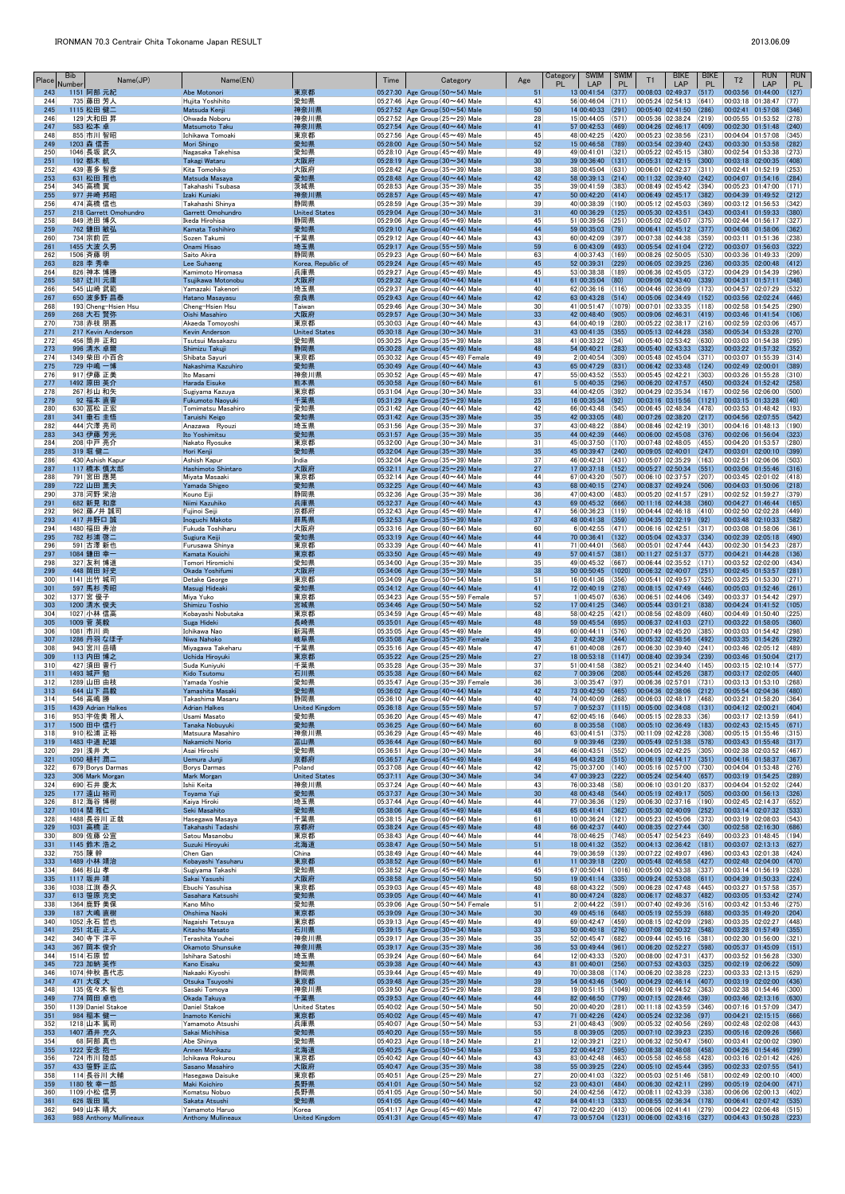| Place      | <b>Bib</b><br>Number | Name(JP)                           | Name(EN)                                   |                             | Time | Category                                                                               | Age                   | <b>SWIM</b><br>Category<br><b>PL</b><br>LAP                            | <b>SWIM</b><br><b>PL</b> | T1                                      | <b>BIKE</b><br>LAP                                           | <b>BIKE</b><br><b>PL</b> | T <sub>2</sub>                                                       | <b>RUN</b><br>LAP | <b>RUN</b><br>PL |
|------------|----------------------|------------------------------------|--------------------------------------------|-----------------------------|------|----------------------------------------------------------------------------------------|-----------------------|------------------------------------------------------------------------|--------------------------|-----------------------------------------|--------------------------------------------------------------|--------------------------|----------------------------------------------------------------------|-------------------|------------------|
| 243<br>244 |                      | 1151 阿部 元紀<br>735   藤田 芳人          | Abe Motonori<br>Hujita Yoshihito           | 東京都<br>愛知県                  |      | 05:27:30 Age Group $(50 \sim 54)$ Male<br>05:27:46 Age Group (40 $\sim$ 44) Male       | 51<br>43              | 13 00:41:54<br>56 00:46:04                                             | (377)<br>(711)           | 00:08:03 02:49:37<br> 00:05:24 02:54:13 |                                                              | (517)<br>(641)           | 00:03:56 01:44:00<br>00:03:18 01:38:47                               |                   | (127)<br>(77)    |
| 245        |                      | 1115 松田 健二                         | Matsuda Kenji                              | 神奈川県                        |      | 05:27:52 Age Group (50~54) Male                                                        | 50                    | 14 00:40:33                                                            | (291)                    |                                         | 00:05:40 02:41:50                                            | (286)                    | 00:02:41 01:57:08                                                    |                   | (346)            |
| 246<br>247 |                      | 129 大和田 昇<br>583 松本 卓              | Ohwada Noboru<br>Matsumoto Taku            | 神奈川県<br>神奈川県                |      | 05:27:52 Age Group (25 $\sim$ 29) Male<br>05:27:54 Age Group $(40 \sim 44)$ Male       | 28<br>41              | 15 00:44:05<br>57 00:42:53                                             | (571)<br>(469)           |                                         | 00:05:36 02:38:24 (219)<br>00:04:26 02:46:17                 | (409)                    | 00:05:55 01:53:52<br>00:02:30 01:51:48                               |                   | (278)<br>(240)   |
| 248        |                      | 855 市川 智昭                          | Ichikawa Tomoaki                           | 東京都                         |      | 05:27:56 Age Group (45 $\sim$ 49) Male                                                 | 45                    | 48 00:42:25 (420)                                                      |                          |                                         | 00:05:23 02:38:56 (231)                                      |                          | 00:04:04 01:57:08                                                    |                   | (345)            |
| 249<br>250 |                      | 1203 森 信吾<br>1046 長坂 武久            | Mori Shingo<br>Nagasaka Takehisa           | 愛知県<br>愛知県                  |      | 05:28:00 Age Group $(50 \sim 54)$ Male<br>$ 05:28:10 $ Age Group (45 $\sim$ 49) Male   | 52<br>49              | 15 00:46:58<br>49 00:41:01 (321)                                       | (789)                    |                                         | $00:03:54$ 02:39:40 (243)<br> 00:05:22 02:45:15 (380)        |                          | 00:03:30 01:53:58<br>00:02:54 01:53:38                               |                   | (282)<br>(273)   |
| 251<br>252 |                      | 192 都木 航<br>439 喜多 智彦              | Takagi Wataru<br>Kita Tomohiko             | 大阪府<br> 大阪府                 |      | 05:28:19 Age Group $(30 \sim 34)$ Male<br>$ 05:28:42 $ Age Group (35 $\sim$ 39) Male   | 30<br>38              | 39 00:36:40<br>38 00:45:04                                             | (131)<br>(631)           |                                         | 00:05:31 02:42:15 (300)<br> 00:06:01 02:42:37 (311)          |                          | 00:03:18 02:00:35<br>00:02:41  01:52:19                              |                   | (408)<br>(253)   |
| 253        |                      | 631 松田 雅也                          | Matsuda Masaya                             | 愛知県                         |      | 05:28:48 Age Group $(40 \sim 44)$ Male                                                 | 42                    | 58 00:39:13 (214)                                                      |                          |                                         | $ 00:11:32 02:39:40 $ (242)                                  |                          | $[00:04:07 \t 01:54:16 \t (284)]$                                    |                   |                  |
| 254<br>255 |                      | 345 高橋 翼<br>977 井崎 邦昭              | Takahashi Tsubasa<br>Izaki Kuniaki         | 茨城県<br>神奈川県                 |      | 05:28:53 Age Group (35 $\sim$ 39) Male<br>05:28:57 Age Group (45~49) Male              | 35<br>47              | 39 00:41:59 (383)<br>50 00:42:20 (414)                                 |                          |                                         | 00:08:49 02:45:42 (394)<br>00:06:49 02:45:17 (382)           |                          | 00:05:23 01:47:00<br>00:04:39 01:49:52                               |                   | (171)<br>(212)   |
| 256        |                      | 474 高橋 信也                          | Takahashi Shinya                           | 静岡県                         |      | 05:28:59 Age Group (35 $\sim$ 39) Male                                                 | 39                    | 40 00:38:39 (190)                                                      |                          | 00:05:12 02:45:03                       |                                                              | (369)                    | 00:03:12 01:56:53                                                    |                   | (342)            |
| 257<br>258 |                      | 218 Garrett Omohundro<br>849 池田 博久 | Garrett Omohundro<br>Ikeda Hirohisa        | <b>United States</b><br>静岡県 |      | 05:29:04 Age Group $(30 \sim 34)$ Male<br>05:29:06 Age Group (45 $\sim$ 49) Male       | 31<br>45              | 40 00:36:29<br>51 00:39:56                                             | (125)<br>(251)           | 00:05:30 02:43:51                       | 00:05:02 02:45:07 (375)                                      | (343)                    | 00:03:41 01:59:33<br>00:02:44  01:56:17                              |                   | (380)<br>(327)   |
| 259<br>260 |                      | 762 鎌田 敏弘<br>734 宗前 匠              | Kamata Toshihiro<br>Sozen Takumi           | 愛知県<br> 千葉県                 |      | 05:29:10 Age Group $(40 \sim 44)$ Male<br>05:29:12 Age Group (40 $\sim$ 44) Male       | 44<br>43              | 59 00:35:03 (79)<br>60 00:42:09 (397)                                  |                          |                                         | $00:06:41$ 02:45:12 (377)<br> 00:07:38 02:44:38 (359)        |                          | 00:04:08 01:58:06<br>00:03:11 01:51:36                               |                   | (362)<br>(238)   |
| 261        |                      | 1455 大波 久男                         | Onami Hisao                                | 埼玉県                         |      | 05:29:17 Age Group ( $55 \sim 59$ ) Male                                               | 59                    | 6 00:43:09                                                             | (493)                    |                                         | $00:05:54$ 02:41:04 (272)                                    |                          | 00:03:07 01:56:03                                                    |                   | (322)            |
| 262<br>263 |                      | 1506 斉藤 明<br>828 李 秀幸              | Saito Akira<br>Lee Suhaeng                 | 静岡県<br>Korea, Republic of   |      | $ 05:29:23 $ Age Group (60 $\sim$ 64) Male<br>05:29:24 Age Group (45~49) Male          | 63<br>45              | $4 00:37:43 $ (169)<br>52 00:39:31                                     | (229)                    |                                         | 00:08:26 02:50:05 (530)<br>$ 00:06:05 02:39:25 $ (236)       |                          | 00:03:36 01:49:33<br>00:03:35 02:00:48                               |                   | (209)<br>(412)   |
| 264        |                      | 826 神本 博勝                          | Kamimoto Hiromasa                          | 兵庫県                         |      | 05:29:27 Age Group (45 $\sim$ 49) Male                                                 | 45                    | 53 00:38:38                                                            | (189)                    |                                         | 00:06:36 02:45:05 (372)                                      |                          | 00:04:29 01:54:39                                                    |                   | (296)            |
| 265<br>266 |                      | 587 辻川 元庸<br>545 山崎 武範             | Tsujikawa Motonobu<br>Yamazaki Takenori    | 大阪府<br> 埼玉県                 |      | 05:29:32 Age Group $(40 \sim 44)$ Male<br>05:29:37 Age Group (40 $\sim$ 44) Male       | 41<br>40              | $61 00:35:04$ (80)<br>$62 00:36:16$ (116)                              |                          |                                         | 00:09:06 02:43:40 (339)<br> 00:04:46 02:36:09 (173)          |                          | 00:04:31 01:57:11<br>00:04:57 02:07:29                               |                   | (348)<br>(532)   |
| 267        |                      | 650 波多野 昌泰                         | Hatano Masayasu                            | 奈良県                         |      | 05:29:43 Age Group $(40 \sim 44)$ Male                                                 | 42                    | 63 00:43:28 (514)                                                      |                          |                                         | $00:05:06$ 02:34:49 (152)                                    |                          | 00:03:56 02:02:24                                                    |                   | (446)            |
| 268<br>269 |                      | 193 Cheng-Hsien Hsu<br>268 大石 賢弥   | Cheng-Hsien Hsu<br>Oishi Masahiro          | Taiwan<br>大阪府               |      | $ 05:29:46 $ Age Group (30 $\sim$ 34) Male<br>05:29:57 Age Group $(30 \sim 34)$ Male   | 30 <sup>°</sup><br>33 | 41 00:51:47 (1079)<br>42 00:48:40 (905)                                |                          | 00:07:01 02:33:35<br>00:09:06 02:46:31  |                                                              | (118)<br>(419)           | 00:02:58 01:54:25<br>00:03:46 01:41:54                               |                   | (290)<br>(106)   |
| 270<br>271 |                      | 738 赤枝 朋嘉<br>217 Kevin Anderson    | Akaeda Tomoyoshi<br><b>Kevin Anderson</b>  | 東京都<br><b>United States</b> |      | 05:30:03 Age Group (40 $\sim$ 44) Male<br>05:30:18 Age Group $(30 \sim 34)$ Male       | 43<br>31              | 64 00:40:19<br>43 00:41:35 (355)                                       | (280)                    |                                         | 00:05:22 02:38:17 (216)<br>$00:05:13$ 02:44:28 (358)         |                          | 00:02:59 02:03:06<br>00:05:34 01:53:28                               |                   | (457)<br>(270)   |
| 272        |                      | 456 筒井 正和                          | Tsutsui Masakazu                           | 愛知県                         |      | $ 05:30:25 $ Age Group (35 $\sim$ 39) Male                                             | 38                    | $41 00:33:22 $ (54)                                                    |                          |                                         | 00:05:40 02:53:42 (630)                                      |                          | 00:03:03 01:54:38                                                    |                   | (295)            |
| 273<br>274 |                      | 996 清水 卓爾<br>1349 柴田 小百合           | Shimizu Takuji<br>Shibata Sayuri           | 静岡県<br> 東京都                 |      | 05:30:28 Age Group $(45 \sim 49)$ Male<br>$ 05:30:32 $ Age Group (45 $\sim$ 49) Female | 48<br>49              | 54 00:40:21<br>2 00:40:54 (309)                                        | (283)                    |                                         | 00:05:40 02:43:33 (332)<br>$ 00:05:48 02:45:04 371\rangle$   |                          | 00:03:22 01:57:32<br>00:03:07 01:55:39                               |                   | (352)<br>(314)   |
| 275<br>276 |                      | 729 中嶋 一博                          | Nakashima Kazuhiro                         | 愛知県                         |      | 05:30:49 Age Group $(40 \sim 44)$ Male                                                 | 43                    | 65 00:47:29                                                            | (831)                    |                                         | 00:06:42 02:33:48 (124)                                      |                          | 00:02:49 02:00:01                                                    |                   | (389)            |
| 277        |                      | 917 伊藤 正美<br>1492 原田 英介            | Ito Masami<br>Harada Eisuke                | 神奈川県<br>熊本県                 |      | 05:30:52 Age Group (45 $\sim$ 49) Male<br>05:30:58 Age Group $(60 \sim 64)$ Male       | 47<br>61              | 55 00:43:52 (553)<br>5 00:40:35                                        | (296)                    | 00:05:45 02:42:21                       | $00:06:20$ 02:47:57 (450)                                    | (303)                    | 00:03:26 01:55:28<br>00:03:24 01:52:42                               |                   | (310)<br>(258)   |
| 278<br>279 |                      | 267 杉山 和矢<br>92 福本 直晋              | Sugiyama Kazuya<br><b>Fukumoto Naoyuki</b> | 東京都<br>千葉県                  |      | $ 05:31:04 $ Age Group (30 $\sim$ 34) Male<br>05:31:29 Age Group $(25 \sim 29)$ Male   | 33<br>25              | 44 00:42:05 (392)<br>$16 00:35:34 $ (92)                               |                          |                                         | 00:04:29 02:35:34 (167)<br>$00:03:16$ 03:15:56 (1121)        |                          | 00:02:56 02:06:00<br>$ 00:03:15 \t 01:33:28$                         |                   | (500)<br>(40)    |
| 280        |                      | 630 冨松 正宏                          | Tomimatsu Masahiro                         | 愛知県                         |      | 05:31:42 Age Group (40 $\sim$ 44) Male                                                 | 42                    | 66 00:43:48 (545)                                                      |                          |                                         | 00:06:45 02:48:34 (478)                                      |                          | 00:03:53 01:48:42                                                    |                   | (193)            |
| 281<br>282 |                      | 341 垂石 圭悟<br>444 穴澤 亮司             | Taruishi Keigo<br>Anazawa Ryouzi           | 愛知県<br> 埼玉県                 |      | 05:31:42 Age Group $(35 \sim 39)$ Male<br>$ 05:31:56 $ Age Group (35 $\sim$ 39) Male   | 35<br>37              | 42 00:33:05 (48)<br>43 00:48:22 (884)                                  |                          |                                         | $00:07:26$ 02:38:20 (217)<br> 00:08:46 02:42:19 (301)        |                          | 00:04:56 02:07:55<br>00:04:16 01:48:13                               |                   | (542)<br>(190)   |
| 283        |                      | 343 伊藤 芳光                          | Ito Yoshimitsu                             | 愛知県                         |      | 05:31:57 Age Group ( $35 \sim 39$ ) Male                                               | 35                    | 44 00:42:39 (446)                                                      |                          |                                         | 00:06:00 02:45:08 (376)                                      |                          | 00:02:06 01:56:04                                                    |                   | (323)            |
| 284<br>285 |                      | 208 中戸 亮介<br>319 堀 健二              | Nakato Ryosuke<br>Hori Kenji               | 東京都<br>愛知県                  |      | 05:32:00 Age Group (30 $\sim$ 34) Male<br>05:32:04 Age Group $(35 \sim 39)$ Male       | 31<br>35              | 45 00:37:50 (170)<br>45 00:39:47 (240)                                 |                          |                                         | $ 00:07:48 02:48:05 $ (455)<br>$00:09:05$ 02:40:01 (247)     |                          | 00:04:20 01:53:57<br>00:03:01 02:00:10                               |                   | (280)<br>(399)   |
| 286<br>287 |                      | 430 Ashish Kapur<br>117 橋本 慎太郎     | Ashish Kapur<br>Hashimoto Shintaro         | India<br>大阪府                |      | 05:32:04 Age Group (35 $\sim$ 39) Male<br>05:32:11 Age Group $(25 \sim 29)$ Male       | 37<br>27              | 46 00:42:31 (431)<br>$17 00:37:18$ (152)                               |                          | 00:05:27 02:50:34                       | 00:05:07 02:35:29 (163)                                      | (551)                    | 00:02:51 02:06:06<br>00:03:06 01:55:46                               |                   | (503)<br>(316)   |
| 288        |                      | 791 宮田 應晃                          | Miyata Masaaki                             | 東京都                         |      | 05:32:14 Age Group (40 $\sim$ 44) Male                                                 | 44                    | 67 00:43:20 (507)                                                      |                          |                                         | 00:06:10 02:37:57 (207)                                      |                          | 00:03:45 02:01:02                                                    |                   | (418)            |
| 289<br>290 |                      | 722 山田 薫夫<br>378 河野 栄治             | Yamada Shigeo<br>Kouno Eiii                | 愛知県<br>静岡県                  |      | 05:32:25 Age Group $(40 \sim 44)$ Male<br>$ 05:32:36 $ Age Group (35 $\sim$ 39) Male   | 43<br>36              | 68 00:40:15 (274)<br>47 00:43:00 (483)                                 |                          |                                         | 00:08:37 02:49:24 (506)<br> 00:05:20 02:41:57 (291)          |                          | 00:04:03 01:50:06<br>00:02:52 01:59:27                               |                   | (218)<br>(379)   |
| 291        |                      | 682 新見 和彦                          | Niimi Kazuhiko                             | 兵庫県                         |      | 05:32:37 Age Group $(40 \sim 44)$ Male                                                 | 43                    | 69 00:45:32 (666)                                                      |                          |                                         | $00:11:16$ 02:44:38 (360)                                    |                          | 00:04:27 01:46:44                                                    |                   | (165)            |
| 292<br>293 |                      | 962 藤ノ井 誠司<br>417 井野口 誠            | Fujinoi Seiji<br>Inoguchi Makoto           | 京都府<br>群馬県                  |      | 05:32:43 Age Group (45 $\sim$ 49) Male<br>05:32:53 Age Group $(35 \sim 39)$ Male       | 47<br>37              | 56 00:36:23 (119)<br>48 00:41:38 (359)                                 |                          |                                         | 00:04:44 02:46:18 (410)<br>$00:04:35$ 02:32:19 (92)          |                          | 00:02:50 02:02:28<br>00:03:48 02:10:33 (582)                         |                   | (449)            |
| 294<br>295 |                      | 1480 福田 寿治<br>782 杉浦 啓二            | Fukuda Toshiharu<br>Sugiura Keiji          | 大阪府<br>愛知県                  |      | $ 05:33:16 $ Age Group (60 $\sim$ 64) Male<br>05:33:19 Age Group $(40 \sim 44)$ Male   | 60<br>44              | $6 00:42:55 $ (471)<br>70 00:36:41                                     | (132)                    | 00:06:16 02:42:51                       | 00:05:04 02:43:37                                            | (317)<br>(334)           | 00:03:08 01:58:06<br>00:02:39 02:05:18                               |                   | (361)<br>(490)   |
| 296        |                      | 591 古澤 新也                          | Furusawa Shinya                            | 東京都                         |      | 05:33:39 Age Group (40 $\sim$ 44) Male                                                 | 41                    | 71 00:44:01                                                            | (568)                    |                                         | 00:05:01 02:47:44 (443)                                      |                          | 00:02:30 01:54:23                                                    |                   | (287)            |
| 297<br>298 |                      | 1084 鎌田 幸一<br>327 友利 博道            | Kamata Kouichi<br>Tomori Hiromichi         | 東京都<br>愛知県                  |      | 05:33:50 Age Group $(45 \sim 49)$ Male<br>05:34:00 Age Group (35 $\sim$ 39) Male       | 49<br>35              | 57 00:41:57<br>49 00:45:32 (667)                                       | (381)                    |                                         | 00:11:27 02:51:37 (577)<br> 00:06:44 02:35:52 (171)          |                          | 00:04:21 01:44:28<br>00:03:52 02:02:00                               |                   | (136)<br>(434)   |
| 299        |                      | 448 岡田 好史                          | Okada Yoshifumi                            | 大阪府                         |      | 05:34:06 Age Group $(35 \sim 39)$ Male                                                 | 38                    | 50 00:50:45                                                            | (1020)                   | 00:06:32 02:40:07                       |                                                              | (251)                    | 00:02:45 01:53:57                                                    |                   | (281)            |
| 300<br>301 |                      | 1141 出竹 城司<br>_597 馬杉 秀昭           | Detake George<br>Masugi Hideaki            | 東京都<br>愛知県                  |      | $ 05:34:09 $ Age Group (50 $\sim$ 54) Male<br>05:34:12 Age Group $(40 \sim 44)$ Male   | 51<br>41              | 16 00:41:36 (356)<br>72 00:40:19                                       | (278)                    |                                         | 00:05:41 02:49:57 (525)<br>$00:08:15$ 02:47:49 (446)         |                          | 00:03:25 01:53:30<br>00:05:03 01:52:46                               |                   | (271)<br>(261)   |
| 302<br>303 |                      | 1377 宮 優子                          | Miya Yuko<br>Shimizu Toshio                | 東京都<br>宮城県                  |      | 05:34:23 Age Group (55~59) Female<br>05:34:46 Age Group (50~54) Male                   | 57<br>52              | 1 00:45:07<br>17 00:41:25 (346)                                        | (636)                    | 00:06:51 02:44:06                       | 00:05:44 03:01:21                                            | (349)<br>(838)           | 00:03:37 01:54:42<br>$ 00:04:24$ 01:41:52 (105)                      |                   | (297)            |
| 304        |                      | 1200 清水 俊夫<br>1027 小林 信高           | Kobayashi Nobutaka                         | 東京都                         |      | 05:34:59 Age Group (45 $\sim$ 49) Male                                                 | 48                    | 58 00:42:25 (421)                                                      |                          |                                         | $ 00:08:56 02:48:09 $ (460)                                  |                          | 00:04:49  01:50:40                                                   |                   | (225)            |
| 305<br>306 |                      | 1009 菅 英毅<br>1081 市川 尚             | Suga Hideki<br>Ichikawa Nao                | 長崎県<br> 新潟県                 |      | 05:35:01 Age Group $(45 \sim 49)$ Male<br>$ 05:35:05 $ Age Group (45 $\sim$ 49) Male   | 48<br>49              | 59 00:45:54<br>60 00:44:11 (576)                                       | (695)                    |                                         | $00:06:37$ 02:41:03 (271)<br> 00:07:49 02:45:20 (385)        |                          | 00:03:22 01:58:05<br>00:03:03 01:54:42                               |                   | (360)<br>(298)   |
| 307        |                      | 1286 丹羽 なほ子                        | Niwa Nahoko                                | 岐阜県                         |      | 05:35:08 Age Group $(35 \sim 39)$ Female                                               | 35                    | $2 00:42:39 $ (444)                                                    |                          |                                         | $ 00:05:32 02:48:56 $ (492)                                  |                          | 00:03:35 01:54:26                                                    |                   | (292)            |
| 308<br>309 |                      | 943 宮川 岳晴<br>113 内田 博之             | Miyagawa Takeharu<br>Uchida Hiroyuki       | 千葉県<br>東京都                  |      | 05:35:16 Age Group (45 $\sim$ 49) Male<br>05:35:22 Age Group $(25 \sim 29)$ Male       | 47<br>27              | 61 00:40:08<br>18 00:53:18 (1147)                                      | (267)                    | 00:06:30 02:39:40                       | $[00:08:40]$ 02:39:34 (239)                                  | (241)                    | 00:03:46 02:05:12<br>00:03:46 01:50:04                               |                   | (489)<br>(217)   |
| 310<br>311 |                      | 427 須田 晋行<br>1493 城戸 勉             | Suda Kuniyuki                              | 千葉県                         |      | $ 05:35:28 $ Age Group (35 $\sim$ 39) Male                                             | 37<br>62              | 51 00:41:58 (382)<br>7 00:39:06                                        | (208)                    |                                         | 00:05:21 02:34:40 (145)<br>$00:05:44$ 02:45:26 (387)         |                          | 00:03:15 02:10:14<br>00:03:17 02:02:05                               |                   | (577)<br>(440)   |
| 312        |                      | 1289 山田 由枝                         | Kido Tsutomu<br>Yamada Yoshie              | 石川県<br> 愛知県                 |      | 05:35:38 Age Group $(60 \sim 64)$ Male<br>$ 05:35:47 $ Age Group (35 $\sim$ 39) Female | 36                    | $3 00:35:47 $ (97)                                                     |                          |                                         | $00:06:36$ 02:57:01 (731)                                    |                          | 00:03:13 01:53:10                                                    |                   | (268)            |
| 313<br>314 |                      | 644 山下 昌毅<br>546 高嶋 勝              | Yamashita Masaki<br>Takashima Masaru       | 愛知県<br>静岡県                  |      | 05:36:02 Age Group (40~44) Male<br>05:36:10 Age Group (40 $\sim$ 44) Male              | 42<br>40              | 73 00:42:50 (465)<br>74 00:40:09                                       | (268)                    |                                         | $ 00:04:36 \t02:38:06 \t(212) $<br>$00:06:03$ 02:48:17 (468) |                          | 00:05:54 02:04:36<br>00:03:21 01:58:20                               |                   | (480)<br>(364)   |
| 315        |                      | 1439 Adrian Halkes                 | <b>Adrian Halkes</b>                       | <b>United Kingdom</b>       |      | 05:36:18 Age Group ( $55 \sim 59$ ) Male                                               | 57                    | $7 00:52:37 $ (1115)                                                   |                          |                                         | 00:05:00 02:34:08 (131)                                      |                          | 00:04:12 02:00:21                                                    |                   | (404)            |
| 316<br>317 |                      | 953 宇佐美 雅人<br>1500 田中 信行           | Usami Masato<br>Tanaka Nobuyuki            | 愛知県<br>愛知県                  |      | 05:36:20 Age Group (45 $\sim$ 49) Male<br>05:36:25 Age Group $(60 \sim 64)$ Male       | 47<br>60              | $62 00:45:16$ (646)<br>8 00:35:58 (108)                                |                          |                                         | 00:05:15 02:28:33 (36)<br>00:05:10 02:36:49 (183)            |                          | 00:03:17 02:13:59<br>00:02:43 02:15:45                               |                   | (641)<br>(671)   |
| 318<br>319 |                      | 910 松浦 正裕<br>1483 中道 紀雄            | Matsuura Masahiro<br>Nakamichi Norio       | 神奈川県<br>冨山岸                 |      | 05:36:29 Age Group $(45 \sim 49)$ Male<br>05:36:44 Age Group $(60 \sim 64)$ Male       | 46<br>60              | 63 00:41:51 (375)<br>$9 00:39:46$ (239)                                |                          |                                         | 00:11:09 02:42:28 (308)<br>00:05:49 02:51:38 (578)           |                          | 00:05:15 01:55:46<br>00:03:43 01:55:48                               |                   | (315)<br>(317)   |
| 320        |                      | 291 浅井 大                           | Asai Hiroshi                               | 愛知県                         |      | $ 05:36:51 $ Age Group (30 $\sim$ 34) Male                                             | 34                    | 46 00:43:51                                                            | (552)                    |                                         | 00:04:05 02:42:25 (305)                                      |                          | 00:02:38 02:03:52                                                    |                   | (467)            |
| 321<br>322 |                      | 1050 植村 潤二<br>679 Borys Darmas     | Uemura Junji<br><b>Borys Darmas</b>        | 京都府<br>Poland               |      | 05:36:57 Age Group $(45 \sim 49)$ Male<br>$ 05:37:08 $ Age Group (40 $\sim$ 44) Male   | 49<br>42              | 64 00:43:28<br>75 00:37:00 (140)                                       | (515)                    |                                         | $00:06:19$ $02:44:17$ (351)<br> 00:05:16 02:57:00 (730)      |                          | 00:04:16 01:58:37<br>00:04:04 01:53:48                               |                   | (367)<br>(276)   |
| 323        |                      | 306 Mark Morgan                    | <b>Mark Morgan</b>                         | <b>United States</b>        |      | 05:37:11 Age Group $(30 \sim 34)$ Male                                                 | 34                    | 47 00:39:23 (222)                                                      |                          |                                         | $00:05:24$ 02:54:40 (657)                                    |                          | 00:03:19 01:54:25                                                    |                   | (289)<br>(244)   |
| 324<br>325 |                      | 690 石井 慶太<br>177 遠山 裕司             | Ishii Keita<br>Toyama Yuji                 | 神奈川県<br>愛知県                 |      | $ 05:37:24 $ Age Group (40 $\sim$ 44) Male<br>05:37:37 Age Group $(30 \sim 34)$ Male   | 43<br>30              | 76 00:33:48 (58)<br>48 00:43:48 (544)                                  |                          |                                         | 00:06:10 03:01:20 (837)<br>00:05:19 02:49:17                 | (505)                    | 00:04:04 01:52:02<br>00:03:00 01:56:13                               |                   | (326)            |
| 326<br>327 |                      | 812 海谷 博樹<br>1014 関 雅仁             | Kaiya Hiroki<br>Seki Masahito              | 埼玉県<br>愛知県                  |      | 05:37:44   Age Group (40 $\sim$ 44) Male<br>05:38:06 Age Group $(45 \sim 49)$ Male     | 44<br>48              | 77 00:36:36<br>65 00:41:41                                             | (129)<br>(362)           | 00:05:30 02:40:09                       | $00:06:30$ 02:37:16 (190)                                    | (252)                    | 00:02:45 02:14:37<br>00:03:14 02:07:32                               |                   | (652)<br>(533)   |
| 328        |                      | 1488 長谷川 正哉                        | Hasegawa Masaya                            | 千葉県                         |      | $ 05:38:15 $ Age Group (60 $\sim$ 64) Male                                             | 61                    | 10 00:36:24                                                            | (121)                    |                                         | $ 00:05:23 02:45:06 373\rangle$                              |                          | 00:03:19 02:08:03                                                    |                   | (543)            |
| 329<br>330 |                      | 1031 高橋 正<br>809 佐藤 公宣             | Takahashi Tadashi<br>Satou Masanobu        | 京都府<br>東京都                  |      | 05:38:24 Age Group $(45 \sim 49)$ Male<br>05:38:43 Age Group (40 $\sim$ 44) Male       | 48<br>44              | 66 00:42:37 (440)<br>78 00:46:25 (748)                                 |                          |                                         | $00:08:35$ 02:27:44 (30)<br> 00:05:47 02:54:23 (649)         |                          | 00:02:58 02:16:30<br>00:03:23 01:48:45                               |                   | (686)<br>(194)   |
| 331<br>332 |                      | 1145 鈴木 浩之<br>755 陳 幹              | Suzuki Hiroyuki<br>Chen Gan                | 北海道<br>China                |      | 05:38:47 Age Group $(50 \sim 54)$ Male<br>05:38:49 Age Group (40 $\sim$ 44) Male       | 51<br>44              | 18 00:41:32 (352)<br>79 00:36:59 (139)                                 |                          |                                         | 00:04:13 02:36:42 (181)<br>$ 00:07:22 02:49:07 $ (496)       |                          | 00:03:07 02:13:13<br>00:03:43 02:01:38                               |                   | (627)<br>(424)   |
| 333        |                      | 1489 小林 靖治                         | Kobayashi Yasuharu                         | 東京都                         |      | 05:38:52 Age Group $(60 \sim 64)$ Male                                                 | 61                    | 11 00:39:18                                                            | (220)                    |                                         | 00:05:48 02:46:58 (427)                                      |                          | 00:02:48 02:04:00                                                    |                   | (470)            |
| 334<br>335 |                      | 846 杉山 孝<br>1117 坂井 靖              | Sugiyama Takashi<br>Sakai Yasushi          | 愛知県<br>大阪府                  |      | 05:38:52 Age Group (45 $\sim$ 49) Male<br>05:38:58 Age Group $(50 \sim 54)$ Male       | 45<br>50              | $67 00:50:41 $ (1016)<br>$19$ 00:41:14 (335)                           |                          | 00:05:00 02:43:38 (337)                 | $ 00:09:24 02:53:08 $ (611)                                  |                          | 00:03:14 01:56:19<br>00:04:39 01:50:33                               |                   | (328)<br>(224)   |
| 336        |                      | 1038 江渕 泰久                         | Ebuchi Yasuhisa                            | 東京都                         |      | 05:39:03 Age Group $(45 \sim 49)$ Male                                                 | 48                    | 68 00:43:22 (509)                                                      |                          |                                         | $00:06:28$ 02:47:48 (445)                                    |                          | 00:03:27 01:57:58                                                    |                   | (357)            |
| 337<br>338 |                      | 613 笹原 克史<br>1364 鹿野 美保            | Sasahara Katsushi<br>Kano Miho             | 愛知県<br> 愛知県                 |      | 05:39:05 Age Group $(40 \sim 44)$ Male<br>$ 05:39:06 $ Age Group (50 $\sim$ 54) Female | 41<br>51              | 80 00:47:24 (828)<br>2 00:44:22 (591)                                  |                          | 00:06:17 02:48:37<br>00:07:40 02:49:36  |                                                              | (482)<br>(516)           | 00:03:05 01:53:42<br>00:03:42  01:53:46                              |                   | (274)<br>(275)   |
| 339<br>340 |                      | 187 大嶋 直樹<br>1052 永石 哲也            | Ohshima Naoki<br>Nagaishi Tetsuya          | 東京都<br> 東京都                 |      | 05:39:09 Age Group $(30 \sim 34)$ Male<br>$ 05:39:13 $ Age Group (45 $\sim$ 49) Male   | 30<br>49              | 49 00:45:16 (648)<br>69 00:42:47 (459)                                 |                          | 00:05:19 02:55:39<br>00:08:15 02:42:09  |                                                              | (688)<br>(298)           | 00:03:35 01:49:20<br>00:03:35 02:02:27                               |                   | (204)<br>(448)   |
| 341        |                      | 251  北荘 正人                         | Kitasho Masato                             | 石川県                         |      | 05:39:15 Age Group $(30 \sim 34)$ Male                                                 | 33                    | 50 00:40:18 (276)                                                      |                          |                                         | $ 00:07:08 02:50:32 $ (548)                                  |                          | 00:03:28 01:57:49                                                    |                   | (355)            |
| 342<br>343 |                      | 340 寺下 洋平<br>367 岡本 俊介             | Terashita Youhei<br>Okamoto Shunsuke       | 神奈川県<br>神奈川県                |      | $ 05:39:17 $ Age Group (35 $\sim$ 39) Male<br>05:39:17 Age Group $(35 \sim 39)$ Male   | 35<br>36              | 52 00:45:47<br>53 00:49:44                                             | (682)<br>(961)           |                                         | 00:09:44 02:45:16 (381)<br>00:06:20 02:52:27                 | (598)                    | 00:02:30 01:56:00<br>00:05:37 01:45:09                               |                   | (321)<br>(151)   |
| 344        |                      | 1514 石原 哲                          | Ishihara Satoshi                           | 埼玉県                         |      | $05:39:24$ Age Group (60 $\sim$ 64) Male                                               | 64                    | 12 00:43:33                                                            | (520)                    | 00:08:00 02:47:31                       |                                                              | (437)                    | 00:03:52 01:56:28                                                    |                   | (330)            |
| 345<br>346 |                      | 723 加納 英作<br>1074 仲秋 喜代志           | <b>Kano Eisaku</b><br>Nakaaki Kiyoshi      | 愛知県<br>静岡県                  |      | 05:39:38 Age Group $(40 \sim 44)$ Male<br>05:39:44 Age Group (45~49) Male              | 43<br>49              | 81 00:40:01<br>70 00:38:08 (174)                                       | (256)                    | 00:06:20 02:38:28                       | $00:07:53$ 02:43:03 (325)                                    | (223)                    | 00:02:19 02:06:22 (509)<br> 00:03:33 02:13:15 (629)                  |                   |                  |
| 347<br>348 |                      | 471 大塚 大<br>135  佐々木 智也            | Otsuka Tsuyoshi<br>Sasaki Tomoya           | 東京都<br> 神奈川県                |      | 05:39:48 Age Group $(35 \sim 39)$ Male<br>05:39:50 Age Group ( $25 \sim 29$ ) Male     | 39<br>28              | $54\,00:43:46\quad(540)$<br>19 00:51:15 (1049) 00:06:19 02:44:52 (363) |                          |                                         | 00:04:29 02:46:14 (407)                                      |                          | $ 00:03:19 \t  02:02:00 \t (436) $<br>$ 00:02:38 01:54:46 00\rangle$ |                   |                  |
| 349        |                      | 774 岡田 卓也                          | Okada Takuya                               | 千葉県                         |      | 05:39:53 Age Group $(40 \sim 44)$ Male                                                 | 44                    | 82 00:46:50 (779)                                                      |                          |                                         | $ 00:07:15 02:28:46 $ (39)                                   |                          | 00:03:46 02:13:16 (630)                                              |                   |                  |
| 350<br>351 |                      | 1139 Daniel Stakoe<br>984 稲本 健一    | Daniel Stakoe<br>Inamoto Kenichi           | United States<br>東京都        |      | 05:40:02 Age Group (50 $\sim$ 54) Male<br>05:40:02 Age Group $(45 \sim 49)$ Male       | 50<br>47              | 20 00:40:20 (281)<br>71 00:42:26 (424)                                 |                          |                                         | 00:11:18 02:43:59 (346)<br>$ 00:05:24 02:32:36 $ (97)        |                          | $ 00:07:16$ $ 01:57:09$ $ (347)$<br>$00:04:21$ 02:15:15 (666)        |                   |                  |
| 352        |                      | 1218 山本 篤司                         | Yamamoto Atsushi                           | 兵庫県                         |      | 05:40:07 Age Group (50 $\sim$ 54) Male                                                 | 53                    | 21 00:48:43 (909)                                                      |                          |                                         | 00:05:32 02:40:56 (269)                                      |                          | 00:02:48 02:02:08                                                    |                   | (443)            |
| 353<br>354 |                      | 1407 酒井 充久<br>68 阿部 真也             | Sakai Michihisa<br>Abe Shinya              | 愛知県<br> 愛知県                 |      | 05:40:20 Age Group ( $55 \sim 59$ ) Male<br>05:40:23 Age Group (18 $\sim$ 24) Male     | 55<br>21              | 8 00:39:05 (205)<br>$12 00:39:21$ (221)                                |                          |                                         | $ 00:07:10$ 02:39:23 (235)<br> 00:06:32 02:50:47 (560)       |                          | $ 00:05:16 \t  02:09:26 \t (566)$<br>$00:03:41$   02:00:02   (390)   |                   |                  |
| 355<br>356 |                      | 1222 安念 抱一<br>724 市川 陸郎            | Annen Morikazu<br>Ichikawa Rokurou         | 北海道<br> 東京都                 |      | 05:40:25 Age Group $(50 \sim 54)$ Male<br>05:40:42 Age Group $(40 \sim 44)$ Male       | 53<br>43              | 22 00:44:27 (595)<br>83 00:42:48 (463)                                 |                          |                                         | $00:08:38$ 02:48:08 (458)<br> 00:05:58 02:46:58 (428)        |                          | 00:04:26 01:54:46 (299)<br>$ 00:03:16$ $ 02:01:42$ $ (426)$          |                   |                  |
| 357        |                      | 433 笹野 正広                          | Sasano Masahiro                            | 大阪府                         |      | 05:40:47 Age Group $(35 \sim 39)$ Male                                                 | 38                    | $55$ 00:39:25 (224)                                                    |                          |                                         | $ 00:05:10$ $02:45:44$ (395)                                 |                          | 00:02:33 02:07:55 (541)                                              |                   |                  |
| 358<br>359 |                      | 114 長谷川 大輔<br>1180 牧 幸一郎           | Hasegawa Daisuke<br>Maki Koichiro          | 東京都<br>長野県                  |      | 05:40:51 Age Group ( $25 \sim 29$ ) Male<br>05:41:01 Age Group $(50 \sim 54)$ Male     | 27<br>52              | 20 00:41:03 (322)<br>23 00:43:01 (484)                                 |                          |                                         | 00:05:03 02:51:46 (581)<br>$[00:06:30 \t 02:42:11 \t (299)]$ |                          | $00:02:49$ 02:00:10 (400)<br>$ 00:05:19 02:04:00 $ (471)             |                   |                  |
| 360        |                      | 1109 小松 信男                         | Komatsu Nobuo                              | 長野県                         |      | 05:41:05 Age Group (50 $\sim$ 54) Male                                                 | 50                    | 24 00:42:56 (472)                                                      |                          |                                         | $ 00:08:11 02:43:39 $ (338)                                  |                          | 00:06:06 02:00:13 (402)                                              |                   |                  |
| 361<br>362 |                      | 626 坂田 篤<br>949 山本 晴大              | Sakata Atsushi<br>Yamamoto Haruo           | 愛知県<br>Korea                |      | 05:41:05 Age Group $(40 \sim 44)$ Male<br>05:41:17 Age Group (45 $\sim$ 49) Male       | 42<br>47              | 84 00:41:13 (333)<br>72 00:42:20 (413)                                 |                          |                                         | $00:08:55$ 02:36:34 (178)<br> 00:06:06 02:41:41 (279)        |                          | $ 00:06:41 \t 02:07:42 \t (535)$<br>$00:04:22$ 02:06:48 (515)        |                   |                  |
| 363        |                      | 988 Anthony Mullineaux             | <b>Anthony Mullineaux</b>                  | <b>United Kingdom</b>       |      | 05:41:31 Age Group $(45 \sim 49)$ Male                                                 | 47                    | 73 00:57:04 (1231) 00:06:00 02:43:16 (327)                             |                          |                                         |                                                              |                          | 00:04:43 01:50:28 (223)                                              |                   |                  |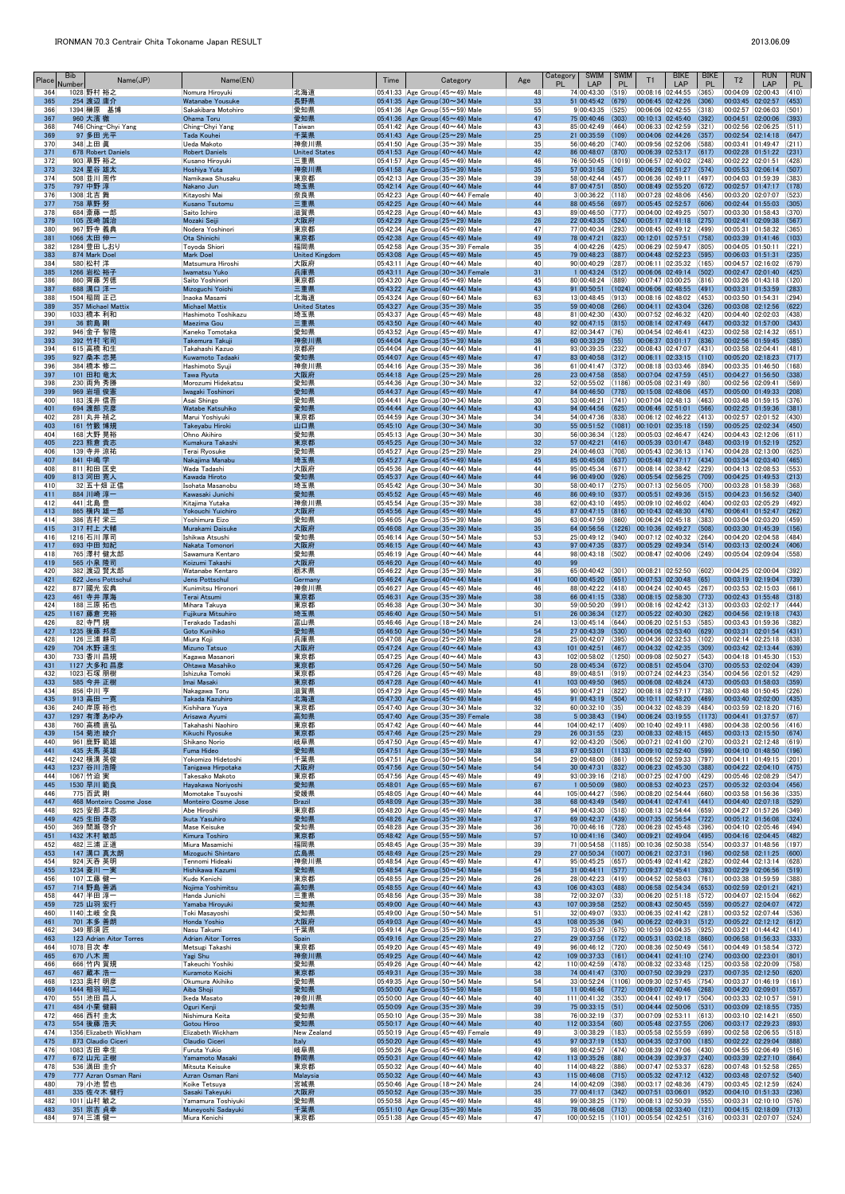| Place      | <b>Bib</b><br>Number | Name(JP)                            | Name(EN)                                        |                               | Time | Category                                                                             | Age                   | <b>SWIM</b><br>Category<br><b>PL</b><br>LAP                       | <b>SWIM</b><br><b>PL</b> | <b>T1</b>                                                              | <b>BIKE</b><br>LAP | <b>BIKE</b><br><b>PL</b> | T <sub>2</sub>                                     | <b>RUN</b><br>LAP         | <b>RUN</b><br><b>PL</b> |
|------------|----------------------|-------------------------------------|-------------------------------------------------|-------------------------------|------|--------------------------------------------------------------------------------------|-----------------------|-------------------------------------------------------------------|--------------------------|------------------------------------------------------------------------|--------------------|--------------------------|----------------------------------------------------|---------------------------|-------------------------|
| 364<br>365 |                      | 1028 野村 裕之<br>254 渡辺 庸介             | Nomura Hiroyuki<br>Watanabe Yousuke             | 北海道<br>長野県                    |      | $ 05:41:33 $ Age Group (45 $\sim$ 49) Male<br>05:41:35 Age Group $(30 \sim 34)$ Male | 48<br>33              | 74 00:43:30<br>51 00:45:42                                        | (519)<br>(679)           | 00:08:16 02:44:55<br>00:06:45 02:42:26                                 |                    | (365)<br>(306)           | 00:04:09 02:00:43<br>00:03:45 02:02:57             |                           | (410)<br>(453)          |
| 366        |                      | 1394 榊原 基博                          | Sakakibara Motohiro                             | 愛知県                           |      | 05:41:36 Age Group (55 $\sim$ 59) Male                                               | 55                    | 9 00:43:35                                                        | (525)                    | $ 00:06:06 02:42:55 $ (318)                                            |                    |                          | 00:02:57 02:06:03                                  |                           | (501)                   |
| 367<br>368 |                      | 960 大濱 徹<br>746 Ching-Chyi Yang     | Ohama Toru<br>Ching-Chyi Yang                   | 愛知県<br>Taiwan                 |      | 05:41:36 Age Group $(45 \sim 49)$ Male<br>$ 05:41:42 $ Age Group (40 $\sim$ 44) Male | 47<br>43              | 75 00:40:46<br>85 00:42:49 (464)                                  | (303)                    | 00:10:13 02:45:40<br> 00:06:33 02:42:59 (321)                          |                    | (392)                    | 00:04:51 02:00:06<br>00:02:56 02:06:25             |                           | (393)<br>(511)          |
| 369<br>370 |                      | 97 多田 光平<br>348 上田 眞                | <b>Tada Kouhei</b><br>Ueda Makoto               | 千葉県<br>神奈川県                   |      | 05:41:43 Age Group $(25 \sim 29)$ Male<br>05:41:50 Age Group (35 $\sim$ 39) Male     | 25<br>35              | 21 00:35:59 (109)<br>56 00:46:20 (740)                            |                          | 00:04:06 02:44:26 (357)<br>00:09:56 02:52:06                           |                    | (588)                    | 00:02:54 02:14:18<br>00:03:41  01:49:47            |                           | (647)<br> (211)         |
| 371        |                      | 678 Robert Daniels                  | <b>Robert Daniels</b>                           | <b>United States</b>          |      | 05:41:53 Age Group $(40 \sim 44)$ Male                                               | 42                    | 86 00:48:07                                                       | (870)                    | $[00:06:39 \mid 02:53:17 \mid (617)]$                                  |                    |                          | 00:02:28 01:51:22                                  |                           | (231)                   |
| 372<br>373 |                      | 903 草野 裕之<br>324 星谷 雄太              | Kusano Hiroyuki<br>Hoshiya Yuta                 | 三重県<br>神奈川県                   |      | 05:41:57 Age Group (45 $\sim$ 49) Male<br>05:41:58 Age Group $(35 \sim 39)$ Male     | 46<br>35              | 76 00:50:45<br>57 00:31:58                                        | (1019)<br>(26)           | 00:06:57 02:40:02<br>$00:06:26$ 02:51:27 (574)                         |                    | (248)                    | 00:02:22 02:01:51<br>00:05:53 02:06:14             |                           | (428)<br>(507)          |
| 374        |                      | 508 並川 周作                           | Namikawa Shusaku                                | 東京都                           |      | 05:42:13 Age Group (35 $\sim$ 39) Male                                               | 39                    | 58 00:42:44 (457)                                                 |                          | 00:06:36 02:49:11                                                      |                    | (497)                    | 00:04:03 01:59:39                                  |                           | (383)                   |
| 375<br>376 |                      | 797 中野 淳<br>1308 北吉 舞               | Nakano Jun<br>Kitayoshi Mai                     | 埼玉県<br> 奈良県                   |      | 05:42:14 Age Group $(40 \sim 44)$ Male<br>05:42:23 Age Group $(40 \sim 44)$ Female   | 44<br>40              | 87 00:47:51<br>3 00:36:22  (118)                                  | (850)                    | $00:08:49$ 02:55:20 (672)<br> 00:07:28 02:48:06 (456)                  |                    |                          | 00:02:57 01:47:17<br>00:03:20 02:07:07             |                           | (178)<br>(523)          |
| 377        |                      | 758 草野 努                            | Kusano Tsutomu                                  | 三重県                           |      | 05:42:25 Age Group $(40 \sim 44)$ Male                                               | 44                    | 88 00:45:56                                                       | (697)                    | 00:05:45 02:52:57                                                      |                    | (606)                    | 00:02:44 01:55:03                                  |                           | (305)                   |
| 378<br>379 |                      | 684 斎藤 一郎<br>105 茂崎 誠治              | Saito Ichiro<br>Mozaki Seiji                    | 滋賀県<br>大阪府                    |      | 05:42:28 Age Group $(40 \sim 44)$ Male<br>05:42:29 Age Group $(25 \sim 29)$ Male     | 43<br>26              | 89 00:46:50 (777)<br>22 00:43:35                                  | (524)                    | 00:04:00 02:49:25 (507)<br>00:05:17 02:41:18                           |                    | (275)                    | 00:03:30 01:58:43<br>00:02:41 02:09:38             |                           | (370)<br>(567)          |
| 380<br>381 |                      | 967 野寺 義典<br>1066 太田 伸一             | Nodera Yoshinori<br>Ota Shinichi                | 東京都<br>東京都                    |      | 05:42:34 Age Group (45 $\sim$ 49) Male<br>05:42:38 Age Group $(45 \sim 49)$ Male     | 47<br>49              | 77 00:40:34 (293)<br>78 00:47:21 (823)                            |                          | 00:08:45 02:49:12 (499)<br>$ 00:12:01 02:57:51 $ (758)                 |                    |                          | 00:05:31 01:58:32<br>00:03:39 01:41:46             |                           | (365)<br>(103)          |
| 382        |                      | 1284 豊田 しおり                         | Toyoda Shiori                                   | 福岡県                           |      | $05:42:58$ Age Group (35 $\sim$ 39) Female                                           | 35                    | 4 00:42:26 (425)                                                  |                          | $ 00:06:29 02:59:47 0805\rangle$                                       |                    |                          | 00:04:05  01:50:11                                 |                           | (221)                   |
| 383<br>384 |                      | 874 Mark Doel<br>580 松村 洋           | <b>Mark Doel</b><br>Matsumura Hiroshi           | <b>United Kingdom</b><br> 大阪府 |      | 05:43:08 Age Group (45~49) Male<br>05:43:11 Age Group (40 $\sim$ 44) Male            | 45<br>40              | 79 00:48:23<br>90 00:40:29                                        | (887)<br>(287)           | 00:04:48 02:52:23<br> 00:06:11 02:35:32 (165)                          |                    | (595)                    | 00:06:03 01:51:31<br>00:04:57 02:16:02             |                           | (235)<br>(679)          |
| 385        |                      | 1266 岩松 裕子                          | Iwamatsu Yuko                                   | 兵庫県                           |      | $05:43:11$ Age Group (30 $\sim$ 34) Female                                           | 31                    | $1 00:43:24$ (512)                                                |                          | $00:06:06$ 02:49:14 (502)                                              |                    |                          | 00:02:47 02:01:40                                  |                           | (425)                   |
| 386<br>387 |                      | 860 齊藤 芳徳<br>688 溝口 洋一              | Saito Yoshinori<br>Mizoguchi Yoichi             | 東京都<br>三重県                    |      | $05:43:20$ Age Group (45 $\sim$ 49) Male<br>05:43:22 Age Group $(40 \sim 44)$ Male   | 45<br>43              | 80 00:48:24 (889)<br>91 00:50:51                                  | (1024)                   | 00:07:47 03:00:25<br>$\big  00:06:06 \big  02:48:55 \big  (491)$       |                    | (816)                    | 00:03:26 01:43:18<br>00:03:31 01:53:59             |                           | (120)<br>(283)          |
| 388        |                      | 1504 稲岡 正己                          | Inaoka Masami                                   | 北海道                           |      | $ 05:43:24 $ Age Group (60 $\sim$ 64) Male                                           | 63                    | $13 00:48:45 $ (913)                                              |                          | 00:08:16 02:48:02 (453)                                                |                    |                          | 00:03:50 01:54:31                                  |                           | (294)                   |
| 389<br>390 |                      | 357 Michael Mattix<br>1033 橋本 利和    | <b>Michael Mattix</b><br>Hashimoto Toshikazu    | <b>United States</b><br> 埼玉県  |      | 05:43:27 Age Group ( $35 \sim 39$ ) Male<br>05:43:37 Age Group (45 $\sim$ 49) Male   | 35<br>48              | 59 00:40:08<br>81 00:42:30 (430)                                  | (266)                    | $[00:04:11 \mid 02:43:04 \mid (326)]$<br> 00:07:52 02:46:32 (420)      |                    |                          | 00:03:08 02:12:56<br>00:04:40 02:02:03             |                           | (622)<br>(438)          |
| 391<br>392 |                      | 36 前島 剛<br>946 金子 智隆                | Maezima Gou<br>Kaneko Tomotaka                  | 三重県<br>愛知県                    |      | 05:43:50 Age Group $(40 \sim 44)$ Male<br>05:43:52 Age Group (45 $\sim$ 49) Male     | 40<br>47              | 92 00:47:15 (815)<br>82 00:34:47 (76)                             |                          | 00:08:14 02:47:49<br>00:04:54 02:46:41                                 |                    | (447)<br>(423)           | 00:03:32 01:57:00<br>00:02:58 02:14:32             |                           | (343)<br>(651)          |
| 393        |                      | 392 竹村 宅司                           | Takemura Takuii                                 | 神奈川県                          |      | 05:44:04 Age Group $(35 \sim 39)$ Male                                               | 36                    | $60 00:33:29 $ (55)                                               |                          | $00:06:37$ $03:01:17$ (836)                                            |                    |                          | 00:02:56 01:59:45                                  |                           | (385)                   |
| 394<br>395 |                      | 615 高橋 和生<br>927 桑本 忠晃              | Takahashi Kazuo<br>Kuwamoto Tadaaki             | 京都府 <br>愛知県                   |      | 05:44:04 Age Group (40 $\sim$ 44) Male<br>05:44:07 Age Group $(45 \sim 49)$ Male     | 41<br>47              | 93 00:39:35 (232)<br>83 00:40:58 (312)                            |                          | 00:08:43 02:47:07 (431)<br>$00:06:11$ 02:33:15 (110)                   |                    |                          | 00:03:58 02:04:41<br>00:05:20 02:18:23             |                           | (481)<br>(717)          |
| 396        |                      | 384 橋本 修二                           | Hashimoto Syuji                                 | 神奈川県                          |      | $ 05:44:16 $ Age Group (35 $\sim$ 39) Male                                           | 36                    | $61 00:41:47 $ (372)                                              |                          | 00:08:18 03:03:46                                                      |                    | (894)                    | 00:03:35 01:46:50                                  |                           | (168)                   |
| 397<br>398 |                      | 101 田和 竜太<br>230 両角 秀勝              | Tawa Ryuta<br>Morozumi Hidekatsu                | 大阪府<br>愛知県                    |      | 05:44:18 Age Group $(25 \sim 29)$ Male<br>$ 05:44:36 $ Age Group (30 $\sim$ 34) Male | 26<br>32              | 23 00:47:58<br>52 00:55:02 (1186)                                 | (858)                    | 00:07:04 02:47:59 (451)<br> 00:05:08 02:31:49                          |                    | (80)                     | 00:04:27 01:56:50<br>00:02:56 02:09:41             |                           | (338)<br>(569)          |
| 399        |                      | 969 岩垣 俊憲                           | Iwagaki Toshinori                               | 愛知県                           |      | 05:44:37 Age Group $(45 \sim 49)$ Male                                               | 47                    | 84 00:46:50                                                       | (778)                    | $ 00:15:08 02:48:06$ (457)                                             |                    |                          | 00:05:00 01:49:33                                  |                           | (208)                   |
| 400<br>401 |                      | 183 浅井 信吾<br>694 渡部 克彦              | Asai Shingo<br>Watabe Katsuhiko                 | 愛知県<br>愛知県                    |      | $ 05:44:41 $ Age Group (30 $\sim$ 34) Male<br>05:44:44 Age Group $(40 \sim 44)$ Male | 30 <sup>°</sup><br>43 | 53 00:46:21 (741)<br>94 00:44:56                                  | (625)                    | 00:07:04 02:48:13 (463)<br>00:06:46 02:51:01                           |                    | (566)                    | 00:03:48 01:59:15<br>00:02:25 01:59:36             |                           | (376)<br>(381)          |
| 402<br>403 |                      | 281 丸井 禎之<br>161 竹籔 博規              | Marui Yoshiyuki<br>Takeyabu Hiroki              | 東京都<br>山口県                    |      | $ 05:44:59 $ Age Group (30 $\sim$ 34) Male<br>05:45:10 Age Group $(30 \sim 34)$ Male | 34<br>30 <sup>°</sup> | 54 00:47:36 (838)<br>55 00:51:52                                  | (1081)                   | 00:06:12 02:46:22 (413)<br>$\vert 00:10:01 \vert 02:35:18 \vert (159)$ |                    |                          | 00:02:57 02:01:52<br>00:05:25 02:02:34             |                           | (430)<br>(450)          |
| 404        |                      | 168 大野 晃裕                           | Ohno Akihiro                                    | 愛知県                           |      | 05:45:13 Age Group $(30 \sim 34)$ Male                                               | 30 <sup>°</sup>       | 56 00:36:34                                                       | (128)                    | 00:05:03 02:46:47 (424)                                                |                    |                          | 00:04:43 02:12:06                                  |                           | (611)                   |
| 405<br>406 |                      | 223 熊倉 貴志<br>139 寺井 涼祐              | Kumakura Takashi<br>Terai Ryosuke               | 東京都<br>愛知県                    |      | 05:45:25 Age Group $(30 \sim 34)$ Male<br>05:45:27 Age Group ( $25 \sim 29$ ) Male   | 32<br>29              | $57 00:42:21 $ (416)<br>24 00:46:03 (708)                         |                          | $ 00:05:39 03:01:47 $ (848)<br> 00:05:43 02:36:13 (174)                |                    |                          | 00:03:19 01:52:19<br>00:04:28 02:13:00             |                           | (252)<br>(625)          |
| 407        |                      | 841 中嶋 学                            | Nakajima Manabu                                 | 埼玉県                           |      | 05:45:27 Age Group $(45 \sim 49)$ Male                                               | 45                    | 85 00:45:08 (637)                                                 |                          | $[00:05:48 \mid 02:47:17 \mid (434)]$                                  |                    |                          | 00:03:34 02:03:40                                  |                           | (465)                   |
| 408<br>409 |                      | 811 和田 匡史<br>813 河田 寛人              | Wada Tadashi<br>Kawada Hiroto                   | 大阪府<br>愛知県                    |      | $ 05:45:36 $ Age Group (40 $\sim$ 44) Male<br>05:45:37 Age Group $(40 \sim 44)$ Male | 44<br>44              | 95 00:45:34 (671)<br>96 00:49:00 (926)                            |                          | 00:08:14 02:38:42<br>00:05:54 02:56:25 (709)                           |                    | (229)                    | 00:04:13 02:08:53<br>00:04:25 01:49:53             |                           | (553)<br>(213)          |
| 410        |                      | 32  五十畑 正信                          | Isohata Masanobu                                | 埼玉県                           |      | 05:45:42 Age Group (30 $\sim$ 34) Male                                               | 30 <sup>°</sup>       | 58 00:40:17 (275)                                                 |                          | 00:07:13 02:56:05                                                      |                    | (700)                    | 00:03:28 01:58:39                                  |                           | (368)                   |
| 411<br>412 |                      | 884 川崎 淳一<br>441 北島 豊               | Kawasaki Junichi<br>Kitajima Yutaka             | 愛知県<br> 神奈川県                  |      | 05:45:52 Age Group $(45 \sim 49)$ Male<br>05:45:54 Age Group (35 $\sim$ 39) Male     | 46<br>38              | 86 00:49:10 (937)<br>62 00:43:10 (495)                            |                          | 00:05:51 02:49:36<br>$ 00:09:10 02:46:02 $ (404)                       |                    | (515)                    | 00:04:23 01:56:52<br>00:02:03 02:05:29             |                           | (340)<br>(492)          |
| 413<br>414 |                      | 865 横内 雄一郎<br>386 吉村 栄三             | Yokouchi Yuichiro<br>Yoshimura Eizo             | 大阪府<br>愛知県                    |      | 05:45:56 Age Group $(45 \sim 49)$ Male<br>$ 05:46:05 $ Age Group (35 $\sim$ 39) Male | 45<br>36              | 87 00:47:15 (816)<br>63 00:47:59 (860)                            |                          | $ 00:10:43 02:48:30 $ (476)<br> 00:06:24 02:45:18 (383)                |                    |                          | 00:06:41 01:52:47<br>00:03:04 02:03:20             |                           | (262)<br>(459)          |
| 415        |                      | 317 村上 大輔                           | Murakami Daisuke                                | 大阪府                           |      | 05:46:08 Age Group (35~39) Male                                                      | 35                    | 64 00:56:56                                                       | (1226)                   | 00:10:36 02:49:27                                                      |                    | (508)                    | 00:03:30 01:45:39                                  |                           | (156)                   |
| 416<br>417 |                      | 1216 石川 厚司<br>693 中田 知紀             | Ishikwa Atsushi<br>Nakata Tomonori              | 愛知県<br>大阪府                    |      | 05:46:14 Age Group ( $50 \sim 54$ ) Male<br>05:46:15 Age Group $(40 \sim 44)$ Male   | 53<br>43              | 25 00:49:12<br>97 00:47:35                                        | (940)<br>(837)           | 00:07:12 02:40:32<br>00:05:29 02:49:34                                 |                    | (264)<br>(514)           | 00:04:20 02:04:58<br>00:03:13 02:00:24             |                           | (484)<br>(406)          |
| 418        |                      | 765 澤村 健太郎                          | Sawamura Kentaro                                | 愛知県                           |      | $ 05:46:19 $ Age Group (40 $\sim$ 44) Male                                           | 44                    | 98 00:43:18 (502)                                                 |                          | 00:08:47 02:40:06                                                      |                    | (249)                    | 00:05:04 02:09:04                                  |                           | (558)                   |
| 419<br>420 |                      | <b>565 小泉 隆司</b><br>382 渡辺 賢太郎      | Koizumi Takashi<br>Watanabe Kentaro             | 大阪府<br>栃木県                    |      | 05:46:20 Age Group $(40 \sim 44)$ Male<br>05:46:22 Age Group (35 $\sim$ 39) Male     | 40<br>36              | 99<br>65 00:40:42 (301)                                           |                          | 00:08:21 02:52:50                                                      |                    | (602)                    | 00:04:25 02:00:04                                  |                           | (392)                   |
| 421        |                      | 622 Jens Pottschul                  | Jens Pottschul                                  | Germany                       |      | 05:46:24 Age Group $(40 \sim 44)$ Male                                               | 41                    | 100 00:45:20 (651)                                                |                          | 00:07:53 02:30:48                                                      |                    | (65)                     | 00:03:19 02:19:04                                  |                           | (739)                   |
| 422<br>423 |                      | 877 國光 宏典<br>461 寺井 厚海              | Kunimitsu Hironori<br>Terai Atsumi              | 神奈川県<br>東京都                   |      | 05:46:27 Age Group (45 $\sim$ 49) Male<br>05:46:31 Age Group ( $35 \sim 39$ ) Male   | 46<br>38              | 88 00:42:22 (418)<br>66 00:41:15 (338)                            |                          | 00:04:24 02:40:45<br>$[00:08:15 \mid 02:58:30 \mid (773)]$             |                    | (267)                    | 00:03:53 02:15:03<br>00:02:43 01:55:48             |                           | (661)<br>(318)          |
| 424<br>425 |                      | 188 三原拓也<br>1167 藤倉 充裕              | Mihara Takuya<br>Fujikura Mitsuhiro             | 東京都<br>埼玉県                    |      | 05:46:38 Age Group (30 $\sim$ 34) Male<br>05:46:40 Age Group $(50 \sim 54)$ Male     | 30 <sup>°</sup><br>51 | 59 00:50:20 (991)<br>26 00:36:34 (127)                            |                          | 00:08:16 02:42:42 (313)<br>$00:05:22$ 02:40:30 (262)                   |                    |                          | 00:03:03 02:02:17<br>00:04:56 02:19:18             |                           | (444)<br>(743)          |
| 426        |                      | 82 寺門規                              | Terakado Tadashi                                | 富山県                           |      | 05:46:46 Age Group (18 $\sim$ 24) Male                                               | 24                    | $13 00:45:14$ (644)                                               |                          | 00:06:20 02:51:53 (585)                                                |                    |                          | 00:03:43 01:59:36                                  |                           | (382)                   |
| 427<br>428 |                      | 1235 後藤 邦彦<br>126 三浦 耕司             | <b>Goto Kunihiko</b><br>Miura Koji              | 愛知県<br> 兵庫県                   |      | 05:46:50 Age Group $(50 \sim 54)$ Male<br>05:47:08 Age Group ( $25 \sim 29$ ) Male   | 54<br>28              | 27 00:43:39<br>25 00:42:07 (395)                                  | (530)                    | 00:04:06 02:53:40<br> 00:04:36 02:32:53 (102)                          |                    | (629)                    | 00:03:31 02:01:54<br>00:02:14 02:25:18             |                           | (431)<br>(838)          |
| 429        |                      | 704 水野 達生                           | <b>Mizuno Tatsuo</b>                            | 大阪府                           |      | 05:47:24 Age Group $(40 \sim 44)$ Male                                               | 43                    | 101 00:42:51                                                      | (467)                    | 00:04:32 02:42:35                                                      |                    | (309)                    | 00:03:42 02:13:44                                  |                           | (639)                   |
| 430<br>431 |                      | 733 香川 昌規<br>1127 大多和 昌彦            | Kagawa Masanori<br>Ohtawa Masahiko              | 東京都<br>東京都                    |      | 05:47:25 Age Group $(40 \sim 44)$ Male<br>05:47:26 Age Group $(50 \sim 54)$ Male     | 43<br>50              | 102 00:58:02 (1250)<br>28 00:45:34 (672)                          |                          | 00:09:08 02:50:27 (543)<br>00:08:51 02:45:04 (370)                     |                    |                          | 00:04:18 01:45:30<br>00:05:53 02:02:04             |                           | (153)<br>(439)          |
| 432        |                      | 1023 石塚 朋樹                          | Ishizuka Tomoki                                 | 東京都                           |      | 05:47:26 Age Group (45 $\sim$ 49) Male                                               | 48                    | 89 00:48:51 (919)                                                 |                          | 00:07:24 02:44:23 (354)                                                |                    |                          | 00:04:56 02:01:52                                  |                           | (429)                   |
| 433<br>434 |                      | 585 今井 正樹<br>856 中川 亨               | Imai Masaki<br>Nakagawa Toru                    | 東京都<br> 滋賀県                   |      | 05:47:28 Age Group (40~44) Male<br>05:47:29 Age Group (45 $\sim$ 49) Male            | 41<br>45              | 103 00:49:50 (965)<br>90 00:47:21 (822)                           |                          | $00:06:08$ 02:48:24 (473)<br> 00:08:18 02:57:17 (738)                  |                    |                          | 00:05:03 01:58:03<br>00:03:48 01:50:45             |                           | (359)<br>(226)          |
| 435<br>436 |                      | 913 高田 一寛<br>240 岸原 裕也              | Takada Kazuhiro<br>Kishihara Yuya               | 北海道<br>東京都                    |      | 05:47:30 Age Group $(45 \sim 49)$ Male<br>$ 05:47:40 $ Age Group (30 $\sim$ 34) Male | 46<br>32              | $91$ 00:43:19 (504)<br>$60 00:32:10$ (35)                         |                          | 00:10:11 02:48:20<br>00:04:32 02:48:39                                 |                    | (469)<br>(484)           | 00:03:40 02:02:00<br>00:03:59 02:18:20             |                           | (435)<br>(716)          |
| 437        |                      | 1297 有澤 あゆみ                         | Arisawa Ayumi                                   | 高知県                           |      | $05:47:40$ Age Group (35 $\sim$ 39) Female                                           | 38                    | $5 00:38:43 $ (194)                                               |                          | $ 00:06:24 03:19:55 $ (1173)                                           |                    |                          | 00:04:41 01:37:57                                  |                           | (67)                    |
| 438<br>439 |                      | 760 高橋 直弘<br>154 菊池 綾介              | Takahashi Naohiro<br>Kikuchi Ryosuke            | 東京都<br>東京都                    |      | 05:47:42 Age Group (40 $\sim$ 44) Male<br>05:47:46 Age Group $(25 \sim 29)$ Male     | 44<br>29              | 104 00:42:17 (409)<br>26 00:31:55                                 | (23)                     | 00:10:40 02:49:11<br>$00:08:33$ 02:48:15 (465)                         |                    | (498)                    | 00:04:38 02:00:56<br>00:03:13 02:15:50             |                           | (416)<br>(674)          |
| 440        |                      | 961  鹿野 範雄                          | Shikano Norio                                   | 岐阜県                           |      | 05:47:50 Age Group (45 $\sim$ 49) Male                                               | 47                    | $92 00:43:20 $ (506)                                              |                          | 00:07:21 02:41:00                                                      |                    | (270)                    | 00:03:21 02:12:48                                  |                           | (619)                   |
| 441<br>442 |                      | 435 夫馬 英雄<br>1242 横溝 英俊             | <b>Fuma Hideo</b><br>Yokomizo Hidetoshi         | 愛知県<br>千葉県                    |      | 05:47:51 Age Group $(35 \sim 39)$ Male<br>05:47:51 Age Group (50 $\sim$ 54) Male     | 38<br>54              | 67 00:53:01<br>29 00:48:00                                        | (1133)<br>(861)          | $00:09:10$ 02:52:40<br>00:06:52 02:59:33                               |                    | (599)<br>(797)           | 00:04:10 01:48:50<br>00:04:11 01:49:15             |                           | (196)<br>(201)          |
| 443<br>444 |                      | 1237 谷川 浩隆<br>1067 竹迫 実             | Tanigawa Hirpotaka<br>Takesako Makoto           | 大阪府<br>東京都                    |      | 05:47:56 Age Group $(50 \sim 54)$ Male<br>05:47:56 Age Group $(45 \sim 49)$ Male     | 54<br>49              | 30 00:47:31<br>$93 00:39:16$ (218)                                | (832)                    | $00:06:23$ 02:45:30 (388)<br> 00:07:25 02:47:00 (429)                  |                    |                          | 00:04:22 02:04:10<br>00:05:46 02:08:29             |                           | (475)<br>(547)          |
| 445        |                      | 1530 早川 範良                          | Hayakawa Noriyoshi                              | 愛知県                           |      | 05:48:01 Age Group ( $65 \sim 69$ ) Male                                             | 67                    | 1 00:50:09                                                        | (980)                    | 00:08:53 02:40:23 (257)                                                |                    |                          | 00:05:32 02:03:04                                  |                           | (456)                   |
| 446<br>447 |                      | 775 百武 剛<br>468 Monteiro Cosme Jose | Momotake Tsuyoshi<br><b>Monteiro Cosme Jose</b> | 愛媛県<br><b>Brazil</b>          |      | $ 05:48:05 $ Age Group (40 $\sim$ 44) Male<br>05:48:09 Age Group $(35 \sim 39)$ Male | 44<br>38              | 105 00:44:27 (596)<br>68 00:43:49 (549)                           |                          | 00:08:20 02:54:44<br>$[00:04:41 \mid 02:47:41 \mid (441)]$             |                    | (660)                    | 00:03:58 01:56:36<br>00:04:40 02:07:18             |                           | (335)<br>(529)          |
| 448        |                      | 925 安部 洋志                           | Abe Hiroshi                                     | 東京都                           |      | 05:48:20 Age Group (45 $\sim$ 49) Male                                               | 47                    | $94 00:43:30$ (518)                                               |                          | 00:08:13 02:54:44                                                      |                    | (659)                    | 00:04:27 01:57:26                                  |                           | (349)                   |
| 449<br>450 |                      | 425 生田 泰啓<br>369 間瀬 啓介              | Ikuta Yasuhiro<br>Mase Keisuke                  | 愛知県<br>愛知県                    |      | 05:48:26 Age Group ( $35 \sim 39$ ) Male<br>05:48:28 Age Group (35 $\sim$ 39) Male   | 37<br>36              | 69 00:42:37 (439)<br>70 00:46:16 (728)                            |                          | $00:07:35$ 02:56:54 (722)<br> 00:06:28 02:45:48 (396)                  |                    |                          | 00:05:12 01:56:08<br>00:04:10 02:05:46             |                           | (324)<br>(494)          |
| 451<br>452 |                      | 1432 木村 敏郎<br>482 三浦 正道             | <b>Kimura Toshiro</b><br>Miura Masamichi        | 東京都<br> 福岡県                   |      | 05:48:42 Age Group $(55 \sim 59)$ Male<br>05:48:45 Age Group (35 $\sim$ 39) Male     | 57<br>39              | $10\,00:41:16\quad(340)$<br>71 00:54:58 (1185)                    |                          | $[00:09:21 \mid 02:49:04 \mid (495)]$<br> 00:10:36 02:50:38            |                    | (554)                    | 00:04:16 02:04:45<br>00:03:37  01:48:56            |                           | (482)<br>(197)          |
| 453        |                      | 147 溝口 真太朗                          | Mizoguchi Shintaro                              | 広島県                           |      | 05:48:49 Age Group (25~29) Male                                                      | 29                    | 27 00:50:34 (1007)                                                |                          | $00:06:21$ 02:37:31                                                    |                    | (196)                    | 00:02:58 02:11:25                                  |                           | (600)                   |
| 454<br>455 |                      | 924 天呑 英明<br>1234 菱川 一実             | Tennomi Hideaki<br>Hishikawa Kazumi             | 神奈川県<br>愛知県                   |      | 05:48:54 Age Group (45~49) Male<br>05:48:54 Age Group $(50 \sim 54)$ Male            | 47<br>54              | 95 00:45:25<br>31 00:44:11 (577)                                  | (657)                    | 00:05:49 02:41:42<br>00:09:37 02:45:41                                 |                    | (282)<br>(393)           | 00:02:44 02:13:14<br>00:02:29 02:06:56             |                           | (628)<br>(519)          |
| 456        |                      | 107 工藤 健一                           | Kudo Kenichi                                    | 東京都                           |      | 05:48:55 Age Group (25 $\sim$ 29) Male                                               | 26                    | 28 00:42:23 (419)                                                 |                          | 00:04:52 02:58:03 (761)                                                |                    |                          | 00:03:38 01:59:59                                  |                           | (388)                   |
| 457<br>458 |                      | 714 野島 善満<br>447 半田 淳一              | Nojima Yoshimitsu<br>Handa Junichi              | 高知県<br> 三重県                   |      | 05:48:55 Age Group $(40 \sim 44)$ Male<br>$ 05:48:56 $ Age Group (35 $\sim$ 39) Male | 43<br>38              | 106 00:43:03 (488)<br>72 00:32:07 (33)                            |                          | $00:06:58$ 02:54:34 (653)<br>00:06:20 02:51:18                         |                    | (572)                    | 00:02:59 02:01:21<br>00:04:07 02:15:04             |                           | (421)<br>(662)          |
| 459        |                      | 725 山羽 宏行                           | Yamaba Hiroyuki                                 | 愛知県                           |      | 05:49:00 Age Group $(40 \sim 44)$ Male                                               | 43                    | 107 00:39:58 (252)                                                |                          | 00:08:43 02:50:45 (559)                                                |                    |                          | 00:05:27 02:04:07                                  |                           | (472)                   |
| 460<br>461 |                      | 1140 土岐 全良<br>701 本多 善朗             | Toki Masayoshi<br>Honda Yoshio                  | 愛知県<br>大阪府                    |      | 05:49:00 Age Group (50 $\sim$ 54) Male<br>05:49:03 Age Group $(40 \sim 44)$ Male     | 51<br>43              | 32 00:49:07 (933)<br>108 00:35:36                                 | (94)                     | 00:06:35 02:41:42 (281)<br>00:06:22 02:49:31                           |                    | (512)                    | 00:03:52 02:07:44<br>00:05:22 02:12:12             |                           | (536)<br>(612)          |
| 462<br>463 |                      | 349 那須 匠<br>123 Adrian Aitor Torres | Nasu Takumi<br><b>Adrian Aitor Torres</b>       | 千葉県<br>Spain                  |      | 05:49:14 Age Group (35 $\sim$ 39) Male<br>05:49:16 Age Group $(25 \sim 29)$ Male     | 35<br>27              | 73 00:45:37 (675)<br>29 00:37:56 (172)                            |                          | $ 00:10:59 03:04:35 $ (925)<br>$00:05:31$ 03:02:18 (860)               |                    |                          | 00:03:21 01:44:42 (141)<br>00:06:58 01:56:33       |                           | (333)                   |
| 464        |                      | 1078 目次孝                            | Metsugi Takashi                                 | 東京都                           |      | $ 05:49:20 $ Age Group (45 $\sim$ 49) Male                                           | 49                    | 96 00:46:12 (720)                                                 |                          | 00:08:36 02:50:49 (561)                                                |                    |                          | 00:04:49  01:58:54                                 |                           | (372)                   |
| 465<br>466 |                      | 670 八木 周<br>666 竹内 賀規               | Yagi Shu<br>Takeuchi Yoshiki                    | 神奈川県<br>愛知県                   |      | 05:49:25 Age Group $(40 \sim 44)$ Male<br>05:49:26 Age Group (40 $\sim$ 44) Male     | 42<br>42              | $109$ 00:37:33 (161)<br>$110 00:42:59$ (478)                      |                          | 00:04:41 02:41:10<br> 00:08:32 02:33:48 (125)                          |                    | (274)                    | 00:03:00 02:23:01<br>00:03:58 02:20:09             |                           | (801)<br>(758)          |
| 467        |                      | 467 蔵本 浩一                           | Kuramoto Koichi                                 | 東京都                           |      | 05:49:31 Age Group (35~39) Male                                                      | 38                    | 74 00:41:47 (370) 00:07:50 02:39:29 (237)                         |                          |                                                                        |                    |                          | $ 00:07:35 02:12:50 $ (620)                        |                           |                         |
| 468<br>469 |                      | 1233 奥村 明彦<br>1444 相羽 昭二            | Okumura Akihiko<br>Aiba Shoji                   | 愛知県<br>愛知県                    |      | 05:49:35 Age Group (50 $\sim$ 54) Male<br>05:50:00 Age Group ( $55 \sim 59$ ) Male   | 54<br>58              | 33 00:52:24 (1106) 00:09:30 02:57:45 (754)<br>$11 00:46:46$ (772) |                          | $00:09:07$ $02:40:46$ (268)                                            |                    |                          | 00:03:37 01:46:19 (161)<br>00:04:20 02:09:01 (557) |                           |                         |
| 470        |                      | 551 池田 昌人                           | Ikeda Masato                                    | 神奈川県                          |      | 05:50:00 Age Group (40 $\sim$ 44) Male                                               | 40                    | $111 00:41:32$ (353)                                              |                          | 00:04:41 02:49:17 (504)                                                |                    |                          | 00:03:33 02:10:57 (591)                            |                           |                         |
| 471<br>472 |                      | 484 小栗 健嗣<br>466 西村 圭太              | Oguri Kenji<br>Nishimura Keita                  | 愛知県<br>愛知県                    |      | 05:50:09 Age Group $(35 \sim 39)$ Male<br>$ 05:50:10 $ Age Group (35 $\sim$ 39) Male | 39<br>38              | 75 00:33:15 (51)<br>76 00:32:19 (37)                              |                          | 00:04:44 02:50:06 (531)<br> 00:07:09 02:53:11 (613)                    |                    |                          | 00:03:09 02:18:55<br>00:03:10 02:14:21             |                           | (735)<br>(650)          |
| 473<br>474 |                      | 554 後藤 浩夫<br>1356 Elizabeth Wickham | <b>Gotou Hiroo</b><br>Elizabeth Wickham         | 愛知県<br>New Zealand            |      | 05:50:17 Age Group (40~44) Male<br>$ 05:50:19 $ Age Group (45 $\sim$ 49) Female      | 40<br>49              | 112 00:33:54 (60)<br>$3 00:38:29 $ (183)                          |                          | 00:05:48 02:37:55 (206)<br> 00:05:58 02:55:59 (699)                    |                    |                          | 00:03:17 02:29:23<br>00:02:58 02:06:55             |                           | (893)<br>(518)          |
| 475        |                      | 873 Claudio Ciceri                  | Claudio Ciceri                                  | Italy                         |      | 05:50:20 Age Group $(45 \sim 49)$ Male                                               | 45                    | 97 00:37:19 (153)                                                 |                          | 00:04:35 02:37:00 (185)                                                |                    |                          | 00:02:22 02:29:04 (888)                            |                           |                         |
| 476<br>477 |                      | 1083 古田 幸生<br>672 山元 正樹             | Furuta Yukio<br>Yamamoto Masaki                 | 岐阜県<br>静岡県                    |      | 05:50:26 Age Group (45 $\sim$ 49) Male<br>05:50:31 Age Group $(40 \sim 44)$ Male     | 49<br>42              | 98 00:42:57 (474)<br>113 00:35:26 (88)                            |                          | 00:08:39 02:47:06 (430)<br>00:04:39 02:39:37 (240)                     |                    |                          | 00:03:39 02:27:10                                  | $00:04:55$ 02:06:49 (516) | (864)                   |
| 478        |                      | 536 満田 圭介                           | Mitsuta Keisuke                                 | 東京都                           |      | 05:50:32 Age Group (40 $\sim$ 44) Male                                               | 40                    | $114 00:48:22$ (886)                                              |                          | 00:07:47 02:53:37 (628)                                                |                    |                          | 00:07:48 01:52:58                                  |                           | (265)                   |
| 479<br>480 |                      | 777 Azran Osman Rani<br>79 小池 哲也    | Azran Osman Rani<br>Koike Tetsuya               | <b>Malaysia</b><br>宮城県        |      | 05:50:32 Age Group $(40 \sim 44)$ Male<br>05:50:46 Age Group (18 $\sim$ 24) Male     | 43<br>24              | 115 00:46:08 (715)<br>14 00:42:09 (398)                           |                          | 00:05:32 02:47:12 (432)<br>$ 00:03:17 02:48:36 $ (479)                 |                    |                          | 00:03:48 02:07:52<br>00:03:45 02:12:59             |                           | (540)<br>(624)          |
| 481        |                      | 335 佐々木 健行                          | Sasaki Takeyuki                                 | 大阪府                           |      | 05:50:52 Age Group $(35 \sim 39)$ Male                                               | 35                    | 77 00:41:17 (342)                                                 |                          | $ 00:07:51 03:06:01 $ (952)                                            |                    |                          | $[00:04:10 \mid 01:51:33 \mid (236)]$              |                           |                         |
| 482<br>483 |                      | 1011 山村 敏之<br>351 宗吉 貞幸             | Yamamura Toshiyuki<br>Muneyoshi Sadayuki        | 愛知県<br>千葉県                    |      | 05:50:58 Age Group (45~49) Male<br>05:51:10 Age Group ( $35 \sim 39$ ) Male          | 48<br>35              | 99 00:38:25 (179)<br>78 00:46:08 (713)                            |                          | 00:08:13 02:50:39 (555)<br>$00:08:58$ 02:33:40 (121)                   |                    |                          | 00:03:31 02:10:10 (576)                            | 00:04:15 02:18:09 (713)   |                         |
| 484        |                      | 974 三浦 健一                           | Miura Kenichi                                   | 東京都                           |      | 05:51:38 Age Group (45 $\sim$ 49) Male                                               | 47                    | 100 00:52:15 (1101) 00:05:54 02:42:51 (316)                       |                          |                                                                        |                    |                          | 00:03:31 02:07:07 (524)                            |                           |                         |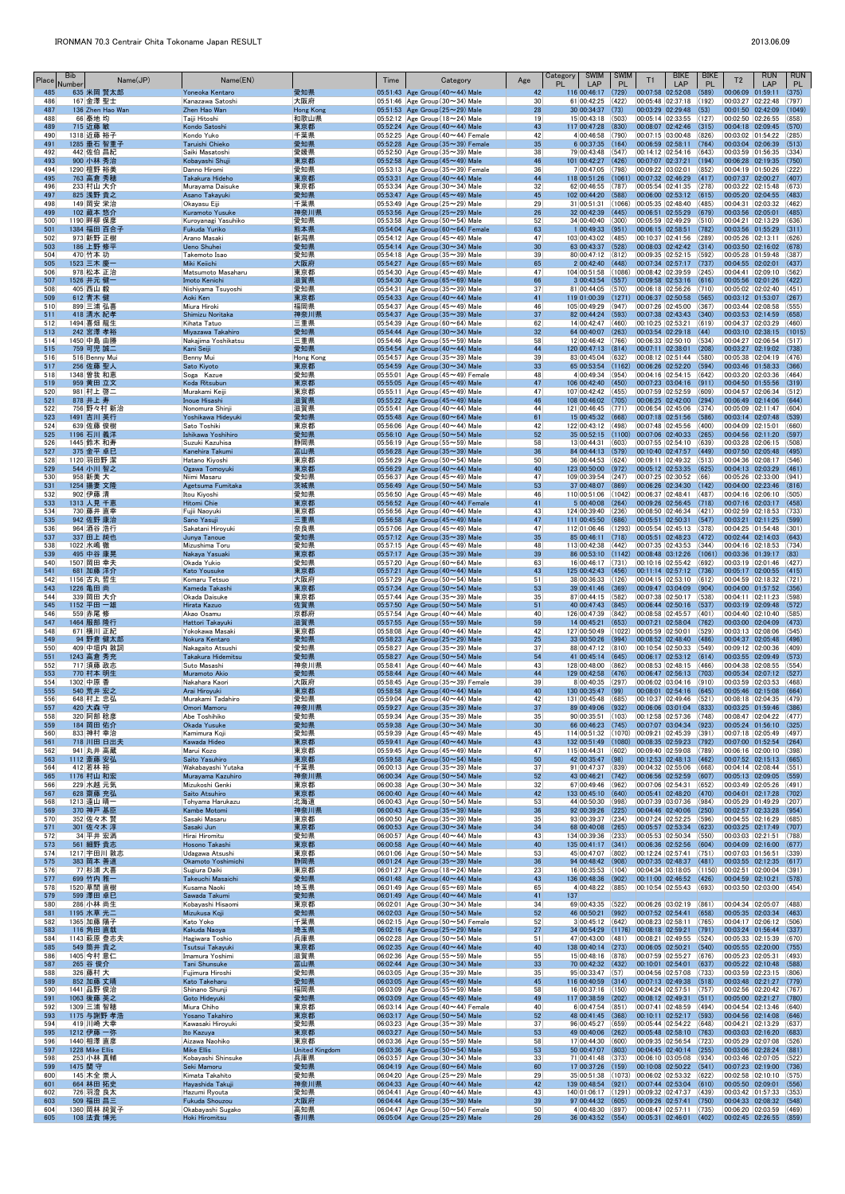| Place      | <b>Bib</b><br>Number | Name(JP)                      | Name(EN)                                      |                              | Time | Category                                                                                   | Age                   | <b>SWIM</b><br>Category<br><b>PL</b><br>LAP                      | <b>SWIM</b><br><b>PL</b> | T1                                                                | <b>BIKE</b><br>LAP          | <b>BIKE</b><br><b>PL</b> | T <sub>2</sub>                          | <b>RUN</b><br>LAP                                         | <b>RUN</b><br><b>PL</b> |
|------------|----------------------|-------------------------------|-----------------------------------------------|------------------------------|------|--------------------------------------------------------------------------------------------|-----------------------|------------------------------------------------------------------|--------------------------|-------------------------------------------------------------------|-----------------------------|--------------------------|-----------------------------------------|-----------------------------------------------------------|-------------------------|
| 485<br>486 |                      | 635 米岡 賢太郎<br>167 金澤 聖士       | Yoneoka Kentaro<br>Kanazawa Satoshi           | 愛知県<br> 大阪府                  |      | 05:51:43 Age Group $(40 \sim 44)$ Male<br>$ 05:51:46 $ Age Group (30 $\sim$ 34) Male       | 42<br>30 <sup>°</sup> | 116 00:46:17<br>61 00:42:25                                      | (729)<br>(422)           | 00:07:58 02:52:08<br> 00:05:48 02:37:18                           |                             | (589)<br>(192)           | 00:06:09 01:59:11<br>00:03:27 02:22:48  |                                                           | (375)<br>(797)          |
| 487        |                      | 136 Zhen Hao Wan              | Zhen Hao Wan                                  | <b>Hong Kong</b>             |      | 05:51:53 Age Group ( $25 \sim 29$ ) Male                                                   | 28                    | 30 00:34:37                                                      | (73)                     | 00:03:29 02:29:48                                                 |                             | (53)                     | 00:01:50 02:42:09                       |                                                           | (1049)                  |
| 488<br>489 |                      | 66 泰地 均<br>715 近藤 敏           | Taiji Hitoshi<br>Kondo Satoshi                | 和歌山県<br>東京都                  |      | 05:52:12 Age Group (18 $\sim$ 24) Male<br>05:52:24 Age Group $(40 \sim 44)$ Male           | 19<br>43              | 15 00:43:18<br>117 00:47:28                                      | (503)<br>(830)           | 00:05:14 02:33:55 (127)                                           | $00:08:07$ 02:42:46 (315)   |                          | 00:02:50 02:26:55<br>00:04:18 02:09:45  |                                                           | (858)<br>(570)          |
| 490<br>491 |                      | 1318 近藤 裕子<br>1285 垂石 智重子     | Kondo Yuko<br>Taruishi Chieko                 | 千葉県<br>愛知県                   |      | $ 05:52:25 $ Age Group (40 $\sim$ 44) Female<br>$05:52:28$ Age Group (35 $\sim$ 39) Female | 42<br>35              | 4 00:46:58 (790)<br>6 00:37:35                                   | (164)                    | 00:07:15 03:00:48<br>00:06:59 02:58:11                            |                             | (826)<br>(764)           | 00:03:02 01:54:22<br>00:03:04 02:06:39  |                                                           | (285)<br>(513)          |
| 492        |                      | 442 佐伯 昌紀                     | Saiki Masatoshi                               | 愛媛県                          |      | $ 05:52:50 $ Age Group (35 $\sim$ 39) Male                                                 | 38                    | 79 00:43:48 (547)                                                |                          | 00:14:12 02:54:16 (643)                                           |                             |                          | 00:03:59 01:56:35                       |                                                           | (334)                   |
| 493<br>494 |                      | 900 小林 秀治<br>1290 檀野 裕美       | Kobayashi Shuji<br>Danno Hiromi               | 東京都<br>愛知県                   |      | $05:52:58$ Age Group (45 $\sim$ 49) Male<br>$ 05:53:13 $ Age Group (35 $\sim$ 39) Female   | 46<br>36              | 101 00:42:27<br>7 00:47:05                                       | (426)<br>(798)           | 00:07:07 02:37:21<br>00:09:22 03:02:01                            |                             | (194)<br>(852)           | 00:06:28 02:19:35<br>00:04:19 01:50:26  |                                                           | (750)<br>(222)          |
| 495        |                      | 763 高倉 秀穂                     | Takakura Hideho                               | 東京都                          |      | 05:53:31 Age Group (40~44) Male                                                            | 44                    | $118$ 00:51:26 (1061)                                            |                          | $[00:07:32]$ 02:46:29 (417)                                       |                             |                          | 00:07:37 02:00:27                       |                                                           | (407)                   |
| 496<br>497 |                      | 233 村山 大介<br>825 浅野 貴之        | Murayama Daisuke<br>Asano Takayuki            | 東京都<br>愛知県                   |      | $ 05:53:34 $ Age Group (30 $\sim$ 34) Male<br>05:53:47 Age Group $(45 \sim 49)$ Male       | 32<br>45              | 62 00:46:55 (787)<br>102 00:44:20 (588)                          |                          | 00:05:54 02:41:35 (278)                                           | 00:06:00 02:53:12 (615)     |                          | 00:03:22 02:15:48<br>00:05:20 02:04:55  |                                                           | (673)<br>(483)          |
| 498        |                      | 149 岡安 栄治                     | Okayasu Eiji                                  | 千葉県                          |      | 05:53:49 Age Group ( $25 \sim 29$ ) Male                                                   | 29                    | $31 00:51:31 $ (1066)                                            |                          | 00:05:35 02:48:40                                                 |                             | (485)                    | 00:04:31 02:03:32                       |                                                           | (462)                   |
| 499<br>500 |                      | 102 藏本 悠介<br>1190 畔柳 保彦       | <b>Kuramoto Yusuke</b><br>Kuroyanagi Yasuhiko | 神奈川県<br>愛知県                  |      | 05:53:56 Age Group $(25 \sim 29)$ Male<br>$ 05:53:58 $ Age Group (50 $\sim$ 54) Male       | 26<br>52              | 32 00:42:39<br>34 00:40:40 (300)                                 | (445)                    | 00:06:51 02:55:29<br>00:05:59 02:49:29                            |                             | (679)<br>(510)           | 00:03:56 02:05:01<br>00:04:21 02:13:29  |                                                           | (485)<br>(636)          |
| 501<br>502 |                      | 1384 福田 百合子<br>973 新野 正樹      | Fukuda Yuriko<br>Arano Masaki                 | 熊本県<br> 新潟県                  |      | $05:54:04$ Age Group (60 $\sim$ 64) Female<br>05:54:12 Age Group (45 $\sim$ 49) Male       | 63<br>47              | $1 00:49:33 $ (951)<br>103 00:43:02 (485)                        |                          | 00:06:15 02:58:51<br> 00:10:37 02:41:56 (289)                     |                             | (782)                    | 00:03:56 01:55:29<br>00:05:26 02:13:11  |                                                           | (311)<br>(626)          |
| 503        |                      | 186 上野 修平                     | Ueno Shuhei                                   | 愛知県                          |      | 05:54:14 Age Group $(30 \sim 34)$ Male                                                     | 30                    | 63 00:43:37                                                      | (528)                    |                                                                   | $00:08:03$ $02:42:42$ (314) |                          | 00:03:50 02:16:02                       |                                                           | (678)                   |
| 504<br>505 |                      | 470 竹本 功<br>1523 三木 慶一        | Takemoto Isao<br><b>Miki Keiichi</b>          | 愛知県<br>大阪府                   |      | $ 05:54:18 $ Age Group (35 $\sim$ 39) Male<br>05:54:27 Age Group ( $65 \sim 69$ ) Male     | 39<br>65              | 80 00:47:12 (812)<br>$2 00:42:40 $ (448)                         |                          | 00:09:35 02:52:15 (592)<br>00:07:34 02:57:17                      |                             | (737)                    | 00:05:28 01:59:48<br>00:04:55 02:02:01  |                                                           | (387)<br>(437)          |
| 506        |                      | 978 松本 正治                     | Matsumoto Masaharu                            | 東京都                          |      | 05:54:30 Age Group (45 $\sim$ 49) Male                                                     | 47                    | 104 00:51:58                                                     | (1086)                   | 00:08:42 02:39:59                                                 |                             | (245)                    | 00:04:41 02:09:10                       |                                                           | (562)                   |
| 507<br>508 |                      | 1526 井元 健一<br>405 西山 毅        | Imoto Kenichi<br>Nishiyama Tsuyoshi           | 滋賀県<br> 愛知県                  |      | 05:54:30 Age Group $(65 \sim 69)$ Male<br>$ 05:54:31 $ Age Group (35 $\sim$ 39) Male       | 66<br>37              | $3 00:43:54 $ (557)<br>81 00:44:05 (570)                         |                          | 00:06:18 02:56:26 (710)                                           | 00:09:58 02:53:16 (616)     |                          | 00:05:56 02:01:26<br>00:05:02 02:02:40  |                                                           | (422)<br>(451)          |
| 509        |                      | 612 青木 健                      | Aoki Ken                                      | 東京都                          |      | 05:54:33 Age Group $(40 \sim 44)$ Male                                                     | 41                    | $119$ 01:00:39 (1271)                                            |                          | $ 00:06:37 02:50:58 $ (565)                                       |                             |                          | 00:03:12 01:53:07                       |                                                           | (267)                   |
| 510<br>511 |                      | 899 三浦 弘喜<br>418 清水 紀孝        | Miura Hiroki<br>Shimizu Noritaka              | 福岡県<br>神奈川県                  |      | $ 05:54:37 $ Age Group (45 $\sim$ 49) Male<br>05:54:37 Age Group (35~39) Male              | 46<br>37              | 105 00:49:29<br>82 00:44:24 (593)                                | (947)                    | 00:07:26 02:45:00                                                 | 00:07:38 02:43:43 (340)     | (367)                    | 00:03:44 02:08:58<br>00:03:53 02:14:59  |                                                           | (555)<br>(658)          |
| 512<br>513 |                      | 1494 喜畑 龍生<br>242 宮澤 孝裕       | Kihata Tatuo<br>Miyazawa Takahiro             | 三重県<br>愛知県                   |      | $ 05:54:39 $ Age Group (60 $\sim$ 64) Male<br>05:54:44 Age Group $(30 \sim 34)$ Male       | 62<br>32              | 14 00:42:47 (460)<br>64 00:40:07                                 | (263)                    | 00:10:25 02:53:21                                                 | $00:03:54$ 02:29:18 (44)    | (619)                    | 00:04:37 02:03:29<br>00:03:10 02:38:15  |                                                           | (460)<br>(1015)         |
| 514        |                      | 1450 中島 由勝                    | Nakajima Yoshikatsu                           | 三重県                          |      | $ 05:54:46 $ Age Group (55 $\sim$ 59) Male                                                 | 58                    | 12 00:46:42 (766)                                                |                          | 00:06:33 02:50:10 (534)                                           |                             |                          | 00:04:27 02:06:54                       |                                                           | (517)                   |
| 515<br>516 |                      | 759 可児 誠二<br>516 Benny Mui    | Kani Seiji<br>Benny Mui                       | 愛知県<br>Hong Kong             |      | $05:54:54$ Age Group (40 $\sim$ 44) Male<br>$ 05:54:57 $ Age Group (35 $\sim$ 39) Male     | 44<br>39              | 120 00:47:13 (814)<br>83 00:45:04 (632)                          |                          | 00:07:11 02:38:01<br> 00:08:12 02:51:44 (580)                     |                             | (208)                    | 00:03:27 02:19:02<br>00:05:38 02:04:19  |                                                           | (738)<br>(476)          |
| 517        |                      | 256 佐藤 聖人                     | Sato Kiyoto                                   | 東京都                          |      | 05:54:59 Age Group $(30 \sim 34)$ Male                                                     | 33                    | 65 00:53:54                                                      | (1162)                   | 00:06:26 02:52:20                                                 |                             | (594)                    | 00:03:46 01:58:33                       |                                                           | (366)                   |
| 518<br>519 |                      | 1348 曽我 和恵<br>959 黄田 立文       | Soga Kazue<br>Koda Ritsubun                   | 愛知県<br>東京都                   |      | 05:55:01 Age Group $(45 \sim 49)$ Female<br>05:55:05 Age Group $(45 \sim 49)$ Male         | 48<br>47              | 4 00:49:34<br>106 00:42:40 (450)                                 | (954)                    | 00:04:16 02:54:15 (642)<br>00:07:23 03:04:16                      |                             | (911)                    | 00:03:20 02:03:36<br>00:04:50 01:55:56  |                                                           | (464)<br>(319)          |
| 520        |                      | 981 村上 啓二                     | Murakami Keiji                                | 東京都                          |      | 05:55:11 Age Group (45 $\sim$ 49) Male                                                     | 47                    | 107 00:42:42 (455)                                               |                          | 00:07:59 02:52:59                                                 |                             | (609)                    | 00:04:57 02:06:34                       |                                                           | (512)                   |
| 521<br>522 |                      | 878 井上 寿<br>756  野々村 新治       | <b>Inoue Hisashi</b><br>Nonomura Shinji       | 滋賀県<br> 滋賀県                  |      | 05:55:22 Age Group $(45 \sim 49)$ Male<br>05:55:41   Age Group (40 $\sim$ 44) Male         | 46<br>44              | 108 00:46:02 (705)<br>121 00:46:45 (771)                         |                          | $ 00:06:54 02:45:06 374\rangle$                                   | $00:06:25$ 02:42:00 (294)   |                          | 00:06:49 02:14:06<br>00:05:09 02:11:47  |                                                           | (644)<br>(604)          |
| 523<br>524 |                      | 1491 吉川 英行<br>639 佐藤 俊樹       | Yoshikawa Hideyuki<br>Sato Toshiki            | 愛知県<br> 東京都                  |      | 05:55:48 Age Group $(60 \sim 64)$ Male<br>$ 05:56:06 $ Age Group (40 $\sim$ 44) Male       | 61<br>42              | 15 00:45:32 (668)<br>122 00:43:12 (498)                          |                          | 00:07:48 02:45:56                                                 | 00:07:18 02:51:56 (586)     | (400)                    | 00:03:14 02:07:48<br>00:04:09 02:15:01  |                                                           | (539)<br>(660)          |
| 525        |                      | 1196 石川 義洋                    | Ishikawa Yoshihiro                            | 愛知県                          |      | 05:56:10 Age Group $(50 \sim 54)$ Male                                                     | 52                    | 35 00:52:15 (1100)                                               |                          | $[00:07:06 \t 02:40:33 \t (265)]$                                 |                             |                          | 00:04:56 02:11:20                       |                                                           | (597)                   |
| 526<br>527 |                      | 1445 鈴木 和寿<br>375 金平 卓巳       | Suzuki Kazuhisa<br>Kanehira Takumi            | 静岡県<br>富山県                   |      | 05:56:19 Age Group (55 $\sim$ 59) Male<br>05:56:28 Age Group ( $35 \sim 39$ ) Male         | 58<br>36              | $13 00:44:31 $ (603)<br>84 00:44:13 (579)                        |                          | 00:07:55 02:54:10 (639)<br>$ 00:10:40 \t02:47:57 \t(449)$         |                             |                          | 00:03:28 02:06:15<br>00:07:50 02:05:48  |                                                           | (508)<br>(495)          |
| 528        |                      | 1120 羽田野 潔                    | Hatano Kiyoshi                                | 東京都                          |      | 05:56:29 Age Group (50 $\sim$ 54) Male                                                     | 50                    | 36 00:44:53 (624)                                                |                          | 00:09:11 02:49:32 (513)                                           |                             |                          | 00:04:36 02:08:17                       |                                                           | (546)                   |
| 529<br>530 |                      | 544 小川 智之<br>958 新美 大         | Ogawa Tomoyuki<br>Niimi Masaru                | 東京都<br> 愛知県                  |      | $05:56:29$ Age Group (40 $\sim$ 44) Male<br>05:56:37 Age Group (45 $\sim$ 49) Male         | 40<br>47              | 123 00:50:00<br>109 00:39:54                                     | (972)<br>(247)           | 00:05:12 02:53:35<br> 00:07:25 02:30:52 (66)                      |                             | (625)                    | 00:04:13 02:03:29<br>00:05:26 02:33:00  |                                                           | (461)<br>(941)          |
| 531<br>532 |                      | 1254 揚妻 文隆                    | Agetsuma Fumitaka<br>Itou Kivoshi             | 茨城県                          |      | 05:56:49 Age Group ( $50 \sim 54$ ) Male                                                   | 53<br>46              | 37 00:48:07                                                      | (869)<br>(1042)          | 00:06:26 02:34:30                                                 |                             | (142)<br>(487)           | 00:04:00 02:23:46                       |                                                           | (816)<br>(505)          |
| 533        |                      | 902 伊藤 清<br>1313 人見 千恵        | <b>Hitomi Chie</b>                            | 愛知県<br>東京都                   |      | $ 05:56:50 $ Age Group (45 $\sim$ 49) Male<br>$05:56:52$ Age Group (40 $\sim$ 44) Female   | 41                    | 110 00:51:06<br>5 00:40:08                                       | (264)                    | 00:06:37 02:48:41                                                 | 00:09:26 02:56:45 (718)     |                          | 00:04:16 02:06:10<br>00:07:16 02:03:17  |                                                           | (458)                   |
| 534<br>535 |                      | 730 藤井 直幸<br>942 佐野 康治        | Fujii Naoyuki<br>Sano Yasuji                  | 東京都<br>三重県                   |      | 05:56:56 Age Group $(40 \sim 44)$ Male<br>05:56:58 Age Group $(45 \sim 49)$ Male           | 43<br>47              | 124 00:39:40 (236)<br>111 00:45:50                               | (686)                    | 00:08:50 02:46:34 (421)                                           | 00:05:51 02:50:31           | (547)                    | 00:02:59 02:18:53                       | 00:03:21 02:11:25 (599)                                   | (733)                   |
| 536        |                      | 964 酒谷 浩行                     | Sakatani Hiroyuki                             | 奈良県                          |      | $ 05:57:06 $ Age Group (45 $\sim$ 49) Male                                                 | 47                    | 112 01:06:46                                                     | (1293)                   | 00:05:54 02:45:13 (378)                                           |                             |                          | 00:04:25 01:54:48                       |                                                           | (301)                   |
| 537<br>538 |                      | 337 田上 純也<br>1022 水嶋 徹        | Junya Tanoue<br>Mizushima Toru                | 愛知県<br>愛知県                   |      | 05:57:12 Age Group $(35 \sim 39)$ Male<br>05:57:15 Age Group (45 $\sim$ 49) Male           | 35<br>48              | 85 00:46:11<br>113 00:42:38                                      | (718)<br>(442)           | $ 00:05:51 02:48:23 $ (472)<br> 00:07:35 02:43:53 (344)           |                             |                          | 00:02:44 02:14:03<br>00:04:16 02:18:53  |                                                           | (643)<br>(734)          |
| 539        |                      | 495 中谷 康晃                     | Nakaya Yasuaki                                | 東京都                          |      | 05:57:17 Age Group $(35 \sim 39)$ Male                                                     | 39                    | 86 00:53:10 (1142) 00:08:48 03:12:26 (1061)                      |                          |                                                                   |                             |                          | 00:03:36 01:39:17                       |                                                           | (83)                    |
| 540<br>541 |                      | 1507 岡田 幸夫<br>681 加藤 洋介       | Okada Yukio<br><b>Kato Yousuke</b>            | 愛知県<br>東京都                   |      | $ 05:57:20 $ Age Group (60 $\sim$ 64) Male<br>05:57:21 Age Group $(40 \sim 44)$ Male       | 63<br>43              | 16 00:46:17 (731)<br>125 00:42:43                                | (456)                    | 00:10:16 02:55:42 (692)<br> 00:11:14 02:57:12 (736)               |                             |                          | 00:05:17 02:00:55                       | $00:03:19$ 02:01:46 (427)                                 | (415)                   |
| 542<br>543 |                      | 1156 古丸 哲生<br>1226 亀田 尚       | Komaru Tetsuo<br>Kameda Takashi               | 大阪府<br>東京都                   |      | $ 05:57:29 $ Age Group (50 $\sim$ 54) Male<br>05:57:34 Age Group $(50 \sim 54)$ Male       | 51<br>53              | 38 00:36:33 (126)<br>39 00:41:46                                 | (369)                    | 00:04:15 02:53:10 (612)<br>00:09:47 03:04:09                      |                             | (904)                    | 00:04:59 02:18:32<br>00:04:00 01:57:52  |                                                           | (721)<br>(356)          |
| 544        |                      | 339 岡田 大介                     | Okada Daisuke                                 | 東京都                          |      | 05:57:44   Age Group (35 $\sim$ 39) Male                                                   | 35                    | 87 00:44:15                                                      | (582)                    | 00:07:38 02:50:17 (538)                                           |                             |                          | 00:04:11 02:11:23                       |                                                           | (598)                   |
| 545<br>546 |                      | 1152 平田 一雄<br>559 赤尾 修        | Hirata Kazuo<br>Akao Osamu                    | 佐賀県<br> 京都府                  |      | 05:57:50 Age Group $(50 \sim 54)$ Male<br>05:57:54 Age Group (40 $\sim$ 44) Male           | 51<br>40              | 40 00:47:43 (845)<br>126 00:47:39                                | (842)                    | $ 00:06:44 \t02:50:16 \t(537) $<br>00:08:58 02:45:57              |                             | (401)                    | 00:03:19 02:09:48<br>00:04:40 02:10:40  |                                                           | (572)<br>(585)          |
| 547        |                      | 1464 服部 隆行                    | Hattori Takayuki                              | 滋賀県                          |      | 05:57:55 Age Group $(55 \sim 59)$ Male                                                     | 59                    | 14 00:45:21                                                      | (653)                    |                                                                   | 00:07:21 02:58:04 (762)     |                          | 00:03:00 02:04:09                       |                                                           | (473)                   |
| 548<br>549 |                      | 671 横川 正紀<br>94 野倉 健太郎        | Yokokawa Masaki<br>Nokura Kentaro             | 東京都<br>愛知県                   |      | $ 05:58:08 $ Age Group (40 $\sim$ 44) Male<br>05:58:23 Age Group $(25 \sim 29)$ Male       | 42<br>25              | 127 00:50:49<br>33 00:50:26                                      | (1022)<br>(994)          | 00:05:59 02:50:01                                                 | $00:08:52$ 02:48:40 (486)   | (529)                    | 00:03:13 02:08:06<br>00:04:37 02:05:48  |                                                           | (545)<br>(496)          |
| 550<br>551 |                      | 409 中垣内 敦詞<br>1243 高倉 秀充      | Nakagaito Atsushi<br>Takakura Hidemitsu       | 愛知県<br>愛知県                   |      | 05:58:27 Age Group (35 $\sim$ 39) Male<br>05:58:27 Age Group $(50 \sim 54)$ Male           | 37<br>54              | 88 00:47:12 (810)<br>41 00:45:14 (645)                           |                          | 00:10:54 02:50:33 (549)<br> 00:06:17 02:53:12 (614)               |                             |                          | 00:09:12 02:00:36<br>00:03:55 02:09:49  |                                                           | (409)<br>(573)          |
| 552        |                      | 717 須藤 政志                     | Suto Masashi                                  | 神奈川県                         |      | 05:58:41 Age Group (40 $\sim$ 44) Male                                                     | 43                    | 128 00:48:00 (862)                                               |                          | 00:08:53 02:48:15 (466)                                           |                             |                          | 00:04:38 02:08:55                       |                                                           | (554)                   |
| 553<br>554 |                      | 770 村本 明生<br>1302 中原 香        | <b>Muramoto Akio</b><br>Nakahara Kaori        | 愛知県<br> 大阪府                  |      | 05:58:44 Age Group $(40 \sim 44)$ Male<br>$ 05:58:45 $ Age Group (35 $\sim$ 39) Female     | 44<br>39              | 129 00:42:58<br>8 00:40:35 (297)                                 | (476)                    | $ 00:06:47 02:56:13$ (703)<br>$ 00:06:02 03:04:16 00\rangle$      |                             |                          | 00:05:34 02:07:12<br>00:03:59 02:03:53  |                                                           | (527)<br>(468)          |
| 555        |                      | 540 荒井 宏之                     | Arai Hiroyuki                                 | 東京都                          |      | 05:58:58 Age Group (40~44) Male                                                            | 40                    | 130 00:35:47                                                     | (99)                     |                                                                   | $00:08:01$ 02:54:16 (645)   |                          | 00:05:46 02:15:08                       |                                                           | (664)                   |
| 556<br>557 |                      | 648 村上 忠弘<br>420 大森守          | Murakami Tadahiro<br>Omori Mamoru             | 愛知県<br>神奈川県                  |      | 05:59:04 Age Group (40 $\sim$ 44) Male<br>05:59:27 Age Group $(35 \sim 39)$ Male           | 42<br>37              | 131 00:45:48<br>89 00:49:06                                      | (685)<br>(932)           | 00:10:37 02:49:46 (521)<br>$ 00:06:06 03:01:04 $ (833)            |                             |                          | 00:08:18 02:04:35<br>00:03:25 01:59:46  |                                                           | (479)<br>(386)          |
| 558<br>559 |                      | 320 阿部 稔彦<br>184 岡田 佑介        | Abe Toshihiko<br>Okada Yusuke                 | 愛知県<br>愛知県                   |      | 05:59:34 Age Group (35 $\sim$ 39) Male<br>05:59:38 Age Group $(30 \sim 34)$ Male           | 35<br>30              | $90 00:35:51 $ (103)<br>66 00:46:23 (745)                        |                          | 00:12:58 02:57:36 (748)                                           | 00:07:07 03:04:34 (923)     |                          | 00:08:47 02:04:22<br>00:05:24 01:56:10  |                                                           | (477)<br>(325)          |
| 560        |                      | 833 神村 幸治                     | Kamimura Koji                                 | 愛知県                          |      | 05:59:39 Age Group $(45 \sim 49)$ Male                                                     | 45                    | 114 00:51:32                                                     | (1070)                   | 00:09:21 02:45:39                                                 |                             | (391)                    | 00:07:18 02:05:49                       |                                                           | (497)                   |
| 561<br>562 |                      | 718 川田 日出夫<br>941 丸井 高蔵       | Kawada Hideo<br>Marui Kozo                    | 東京都<br> 東京都                  |      | 05:59:41 Age Group $(40 \sim 44)$ Male<br>05:59:45 Age Group (45 $\sim$ 49) Male           | 43<br>47              | 132 00:51:49 (1080)<br>115 00:44:31                              | (602)                    | 00:08:35 02:59:23 (792) <br>00:09:40 02:59:08                     |                             | (789)                    | 00:07:00 01:52:54<br>00:06:16 02:00:10  |                                                           | (264)<br>(398)          |
| 563        |                      | 1112 斎藤 安弘                    | Saito Yasuhiro                                | 東京都                          |      | 05:59:58 Age Group (50~54) Male                                                            | 50                    | 42 00:35:47                                                      | (98)                     |                                                                   | $00:12:53$ 02:48:13 (462)   |                          | 00:07:52 02:15:13                       |                                                           | (665)                   |
| 564<br>565 |                      | 412 若林 裕<br>1176 村山 和宏        | Wakabayashi Yutaka<br>Murayama Kazuhiro       | 千葉県<br>神奈川県                  |      | $ 06:00:13 $ Age Group (35 $\sim$ 39) Male<br>06:00:34 Age Group $(50 \sim 54)$ Male       | 37<br>52              | 91 00:47:37<br>43 00:46:21                                       | (839)<br>(742)           | 00:04:32 02:55:06 (668)<br>$ 00:06:56 \t02:52:59 \t(607) $        |                             |                          | 00:04:14 02:08:44<br>00:05:13 02:09:05  |                                                           | (551)<br>(559)          |
| 566<br>567 |                      | 229 水越 元気<br>628 齋藤 充弘        | Mizukoshi Genki<br>Saito Atsuhiro             | 東京都<br>東京都                   |      | $ 06:00:38 $ Age Group (30 $\sim$ 34) Male<br>06:00:40 Age Group $(40 \sim 44)$ Male       | 32<br>42              | 67 00:49:46 (962)<br>133 00:45:10                                | (640)                    | 00:07:06 02:54:31 (652)<br>00:05:41 02:48:20                      |                             | (470)                    | 00:03:49 02:05:26<br>00:04:01 02:17:28  |                                                           | (491)<br>(702)          |
| 568        |                      | 1213 遠山 晴一                    | Tohyama Harukazu                              | 北海道                          |      | 06:00:43 Age Group (50 $\sim$ 54) Male                                                     | 53                    | 44 00:50:30                                                      | (998)                    | 00:07:39  03:07:36                                                |                             | (984)                    | 00:05:29 01:49:29                       |                                                           | (207)                   |
| 569<br>570 |                      | 370 神戸 基臣<br>352  佐々木 賢       | Kambe Motomi<br>Sasaki Masaru                 | 神奈川県<br> 東京都                 |      | 06:00:43 Age Group $(35 \sim 39)$ Male<br>06:00:50 Age Group (35 $\sim$ 39) Male           | 36<br>35              | 92 00:39:26<br>93 00:39:37                                       | (225)<br>(234)           | 00:04:46 02:40:06<br>00:07:24 02:52:25                            |                             | (250)<br>(596)           | 00:02:57 02:33:28<br>00:04:55 02:16:29  |                                                           | (954)<br>(685)          |
| 571        |                      | 301 佐々木 淳                     | Sasaki Jun                                    | 東京都                          |      | 06:00:53 Age Group $(30 \sim 34)$ Male                                                     | 34                    | 68 00:40:08                                                      | (265)                    |                                                                   | $00:05:57$ 02:53:34 (623)   |                          | 00:03:25 02:17:49                       |                                                           | (707)                   |
| 572<br>573 |                      | 34 平井 宏満<br>561 細野 貴志         | Hirai Hiromitu<br>Hosono Takashi              | 愛知県<br>東京都                   |      | 06:00:57 Age Group (40 $\sim$ 44) Male<br>06:00:58 Age Group $(40 \sim 44)$ Male           | 43<br>40              | 134 00:39:36<br>135 00:41:17 (341)                               | (233)                    | 00:05:53 02:50:34 (550)                                           | 00:06:36 02:52:56 (604)     |                          | 00:03:03 02:21:51<br>00:04:09 02:16:00  |                                                           | (788)<br>(677)          |
| 574<br>575 |                      | 1217 宇田川 敦志<br>383 岡本 善道      | Udagawa Atsushi<br>Okamoto Yoshimichi         | 東京都<br>静岡県                   |      | 06:01:06 Age Group (50 $\sim$ 54) Male<br>06:01:24 Age Group $(35 \sim 39)$ Male           | 53<br>36              | 45 00:47:07 (802)<br>94 00:48:42                                 | (908)                    | 00:12:24 02:57:41                                                 |                             | (751)<br>(481)           | 00:07:03 01:56:51                       |                                                           | (339)<br>(617)          |
| 576        |                      | 77 杉浦 大喜                      | Sugiura Daiki                                 | 東京都                          |      | 06:01:27 Age Group (18 $\sim$ 24) Male                                                     | 23                    | 16 00:35:53 (104)                                                |                          | 00:07:35 02:48:37<br> 00:04:34 03:18:05 (1150)                    |                             |                          | 00:03:55 02:12:35<br> 00:02:51 02:00:04 |                                                           | (391)                   |
| 577<br>578 |                      | 699 竹内 雅一<br>1520 草間 直樹       | Takeuchi Masaichi<br>Kusama Naoki             | 愛知県<br> 埼玉県                  |      | 06:01:48 Age Group $(40 \sim 44)$ Male<br>06:01:49 Age Group (65 $\sim$ 69) Male           | 43<br>65              | 136 00:48:36 (902)<br>4 00:48:22 (885)                           |                          | $ 00:11:00 \t02:46:52 \t(426)$<br>$ 00:10:54 02:55:43 093\rangle$ |                             |                          | 00:04:59 02:10:21<br>00:03:50 02:03:00  |                                                           | (578)<br>(454)          |
| 579        |                      | 599 澤田 卓巳                     | Sawada Takumi                                 | 愛知県                          |      | 06:01:49 Age Group $(40 \sim 44)$ Male                                                     | 41                    | 137                                                              |                          |                                                                   |                             |                          |                                         |                                                           |                         |
| 580<br>581 |                      | 286 小林 尚生<br>1195 水草 光二       | Kobayashi Hisaomi<br>Mizukusa Koji            | 東京都<br>愛知県                   |      | 06:02:01 Age Group (30 $\sim$ 34) Male<br>06:02:03 Age Group $(50 \sim 54)$ Male           | 34<br>52              | 69 00:43:35 (522)<br>46 00:50:21                                 | (992)                    | 00:06:26 03:02:19 (861)<br>00:07:52 02:54:41                      |                             | (658)                    | 00:04:34 02:05:07<br>00:05:35 02:03:34  |                                                           | (488)<br>(463)          |
| 582        |                      | 1365 加藤 陽子                    | Kato Yoko                                     | 千葉県                          |      | $06:02:15$ Age Group (50 $\sim$ 54) Female                                                 | 52                    | 3 00:45:12                                                       | (642)                    | 00:08:23 02:58:11                                                 |                             | (765)                    | 00:04:17 02:06:12                       |                                                           | (506)                   |
| 583<br>584 |                      | 116 角田 直哉<br>1143 萩原 登志夫      | Kakuda Naoya<br>Hagiwara Toshio               | 埼玉県<br> 兵庫県                  |      | 06:02:16 Age Group $(25 \sim 29)$ Male<br>06:02:28 Age Group (50 $\sim$ 54) Male           | 27<br>51              | 34 00:54:29 (1176)<br>47 00:43:00                                | (481)                    | 00:08:18 02:59:21<br>00:08:21 02:49:55                            |                             | (791)<br>(524)           | 00:03:24 01:56:44<br>00:05:33 02:15:39  |                                                           | (337)<br>(670)          |
| 585<br>586 |                      | 549 筒井 貴之<br>1405 今村 意仁       | Tsutsui Takayuki                              | 東京都<br> 滋賀県                  |      | 06:02:35 Age Group $(40 \sim 44)$ Male                                                     | 40<br>55              | 138 00:40:14 (273)<br>$15 00:48:16$ (878)                        |                          | 00:06:05 02:50:21<br>00:07:59 02:55:27                            |                             | (540)<br>(676)           | 00:05:55 02:20:00<br>00:05:23 02:05:31  |                                                           | (755)<br>(493)          |
| 587        |                      | 265 谷 俊介                      | Imamura Yoshimi<br><b>Tani Shunsuke</b>       | 富山県                          |      | $ 06:02:36 $ Age Group (55 $\sim$ 59) Male<br>06:02:44 Age Group $(30 \sim 34)$ Male       | 33                    | 70 00:42:32 (432)                                                |                          | 00:10:01 02:54:01                                                 |                             | (637)                    | 00:05:22 02:10:48                       |                                                           | (588)                   |
| 588<br>589 |                      | 326 藤村 大<br>852 加藤 丈晴         | Fujimura Hiroshi<br>Kato Takeharu             | 愛知県<br>愛知県                   |      | 06:03:05 Age Group $(35 \sim 39)$ Male<br>06:03:05 Age Group $(45 \sim 49)$ Male           | 35<br>45              | 95 00:33:47 (57)<br>$116$ 00:40:59 (314)                         |                          | 00:04:56 02:57:08<br> 00:07:13 02:49:38 (518)                     |                             | (733)                    |                                         | 00:03:59 02:23:15 (806)<br>$ 00:03:48 \t02:21:27 \t(779)$ |                         |
| 590        |                      | 1441 品野 俊治                    | Shinano Shunji                                | 福岡県                          |      | 06:03:09 Age Group (55 $\sim$ 59) Male                                                     | 58                    | $16 00:37:16$ (150)                                              |                          | 00:04:24 02:57:51 (757)                                           |                             |                          |                                         | $00:02:56$ 02:20:42 (767)                                 |                         |
| 591<br>592 |                      | 1063 後藤 英之<br>1309 三浦 智穂      | Goto Hideyuki<br>Miura Chiho                  | 愛知県<br> 東京都                  |      | 06:03:09 Age Group $(45 \sim 49)$ Male<br>$ 06:03:14 $ Age Group (40 $\sim$ 44) Female     | 49<br>40              | 117 00:38:59 (202)<br>$6 00:47:54 $ (851)                        |                          | $ 00:08:12 02:49:31 $ (511)<br> 00:07:41 02:48:59 (494)           |                             |                          |                                         | 00:05:00 02:21:27 (780)<br>$00:04:54$ 02:13:46 (640)      |                         |
| 593        |                      | 1175 与謝野 孝浩                   | Yosano Takahiro                               | 東京都                          |      | 06:03:17 Age Group $(50 \sim 54)$ Male                                                     | 52                    | 48 00:41:45 (368)                                                |                          | $ 00:10:11 02:52:17 $ (593)                                       |                             |                          | 00:04:56 02:14:08                       |                                                           | (646)                   |
| 594<br>595 |                      | 419 川崎 大幸<br>1212 伊藤 一弥       | Kawasaki Hiroyuki<br>Ito Kazuva               | 愛知県<br>東京都                   |      | 06:03:23 Age Group (35 $\sim$ 39) Male<br>06:03:27 Age Group $(50 \sim 54)$ Male           | 37<br>53              | 96 00:45:27 (659)<br>49 00:40:06 (262)                           |                          | 00:05:44 02:54:22 (648)<br> 00:05:48 02:58:10 (763)               |                             |                          | 00:04:21 02:13:29                       | 00:03:03 02:16:20 (683)                                   | (637)                   |
| 596<br>597 |                      | 1440 相澤 直彦<br>1228 Mike Ellis | Aizawa Naohiko<br><b>Mike Ellis</b>           | 東京都<br><b>United Kingdom</b> |      | 06:03:36 Age Group ( $55 \sim 59$ ) Male<br>06:03:36 Age Group $(50 \sim 54)$ Male         | 58<br>53              | 17 00:44:30 (600)<br>50 00:47:07 (803)                           |                          | 00:09:35 02:56:54 (723)                                           | $00:04:45$ 02:40:14 (255)   |                          |                                         | 00:05:29 02:07:08 (526)<br>00:03:06 02:28:24 (881)        |                         |
| 598        |                      | 253 小林 真輔                     | Kobayashi Shinsuke                            | 兵庫県                          |      | 06:03:57 Age Group (30 $\sim$ 34) Male                                                     | 33                    | 71 00:41:48 (373)                                                |                          | $ 00:06:10 03:05:08 034\rangle$                                   |                             |                          |                                         | $ 00:03:46$ $ 02:07:05$ $ (522)$                          |                         |
| 599<br>600 |                      | 1475 関 守<br>145 木全 崇人         | Seki Mamoru<br>Kimata Takahito                | 愛知県<br> 愛知県                  |      | 06:04:19 Age Group $(60 \sim 64)$ Male<br>06:04:20 Age Group ( $25 \sim 29$ ) Male         | 60<br>29              | 17 00:37:26 (159)<br>35 00:51:38 (1073)                          |                          | $ 00:10:08 \t02:50:22 \t(541)$<br> 00:06:02 02:53:32 (622)        |                             |                          |                                         | 00:07:23 02:19:00<br>$00:02:58$ 02:10:10 (575)            | (736)                   |
| 601        |                      | 664 林田 拓史                     | Hayashida Takuji                              | 神奈川県                         |      | 06:04:33 Age Group $(40 \sim 44)$ Male                                                     | 42                    | 139 00:48:54 (921)                                               |                          | $[00:07:44 \mid 02:53:04 \mid (610)]$                             |                             |                          | 00:05:50 02:09:01                       |                                                           | (556)                   |
| 602<br>603 |                      | 726 羽澄 良太<br>509 福田 昌三        | Hazumi Ryouta<br><b>Fukuda Shouzou</b>        | 愛知県<br>大阪府                   |      | 06:04:41 Age Group (40 $\sim$ 44) Male<br>06:04:44 Age Group $(35 \sim 39)$ Male           | 43<br>39              | 140 01:06:17 (1291) 00:09:32 02:47:37 (439)<br>97 00:44:32 (605) |                          |                                                                   | $00:09:26$ 02:57:41 (750)   |                          |                                         | 00:03:42 01:57:33 (353)<br>00:04:33 02:08:32 (548)        |                         |
| 604        |                      | 1360 岡林 純賀子                   | Okabayashi Sugako                             | 高知県                          |      | $ 06:04:47 $ Age Group (50 $\sim$ 54) Female                                               | 50                    | 4 00:48:30 (897)                                                 |                          | 00:08:47 02:57:11 (735)                                           |                             |                          |                                         | $00:06:20$ 02:03:59 (469)                                 |                         |
| 605        |                      | 108 法貴 博光                     | Hoki Hiromitsu                                | 香川県                          |      | 06:05:04 Age Group $(25 \sim 29)$ Male                                                     | 26                    | 36 00:43:52 (554)                                                |                          | 00:05:31 02:46:01                                                 |                             | (402)                    |                                         | $ 00:02:45 \t 02:26:55 \t (859)$                          |                         |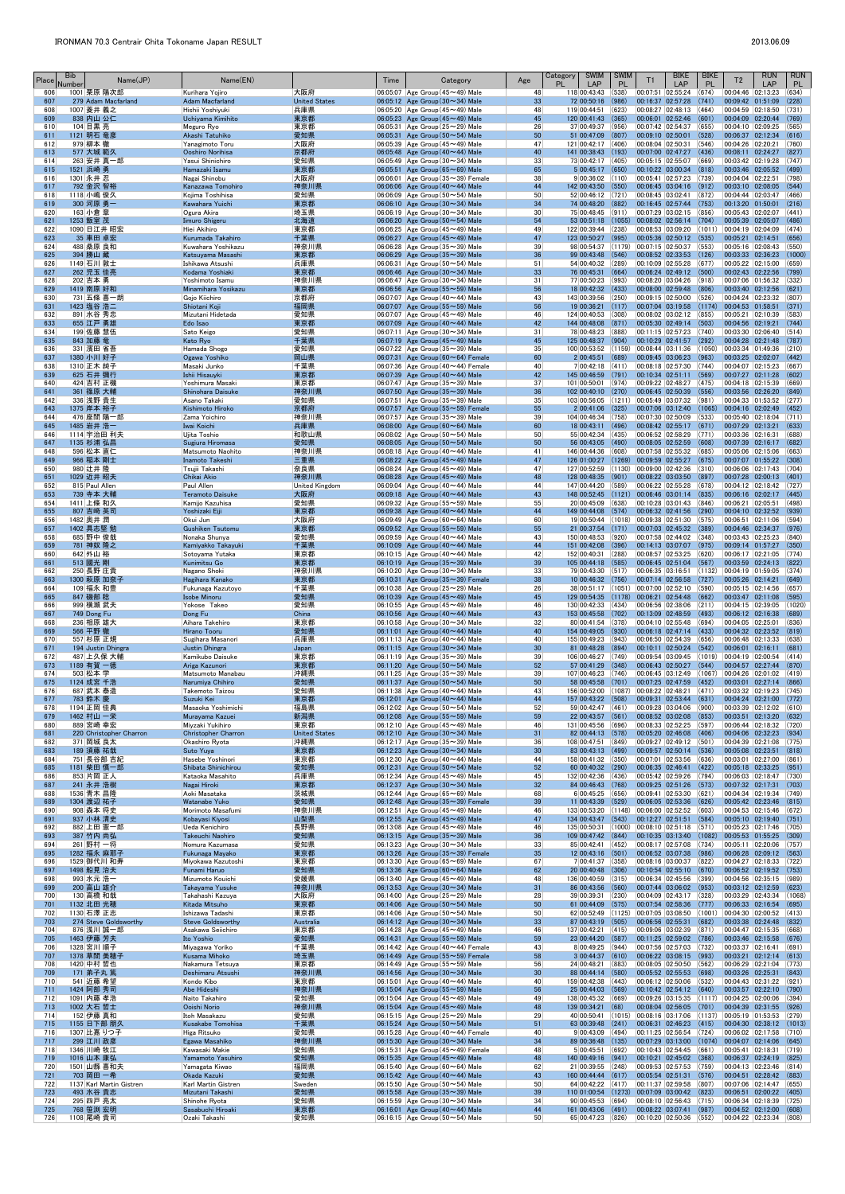| Place      | <b>Bib</b><br>Name(JP)<br>Number      | Name(EN)                                  |                             | Time | Category                                                                                     | Age                   | <b>SWIM</b><br>Category<br><b>PL</b><br>LAP                         | <b>SWIM</b><br><b>PL</b> | T1                                     | <b>BIKE</b><br>LAP                                                             | <b>BIKE</b><br><b>PL</b> | T <sub>2</sub>                            | <b>RUN</b><br>LAP                                               | <b>RUN</b><br>PL. |
|------------|---------------------------------------|-------------------------------------------|-----------------------------|------|----------------------------------------------------------------------------------------------|-----------------------|---------------------------------------------------------------------|--------------------------|----------------------------------------|--------------------------------------------------------------------------------|--------------------------|-------------------------------------------|-----------------------------------------------------------------|-------------------|
| 606<br>607 | 1001 栗原 陽次郎<br>279 Adam Macfarland    | Kurihara Yojiro<br><b>Adam Macfarland</b> | 大阪府<br><b>United States</b> |      | $ 06:05:07 $ Age Group (45 $\sim$ 49) Male<br>06:05:12 Age Group $(30 \sim 34)$ Male         | 48<br>33              | 118 00:43:43<br>72 00:50:16                                         | (538)<br>(986)           | 00:16:37 02:57:28                      | 00:07:51 02:55:24                                                              | (674)<br>(741)           | 00:04:46 02:13:23<br>00:09:42 01:51:09    |                                                                 | (634)<br>(228)    |
| 608<br>609 | 1007 菱井 義之<br>838 内山 公仁               | Hishii Yoshivuki<br>Uchiyama Kimihito     | 兵庫県<br>東京都                  |      | 06:05:20 Age Group (45~49) Male<br>06:05:23 Age Group $(45 \sim 49)$ Male                    | 48<br>45              | 119 00:44:51<br>120 00:41:43                                        | (623)<br>(365)           |                                        | 00:08:27 02:48:13 (464)<br>00:06:01 02:52:46                                   | (601)                    | 00:04:59 02:18:50<br>00:04:09 02:20:44    |                                                                 | (731)<br>(769)    |
| 610        | 104 目黒 亮                              | Meguro Ryo                                | 東京都                         |      | $ 06:05:31 $ Age Group (25 $\sim$ 29) Male                                                   | 26                    | 37 00:49:37                                                         | (956)                    | 00:07:42 02:54:37                      |                                                                                | (655)                    | 00:04:10 02:09:25                         |                                                                 | (565)             |
| 611<br>612 | 1121 明石 竜彦<br>979 柳本 徹                | Akashi Tatuhiko<br>Yanagimoto Toru        | 愛知県<br>大阪府                  |      | 06:05:31 Age Group $(50 \sim 54)$ Male<br>$ 06:05:39 $ Age Group (45 $\sim$ 49) Male         | 50<br>47              | 51 00:47:09 (807)<br>121 00:42:17 (406)                             |                          | 00:09:10 02:50:01<br>00:08:04 02:50:31 |                                                                                | (528)<br>(546)           | 00:06:37 02:12:34<br>00:04:26 02:20:21    |                                                                 | (616)<br>(760)    |
| 613        | 577 大城 範久                             | Ooshiro Norihisa                          | 京都府                         |      | 06:05:48 Age Group $(40 \sim 44)$ Male                                                       | 40                    | 141 00:38:43 (193)                                                  |                          |                                        | $[00:07:00]$ $[02:47:27]$ $(436)$                                              |                          | 00:08:11 02:24:27                         |                                                                 | (827)             |
| 614<br>615 | 263 安井 真一郎<br>1521 浜崎 勇               | Yasui Shinichiro<br>Hamazaki Isamu        | 愛知県<br>東京都                  |      | 06:05:49 Age Group (30 $\sim$ 34) Male<br>06:05:51 Age Group ( $65 \sim 69$ ) Male           | 33<br>65              | 73 00:42:17 (405)<br>$5 00:45:17 $ (650)                            |                          |                                        | 00:05:15 02:55:07<br>$00:10:22$ 03:00:34 (818)                                 | (669)                    | 00:03:42 02:19:28<br>00:03:46 02:05:52    |                                                                 | (747)<br>(499)    |
| 616        | 1301 永井 忍                             | Nagai Shinobu                             | 大阪府                         |      | $ 06:06:01 $ Age Group (35 $\sim$ 39) Female                                                 | 38                    | 9 00:36:02 (110)                                                    |                          |                                        | 00:05:41 02:57:23 (739)                                                        |                          | 00:04:04 02:22:51                         |                                                                 | (798)             |
| 617<br>618 | 792 金沢 智裕<br>1118 小嶋 俊久               | Kanazawa Tomohiro<br>Kojima Toshihisa     | 神奈川県<br>愛知県                 |      | 06:06:06 Age Group $(40 \sim 44)$ Male<br>06:06:09 Age Group ( $50 \sim 54$ ) Male           | 44<br>50              | 142 00:43:50 (550)<br>52 00:46:12 (721)                             |                          |                                        | $00:06:45$ 03:04:16 (912)<br> 00:08:45 03:02:41 (872)                          |                          | 00:03:10 02:08:05<br>00:04:44 02:03:47    |                                                                 | (544)<br>(466)    |
| 619        | 300 河原 勇一                             | Kawahara Yuichi                           | 東京都                         |      | 06:06:10 Age Group $(30 \sim 34)$ Male                                                       | 34                    | 74 00:48:20 (882)                                                   |                          |                                        | 00:16:45 02:57:44 (753)                                                        |                          | 00:13:20 01:50:01                         |                                                                 | (216)             |
| 620<br>621 | 163 小倉 章<br>1253 飯室 茂                 | Ogura Akira<br>Iimuro Shigeru             | 埼玉県<br>北海道                  |      | 06:06:19 Age Group (30 $\sim$ 34) Male<br>06:06:20 Age Group ( $50 \sim 54$ ) Male           | 30 <sup>°</sup><br>54 | 75 00:48:45 (911)<br>53 00:51:18                                    | (1055)                   |                                        | $ 00:07:29 03:02:15 $ (856)<br> 00:08:02 02:56:14 (704)                        |                          | 00:05:43 02:02:07<br>00:05:39 02:05:07    |                                                                 | (441)<br>(486)    |
| 622        | 1090 日江井 昭宏                           | Hiei Akihiro                              | 東京都                         |      | 06:06:25 Age Group $(45 \sim 49)$ Male                                                       | 49                    | 122 00:39:44 (238)                                                  |                          |                                        | 00:08:53 03:09:20 (1011)                                                       |                          | 00:04:19 02:04:09                         |                                                                 | (474)             |
| 623<br>624 | 35 車田 卓宏<br>488 桑原 良和                 | Kurumada Takahiro<br>Kuwahara Yoshikazu   | 千葉県<br> 神奈川県                |      | 06:06:27 Age Group $(45 \sim 49)$ Male<br>06:06:28 Age Group ( $35 \sim 39$ ) Male           | 47<br>39              | 123 00:50:27 (995)<br>98 00:54:37 (1179)                            |                          |                                        | $ 00:05:36 \t02:50:12 \t(535) $<br> 00:07:15 02:50:37 (553)                    |                          | 00:05:21 02:14:51<br>00:05:16 02:08:43    |                                                                 | (656)<br>(550)    |
| 625        | 394 勝山 蔵                              | Katsuyama Masashi                         | 東京都                         |      | 06:06:29 Age Group $(35 \sim 39)$ Male                                                       | 36                    | 99 00:43:48 (546)                                                   |                          |                                        | $00:08:52$ 02:33:53 (126)                                                      |                          | 00:03:33 02:36:23                         |                                                                 | (1000)            |
| 626<br>627 | 1149 石川 敦士<br>262 児玉 佳亮               | Ishikawa Atsushi<br>Kodama Yoshiaki       | 兵庫県<br>東京都                  |      | 06:06:31 Age Group (50 $\sim$ 54) Male<br>06:06:46 Age Group $(30 \sim 34)$ Male             | 51<br>33              | 54 00:40:32 (289)<br>76 00:45:31                                    | (664)                    |                                        | 00:10:09 02:55:28<br>00:06:24 02:49:12 (500)                                   | (677)                    | 00:05:22 02:15:00<br>00:02:43 02:22:56    |                                                                 | (659)<br>(799)    |
| 628        | 202 吉本 勇                              | Yoshimoto Isamu                           | 神奈川県                        |      | $06:06:47$ Age Group (30 $\sim$ 34) Male                                                     | 31                    | 77 00:50:23 (993)                                                   |                          |                                        | $ 00:08:20 03:04:26 018\rangle$                                                |                          | 00:07:06 01:56:32                         |                                                                 | (332)             |
| 629<br>630 | 1419 南原 好和<br>731 五條 喜一朗              | Minamihara Yosikazu<br>Gojo Kiichiro      | 東京都<br>京都府                  |      | 06:06:56 Age Group $(55 \sim 59)$ Male<br>06:07:07 Age Group $(40 \sim 44)$ Male             | 56<br>43              | 18 00:42:32 (433)<br>143 00:39:56 (250)                             |                          |                                        | $ 00:08:00 02:59:48$ (806)<br>00:09:15 02:50:00                                | (526)                    | 00:03:40 02:12:56<br>00:04:24 02:23:32    |                                                                 | (621)<br>(807)    |
| 631<br>632 | 1423 塩谷 浩二<br>891 水谷 秀忠               | Shiotani Koji                             | 福岡県<br>愛知県                  |      | 06:07:07 Age Group $(55 \sim 59)$ Male<br>06:07:07 Age Group $(45 \sim 49)$ Male             | 56<br>46              | 19 00:36:21<br>124 00:40:53 (308)                                   | (117)                    |                                        | $[00:07:04 \mid 03:19:58 \mid (1174)]$<br> 00:08:02 03:02:12 (855)             |                          | 00:04:53 01:58:51<br>00:05:21 02:10:39    |                                                                 | (371)<br>(583)    |
| 633        | 655 江戸 勇雄                             | Mizutani Hidetada<br>Edo Isao             | 東京都                         |      | 06:07:09 Age Group $(40 \sim 44)$ Male                                                       | 42                    | 144 00:48:08                                                        | (871)                    |                                        | 00:05:30 02:49:14 (503)                                                        |                          | 00:04:56 02:19:21                         |                                                                 | (744)             |
| 634<br>635 | 199 佐藤 慧伍<br>843 加藤 竜                 | Sato Keigo<br>Kato Ryo                    | 愛知県<br>千葉県                  |      | $ 06:07:11 $ Age Group (30 $\sim$ 34) Male<br>06:07:19 Age Group $(45 \sim 49)$ Male         | 31<br>45              | 78 00:48:23<br>125 00:48:37 (904)                                   | (888)                    |                                        | 00:11:15 02:57:23 (740)<br>00:10:29 02:41:57                                   | (292)                    | 00:03:30 02:06:40<br>00:04:28 02:21:48    |                                                                 | (514)<br>(787)    |
| 636        | 331 濱田 省吾                             | Hamada Shogo                              | 愛知県                         |      | $ 06:07:22 $ Age Group (35 $\sim$ 39) Male                                                   | 35                    | 100 00:53:52 (1159)                                                 |                          |                                        | 00:08:44 03:11:36                                                              | (1050)                   | 00:03:34 01:49:36                         |                                                                 | (210)             |
| 637<br>638 | 1380 小川 好子<br>1310 正木 純子              | Ogawa Yoshiko<br>Masaki Junko             | 岡山県<br>千葉県                  |      | $06:07:31$ Age Group ( $60 \sim 64$ ) Female<br>$ 06:07:36 $ Age Group (40 $\sim$ 44) Female | 60<br>40              | 2 00:45:51<br>$7 00:42:18$ (411)                                    | (689)                    |                                        | $00:09:45$ 03:06:23 (963)<br>00:08:18 02:57:30                                 | (744)                    | 00:03:25 02:02:07<br>00:04:07 02:15:23    |                                                                 | (442)<br>(667)    |
| 639        | 625 石井 彌行                             | Ishii Hisauyki                            | 東京都                         |      | 06:07:39 Age Group $(40 \sim 44)$ Male                                                       | 42                    | 145 00:46:59                                                        | (791)                    | 00:10:34 02:51:11                      |                                                                                | (569)                    | 00:07:27 02:11:28                         |                                                                 | (602)             |
| 640<br>641 | 424 吉村 正機<br>361 篠原 大輔                | Yoshimura Masaki<br>Shinohara Daisuke     | 東京都<br>神奈川県                 |      | $ 06:07:47 $ Age Group (35 $\sim$ 39) Male<br>06:07:50 Age Group $(35 \sim 39)$ Male         | 37<br>36              | 101 00:50:01<br>102 00:40:10 (270)                                  | (974)                    |                                        | 00:09:22 02:48:27 (475)<br> 00:06:45 02:50:39 (556)                            |                          | 00:04:18 02:15:39<br>00:03:56 02:26:20    |                                                                 | (669)<br>(849)    |
| 642        | 336 浅野 貴生                             | Asano Takaki                              | 愛知県                         |      | $ 06:07:51 $ Age Group (35 $\sim$ 39) Male                                                   | 35                    | 103 00:56:05 (1211) 00:05:49 03:07:32 (981)                         |                          |                                        |                                                                                |                          | 00:04:33 01:53:52                         |                                                                 | (277)             |
| 643<br>644 | 1375 岸本 裕子<br>476 座間 陽一郎              | Kishimoto Hiroko<br>Zama Yoichiro         | 京都府<br> 神奈川県                |      | 06:07:57 Age Group $(55 \sim 59)$ Female<br>$ 06:07:57 $ Age Group (35 $\sim$ 39) Male       | 55<br>39              | 2 00:41:06<br>104 00:46:34 (758)                                    | (325)                    |                                        | $ 00:07:06$ $ 03:12:40$ (1065)<br>00:07:30 02:50:09                            | (533)                    | 00:04:16 02:02:49<br>00:05:40 02:18:04    |                                                                 | (452)<br>(711)    |
| 645        | 1485 岩井 浩一                            | Iwai Koichi                               | 兵庫県                         |      | 06:08:00 Age Group $(60 \sim 64)$ Male                                                       | 60                    | 18 00:43:11                                                         | (496)                    |                                        | 00:08:42 02:55:17                                                              | (671)                    | 00:07:29 02:13:21                         |                                                                 | (633)             |
| 646<br>647 | 1114 宇治田 利夫<br>1135 杉浦 弘昌             | Ujita Toshio<br>Sugiura Hiromasa          | 和歌山県<br>愛知県                 |      | 06:08:02 Age Group ( $50 \sim 54$ ) Male<br>06:08:05 Age Group (50~54) Male                  | 50<br>50              | 55 00:42:34<br>56 00:43:05 (490)                                    | (435)                    | 00:06:52 02:58:29                      | $ 00:08:05 02:52:59 $ (608)                                                    | (771)                    | 00:03:36 02:16:31<br>00:07:39 02:16:17    |                                                                 | (688)<br>(682)    |
| 648<br>649 | 596 松本 直仁<br>966 稲本 剛士                | Matsumoto Naohito<br>Inamoto Takeshi      | 神奈川県<br>三重県                 |      | 06:08:18 Age Group (40 $\sim$ 44) Male<br>06:08:22 Age Group $(45 \sim 49)$ Male             | 41<br>47              | 146 00:44:36<br>126 01:00:27                                        | (608)                    |                                        | 00:07:58 02:55:32 (685)<br>$(1269)$ 00:09:59 02:55:27 (675)                    |                          | 00:05:06 02:15:06<br>00:07:07 01:55:22    |                                                                 | (663)<br>(308)    |
| 650        | 980 辻井 隆                              | Tsujii Takashi                            | 奈良県                         |      | $ 06:08:24 $ Age Group (45 $\sim$ 49) Male                                                   | 47                    | 127 00:52:59 (1130)                                                 |                          | 00:09:00 02:42:36                      |                                                                                | (310)                    | 00:06:06 02:17:43                         |                                                                 | (704)             |
| 651<br>652 | 1029 近井 昭夫<br>815 Paul Allen          | Chikai Akio<br>Paul Allen                 | 神奈川県<br>United Kingdom      |      | 06:08:28 Age Group $(45 \sim 49)$ Male<br>06:09:04 Age Group $(40 \sim 44)$ Male             | 48<br>44              | 128 00:48:35 (901)<br>147 00:44:20 (589)                            |                          |                                        | 00:08:22 03:03:50<br>00:06:22 02:55:28                                         | (897)<br>(678)           | 00:07:28 02:00:13<br>00:04:12 02:18:42    |                                                                 | (401)<br>(727)    |
| 653        | 739 寺本 大輔                             | <b>Teramoto Daisuke</b>                   | 大阪府                         |      | 06:09:18 Age Group $(40 \sim 44)$ Male                                                       | 43                    | 148 00:52:45                                                        | (1121)                   |                                        | 00:06:46 03:01:14                                                              | (835)                    | 00:06:16 02:02:17                         |                                                                 | (445)             |
| 654<br>655 | 1411 上條 和久<br>807 吉﨑 英司               | Kamijo Kazuhisa<br>Yoshizaki Eiji         | 愛知県<br>東京都                  |      | 06:09:32 Age Group ( $55 \sim 59$ ) Male<br>06:09:38 Age Group $(40 \sim 44)$ Male           | 55<br>44              | 20 00:45:09 (638)<br>149 00:44:08 (574)                             |                          |                                        | $ 00:10:28 03:01:43 $ (846)<br>$ 00:06:32 02:41:56 $ (290)                     |                          | 00:06:21 02:05:51                         | 00:04:10 02:32:52                                               | (498)<br>(939)    |
| 656        | 1482  奥井 潤                            | Okui Jun                                  | 大阪府                         |      | $ 06:09:49 $ Age Group (60 $\sim$ 64) Male                                                   | 60                    | 19 00:50:44 (1018)                                                  |                          |                                        | 00:09:38 02:51:30 (575)                                                        |                          | 00:06:51 02:11:06                         |                                                                 | (594)             |
| 657<br>658 | 1402 具志堅 勉<br>685 野中 俊哉               | <b>Gushiken Tsutomu</b><br>Nonaka Shunya  | 東京都<br>愛知県                  |      | 06:09:52 Age Group (55~59) Male<br>06:09:59 Age Group $(40 \sim 44)$ Male                    | 55<br>43              | 21 00:37:54<br>150 00:48:53                                         | (171)<br>(920)           |                                        | 00:07:03 02:45:32<br>00:07:58 02:44:02                                         | (389)<br>(348)           | 00:04:46 02:34:37<br>00:03:43 02:25:23    |                                                                 | (976)<br>(840)    |
| 659        | 781 神奴 隆之                             | Kamiyakko Takayuki                        | 千葉県                         |      | 06:10:09 Age Group $(40 \sim 44)$ Male                                                       | 44                    | 151 00:42:08                                                        | (396)                    |                                        | 00:14:13 03:07:07 (975)                                                        |                          | 00:09:14 01:57:27                         |                                                                 | (350)             |
| 660<br>661 | 642 外山 裕<br>513 國光 剛                  | Sotoyama Yutaka<br>Kunimitsu Go           | 東京都<br>東京都                  |      | $ 06:10:15 $ Age Group (40 $\sim$ 44) Male<br>06:10:19 Age Group $(35 \sim 39)$ Male         | 42<br>39              | 152 00:40:31<br>105 00:44:18 (585)                                  | (288)                    |                                        | 00:08:57 02:53:25<br>$00:06:45$ 02:51:04 (567)                                 | (620)                    | 00:06:17 02:21:05<br>00:03:59 02:24:13    |                                                                 | (774)<br>(822)    |
| 662<br>663 | 250 長野 庄貴<br>1300 萩原 加奈子              | Nagano Shoki<br>Hagihara Kanako           | 神奈川県<br>東京都                 |      | $ 06:10:20 $ Age Group (30 $\sim$ 34) Male<br>06:10:31 Age Group $(35 \sim 39)$ Female       | 33<br>38              | 79 00:43:30 (517)<br>10 00:46:32 (756)                              |                          |                                        | 00:06:35 03:16:51<br>00:07:14 02:56:58                                         | (1132)<br>(727)          | $ 00:04:19$ 01:59:05<br>00:05:26 02:14:21 |                                                                 | (374)<br>(649)    |
| 664        | 109 福永 和豊                             | Fukunaga Kazutoyo                         | 千葉県                         |      | 06:10:38 Age Group ( $25 \sim 29$ ) Male                                                     | 26                    | 38 00:51:17                                                         | (1051)                   | 00:07:00 02:52:10                      |                                                                                | (590)                    | 00:05:15 02:14:56                         |                                                                 | (657)             |
| 665<br>666 | 847 磯部 稔<br>999 横瀬 武夫                 | <b>Isobe Minoru</b><br>Yokose Takeo       | 愛知県<br>愛知県                  |      | 06:10:39 Age Group $(45 \sim 49)$ Male<br>06:10:55 Age Group (45 $\sim$ 49) Male             | 45<br>46              | 129 00:54:35<br>130 00:42:33 (434)                                  | (1178)                   |                                        | $00:06:21$ 02:54:48<br>00:06:56 02:38:06                                       | (662)<br>(211)           | 00:03:47 02:11:08<br>00:04:15 02:39:05    |                                                                 | (595)<br>(1020)   |
| 667        | 749 Dong Fu                           | Dong Fu                                   | China                       |      | 06:10:56 Age Group $(40 \sim 44)$ Male                                                       | 43                    | 153 00:45:58 (702)                                                  |                          |                                        | $00:13:09$ 02:48:59 (493)                                                      |                          | 00:06:12 02:16:38                         |                                                                 | (689)             |
| 668<br>669 | 236 相原 雄大<br>566 平野 徹                 | Aihara Takehiro<br>Hirano Tooru           | 東京都<br>愛知県                  |      | $ 06:10:58 $ Age Group (30 $\sim$ 34) Male<br>06:11:01 Age Group $(40 \sim 44)$ Male         | 32<br>40              | 80 00:41:54 (378)<br>154 00:49:05                                   | (930)                    |                                        | $ 00:04:10 02:55:48 $ (694)<br>00:06:18 02:47:14                               | (433)                    | 00:04:05 02:25:01<br>00:04:32 02:23:52    |                                                                 | (836)<br>(819)    |
| 670        | 557 杉原 正規                             | Sugihara Masanori                         | 兵庫県                         |      | 06:11:13 Age Group (40 $\sim$ 44) Male<br>06:11:15 Age Group $(30 \sim 34)$ Male             | 40                    | 155 00:49:23 (943)                                                  |                          |                                        | 00:06:50 02:54:39 (656)                                                        |                          | 00:06:48 02:13:33<br>00:06:01 02:16:11    |                                                                 | (638)             |
| 671<br>672 | 194 Justin Dhingra<br>487 上久保 大輔      | Justin Dhingra<br>Kamikubo Daisuke        | Japan<br>東京都                |      | $ 06:11:19 $ Age Group (35 $\sim$ 39) Male                                                   | 30 <sup>°</sup><br>39 | 81 00:48:28 (894)<br>106 00:46:27 (749)                             |                          |                                        | 00:10:11 02:50:24<br> 00:09:54 03:09:45                                        | (542)<br>(1019)          | 00:04:19 02:00:54                         |                                                                 | (681)<br> (414)   |
| 673<br>674 | 1189 有賀 一徳<br>503 松本 学                | Ariga Kazunori<br>Matsumoto Manabau       | 東京都<br>沖縄県                  |      | 06:11:20 Age Group $(50 \sim 54)$ Male<br>06:11:25 Age Group (35 $\sim$ 39) Male             | 52<br>39              | 57 00:41:29 (348)<br>107 00:46:23 (746)                             |                          |                                        | 00:06:43 02:50:27<br>00:06:45 03:12:49                                         | (544)<br>(1067)          | 00:04:26 02:01:02                         | 00:04:57 02:27:44                                               | (870)<br> (419)   |
| 675        | 1124 成宮 千浩                            | Narumiya Chihiro                          | 愛知県                         |      | 06:11:37 Age Group $(50 \sim 54)$ Male                                                       | 50                    | 58 00:45:58 (701)                                                   |                          |                                        | 00:07:25 02:47:59                                                              | (452)                    | 00:03:01 02:27:14                         |                                                                 | (866)             |
| 676<br>677 | 687 武本 泰造<br>783 鈴木 慶                 | Takemoto Taizou<br>Suzuki Kei             | 愛知県<br>東京都                  |      | 06:11:38 Age Group (40 $\sim$ 44) Male<br>06:12:01 Age Group $(40 \sim 44)$ Male             | 43<br>44              | 156 00:52:00<br>157 00:43:22 (508)                                  | (1087)                   | 00:08:22 02:48:21                      | $00:09:31$ 02:53:44 (631)                                                      | (471)                    | 00:03:32 02:19:23<br>00:04:24 02:21:00    |                                                                 | (745)<br>(772)    |
| 678        | 1194 正岡 佳典                            | Masaoka Yoshimichi                        | 福島県                         |      | $ 06:12:02 $ Age Group (50 $\sim$ 54) Male                                                   | 52                    | 59 00:42:47 (461)                                                   |                          | 00:09:28 03:04:06                      |                                                                                | (900)                    | 00:03:39 02:12:02                         |                                                                 | (610)             |
| 679<br>680 | 1462 村山 一栄<br>889 宮崎 幸宏               | Murayama Kazuei<br>Miyzaki Yukihiro       | 新潟県<br>東京都                  |      | 06:12:08 Age Group ( $55 \sim 59$ ) Male<br>06:12:10 Age Group (45 $\sim$ 49) Male           | 59<br>46              | 22 00:43:57 (561)<br>131 00:45:56 (696)                             |                          |                                        | $ 00:08:52 03:02:08 $ (853)<br> 00:08:33 02:52:25 (597)                        |                          | 00:03:51 02:13:20<br>00:06:44 02:18:32    |                                                                 | (632)<br>(720)    |
| 681<br>682 | 220 Christopher Charron               | Christopher Charron                       | <b>United States</b>        |      | 06:12:10 Age Group $(30 \sim 34)$ Male                                                       | 31<br>36              | 82 00:44:13 (578)<br>108 00:47:51 (849)                             |                          |                                        | $00:05:20$ 02:46:08 (406)<br> 00:09:27 02:49:12 (501)                          |                          | 00:04:06 02:32:23                         |                                                                 | (934)<br>(775)    |
| 683        | 371 岡城 良太<br>189 須藤 祐哉                | Okashiro Ryota<br>Suto Yuya               | 沖縄県<br>東京都                  |      | 06:12:17 Age Group (35 $\sim$ 39) Male<br>06:12:23 Age Group $(30 \sim 34)$ Male             | 30 <sup>°</sup>       | 83 00:43:13 (499)                                                   |                          |                                        | 00:09:57 02:50:14 (536)                                                        |                          | 00:04:39 02:21:08<br>00:05:08 02:23:51    |                                                                 | (818)             |
| 684<br>685 | 751 長谷部 吉紀<br>1181 柴田 慎一郎             | Hasebe Yoshinori<br>Shibata Shinichirou   | 東京都<br>愛知県                  |      | 06:12:30 Age Group (40 $\sim$ 44) Male<br>06:12:31 Age Group $(50 \sim 54)$ Male             | 44<br>52              | 158 00:41:32 (350)<br>60 00:40:32 (290)                             |                          | 00:07:01 02:53:56<br>00:06:35 02:46:41 |                                                                                | (636)<br>(422)           | 00:03:01 02:27:00<br>00:05:18 02:33:25    |                                                                 | (861)<br>(951)    |
| 686        | 853 片岡 正人                             | Kataoka Masahito                          | 兵庫県                         |      | 06:12:34 Age Group (45 $\sim$ 49) Male                                                       | 45                    | 132 00:42:36 (436)                                                  |                          |                                        | 00:05:42 02:59:26 (794)                                                        |                          | 00:06:03 02:18:47                         |                                                                 | (730)             |
| 687<br>688 | 241 永井 浩樹<br>1536 青木 昌隆               | Nagai Hiroki<br>Aoki Masataka             | 東京都<br>茨城県                  |      | 06:12:37 Age Group $(30 \sim 34)$ Male<br>$ 06:12:44 $ Age Group (65 $\sim$ 69) Male         | 32<br>68              | 84 00:46:43<br>6 00:45:25                                           | (768)<br>(656)           | 00:09:41 02:53:30                      | 00:09:25 02:51:26 (573)                                                        | (621)                    | 00:07:32 02:17:31<br>00:04:34 02:19:34    |                                                                 | (703)<br>(749)    |
| 689        | 1304 渡辺 祐子                            | Watanabe Yuko                             | 愛知県                         |      | 06:12:48 Age Group $(35 \sim 39)$ Female                                                     | 39                    | 11 00:43:39                                                         | (529)                    |                                        | 00:06:05 02:53:36                                                              | (626)                    | 00:05:42 02:23:46                         |                                                                 | (815)             |
| 690<br>691 | 908 森本 将史<br>937 小林 清史                | Morimoto Masafumi<br>Kobayasi Kiyosi      | 神奈川県<br>山梨県                 |      | 06:12:51 Age Group (45 $\sim$ 49) Male<br>06:12:55 Age Group $(45 \sim 49)$ Male             | 46<br>47              | 133 00:53:20 (1148)<br>134 00:43:47                                 | (543)                    | 00:06:00 02:52:52<br>00:12:27 02:51:51 |                                                                                | (603)<br>(584)           | 00:04:53 02:15:46<br>00:05:10 02:19:40    |                                                                 | (672)<br>(751)    |
| 692        | 882 上田 憲一郎                            | Ueda Kenichiro                            | 長野県                         |      | 06:13:08 Age Group (45 $\sim$ 49) Male                                                       | 46                    | 135 00:50:31                                                        | (1000)                   |                                        | 00:08:10 02:51:18 (571)                                                        |                          | 00:05:23 02:17:46                         |                                                                 | (705)             |
| 693<br>694 | 387 竹内 尚弘<br>261 野村 一将                | Takeuchi Naohiro<br>Nomura Kazumasa       | 愛知県<br>愛知県                  |      | $06:13:15$ Age Group (35 $\sim$ 39) Male<br>$ 06:13:23 $ Age Group (30 $\sim$ 34) Male       | 36<br>33              | 109 00:47:42<br>85 00:42:41 (452)                                   | (844)                    |                                        | $ 00:10:35 03:13:40 $ (1082)<br> 00:08:17 02:57:08 (734)                       |                          | 00:05:53 01:55:25<br>00:05:11 02:20:06    |                                                                 | (309)<br>(757)    |
| 695        | 1282 福永 麻耶子                           | Fukunaga Mayako                           | 東京都                         |      | 06:13:26 Age Group $(35 \sim 39)$ Female                                                     | 35                    | 12 00:43:16 (501)                                                   |                          |                                        | 00:06:52 03:07:38                                                              | (986)                    | 00:06:28 02:09:12                         |                                                                 | (563)             |
| 696<br>697 | 1529 御代川 和寿<br>1498 船見 治夫             | Miyokawa Kazutoshi<br>Funami Haruo        | 東京都<br>愛知県                  |      | 06:13:30 Age Group (65 $\sim$ 69) Male<br>06:13:36 Age Group $(60 \sim 64)$ Male             | 67<br>62              | 7 00:41:37<br>20 00:40:48 (306)                                     | (358)                    |                                        | $ 00:08:16 03:00:37 $ (822)<br>$00:10:54$ 02:55:10 (670)                       |                          | 00:04:27 02:18:33<br>00:06:52 02:19:52    |                                                                 | (722)<br>(753)    |
| 698<br>699 | 993 水元 浩一<br>200 高山 雄介                | Mizumoto Kouichi<br>Takayama Yusuke       | 愛媛県<br>神奈川県                 |      | 06:13:40 Age Group (45 $\sim$ 49) Male<br>06:13:53 Age Group $(30 \sim 34)$ Male             | 48<br>31              | 136 00:40:59<br>86 00:43:56                                         | (315)<br>(560)           |                                        | 00:06:34 02:45:56 (399)<br>$00:07:44$ 03:06:02 (953)                           |                          | 00:04:56 02:35:15<br>00:03:12 02:12:59    |                                                                 | (989)<br>(623)    |
| 700        | 130 高橋 和哉                             | Takahashi Kazuya                          | 大阪府                         |      | $ 06:14:00 $ Age Group (25 $\sim$ 29) Male                                                   | 28                    | 39 00:39:31                                                         | (230)                    |                                        | $ 00:04:09 02:43:17 328\rangle$                                                |                          | 00:03:29 02:43:34                         |                                                                 | (1068)            |
| 701<br>702 | 1132 北田 光穂<br>1130 石澤 正志              | Kitada Mitsuho<br>Ishizawa Tadashi        | 東京都<br>東京都                  |      | 06:14:06 Age Group $(50 \sim 54)$ Male<br>$ 06:14:06 $ Age Group (50 $\sim$ 54) Male         | 50<br>50              | 61 00:44:09<br>62 00:52:49                                          | (575)<br>(1125)          | 00:07:05 03:08:50                      | $00:07:54$ 02:58:36 (777)                                                      | (1001)                   | 00:06:33 02:16:54<br>00:04:30 02:00:52    |                                                                 | (695)<br>(413)    |
| 703        | 274 Steve Goldsworthy                 | <b>Steve Goldsworthy</b>                  | Australia                   |      | 06:14:12 Age Group $(30 \sim 34)$ Male                                                       | 33                    | 87 00:43:19                                                         | (505)                    | 00:06:56 02:55:31                      |                                                                                | (682)                    | 00:03:38 02:24:48                         |                                                                 | (832)             |
| 704<br>705 | 876 浅川 誠一郎<br>1463 伊藤 芳夫              | Asakawa Seiichiro<br>Ito Yoshio           | 東京都<br>愛知県                  |      | 06:14:28 Age Group (45 $\sim$ 49) Male<br>06:14:31 Age Group ( $55 \sim 59$ ) Male           | 46<br>59              | 137 00:42:21 (415)<br>23 00:44:20 (587)                             |                          |                                        | $ 00:09:06 03:02:39 $ (871)<br> 00:11:25 02:59:02 (786)                        |                          | 00:04:47 02:15:35<br>00:03:46 02:15:58    |                                                                 | (668)<br>(676)    |
| 706        | 1328 宮川 順子                            | Miyagawa Yoriko                           | 千葉県                         |      | $ 06:14:42 $ Age Group (40 $\sim$ 44) Female                                                 | 43                    | 8 00:49:25 (944)                                                    |                          |                                        | 00:07:56 02:57:03 (732)                                                        |                          | 00:03:37 02:16:41                         |                                                                 | (691)             |
| 707<br>708 | 1378 草間 美穂子<br>1420 中村 哲也             | Kusama Mihoko<br>Nakamura Tetsuya         | 埼玉県<br>東京都                  |      | 06:14:49 Age Group $(55 \sim 59)$ Female<br>06:14:49 Age Group ( $55 \sim 59$ ) Male         | 58<br>56              | 3 00:44:37<br>24 00:48:21                                           | (610)<br>(883)           |                                        | 00:06:22 03:08:15<br> 00:08:05 02:50:50 (562)                                  | (993)                    | 00:03:21 02:12:14                         | $00:06:29$ 02:21:04 (773)                                       | (613)             |
| 709        | 171 弟子丸 篤                             | Deshimaru Atsushi                         | 神奈川県                        |      | 06:14:56 Age Group (30~34) Male                                                              | 30 <sub>2</sub>       | 88 00:44:14 (580)                                                   |                          |                                        | 00:05:52 02:55:53 (698)                                                        |                          |                                           | $[00:03:26 \t 02:25:31 \t (843)]$                               |                   |
| 710<br>711 | 541 近藤 希望<br>1424 阿部 秀司               | Kondo Kibo<br>Abe Hideshi                 | 東京都<br>神奈川県                 |      | 06:15:01 Age Group (40 $\sim$ 44) Male<br>06:15:04 Age Group $(55 \sim 59)$ Male             | 40<br>56              | 159 00:42:38 (443)<br>25 00:44:03 (569)                             |                          |                                        | 00:06:12 02:50:06 (532)<br>$00:10:42$ $02:54:12$ $(640)$                       |                          |                                           | $ 00:04:43 \t  02:31:22 \t  (921)$<br> 00:03:57 02:22:10 (790)  |                   |
| 712<br>713 | 1091 内藤 孝浩<br>1002 大石 哲士              | Naito Takahiro<br>Ooishi Norio            | 愛知県<br>神奈川県                 |      | 06:15:04 Age Group (45 $\sim$ 49) Male<br>06:15:04 Age Group $(45 \sim 49)$ Male             | 49<br>48              | 138 00:45:32 (669)<br>139 00:34:21 (68)                             |                          |                                        | $ 00:09:26 03:15:35 $ (1117) $ 00:04:25 02:00:06$<br>$00:08:04$ 02:56:05 (701) |                          |                                           | 00:04:39 02:31:55                                               | (394)<br>(926)    |
| 714        | 152 伊藤 真和                             | Itoh Masakazu                             | 愛知県                         |      | 06:15:15 Age Group ( $25 \sim 29$ ) Male                                                     | 29                    | 40 00:50:41 (1015)                                                  |                          |                                        | 00:08:16 03:17:06 (1137)                                                       |                          |                                           | $ 00:05:19$ 01:53:53 (279)                                      |                   |
| 715<br>716 | 1155 日下部 朋久<br>1307 比嘉 りつ子            | Kusakabe Tomohisa<br>Higa Ritsuko         | 千葉県<br>愛知県                  |      | 06:15:24 Age Group $(50 \sim 54)$ Male<br>$ 06:15:28 $ Age Group (40 $\sim$ 44) Female       | 51<br>40              | 63 00:39:48 (241)<br>$9 00:43:09 $ (494)                            |                          |                                        | 00:06:31 02:46:23 (415) <br> 00:11:25 02:56:54 (724)                           |                          |                                           | 00:04:30 02:38:12 (1013)<br> 00:06:02 02:17:58 (710)            |                   |
| 717        | 299 江川 政彦                             | Egawa Masahiko                            | 神奈川県                        |      | 06:15:30 Age Group $(30 \sim 34)$ Male                                                       | 34                    | 89 00:36:48 (135)                                                   |                          |                                        | 00:07:29 03:13:00 (1074)                                                       |                          |                                           | 00:04:07 02:14:06 (645)                                         |                   |
| 718<br>719 | 1346 川崎 牧江<br>1016 山本 康弘              | Kawasaki Makie<br>Yamamoto Yasuhiro       | 愛知県<br>愛知県                  |      | 06:15:31 Age Group $(45 \sim 49)$ Female<br>06:15:35 Age Group $(45 \sim 49)$ Male           | 48<br>48              | $5 00:45:51 $ (692)<br>140 00:49:16 (941)                           |                          |                                        | 00:10:43 02:54:45 (661)<br> 00:10:21 02:45:02 (368)                            |                          |                                           | $00:05:41$   02:18:31   (719)<br>00:06:37 02:24:19              | (825)             |
| 720        | 1501 山縣 喜和夫                           | Yamagata Kiwao                            | 福岡県                         |      | $ 06:15:40 $ Age Group (60 $\sim$ 64) Male                                                   | 62                    | $21 00:39:55 $ (248)                                                |                          |                                        | 00:09:53 02:57:53 (759)                                                        |                          |                                           | 00:04:13 02:23:46                                               | (814)             |
| 721<br>722 | 703 岡田 一希<br>1137 Karl Martin Gistren | Okada Kazuki<br>Karl Martin Gistren       | 愛知県<br>Sweden               |      | 06:15:42 Age Group $(40 \sim 44)$ Male<br>06:15:50 Age Group (50 $\sim$ 54) Male             | 43<br>50              | 160 00:44:44 (617)<br>64 00:42:22 (417)                             |                          |                                        | $ 00:05:54 \t02:51:31 \t(576) $<br>$ 00:11:37 02:59:58 $ (807)                 |                          |                                           | $ 00:04:51 02:28:42 $ (883)<br>$ 00:07:06$ $ 02:14:47$ $ (655)$ |                   |
| 723<br>724 | 493 水谷 貴志<br>295 四戸 亮太                | Mizutani Takashi<br>Shinohe Ryota         | 愛知県<br>愛知県                  |      | 06:15:58 Age Group $(35 \sim 39)$ Male<br>06:15:59 Age Group $(30 \sim 34)$ Male             | 39<br>34              | 110 01:00:54 (1273) 00:07:09 03:00:42 (823)<br>$90 00:45:53 $ (694) |                          |                                        | 00:08:10 02:56:43 (715)                                                        |                          |                                           | $ 00:06:51 02:00:22 $ (405)<br>$00:06:34$ 02:18:39 (725)        |                   |
| 725        | 768 笹渕 宏明                             | Sasabuchi Hiroaki                         | 東京都                         |      | 06:16:01 Age Group $(40 \sim 44)$ Male                                                       | 44                    | 161 00:43:06 (491)                                                  |                          |                                        | 00:08:22 03:07:41 (987)                                                        |                          |                                           | $00:04:52$ 02:12:00 (608)                                       |                   |
| 726        | 1108 尾崎 貴司                            | Ozaki Takashi                             | 愛知県                         |      | $ 06:16:15 $ Age Group (50 $\sim$ 54) Male                                                   | 50                    | 65 00:47:23 (826)                                                   |                          |                                        | 00:10:20 02:50:36 (552)                                                        |                          |                                           | 00:04:22 02:23:34 (808)                                         |                   |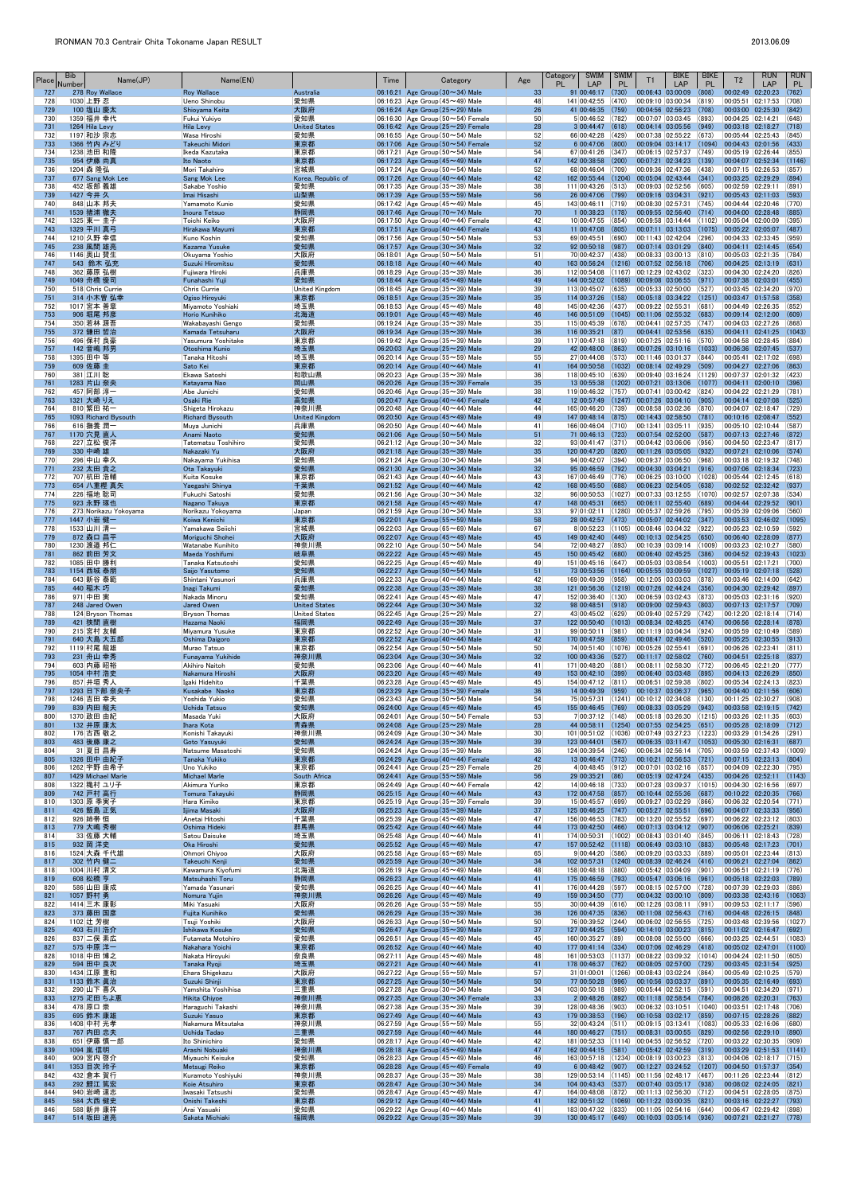| Place      | Bib<br>Number | Name(JP)                           | Name(EN)                                   |                               | Time | Category                                                                               | Age                   | <b>SWIM</b><br>Category<br><b>PL</b><br>LAP                         | <b>SWIM</b><br><b>PL</b> | T1                                                                                                                      | <b>BIKE</b><br>LAP | <b>BIKE</b><br><b>PL</b> | T <sub>2</sub>                          | <b>RUN</b><br>LAP                                              | <b>RUN</b><br><b>PL</b> |
|------------|---------------|------------------------------------|--------------------------------------------|-------------------------------|------|----------------------------------------------------------------------------------------|-----------------------|---------------------------------------------------------------------|--------------------------|-------------------------------------------------------------------------------------------------------------------------|--------------------|--------------------------|-----------------------------------------|----------------------------------------------------------------|-------------------------|
| 727<br>728 | 1030 上野 忍     | 278 Roy Wallace                    | <b>Roy Wallace</b><br>Ueno Shinobu         | Australia<br>愛知県              |      | 06:16:21 Age Group $(30 \sim 34)$ Male<br>06:16:23 Age Group (45 $\sim$ 49) Male       | 33<br>48              | 91 00:46:17<br>141 00:42:55                                         | (730)<br>(470)           | 00:06:43 03:00:09<br>00:09:10 03:00:34                                                                                  |                    | (808)<br> (819)          | 00:02:49 02:20:23<br>00:05:51 02:17:53  |                                                                | (762)<br>(708)          |
| 729        |               | 100 塩山 慶太                          | Shioyama Keita                             | 大阪府                           |      | 06:16:24 Age Group $(25 \sim 29)$ Male                                                 | 26                    | 41 00:46:35                                                         | (759)                    | 00:04:56 02:56:23 (708)                                                                                                 |                    |                          | 00:03:00 02:25:30                       |                                                                | (842)                   |
| 730<br>731 |               | 1359 福井 幸代<br>1264 Hila Levy       | Fukui Yukiyo<br><b>Hila Levy</b>           | 愛知県<br><b>United States</b>   |      | 06:16:30 Age Group ( $50 \sim 54$ ) Female<br>06:16:42 Age Group $(25 \sim 29)$ Female | 50<br>28              | 5 00:46:52 (782)<br>$3 00:44:47 $ (618)                             |                          | $ 00:07:07 03:03:45 $ (893)<br>$ 00:04:14 03:05:56 $ (949)                                                              |                    |                          | 00:04:25 02:14:21<br>00:03:18 02:18:27  |                                                                | (648)<br>(718)          |
| 732<br>733 |               | 1197 和沙 宗志<br>1366 竹内 みどり          | Wasa Hiroshi<br>Takeuchi Midori            | 愛知県<br>東京都                    |      | 06:16:55 Age Group (50 $\sim$ 54) Male<br>06:17:06 Age Group $(50 \sim 54)$ Female     | 52<br>52              | 66 00:42:28<br>6 00:47:06                                           | (429)<br>(800)           | $00:07:38$ 02:55:22 (673)<br>00:09:04 03:14:17 (1094)                                                                   |                    |                          | 00:05:44 02:25:43<br>00:04:43 02:01:56  |                                                                | (845)<br>(433)          |
| 734        |               | 1238 池田 和隆                         | Ikeda Kazutaka                             | 東京都                           |      | 06:17:21 Age Group ( $50 \sim 54$ ) Male                                               | 54                    | 67 00:41:26                                                         | (347)                    | 00:06:15 02:57:37 (749)                                                                                                 |                    |                          | 00:05:19 02:26:44                       |                                                                | (855)                   |
| 735<br>736 | 1204 森 隆弘     | 954 伊藤 尚真                          | Ito Naoto<br>Mori Takahiro                 | 東京都<br>宮城県                    |      | 06:17:23 Age Group $(45 \sim 49)$ Male<br>06:17:24 Age Group (50 $\sim$ 54) Male       | 47<br>52              | 142 00:38:58<br>68 00:46:04                                         | (200)<br>(709)           | 00:07:21 02:34:23<br> 00:09:36 02:47:36 (438)                                                                           |                    | (139)                    | 00:04:07 02:52:34<br>00:07:15 02:26:53  |                                                                | (1146)<br>(857)         |
| 737        |               | 677 Sang Mok Lee                   | Sang Mok Lee                               | Korea, Republic of            |      | 06:17:26 Age Group (40~44) Male                                                        | 42                    | 162 00:55:44 (1204)                                                 |                          | $[00:05:04] 02:43:44$ (341)                                                                                             |                    |                          | 00:03:25 02:29:29                       |                                                                | (894)                   |
| 738<br>739 | 1427 今井 久     | 452 坂部 義雄                          | Sakabe Yoshio<br>Imai Hisashi              | 愛知県<br>山梨県                    |      | 06:17:35 Age Group $(35 \sim 39)$ Male<br>06:17:39 Age Group ( $55 \sim 59$ ) Male     | 38<br>56              | $111 00:43:26$ (513)<br>26 00:47:06 (799)                           |                          | 00:09:03 02:52:56<br>00:09:16 03:04:31                                                                                  |                    | (605)<br>(921)           | 00:02:59 02:29:11<br>00:05:43 02:11:03  |                                                                | (891)<br>(593)          |
| 740<br>741 |               | 848 山本 邦夫                          | Yamamoto Kunio                             | 愛知県                           |      | 06:17:42 Age Group $(45 \sim 49)$ Male                                                 | 45<br>70              | 143 00:46:11 (719)                                                  |                          | 00:08:30 02:57:31                                                                                                       |                    | (745)                    | 00:04:44 02:20:46                       |                                                                | (770)<br>(885)          |
| 742        |               | 1539 猪浦 徹夫<br>1325 東一 圭子           | Inoura Tetsuo<br>Toichi Keiko              | 静岡県<br> 大阪府                   |      | 06:17:46 Age Group $(70 \sim 74)$ Male<br>06:17:50 Age Group $(40 \sim 44)$ Female     | 42                    | $1 00:38:23$ (178)<br>10 00:47:55                                   | (854)                    | 00:09:55 02:56:40 (714) <br> 00:09:58 03:14:44 (1102)                                                                   |                    |                          | 00:04:00 02:28:48<br>00:05:04 02:00:09  |                                                                | (395)                   |
| 743<br>744 |               | 1329 平川 真弓<br>1210 久野 幸信           | Hirakawa Mayumi<br>Kuno Koshin             | 東京都<br>愛知県                    |      | 06:17:51 Age Group (40~44) Female<br>$ 06:17:56 $ Age Group (50 $\sim$ 54) Male        | 43<br>53              | 11 00:47:08<br>69 00:45:51 (690)                                    | (805)                    | $[00:07:11 \mid 03:13:03 \mid (1075)]$<br> 00:11:43 02:42:04 (296)                                                      |                    |                          | 00:05:22 02:05:07<br>00:04:33 02:33:45  |                                                                | (487)<br>(959)          |
| 745        |               | 238 風間 雄亮                          | Kazama Yusuke                              | 愛知県                           |      | 06:17:57 Age Group $(30 \sim 34)$ Male                                                 | 32                    | 92 00:50:18                                                         | (987)                    | $ 00:07:14$ $ 03:01:29$ (840)                                                                                           |                    |                          | 00:04:11 02:14:45                       |                                                                | (654)                   |
| 746<br>747 |               | 1146 奥山 賛生<br>543 鈴木 弘充            | Okuyama Yoshio<br>Suzuki Hiromitsu         | 大阪府<br>愛知県                    |      | 06:18:01 Age Group (50 $\sim$ 54) Male<br>06:18:18 Age Group $(40 \sim 44)$ Male       | 51<br>40              | 70 00:42:37<br>163 00:56:24 (1216)                                  | (438)                    | 00:08:33 03:00:13 (810)<br>$ 00:07:52 02:56:18$ (706)                                                                   |                    |                          | 00:05:03 02:21:35<br>00:04:25 02:13:19  |                                                                | (784)<br>(631)          |
| 748        |               | 362   藤原 弘樹<br>1049 舟橋 優司          | Fujiwara Hiroki                            | 兵庫県<br>愛知県                    |      | 06:18:29 Age Group (35 $\sim$ 39) Male                                                 | 36<br>49              | 112 00:54:08<br>144 00:52:02 (1089)                                 |                          | $(1167)$ 00:12:29 02:43:02 (323)<br>$[00:09:08 \ 03:06:55 \ (971)]$                                                     |                    |                          | 00:04:30 02:24:20                       |                                                                | (826)<br>(455)          |
| 749<br>750 |               | 518 Chris Currie                   | Funahashi Yuji<br>Chris Currie             | <b>United Kingdom</b>         |      | 06:18:44 Age Group $(45 \sim 49)$ Male<br>06:18:45 Age Group (35 $\sim$ 39) Male       | 39                    | 113 00:45:07                                                        | (635)                    | 00:05:33 02:50:00 (527)                                                                                                 |                    |                          | 00:07:38 02:03:01<br>00:03:45 02:34:20  |                                                                | (970)                   |
| 751<br>752 |               | 314 小木曽 弘幸<br>1017 宮本 善章           | Ogiso Hiroyuki<br>Miyamoto Yoshiaki        | 東京都<br>埼玉県                    |      | 06:18:51 Age Group $(35 \sim 39)$ Male<br>06:18:53 Age Group $(45 \sim 49)$ Male       | 35<br>48              | 114 00:37:26 (158)<br>145 00:42:36                                  | (437)                    | $ 00:05:18$ $ 03:34:22$ (1251)<br>00:09:22 02:55:31                                                                     |                    | (681)                    | 00:04:49 02:26:35                       | 00:03:47 01:57:58                                              | (358)<br>(852)          |
| 753        |               | 906 堀尾 邦彦                          | Horio Kunihiko                             | 北海道                           |      | 06:19:01 Age Group $(45 \sim 49)$ Male                                                 | 46                    | 146 00:51:09 (1045)                                                 |                          | 00:11:06 02:55:32 (683)                                                                                                 |                    |                          | 00:09:14 02:12:00                       |                                                                | (609)                   |
| 754<br>755 |               | 350 若林 源吾<br>372 鎌田 哲治             | Wakabayashi Gengo<br>Kamada Tetsuharu      | 愛知県<br>大阪府                    |      | 06:19:24 Age Group $(35 \sim 39)$ Male<br>06:19:34 Age Group $(35 \sim 39)$ Male       | 35<br>36              | 115 00:45:39<br>116 00:35:21                                        | (678)<br>(87)            | 00:04:41 02:57:35 (747)<br>$00:04:41$ 02:53:56 (635)                                                                    |                    |                          | 00:04:03 02:27:26<br>00:04:11 02:41:25  |                                                                | (868)<br>(1043)         |
| 756<br>757 |               | 496 保村 良豪<br>142 音嶋 邦男             | Yasumura Yoshitake<br>Otoshima Kunio       | 東京都<br>埼玉県                    |      | 06:19:42 Age Group $(35 \sim 39)$ Male<br>06:20:03 Age Group $(25 \sim 29)$ Male       | 39<br>29              | 117 00:47:18<br>42 00:48:00                                         | (819)<br>(863)           | 00:07:25 02:51:16 (570)<br> 00:07:26 03:10:16 (1033)                                                                    |                    |                          | 00:04:58 02:28:45<br> 00:06:36 02:07:45 |                                                                | (884)<br>(537)          |
| 758        | 1395 田中 等     |                                    | Tanaka Hitoshi                             | 埼玉県                           |      | 06:20:14 Age Group ( $55 \sim 59$ ) Male                                               | 55                    | 27 00:44:08                                                         | (573)                    | 00:11:46 03:01:37 (844)                                                                                                 |                    |                          |                                         | 00:05:41 02:17:02                                              | (698)                   |
| 759<br>760 |               | 609 佐藤 圭<br>381 江川 聡               | Sato Kei<br>Ekawa Satoshi                  | 東京都<br> 和歌山県                  |      | 06:20:14 Age Group $(40 \sim 44)$ Male<br>06:20:23 Age Group $(35 \sim 39)$ Male       | 41<br>36              | 164 00:50:58<br>118 00:45:10                                        | (1032)<br>(639)          | 00:08:14 02:49:29<br> 00:09:40 03:16:24 (1129)                                                                          |                    | (509)                    | 00:04:27 02:27:06                       | 00:07:37 02:01:32                                              | (863)<br>(423)          |
| 761        |               | 1283 片山 奈央                         | Katayama Nao                               | 岡山県                           |      | 06:20:26 Age Group $(35 \sim 39)$ Female                                               | 35                    | 13 00:55:38                                                         | (1202)                   | 00:07:21 03:13:06                                                                                                       |                    | (1077)                   |                                         | 00:04:11 02:00:10                                              | (396)                   |
| 762<br>763 |               | 457 阿部 淳一<br>1321 大崎 りえ            | Abe Junichi<br>Osaki Rie                   | 愛知県<br>高知県                    |      | 06:20:46 Age Group $(35 \sim 39)$ Male<br>06:20:47 Age Group $(40 \sim 44)$ Female     | 38<br>42              | 119 00:46:32<br>12 00:57:49 (1247) 00:07:26 03:04:10 (905)          | (757)                    | 00:07:41 03:00:42 (824)                                                                                                 |                    |                          | 00:04:22 02:21:29<br>00:04:14 02:07:08  |                                                                | (781)<br>(525)          |
| 764<br>765 |               | 810 繁田 祐一<br>1093 Richard Bysouth  | Shigeta Hirokazu<br><b>Richard Bysouth</b> | 神奈川県<br><b>United Kingdom</b> |      | 06:20:48 Age Group (40 $\sim$ 44) Male<br>06:20:50 Age Group $(45 \sim 49)$ Male       | 44<br>49              | 165 00:46:20 (739)<br>147 00:48:14 (875)                            |                          | $ 00:08:58 03:02:36 $ (870)<br>$ 00:14:43 02:58:50 $ (781)                                                              |                    |                          | 00:04:07 02:18:47<br>00:10:16 02:08:47  |                                                                | (729)<br>(552)          |
| 766        |               | 616 撫養 潤一                          | Muya Junichi                               | 兵庫県                           |      | 06:20:50 Age Group $(40 \sim 44)$ Male                                                 | 41                    | 166 00:46:04 (710)                                                  |                          | 00:13:41 03:05:11                                                                                                       |                    | (935)                    | 00:05:10 02:10:44                       |                                                                | (587)                   |
| 767<br>768 |               | 1170 穴見 直人<br>227 立松 俊洋            | Anami Naoto<br>Tatematsu Toshihiro         | 愛知県<br>愛知県                    |      | 06:21:06 Age Group $(50 \sim 54)$ Male<br>06:21:12 Age Group (30 $\sim$ 34) Male       | 51<br>32              | 71 00:46:13 (723)<br>93 00:41:47 (371)                              |                          | $ 00:07:54 02:52:00 $ (587)<br> 00:04:42 03:06:06 (956)                                                                 |                    |                          | 00:07:13 02:27:46<br>00:04:50 02:23:47  |                                                                | (872)<br>(817)          |
| 769        | 330 中崎 雄      |                                    | Nakazaki Yu                                | 大阪府                           |      | 06:21:18 Age Group $(35 \sim 39)$ Male                                                 | 35                    | 120 00:47:20 (820)                                                  |                          | $ 00:11:26$ 03:05:05 (932)                                                                                              |                    |                          | 00:07:21 02:10:06                       |                                                                | (574)                   |
| 770<br>771 |               | 296 中山 幸久<br>232 太田 貴之             | Nakayama Yukihisa<br>Ota Takayuki          | 愛知県<br>愛知県                    |      | 06:21:24 Age Group (30 $\sim$ 34) Male<br>06:21:30 Age Group $(30 \sim 34)$ Male       | 34<br>32              | 94 00:42:07<br>95 00:46:59                                          | (394)<br>(792)           | $00:09:37$ 03:06:50 (968)<br>00:04:30 03:04:21                                                                          |                    | (916)                    | 00:03:18 02:19:32<br>00:07:06 02:18:34  |                                                                | (748)<br>(723)          |
| 772<br>773 |               | 707 杭田 浩輔<br>654 八重樫 真矢            | Kuita Kosuke<br>Yaegashi Shinya            | 東京都<br>千葉県                    |      | 06:21:43 Age Group (40 $\sim$ 44) Male<br>06:21:52 Age Group $(40 \sim 44)$ Male       | 43<br>42              | 167 00:46:49<br>168 00:45:50                                        | (776)<br>(688)           | 00:06:25 03:10:00<br>00:06:23 02:54:05                                                                                  |                    | (1028)<br>(638)          | 00:05:44 02:12:45<br>00:02:52 02:32:42  |                                                                | (618)<br>(937)          |
| 774        |               | 226 福地 聡司                          | Fukuchi Satoshi                            | 愛知県                           |      | $06:21:56$ Age Group (30 $\sim$ 34) Male                                               | 32                    | 96 00:50:53                                                         | (1027)                   | 00:07:33 03:12:55 (1070)                                                                                                |                    |                          | 00:02:57 02:07:38                       |                                                                | (534)                   |
| 775<br>776 |               | 923 永野 琢也<br>273 Norikazu Yokoyama | Nagano Takuya<br>Norikazu Yokoyama         | 東京都<br>Japan                  |      | 06:21:58 Age Group $(45 \sim 49)$ Male<br>06:21:59 Age Group (30 $\sim$ 34) Male       | 47<br>33              | 148 00:45:31<br>$97 01:02:11$ (1280)                                | (665)                    | $ 00:06:11 02:55:40 $ (689)<br> 00:05:37 02:59:26 (795)                                                                 |                    |                          | 00:05:39 02:09:06                       | 00:04:44 02:29:52                                              | (901)<br>(560)          |
| 777        |               | 1447 小岩健一                          | Koiwa Kenichi                              | 東京都                           |      | 06:22:01 Age Group $(55 \sim 59)$ Male                                                 | 58                    | $28$ 00:42:57 (473)                                                 |                          | 00:05:07 02:44:02 (347)                                                                                                 |                    |                          |                                         | $ 00:03:53 \t02:46:02 \t(1095)$                                |                         |
| 778<br>779 |               | 1533 山川 清一<br>872 森口 昌平            | Yamakawa Seiichi<br>Moriguchi Shohei       | 宮城県<br>大阪府                    |      | 06:22:03 Age Group ( $65 \sim 69$ ) Male<br>06:22:07 Age Group $(45 \sim 49)$ Male     | 67<br>45              | 8 00:52:23<br>149 00:42:40                                          | (1105)<br>(449)          | 00:08:46 03:04:32 (922)<br>$ 00:10:13 02:54:25 $ (650)                                                                  |                    |                          | 00:05:23 02:10:59<br>00:06:40 02:28:09  |                                                                | (592)<br>(877)          |
| 780<br>781 |               | 1230 渡邉 邦仁<br>862 前田 芳文            | Watanabe Kunihito<br>Maeda Yoshifumi       | 神奈川県<br>岐阜県                   |      | 06:22:10 Age Group (50 $\sim$ 54) Male<br>06:22:22 Age Group $(45 \sim 49)$ Male       | 54<br>45              | 72 00:48:27<br>150 00:45:42 (680)                                   | (893)                    | 00:10:39 03:09:14 (1009)<br>00:06:40 02:45:25                                                                           |                    | (386)                    | 00:03:23 02:10:27<br>00:04:52 02:39:43  |                                                                | (580)<br>(1023)         |
| 782        |               | 1085 田中 勝利                         | Tanaka Katsutoshi                          | 愛知県                           |      | 06:22:25 Age Group (45 $\sim$ 49) Male                                                 | 49                    | $151 00:45:16$ (647)                                                |                          | 00:05:03 03:08:54 (1003)                                                                                                |                    |                          | 00:05:51 02:17:21                       |                                                                | (700)                   |
| 783<br>784 |               | 1154 西城 泰朋<br>643 新谷 泰範            | Saijo Yasutomo<br>Shintani Yasunori        | 愛知県<br> 兵庫県                   |      | 06:22:27 Age Group $(50 \sim 54)$ Male<br>06:22:33 Age Group $(40 \sim 44)$ Male       | 51<br>42              | 73 00:53:56<br>169 00:49:39                                         | (1164)<br>(958)          | 00:05:55 03:09:59 (1027) <br> 00:12:05 03:03:03 (878)                                                                   |                    |                          | 00:05:19 02:07:18<br>00:03:46 02:14:00  |                                                                | (528)<br>(642)          |
| 785        | 440 稲木 巧      |                                    | Inagi Takumi                               | 愛知県                           |      | 06:22:38 Age Group $(35 \sim 39)$ Male                                                 | 38                    | 121 00:56:36                                                        | (1219)                   | $[00:07:26 \t 02:44:24 \t (356)]$                                                                                       |                    |                          |                                         | 00:04:30 02:29:42                                              | (897)                   |
| 786<br>787 | 971 中田 実      | 248 Jared Owen                     | Nakada Minoru<br><b>Jared Owen</b>         | 愛知県<br><b>United States</b>   |      | 06:22:41 Age Group (45 $\sim$ 49) Male<br>06:22:44 Age Group $(30 \sim 34)$ Male       | 47<br>32              | 152 00:36:40<br>98 00:48:51 (918)                                   | (130)                    | 00:06:59 03:02:43 (873)<br>$ 00:09:00 02:59:43$ (803)                                                                   |                    |                          | 00:05:03 02:31:16<br>00:07:13 02:17:57  |                                                                | (920)<br>(709)          |
| 788<br>789 |               | 124 Bryson Thomas<br>421 狭間 直樹     | <b>Bryson Thomas</b><br>Hazama Naoki       | <b>United States</b><br>福岡県   |      | 06:22:45 Age Group $(25 \sim 29)$ Male<br>06:22:49 Age Group $(35 \sim 39)$ Male       | 27<br>37              | 43 00:45:02 (629)<br>122 00:50:40 (1013) 00:08:34 02:48:25 (474)    |                          | 00:09:40 02:57:29 (742)                                                                                                 |                    |                          |                                         | 00:12:20 02:18:14<br>00:06:56 02:28:14                         | (714)<br>(878)          |
| 790        |               | 215 宮村 友輔                          | Miyamura Yusuke                            | 東京都                           |      | 06:22:52 Age Group $(30 \sim 34)$ Male                                                 | 31                    | 99 00:50:11                                                         | (981)                    | $ 00:11:19 03:04:34 024\rangle$                                                                                         |                    |                          | 00:05:59 02:10:49                       |                                                                | (589)                   |
| 791<br>792 |               | 640 大島 大五郎<br>1119 村尾 龍雄           | Oshima Daigoro<br>Murao Tatsuo             | 東京都<br> 東京都                   |      | 06:22:52 Age Group $(40 \sim 44)$ Male<br>06:22:54 Age Group (50 $\sim$ 54) Male       | 42<br>50              | 170 00:47:59<br>74 00:51:40                                         | (859)<br>(1076)          | 00:08:47 02:49:46 (520)<br>00:05:26 02:55:41                                                                            |                    | (691)                    | 00:06:26 02:23:41                       | 00:05:25 02:30:55                                              | (913)<br>(811)          |
| 793<br>794 |               | 231 舟山 幸秀<br>603 内藤 昭裕             | Funayama Yukihide<br>Akihiro Naitoh        | 神奈川県<br> 愛知県                  |      | 06:23:04 Age Group $(30 \sim 34)$ Male<br>06:23:06 Age Group $(40 \sim 44)$ Male       | 32<br>41              | 100 00:43:36 (527)<br>171 00:48:20 (881)                            |                          | 00:11:17 02:58:02 (760) <br> 00:08:11 02:58:30 (772)                                                                    |                    |                          |                                         | 00:04:51 02:25:18<br>00:06:45 02:21:20                         | (837)<br>(777)          |
| 795        |               | 1054 中村 浩史                         | Nakamura Hiroshi                           | 大阪府                           |      | 06:23:20 Age Group $(45 \sim 49)$ Male                                                 | 49                    | 153 00:42:10 (399)                                                  |                          | $ 00:06:40 \t03:03:48 \t(895)$                                                                                          |                    |                          | 00:04:13 02:26:29                       |                                                                | (850)                   |
| 796<br>797 |               | 857 井垣 秀人<br>1293 日下部 奈央子          | Igaki Hidehito<br>Kusakabe Naoko           | 千葉県<br>東京都                    |      | 06:23:28 Age Group $(45 \sim 49)$ Male<br>06:23:29 Age Group $(35 \sim 39)$ Female     | 45<br>36              | $154 00:47:12$ (811)<br>14 00:49:39                                 | (959)                    | $ 00:06:51 02:59:38 002\rangle$<br>$ 00:10:37 03:06:37 $ (965)                                                          |                    |                          | 00:04:40 02:11:56                       | 00:05:34 02:24:13                                              | (823)<br>(606)          |
| 798        |               | 1246 吉田 幸夫                         | Yoshida Yukio                              | 愛知県                           |      | 06:23:43 Age Group (50 $\sim$ 54) Male                                                 | 54                    | 75 00:57:31                                                         |                          | $\vert$ (1241) $\vert$ 00:10:12 02:34:08 $\vert$ (130)                                                                  |                    |                          | 00:11:25 02:30:27                       |                                                                | (908)                   |
| 799<br>800 |               | 839 内田 龍夫<br>1370 政田 由紀            | Uchida Tatsuo<br>Masada Yuki               | 愛知県<br> 大阪府                   |      | 06:24:00 Age Group $(45 \sim 49)$ Male<br>$06:24:01$ Age Group (50 $\sim$ 54) Female   | 45<br>53              | 155 00:46:45<br>7 00:37:12 (148)                                    | (769)                    | 00:08:33 03:05:29<br>$ 00:05:18 03:26:30 $ (1215) $ 00:03:26 02:11:35 $                                                 |                    | (943)                    | 00:03:58 02:19:15                       |                                                                | (742)<br>(603)          |
| 801<br>802 |               | 132 井原 康太<br>176 古西 敬之             | <b>Ihara Kota</b><br>Konishi Takayuki      | 青森県<br> 神奈川県                  |      | 06:24:08 Age Group $(25 \sim 29)$ Male<br>06:24:09 Age Group $(30 \sim 34)$ Male       | 28<br>30 <sup>°</sup> | 44 00:58:11 (1254) 00:07:55 02:54:25 (651)<br>101 00:51:02          | (1036)                   | 00:07:49 03:27:23 (1223)                                                                                                |                    |                          | 00:05:28 02:18:09<br> 00:03:29 01:54:26 |                                                                | (712)<br>(291)          |
| 803        |               | 483 後藤 康之                          | Goto Yasuyuki                              | 愛知県                           |      | 06:24:24 Age Group $(35 \sim 39)$ Male                                                 | 39                    | 123 00:44:01                                                        | (567)                    | 00:06:35 03:11:47 (1053)                                                                                                |                    |                          | 00:05:30 02:16:31                       |                                                                | (687)                   |
| 804<br>805 |               | 31 夏目 昌寿<br>1326 田中 由紀子            | Natsume Masatoshi<br>Tanaka Yukiko         | 愛知県<br>東京都                    |      | 06:24:24   Age Group (35 $\sim$ 39) Male<br>06:24:29 Age Group $(40 \sim 44)$ Female   | 36<br>42              | 124 00:39:54 (246)<br>13 00:46:47 (773)                             |                          | 00:06:34 02:56:14 (705)<br> 00:10:21 02:56:53 (721)                                                                     |                    |                          | 00:07:15 02:23:13                       | 00:03:59 02:37:43                                              | (1009)<br>(804)         |
| 806<br>807 |               | 1262 宇野 由希子<br>1429 Michael Marle  | Uno Yukiko<br><b>Michael Marle</b>         | 東京都<br>South Africa           |      | 06:24:41 Age Group $(25 \sim 29)$ Female<br>06:24:41 Age Group ( $55 \sim 59$ ) Male   | 26<br>56              | 4 00:48:45 (912)<br>29 00:35:21                                     | (86)                     | 00:07:01 03:02:16 (857)<br>$00:05:19$ $02:47:24$ (435)                                                                  |                    |                          | 00:04:09 02:22:30<br>00:04:26 02:52:11  |                                                                | (795)<br>(1143)         |
| 808        |               | 1322 穐村 그リ子                        | Akimura Yuriko                             | 東京都                           |      | 06:24:49 Age Group (40~44) Female                                                      | 42                    | 14 00:46:18 (733)                                                   |                          | 00:07:28 03:09:37 (1015)                                                                                                |                    |                          |                                         | 00:04:30 02:16:56                                              | (697)                   |
| 809<br>810 |               | 742 戸村 高行<br>1303 原 季実子            | Tomura Takayuki<br>Hara Kimiko             | 静岡県<br>東京都                    |      | 06:25:15 Age Group $(40 \sim 44)$ Male<br>06:25:19 Age Group (35~39) Female            | 43<br>39              | 172 00:47:58<br>15 00:45:57                                         | (857)<br>(699)           | 00:10:44 02:55:36<br>00:09:27 03:02:29                                                                                  |                    | (687)<br>(866)           | 00:10:22 02:20:35<br>00:06:32 02:20:54  |                                                                | (766)<br>(771)          |
| 811        |               | 426 飯島 正気                          | Iijima Masaki                              | 大阪府                           |      | 06:25:23 Age Group $(35 \sim 39)$ Male                                                 | 37<br>47              | 125 00:46:25                                                        | (747)                    | 00:05:27 02:55:51                                                                                                       |                    | (696)                    | 00:04:07 02:33:33                       |                                                                | (956)                   |
| 812<br>813 |               | 926   姉帯 恒<br>779 大嶋 秀樹            | Anetai Hitoshi<br>Oshima Hideki            | 千葉県<br>群馬県                    |      | 06:25:39 Age Group (45 $\sim$ 49) Male<br>06:25:42 Age Group $(40 \sim 44)$ Male       | 44                    | 156 00:46:53<br>173 00:42:50 (466)                                  | (783)                    | 00:13:20 02:55:52 (697)<br>$ 00:07:13 03:04:12 $ (907)                                                                  |                    |                          | 00:06:06 02:25:21                       | 00:06:22 02:23:12                                              | (803)<br>(839)          |
| 814<br>815 | 932 岡 洋史      | 33  佐藤 大輔                          | Satou Daisuke<br>Oka Hiroshi               | 埼玉県<br>愛知県                    |      | 06:25:48 Age Group (40 $\sim$ 44) Male<br>06:25:52 Age Group $(45 \sim 49)$ Male       | 41<br>47              | 174 00:50:31<br>157 00:52:42 (1118)                                 | (1002)                   | $ 00:08:43 03:01:40 $ (845)<br>$\begin{array}{ c c c c c c c c } \hline 00:06:49 & 03:03:10 & (883) \hline \end{array}$ |                    |                          | 00:06:11 02:18:43                       | 00:05:48 02:17:23                                              | (728)<br>(701)          |
| 816        |               | 1524 大森 千代雄                        | Ohmori Chiyoo                              | 大阪府                           |      | 06:25:58 Age Group (65 $\sim$ 69) Male                                                 | 65                    | 9 00:44:20                                                          | (586)                    | $ 00:09:20 03:03:33 $ (889)                                                                                             |                    |                          | 00:05:01 02:23:44                       |                                                                | (813)                   |
| 817<br>818 |               | 302 竹内 健二<br>1004 川村 清文            | Takeuchi Kenji<br>Kawamura Kiyofumi        | 愛知県<br>北海道                    |      | 06:25:59 Age Group $(30 \sim 34)$ Male<br>06:26:19 Age Group (45 $\sim$ 49) Male       | 34<br>48              | 102 00:57:31<br>158 00:48:18 (880)                                  | (1240)                   | $\begin{array}{ c c c c c c c c } \hline 00:08:39 & 02:46:24 & (416) \hline \end{array}$<br>$ 00:05:42 03:04:09 $ (901) |                    |                          | 00:06:21 02:27:04                       | 00:06:51 02:21:19                                              | (862)<br>(776)          |
| 819<br>820 | 608 松橋 亨      | 586 山田 康成                          | Matsuhashi Toru<br>Yamada Yasunari         | 静岡県<br>愛知県                    |      | 06:26:23 Age Group $(40 \sim 44)$ Male                                                 | 41<br>41              | 175 00:46:59 (793)<br>176 00:44:28                                  | (597)                    | $ 00:05:47 03:06:16 $ (961)                                                                                             |                    |                          |                                         | 00:05:18 02:22:03                                              | (789)<br>(886)          |
| 821        | 1057 野村 勇     |                                    | Nomura Yujin                               | 神奈川県                          |      | 06:26:25 Age Group $(40 \sim 44)$ Male<br>06:26:26 Age Group $(45 \sim 49)$ Male       | 49                    | 159 00:34:50 (77)                                                   |                          | $00:08:15$ 02:57:00 (728)<br>00:04:32 03:00:10 (809)                                                                    |                    |                          | 00:07:39 02:29:03<br>00:03:38 02:43:16  |                                                                | (1063)                  |
| 822<br>823 |               | 1414 三木 康彰<br>373 藤田 国彦            | Miki Yasuaki<br>Fujita Kunihiko            | 大阪府<br>愛知県                    |      | 06:26:26 Age Group (55 $\sim$ 59) Male<br>06:26:29 Age Group $(35 \sim 39)$ Male       | 55<br>36              | 30 00:44:39<br>126 00:47:35                                         | (616)<br>(836)           | 00:12:26 03:08:11<br>$ 00:11:08$ 02:56:43 (716)                                                                         |                    | (991)                    | 00:09:53 02:11:17<br>00:04:48 02:26:15  |                                                                | (596)<br>(848)          |
| 824        | 1102 辻 芳樹     |                                    | Tsuji Yoshiki                              | 大阪府                           |      | 06:26:33 Age Group ( $50 \sim 54$ ) Male                                               | 50                    | 76 00:39:52 (244)                                                   |                          | 00:06:02 02:56:55 (725)                                                                                                 |                    |                          | 00:03:48 02:39:56                       |                                                                | (1027)                  |
| 825<br>826 |               | 403 石川 浩介<br>837 二俣 素広             | Ishikawa Kosuke<br>Futamata Motohiro       | 愛知県<br>愛知県                    |      | 06:26:47 Age Group $(35 \sim 39)$ Male<br>06:26:51 Age Group (45 $\sim$ 49) Male       | 37<br>45              | 127 00:44:25 (594)<br>160 00:35:27                                  | (89)                     | $ 00:14:10$ 03:00:23 (815)<br>$00:08:08$ 02:55:00 (666)                                                                 |                    |                          | 00:11:02 02:16:47<br>00:03:25 02:44:51  |                                                                | (692)<br>(1083)         |
| 827<br>828 |               | 575 中原 洋一<br>1018 中田 博之            | Nakahara Yoichi<br>Nakata Hiroyuki         | 東京都<br> 奈良県                   |      | 06:26:52 Age Group $(40 \sim 44)$ Male<br>$06:27:11$ Age Group (45 $\sim$ 49) Male     | 40<br>48              | 177 00:41:14 (334)<br>161 00:53:03                                  | (1137)                   | $00:07:06$ 02:46:29 (418)<br>00:08:22 03:09:32                                                                          |                    | (1014)                   | 00:05:02 02:47:01<br>00:04:24 02:11:50  |                                                                | (1100)<br>(605)         |
| 829        |               | 594 田中 良次                          | Tanaka Ryoji                               | 埼玉県                           |      | 06:27:21 Age Group $(40 \sim 44)$ Male                                                 | 41                    | 178 00:46:37 (762)                                                  |                          | $ 00:08:05 02:57:00 $ (729)                                                                                             |                    |                          |                                         | $ 00:03:45 \t  02:31:54 \t (925)$                              |                         |
| 830<br>831 |               | 1434 江原 重和<br>1133 鈴木 眞治           | Ehara Shigekazu<br>Suzuki Shinji           | 大阪府<br>東京都                    |      | 06:27:22 Age Group (55 $\sim$ 59) Male<br>06:27:25 Age Group $(50 \sim 54)$ Male       | 57<br>50              | 31 01:00:01 (1266) 00:08:43 03:02:24 (864)<br>77 00:50:28 (996)     |                          | $ 00:10:56 \t03:03:37 \t(891)$                                                                                          |                    |                          |                                         | 00:05:49 02:10:25 (579)<br> 00:05:35 02:16:49 (693)            |                         |
| 832        |               | 290 山下 喜久                          | Yamshita Yoshihisa                         | 三重県                           |      | 06:27:28 Age Group $(30 \sim 34)$ Male                                                 | 34                    | $103 00:50:18$ (989)                                                |                          | 00:05:44 02:52:15 (591)                                                                                                 |                    |                          |                                         | $ 00:04:51 02:34:20 071\rangle$                                |                         |
| 833<br>834 |               | 1275 疋田 ちよ恵<br>478 原口 崇            | <b>Hikita Chiyoe</b><br>Haraguchi Takashi  | 神奈川県<br> 神奈川県                 |      | 06:27:35 Age Group $(30 \sim 34)$ Female<br>06:27:38 Age Group (35 $\sim$ 39) Male     | 33 <sup>°</sup><br>39 | 2 00:48:26 (892)<br>128 00:48:36 (903)                              |                          | $[00:11:18 \mid 02:58:54 \mid (784)]$<br>$ 00:06:32 03:10:51 $ (1040) $ 00:03:51 02:17:48 $ (706)                       |                    |                          |                                         | 00:08:26 02:20:31                                              | (763)                   |
| 835<br>836 |               | 695 鈴木 康雄<br>1408 中村 光孝            | Suzuki Yasuo<br>Nakamura Mitsutaka         | 東京都<br> 神奈川県                  |      | 06:27:49 Age Group $(40 \sim 44)$ Male<br>06:27:59 Age Group (55 $\sim$ 59) Male       | 43<br>55              | 179 00:38:53 (196)<br>32 00:43:24  (511)                            |                          | $ 00:10:58 \t03:02:17 \t(859) $<br> 00:09:15 03:13:41 (1083)                                                            |                    |                          |                                         | $ 00:07:15$ 02:28:26 (882)<br> 00:05:33 02:16:06               | (680)                   |
| 837        |               | 767 内田 忠夫                          | Uchida Tadao                               | 三重県                           |      | 06:27:59 Age Group $(40 \sim 44)$ Male                                                 | 44                    | 180 00:46:27 (751)                                                  |                          | $ 00:08:31 03:00:55 $ (829)                                                                                             |                    |                          |                                         | $ 00:02:56 02:29:10 $ (890)                                    |                         |
| 838<br>839 | 1094 嵐 信明     | 651 伊藤 慎一郎                         | Ito Shinichiro<br>Arashi Nobuaki           | 愛知県<br>神奈川県                   |      | 06:28:17 Age Group (40~44) Male<br>06:28:18 Age Group $(45 \sim 49)$ Male              | 42<br>47              | 181 00:52:33 (1114) 00:04:55 02:56:52 (720)<br>$162$ 00:44:15 (581) |                          | $ 00:05:42 02:42:59 $ (319)                                                                                             |                    |                          |                                         | $ 00:03:22 02:30:35 $ (909)<br>$ 00:03:29 \t02:51:53 \t(1141)$ |                         |
| 840        |               | 909 宮内 啓介                          | Miyauchi Keisuke                           | 愛知県                           |      | 06:28:23 Age Group (45 $\sim$ 49) Male                                                 | 46                    | 163 00:57:18 (1234) 00:08:19 03:00:23 (813)                         |                          |                                                                                                                         |                    |                          |                                         | $ 00:04:06$ $ 02:18:17$ $ (715)$                               |                         |
| 841<br>842 |               | 1353 目次 玲子<br>432 倉本 賀行            | Metsugi Reiko<br>Kuramoto Yoshiyuki        | 東京都<br> 神奈川県                  |      | 06:28:28 Age Group $(45 \sim 49)$ Female<br>06:28:37 Age Group ( $35 \sim 39$ ) Male   | 49<br>38              | $6 00:48:42 $ (907)<br>129 00:53:14 (1145) 00:11:56 02:48:17 (467)  |                          | 00:12:27 03:24:52 (1207)                                                                                                |                    |                          |                                         | $ 00:04:50 \t01:57:37 \t(354) $<br>$00:11:26$ 02:23:44 (812)   |                         |
| 843<br>844 |               | 292 鯉江 篤宏<br>940 岩崎 達志             | Koie Atsuhiro<br>Iwasaki Tatsushi          | 東京都<br> 愛知県                   |      | 06:28:47 Age Group $(30 \sim 34)$ Male<br>06:28:47 Age Group (45 $\sim$ 49) Male       | 34<br>47              | 104 00:43:43 (537)<br>164 00:48:08 (872)                            |                          | $ 00:07:40 03:05:17 $ (938)<br> 00:11:13 02:56:30 (712)                                                                 |                    |                          |                                         | $ 00:08:02 02:24:05 $ (821)<br>$ 00:04:51 02:28:05 $ (875)     |                         |
| 845        |               | 584 大西 健史                          | Onishi Takeshi                             | 東京都                           |      | 06:29:12 Age Group $(40 \sim 44)$ Male                                                 | 41                    | 182 00:51:32 (1069) 00:11:22 03:00:35 (821)                         |                          |                                                                                                                         |                    |                          |                                         | $ 00:03:16$ $ 02:22:27$ (793)                                  |                         |
| 846<br>847 |               | 588 新井 康祥<br>514 坂田 道亮             | Arai Yasuaki<br>Sakata Michiaki            | 愛知県<br>福岡県                    |      | 06:29:22 Age Group $(40 \sim 44)$ Male<br>06:29:22 Age Group $(35 \sim 39)$ Male       | 41<br>39              | 183 00:47:32 (833)<br>$130\ 00:45:17\ (649)$                        |                          | $ 00:11:05 02:54:16 044\rangle$<br>$ 00:10:03 03:05:14 $ (936)                                                          |                    |                          |                                         | 00:06:47 02:29:42 (898) <br> 00:07:21 02:21:27 (778)           |                         |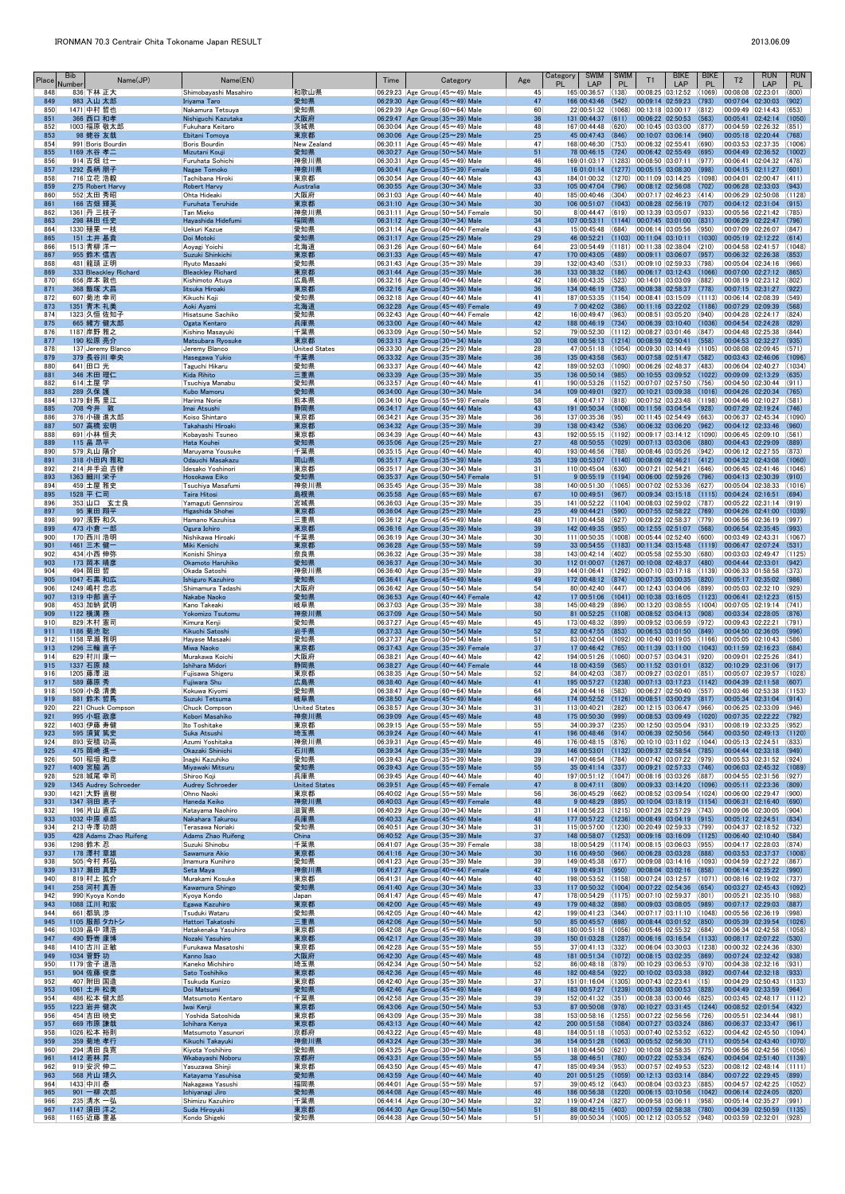| Place      | <b>Bib</b><br>Name(JP)<br>Number    | Name(EN)                                    |                             | Time | Category                                                                                 | Age                   | <b>SWIM</b><br>Category<br>PL<br>LAP                         | <b>SWIM</b><br><b>PL</b> | T1                                              | <b>BIKE</b><br><b>BIKE</b><br>LAP<br><b>PL</b>                                                                | T <sub>2</sub>                               | <b>RUN</b><br>LAP                                                | <b>RUN</b><br>PL. |
|------------|-------------------------------------|---------------------------------------------|-----------------------------|------|------------------------------------------------------------------------------------------|-----------------------|--------------------------------------------------------------|--------------------------|-------------------------------------------------|---------------------------------------------------------------------------------------------------------------|----------------------------------------------|------------------------------------------------------------------|-------------------|
| 848<br>849 | 836 下林 正大<br>983 入山 太郎              | Shimobayashi Masahiro<br>Iriyama Taro       | 和歌山県<br>愛知県                 |      | 06:29:23 Age Group $(45 \sim 49)$ Male<br>06:29:30 Age Group $(45 \sim 49)$ Male         | 45<br>47              | 165 00:36:57<br>166 00:43:46                                 | (138)<br>(542)           | 00:09:14 02:59:23                               | 00:08:25 03:12:52 (1069)<br>(793)                                                                             | $ 00:08:08$ $ 02:23:01$<br>00:07:04 02:30:03 |                                                                  | (800)<br>(902)    |
| 850        | 1471 中村 哲也                          | Nakamura Tetsuya                            | 愛知県                         |      | 06:29:39 Age Group ( $60 \sim 64$ ) Male                                                 | 60                    | 22 00:51:32                                                  | (1068)                   | 00:13:18 03:00:17                               | (812)                                                                                                         | 00:09:49 02:14:43                            |                                                                  | (653)             |
| 851<br>852 | 366 西口 和孝<br>1003 福原 敬太郎            | Nishiguchi Kazutaka<br>Fukuhara Keitaro     | 大阪府<br>茨城県                  |      | 06:29:47 Age Group $(35 \sim 39)$ Male<br>06:30:04 Age Group (45 $\sim$ 49) Male         | 36<br>48              | 131 00:44:37<br>167 00:44:48                                 | (611)<br>(620)           |                                                 | 00:06:22 02:50:53 (563)<br> 00:10:45 03:03:00 (877)                                                           |                                              | 00:05:41 02:42:14<br>00:04:59 02:26:32                           | (1050)<br>(851)   |
| 853<br>854 | 98 蛯谷 友哉<br>991 Boris Bourdin       | Ebitani Tomoya<br>Boris Bourdin             | 東京都<br>New Zealand          |      | 06:30:06 Age Group $(25 \sim 29)$ Male<br>06:30:11 Age Group (45 $\sim$ 49) Male         | 25<br>47              | 45 00:47:43 (846)<br>168 00:46:30                            | (753)                    | 00:06:32 02:55:41                               | 00:10:07 03:06:14 (960)<br>(690)                                                                              |                                              | 00:05:18 02:20:44<br>00:03:53 02:37:35                           | (768)<br>(1006)   |
| 855        | 1169 水谷 孝二                          | Mizutani Kouji                              | 愛知県                         |      | 06:30:27 Age Group $(50 \sim 54)$ Male                                                   | 51                    | 78 00:46:15 (724)                                            |                          |                                                 | $ 00:06:42 02:55:49 $ (695)                                                                                   |                                              | 00:04:49 02:36:52                                                | (1002)            |
| 856<br>857 | 914 古畑 壮一<br>1292 長柄 朋子             | Furuhata Sohichi<br>Nagae Tomoko            | 神奈川県<br>神奈川県                |      | 06:30:31 Age Group (45 $\sim$ 49) Male<br>06:30:41 Age Group $(35 \sim 39)$ Female       | 46<br>36              | 169 01:03:17<br>16 01:01:14 (1277) 00:05:15 03:08:30         | (1283)                   | 00:08:50 03:07:11                               | (977)<br>(998)                                                                                                | 00:04:15 02:11:27                            | 00:06:41 02:04:32                                                | (478)<br>(601)    |
| 858        | 716 立花 浩毅                           | Tachibana Hiroki                            | 東京都                         |      | 06:30:54 Age Group (40 $\sim$ 44) Male                                                   | 43                    |                                                              |                          |                                                 | 184 01:00:32 (1270) 00:11:09 03:14:25 (1098)                                                                  | 00:04:01 02:00:47                            |                                                                  | (411)             |
| 859<br>860 | 275 Robert Harvy<br>552 太田 秀昭       | <b>Robert Harvy</b><br>Ohta Hideaki         | Australia<br>大阪府            |      | 06:30:55 Age Group $(30 \sim 34)$ Male<br>06:31:03 Age Group (40 $\sim$ 44) Male         | 33<br>40              | 105 00:47:04<br>185 00:40:46                                 | (796)<br>(304)           |                                                 | 00:08:12 02:56:08 (702) <br> 00:07:17 02:46:23 (414)                                                          |                                              | 00:06:28 02:33:03<br>00:06:29 02:50:08                           | (943)<br>(1128)   |
| 861<br>862 | 166 古畑 輝英<br>1361 丹 三枝子             | <b>Furuhata Teruhide</b><br>Tan Mieko       | 東京都<br>神奈川県                 |      | 06:31:10 Age Group $(30 \sim 34)$ Male<br>$06:31:11$ Age Group (50 $\sim$ 54) Female     | 30 <sup>°</sup><br>50 | 106 00:51:07<br>8 00:44:47                                   | (1043)<br>(619)          | 00:13:39 03:05:07                               | $ 00:08:28 02:56:19$ (707)<br>(933)                                                                           |                                              | 00:04:12 02:31:04<br>00:05:56 02:21:42                           | (915)<br>(785)    |
| 863        | 298 林田 任史                           | Hayashida Hidefumi                          | 福岡県                         |      | 06:31:12 Age Group $(30 \sim 34)$ Male                                                   | 34                    | 107 00:53:11                                                 |                          | $(1144)$ 00:07:45 03:01:00                      | (831)                                                                                                         | 00:06:29 02:22:47                            |                                                                  | (796)             |
| 864<br>865 | 1330 殖栗 一枝<br>151 土井 基貴             | Uekuri Kazue<br>Doi Motoki                  | 愛知県<br>愛知県                  |      | $ 06:31:14 $ Age Group (40 $\sim$ 44) Female<br>06:31:17 Age Group $(25 \sim 29)$ Male   | 43<br>29              | 15 00:45:48                                                  | (684)                    |                                                 | $ 00:06:14 03:05:56 050\rangle$<br>46 00:52:21 (1103) 00:11:04 03:10:11 (1030)                                | 00:07:09 02:26:07<br>00:05:19 02:12:22       |                                                                  | (847)<br>(614)    |
| 866        | 1513 青柳 洋一                          | Aoyagi Yoichi                               | 北海道                         |      | 06:31:26 Age Group ( $60 \sim 64$ ) Male                                                 | 64                    | 23 00:54:49                                                  |                          | $(1181)$ 00:11:38 02:38:04                      | (210)                                                                                                         |                                              | 00:04:58 02:41:57                                                | (1048)            |
| 867<br>868 | 955 鈴木 信吉<br>481 龍頭 正明              | Suzuki Shinkichi<br>Ryuto Masaaki           | 東京都<br>愛知県                  |      | 06:31:33 Age Group $(45 \sim 49)$ Male<br>$ 06:31:43 $ Age Group (35 $\sim$ 39) Male     | 47<br>39              | 170 00:43:05<br>132 00:43:40 (531)                           | (489)                    | 00:09:11 03:06:07<br>00:09:10 02:59:33          | (957)<br>(798)                                                                                                |                                              | 00:06:32 02:26:38<br>00:05:04 02:34:16                           | (853)<br>(966)    |
| 869<br>870 | 333 Bleackley Richard<br>656 岸本 敦也  | <b>Bleackley Richard</b><br>Kishimoto Atuya | 東京都<br>広島県                  |      | 06:31:44 Age Group $(35 \sim 39)$ Male<br>06:32:16 Age Group (40~44) Male                | 36<br>42              | 133 00:38:32<br>186 00:43:35                                 | (186)<br>(523)           | 00:14:01 03:03:09                               | $00:06:17$ 03:12:43 (1066)<br>(882)                                                                           | 00:07:00 02:27:12                            | 00:08:19 02:23:12                                                | (865)<br>(802)    |
| 871        | 368 飯塚 大昌                           | Iitsuka Hiroaki                             | 東京都                         |      | 06:32:16 Age Group ( $35 \sim 39$ ) Male                                                 | 36                    | 134 00:46:19 (736)                                           |                          |                                                 | $ 00:08:38 \t02:58:37 \t(778) $                                                                               | 00:07:15 02:31:27                            |                                                                  | (922)             |
| 872<br>873 | 607   菊池 幸司<br>1351 青木 礼美           | Kikuchi Koji<br>Aoki Ayami                  | 愛知県<br>北海道                  |      | $ 06:32:18 $ Age Group (40 $\sim$ 44) Male<br>06:32:28 Age Group $(45 \sim 49)$ Female   | 41<br>49              | 187 00:53:35 (1154)<br>7 00:42:02                            | (386)                    |                                                 | 00:08:41 03:15:09 (1113)<br>$00:11:16$ 03:22:02 (1186)                                                        | 00:06:14 02:08:39                            | 00:07:29 02:09:39                                                | (549)<br>(568)    |
| 874        | 1323 久恒 佐知子                         | Hisatsune Sachiko                           | 愛知県                         |      | 06:32:43 Age Group $(40 \sim 44)$ Female                                                 | 42                    | 16 00:49:47 (963)                                            |                          |                                                 | $ 00:08:51 03:05:20 040\rangle$                                                                               |                                              | 00:04:28 02:24:17                                                | (824)             |
| 875<br>876 | 665 緒方 健太郎<br>1187 岸野 雅之            | Ogata Kentaro<br>Kishino Masayuki           | 兵庫県<br>千葉県                  |      | 06:33:00 Age Group $(40 \sim 44)$ Male<br>06:33:09 Age Group (50~54) Male                | 42<br>52              | 188 00:46:19 (734)<br>79 00:52:30 (1112)                     |                          | 00:06:39 03:10:40<br> 00:08:27 03:01:46         | (1036)<br>(847)                                                                                               | 00:04:54 02:24:28<br>00:04:48 02:25:38       |                                                                  | (829)<br>(844)    |
| 877<br>878 | 190 松原 亮介<br>137 Jeremy Blanco      | Matsubara Ryosuke<br>Jeremy Blanco          | 東京都<br>United States        |      | 06:33:13 Age Group $(30 \sim 34)$ Male<br>06:33:30 Age Group ( $25 \sim 29$ ) Male       | 30 <sup>°</sup><br>28 | 108 00:56:13 (1214) 00:08:59 02:50:41<br>47 00:51:18         |                          | $(1054)$ 00:09:30 03:14:49                      | (558)<br>(1105)                                                                                               | 00:04:53 02:32:27                            | 00:08:08 02:09:45                                                | (935)<br>(571)    |
| 879        | 379 長谷川 幸央                          | Hasegawa Yukio                              | 千葉県                         |      | 06:33:32 Age Group ( $35 \sim 39$ ) Male                                                 | 36                    | 135 00:43:58                                                 | (563)                    |                                                 | 00:07:58 02:51:47 (582)                                                                                       |                                              | 00:03:43 02:46:06                                                | (1096)            |
| 880<br>881 | 641 田口 光<br>346 木田 理仁               | Taguchi Hikaru<br>Kida Rihito               | 愛知県<br>三重県                  |      | $ 06:33:37 $ Age Group (40 $\sim$ 44) Male<br>06:33:39 Age Group $(35 \sim 39)$ Male     | 42<br>35              | 189 00:52:03<br>136 00:50:14                                 | (1090)<br>(985)          | 00:06:26 02:48:37                               | (483)<br>$[00:10:55 \mid 03:09:52 \mid (1022)]$                                                               | 00:09:09 02:13:29                            | 00:06:04 02:40:27                                                | (1034)<br>(635)   |
| 882        | 614 土屋 学                            | Tsuchiya Manabu                             | 愛知県                         |      | $ 06:33:57 $ Age Group (40 $\sim$ 44) Male                                               | 41                    | 190 00:53:26                                                 | (1152)                   |                                                 | 00:07:07 02:57:50 (756)                                                                                       |                                              | 00:04:50 02:30:44                                                | (911)             |
| 883<br>884 | 289 久保 護<br>1379 針馬 里江              | Kubo Mamoru<br>Harima Norie                 | 愛知県<br>熊本県                  |      | 06:34:00 Age Group $(30 \sim 34)$ Male<br>$ 06:34:10 $ Age Group (55 $\sim$ 59) Female   | 34<br>58              | 109 00:49:01<br>4 00:47:17 (818)                             | (927)                    |                                                 | 00:10:21 03:09:38 (1016) <br> 00:07:52 03:23:48 (1198)                                                        | 00:04:26 02:20:34<br>00:04:46 02:10:27       |                                                                  | (765)<br>(581)    |
| 885<br>886 | 708 今井 敦<br>376 小磯 進太郎              | Imai Atsushi<br>Koiso Shintaro              | 静岡県<br>東京都                  |      | $06:34:17$ Age Group (40 $\sim$ 44) Male<br>$ 06:34:21 $ Age Group (35 $\sim$ 39) Male   | 43<br>36              | 191 00:50:34<br>137 00:35:36                                 | (1006)<br>(95)           |                                                 | $\vert$ 00:11:56 03:04:54 (928)<br> 00:11:45 02:54:49 (663)                                                   |                                              | 00:07:29 02:19:24<br>00:06:37 02:45:34                           | (746)<br>(1090)   |
| 887        | 507 高橋 宏明                           | Takahashi Hiroaki                           | 東京都                         |      | 06:34:32 Age Group $(35 \sim 39)$ Male                                                   | 39                    | 138 00:43:42                                                 | (536)                    | 00:06:32 03:06:20                               | (962)                                                                                                         |                                              | 00:04:12 02:33:46                                                | (960)             |
| 888<br>889 | 691 小林 恒夫<br>115 畠 昂平               | Kobayashi Tsuneo<br>Hata Kouhei             | 東京都<br>愛知県                  |      | 06:34:39 Age Group (40~44) Male<br>06:35:06 Age Group $(25 \sim 29)$ Male                | 43<br>27              | 192 00:55:15<br>48 00:50:55                                  | (1192)<br>(1029)         |                                                 | 00:09:17 03:14:12 (1090)<br>$ 00:07:13 03:03:06 $ (880)                                                       |                                              | 00:06:45 02:09:10<br>00:04:43 02:29:09                           | (561)<br>(889)    |
| 890        | 579 丸山 陽介                           | Maruyama Yousuke                            | 千葉県                         |      | 06:35:15 Age Group (40 $\sim$ 44) Male                                                   | 40                    | 193 00:46:56                                                 | (788)                    | 00:08:46 03:05:26                               | (942)                                                                                                         |                                              | 00:06:12 02:27:55<br>00:04:32 02:43:08                           | (873)             |
| 891<br>892 | 318 小田内 雅和<br>214 井手迫 吉律            | Odauchi Masakazu<br>Idesako Yoshinori       | 岡山県<br>東京都                  |      | 06:35:17 Age Group ( $35 \sim 39$ ) Male<br>$ 06:35:17 $ Age Group (30 $\sim$ 34) Male   | 35<br>31              | 139 00:53:07<br>110 00:45:04                                 | (630)                    | $(1140)$ 00:08:09 02:46:21<br>00:07:21 02:54:21 | (412)<br>(646)                                                                                                |                                              | 00:06:45 02:41:46                                                | (1060)<br>(1046)  |
| 893<br>894 | 1363 細川 栄子<br>459 土屋 雅史             | Hosokawa Eiko<br>Tsuchiya Masafumi          | 愛知県<br> 神奈川県                |      | 06:35:37 Age Group $(50 \sim 54)$ Female<br>06:35:45 Age Group (35 $\sim$ 39) Male       | 51<br>38              | 140 00:51:30                                                 | (1065)                   | 00:07:02 02:53:36                               | 9 00:55:19 (1194) 00:06:00 02:59:26 (796)<br>(627)                                                            |                                              | 00:04:13 02:30:39<br>00:05:04 02:38:33                           | (910)<br>(1016)   |
| 895        | 1528 平 仁司                           | Taira Hitosi                                | 島根県                         |      | 06:35:58 Age Group ( $65 \sim 69$ ) Male                                                 | 67                    | 10 00:49:51                                                  | (967)                    |                                                 | 00:09:34 03:15:18 (1115)                                                                                      | 00:04:24 02:16:51                            |                                                                  | (694)             |
| 896<br>897 | 353 山口 玄士良<br>95 東田 翔平              | Yamaguti Gennsirou<br>Higashida Shohei      | 宮城県<br>東京都                  |      | $ 06:36:03 $ Age Group (35 $\sim$ 39) Male<br>06:36:04 Age Group $(25 \sim 29)$ Male     | 35<br>25              | 49 00:44:21                                                  | (590)                    |                                                 | 141 00:52:22 (1104) 00:08:03 02:59:02 (787)<br>$ 00:07:55 \t02:58:22 \t(769)$                                 |                                              | 00:05:22 02:31:14<br>00:04:26 02:41:00                           | (919)<br>(1039)   |
| 898<br>899 | 997 濱野 和久<br>473 小倉 一郎              | Hamano Kazuhisa<br>Ogura Ichiro             | 三重県<br>東京都                  |      | $ 06:36:12 $ Age Group (45 $\sim$ 49) Male<br>06:36:16 Age Group (35~39) Male            | 48<br>39              | 171 00:44:58<br>142 00:49:35                                 | (627)<br>(955)           | 00:12:55 02:51:07                               | 00:09:22 02:58:37 (779)<br>(568)                                                                              |                                              | 00:06:56 02:36:19<br>00:06:54 02:35:45                           | (997)<br>(993)    |
| 900        | 170 西川 浩明                           | Nishikawa Hiroaki                           | 千葉県                         |      | 06:36:19 Age Group (30 $\sim$ 34) Male                                                   | 30                    | 111 00:50:35                                                 | (1008)                   | 00:05:44 02:52:40                               | (600)                                                                                                         | 00:03:49 02:43:31                            |                                                                  | (1067)            |
| 901<br>902 | 1461 三木 健一<br>434 小西 伸弥             | Miki Kenichi<br>Konishi Shinya              | 東京都<br>奈良県                  |      | 06:36:28 Age Group ( $55 \sim 59$ ) Male<br>06:36:32 Age Group $(35 \sim 39)$ Male       | 59<br>38              | 33 00:54:55<br>143 00:42:14                                  | (402)                    | 00:05:58 02:55:30                               | $(1183)$ 00:11:34 03:15:48 (1119)<br>(680)                                                                    | 00:06:47 02:07:24                            | 00:03:03 02:49:47                                                | (531)<br>(1125)   |
| 903        | 173 岡本 晴彦                           | Okamoto Haruhiko                            | 愛知県                         |      | 06:36:37 Age Group $(30 \sim 34)$ Male                                                   | 30 <sup>°</sup>       |                                                              |                          |                                                 | 112 01:00:07 (1267) 00:10:08 02:48:37 (480)                                                                   | 00:04:44 02:33:01                            |                                                                  | (942)             |
| 904<br>905 | 494 岡田 哲<br>1047 石黒 和広              | Okada Satoshi<br>Ishiguro Kazuhiro          | 神奈川県<br>愛知県                 |      | 06:36:40 Age Group (35~39) Male<br>06:36:41 Age Group $(45 \sim 49)$ Male                | 39<br>49              | 144 01:06:41<br>172 00:48:12 (874)                           | (1292)                   | 00:07:35 03:00:35                               | 00:07:10 03:17:18 (1139)<br>(820)                                                                             | 00:06:33 01:58:58                            | 00:05:17 02:35:02                                                | (373)<br>(986)    |
| 906<br>907 | 1249 嶋村 忠志<br>1319 中部 直子            | Shimamura Tadashi<br>Nakabe Naoko           | 大阪府<br>愛知県                  |      | 06:36:42 Age Group (50 $\sim$ 54) Male<br>06:36:53 Age Group $(40 \sim 44)$ Female       | 54<br>42              | 80 00:42:40<br>17 00:51:06                                   | (447)<br>(1041)          | 00:12:43 03:04:06<br>00:10:38 03:16:05          | (899)<br>(1123)                                                                                               | 00:06:41 02:12:23                            | 00:05:03 02:32:10                                                | (929)<br>(615)    |
| 908        | 453 加納 武明                           | Kano Takeaki                                | 岐阜県                         |      | $ 06:37:03 $ Age Group (35 $\sim$ 39) Male                                               | 38                    | 145 00:48:29                                                 | (896)                    |                                                 | 00:13:20 03:08:55 (1004)                                                                                      | 00:07:05 02:19:14                            |                                                                  | (741)             |
| 909<br>910 | 1122 横溝 務<br>829 木村 憲司              | Yokomizo Tsutomu<br>Kimura Kenji            | 神奈川県<br>愛知県                 |      | 06:37:09 Age Group $(50 \sim 54)$ Male<br>06:37:27 Age Group (45 $\sim$ 49) Male         | 50<br>45              | 81 00:52:25<br>173 00:48:32 (899)                            | (1108)                   |                                                 | $ 00:08:52 03:04:13 $ (908)<br> 00:09:52 03:06:59 (972)                                                       | 00:09:43 02:22:21                            | 00:03:34 02:28:05                                                | (876)<br>(791)    |
| 911        | 1186 菊池 聡                           | Kikuchi Satoshi                             | 岩手県                         |      | 06:37:33 Age Group ( $50 \sim 54$ ) Male                                                 | 52                    | 82 00:47:55                                                  | (853)                    | 00:06:53 03:01:50                               | (849)                                                                                                         |                                              | 00:04:50 02:36:05                                                | (996)             |
| 912<br>913 | 1158 早瀬 雅明<br>1296 三輪 直子            | Hayase Masaaki<br><b>Miwa Naoko</b>         | 愛知県<br>東京都                  |      | $ 06:37:37 $ Age Group (50 $\sim$ 54) Male<br>06:37:43 Age Group $(35 \sim 39)$ Female   | 51<br>37              | 83 00:52:04<br>17 00:46:42                                   | (1092)<br>(765)          | 00:11:39 03:11:00                               | 00:10:40 03:19:05 (1166)<br>(1043)                                                                            | 00:05:05 02:10:43<br>00:11:59 02:16:23       |                                                                  | (586)<br>(684)    |
| 914<br>915 | 629 村川 康一<br>1337 石原 緑              | Murakawa Koichi<br>Ishihara Midori          | 大阪府<br>静岡県                  |      | 06:38:21 Age Group (40 $\sim$ 44) Male<br>06:38:27 Age Group (40~44) Female              | 42<br>44              | 194 00:51:26<br>18 00:43:59 (565)                            |                          | $(1060)$ 00:07:57 03:04:31                      | (920)<br>$ 00:11:52 03:01:01 $ (832)                                                                          | 00:10:29 02:31:06                            | 00:09:01 02:25:26                                                | (841)<br>(917)    |
| 916        | 1205 藤澤 滋                           | Fujisawa Shigeru                            | 東京都                         |      | 06:38:35 Age Group (50 $\sim$ 54) Male                                                   | 52                    | 84 00:42:03                                                  | (387)                    | 00:09:27 03:02:01                               | (851)                                                                                                         | 00:05:07 02:39:57                            |                                                                  | (1028)            |
| 917<br>918 | 589 藤原 秀<br>1509 小桑 清美              | Fujiwara Shu<br>Kokuwa Kiyomi               | 広島県<br>愛知県                  |      | 06:38:40 Age Group $(40 \sim 44)$ Male<br>$ 06:38:47 $ Age Group (60 $\sim$ 64) Male     | 41<br>64              | 195 00:57:27<br>24 00:44:16                                  | (1238)<br>(583)          | 00:06:27 02:50:40                               | 00:07:13 03:17:23 (1142) <br>(557)                                                                            | 00:04:39 02:11:58                            | 00:03:46 02:53:38                                                | (607)<br>(1153)   |
| 919<br>920 | 881 鈴木 哲馬<br>221 Chuck Compson      | Suzuki Tetsuma<br><b>Chuck Compson</b>      | 岐阜県<br><b>United States</b> |      | 06:38:50 Age Group $(45 \sim 49)$ Male<br>$ 06:38:57 $ Age Group (30 $\sim$ 34) Male     | 46<br>31              | 113 00:40:21                                                 | (282)                    | 00:12:15 03:06:47                               | 174 00:52:52 (1126) 00:08:51 03:00:29 (817)<br>(966)                                                          |                                              | 00:05:34 02:31:04<br>00:06:25 02:33:09                           | (914)<br>(946)    |
| 921        | 995 小堀 政彦                           | Kobori Masahiko                             | 神奈川県                        |      | 06:39:09 Age Group $(45 \sim 49)$ Male                                                   | 48                    | 175 00:50:30                                                 | (999)                    |                                                 | 00:08:53 03:09:49 (1020)                                                                                      | 00:07:35 02:22:22                            |                                                                  | (792)             |
| 922<br>923 | 1403 伊藤 寿健<br>595 須賀 篤史             | Ito Toshitake<br>Suka Atsushi               | 東京都<br>埼玉県                  |      | 06:39:15 Age Group (55 $\sim$ 59) Male<br>06:39:24 Age Group $(40 \sim 44)$ Male         | 55<br>41              | 34 00:39:37<br>196 00:48:46                                  | (235)<br>(914)           |                                                 | $ 00:12:50 03:05:04 031\rangle$<br> 00:06:39 02:50:56 (564)                                                   |                                              | 00:08:19 02:33:25<br>00:03:50 02:49:13                           | (952)<br>(1120)   |
| 924        | 893 安積 功高                           | Azumi Yoshitaka                             | 神奈川県                        |      | 06:39:31 Age Group (45 $\sim$ 49) Male                                                   | 46                    | 176 00:48:15 (876)                                           |                          |                                                 | 00:10:10 03:11:02 (1044)                                                                                      | 00:05:13 02:24:51                            |                                                                  | (833)             |
| 925<br>926 | 475 岡崎 進一<br>501 稲垣 和彦              | Okazaki Shinichi<br>Inagki Kazuhiko         | 石川県<br>愛知県                  |      | 06:39:34 Age Group ( $35 \sim 39$ ) Male<br>06:39:43 Age Group (35 $\sim$ 39) Male       | 39<br>39              | 146 00:53:01<br>147 00:46:54                                 | (1132)<br>(784)          |                                                 | $[00:09:37 \mid 02:58:54 \mid (785)]$<br>$ 00:07:42 03:07:22 0979\rangle$                                     |                                              | 00:04:44 02:33:18<br>00:05:53 02:31:52                           | (949)<br>(924)    |
| 927<br>928 | 1409 宮脇 満<br>528 城尾 幸司              | Miyawaki Mitsuru<br>Shiroo Koji             | 愛知県<br>兵庫県                  |      | 06:39:43 Age Group ( $55 \sim 59$ ) Male<br>06:39:45 Age Group (40 $\sim$ 44) Male       | 55<br>40              | $35 00:41:14$ (337)<br>197 00:51:12 (1047) 00:08:16 03:03:26 |                          |                                                 | $[00:09:21 \ 02:57:33 \ (746)]$<br>(887)                                                                      |                                              | 00:06:03 02:45:32<br>00:04:55 02:31:56                           | (1089)<br>(927)   |
| 929        | 1345 Audrey Schroeder               | <b>Audrey Schroeder</b>                     | <b>United States</b>        |      | 06:39:51 Age Group $(45 \sim 49)$ Female                                                 | 47                    | 8 00:47:11                                                   | (809)                    |                                                 | $00:09:33$ $03:14:20$ (1096)                                                                                  |                                              | $[00:05:11]$ $[02:23:36]$                                        | (809)             |
| 930<br>931 | 1421 大野 直樹<br>1347 羽田 恵子            | Ohno Naoki<br>Haneda Keiko                  | 東京都<br>神奈川県                 |      | $ 06:40:02 $ Age Group (55 $\sim$ 59) Male<br>06:40:03 Age Group $(45 \sim 49)$ Female   | 56<br>48              | 36 00:45:29<br>9 00:48:29                                    | (662)<br>(895)           |                                                 | 00:08:52 03:09:54 (1024) <br> 00:10:04 03:18:19 (1154)                                                        | 00:06:00 02:29:47<br>00:06:31 02:16:40       |                                                                  | (900)<br>(690)    |
| 932<br>933 | 196 片山 直広<br>1032 中原 卓郎             | Katayama Naohiro<br>Nakahara Takurou        | 滋賀県<br>兵庫県                  |      | 06:40:29 Age Group (30 $\sim$ 34) Male<br>06:40:33 Age Group $(45 \sim 49)$ Male         | 31<br>48              | 114 00:56:23<br>$177$ 00:57:22 (1236)                        | (1215)                   |                                                 | 00:07:26 02:57:29 (743)<br>$[00:08:49]$ $03:04:19$ $(915)$                                                    | 00:05:12 02:24:51                            | 00:09:06 02:30:05                                                | (904)<br>(834)    |
| 934        | 213 寺澤 功朗                           | Terasawa Noriaki                            | 愛知県                         |      | $ 06:40:51 $ Age Group (30 $\sim$ 34) Male                                               | 31                    |                                                              |                          |                                                 | 115 00:57:00 (1230) 00:20:49 02:59:33 (799)                                                                   |                                              | 00:04:37 02:18:52                                                | (732)             |
| 935<br>936 | 428 Adams Zhao Ruifeng<br>1298 鈴木 忍 | <b>Adams Zhao Ruifeng</b><br>Suzuki Shinobu | China<br>千葉県                |      | $06:40:52$ Age Group (35 $\sim$ 39) Male<br>$ 06:41:07 $ Age Group (35 $\sim$ 39) Female | 37<br>38              | 148 00:58:07<br>18 00:54:29                                  |                          |                                                 | $(1253)$ 00:09:16 03:16:09 (1125)<br>$\vert$ (1174) $\vert$ 00:08:15 03:06:03 (955)                           | 00:06:40 02:10:40                            | 00:04:17 02:28:03                                                | (584)<br>(874)    |
| 937        | 178 澤村 章雄                           | Sawamura Akio                               | 東京都                         |      | 06:41:16 Age Group $(30 \sim 34)$ Male                                                   | 30 <sup>°</sup><br>39 | 116 00:49:50<br>149 00:45:38                                 | (966)                    | 00:06:28 03:03:28                               | (888)                                                                                                         |                                              | 00:03:53 02:37:37                                                | (1008)            |
| 938<br>939 | 505 今村 邦弘<br>1317 瀬田 真野             | Imamura Kunihiro<br>Seta Maya               | 愛知県<br>神奈川県                 |      | 06:41:23 Age Group (35 $\sim$ 39) Male<br>06:41:27 Age Group $(40 \sim 44)$ Female       | 42                    | 19 00:49:31                                                  | (677)<br>(950)           |                                                 | 00:09:08 03:14:16 (1093)<br>$ 00:08:04 03:02:16$ (858)                                                        | 00:06:14 02:35:22                            | 00:04:59 02:27:22                                                | (867)<br>(990)    |
| 940<br>941 | 819 村上 拡介<br>258 河村 真吾              | Murakami Kosuke<br>Kawamura Shingo          | 東京都<br>愛知県                  |      | $ 06:41:31 $ Age Group (40 $\sim$ 44) Male<br>06:41:40 Age Group $(30 \sim 34)$ Male     | 40<br>33              |                                                              |                          |                                                 | 198 00:53:52 (1158) 00:07:24 03:12:57 (1071) 00:08:16 02:19:02<br>117 00:50:32 (1004) 00:07:22 02:54:36 (654) |                                              | 00:03:27 02:45:43                                                | (737)<br>(1092)   |
| 942        | 990 Kyoya Kondo                     | Kyoya Kondo                                 | Japan                       |      | $ 06:41:47 $ Age Group (45 $\sim$ 49) Male                                               | 47                    | 178 00:54:29 (1175)                                          |                          | 00:07:10 02:59:37                               | (801)                                                                                                         |                                              | 00:05:21 02:35:10                                                | (988)             |
| 943<br>944 | 1088 江川 和宏<br>661 都筑 渉              | Egawa Kazuhiro<br>Tsuduki Wataru            | 東京都<br>愛知県                  |      | 06:42:00 Age Group $(45 \sim 49)$ Male<br>06:42:05 Age Group $(40 \sim 44)$ Male         | 49<br>42              | 179 00:48:32 (898)<br>199 00:41:23                           | (344)                    | 00:09:03 03:08:05                               | (989)<br> 00:07:17 03:11:10 (1048)                                                                            |                                              | 00:07:17 02:29:03<br>00:05:56 02:36:19                           | (887)<br>(998)    |
| 945<br>946 | 1105 服部 タカトシ<br>1039 畠中 靖浩          | Hattori Takatoshi<br>Hatakenaka Yasuhiro    | 三重県<br>東京都                  |      | 06:42:06 Age Group ( $50 \sim 54$ ) Male<br>06:42:08 Age Group $(45 \sim 49)$ Male       | 50<br>48              | 85 00:45:57                                                  | (698)                    | 00:08:44 03:01:52                               | (850)<br>180 00:51:18 (1056) 00:05:46 02:55:32 (684)                                                          |                                              | 00:05:39 02:39:54<br>00:06:34 02:42:58                           | (1026)<br>(1058)  |
| 947        | 490 野嵜 康博                           | Nozaki Yasuhiro                             | 東京都                         |      | 06:42:17 Age Group ( $35 \sim 39$ ) Male                                                 | 39                    | 150 01:03:28                                                 |                          |                                                 | $(1287)$ 00:06:16 03:16:54 (1133)                                                                             |                                              | 00:08:17 02:07:22                                                | (530)             |
| 948<br>949 | 1410 古川 正敏<br>1034 菅野 功             | Furukawa Masatoshi<br>Kanno Isao            | 東京都<br>大阪府                  |      | $ 06:42:28 $ Age Group (55 $\sim$ 59) Male<br>06:42:30 Age Group $(45 \sim 49)$ Male     | 55<br>48              | $37 00:41:13$ (332)<br>181 00:51:34 (1072)                   |                          | 00:08:15 03:02:35                               | 00:06:04 03:30:03 (1238)<br>(869)                                                                             |                                              | 00:00:32 02:24:36<br>00:07:24 02:32:42                           | (830)<br>(938)    |
| 950        | 1179 金子 道浩<br>904 佐藤 俊彦             | Kaneko Michihiro                            | 埼玉県                         |      | 06:42:34 Age Group (50 $\sim$ 54) Male                                                   | 52                    | 86 00:48:18 (879)                                            |                          |                                                 | $ 00:10:29 03:06:53 $ (970)                                                                                   |                                              | $00:04:38$ 02:32:16 (931)                                        |                   |
| 951<br>952 | 407 附田 国造                           | Sato Toshihiko<br>Tsukuda Kunizo            | 東京都<br>東京都                  |      | 06:42:36 Age Group (45~49) Male<br>06:42:40 Age Group (35 $\sim$ 39) Male                | 46<br>37              | 151 01:16:04 (1305) 00:07:43 02:23:41 (15)                   |                          |                                                 | 182 00:48:54 (922) 00:10:02 03:03:38 (892)                                                                    |                                              | $ 00:07:44 02:32:18 033\rangle$<br> 00:04:29 02:50:43 (1133)     |                   |
| 953<br>954 | 1061 土井 松美<br>486 松本 健太郎            | Doi Matsumi<br>Matsumoto Kentaro            | 愛知県<br>千葉県                  |      | 06:42:46 Age Group $(45 \sim 49)$ Male<br>06:42:58 Age Group (35 $\sim$ 39) Male         | 49<br>39              | 152 00:41:32 (351)                                           |                          |                                                 | 183 00:57:27 (1239) 00:05:38 03:00:53 (828)<br> 00:08:38 03:00:46 (825)                                       |                                              | $00:04:49$ 02:33:59 (964)<br>$ 00:03:45 \t  02:48:17 \t  (1112)$ |                   |
| 955        | 1223 岩井 健次                          | Iwai Kenji                                  | 東京都                         |      | 06:43:06 Age Group $(50 \sim 54)$ Male                                                   | 53                    | 87 00:50:08 (978)                                            |                          |                                                 | 00:10:27 03:31:45 (1244)                                                                                      |                                              | 00:08:52 02:01:54 (432)                                          |                   |
| 956<br>957 | 454 吉田 暁史<br>669 市原 謙哉              | Yoshida Satoshida<br>Ichihara Kenya         | 東京都<br>東京都                  |      | 06:43:09 Age Group $(35 \sim 39)$ Male<br>06:43:13 Age Group $(40 \sim 44)$ Male         | 38<br>42              |                                                              |                          |                                                 | 153 00:58:16 (1255) 00:07:22 02:56:56 (726)<br>200 00:51:58 (1084) 00:07:27 03:03:24 (886)                    |                                              | $00:05:51$ 02:34:44 (981)<br>00:06:37 02:33:47                   | (961)             |
| 958<br>959 | 1026 松本 裕則<br>359 菊地 孝行             | Matsumoto Yasunori<br>Kikuchi Takayuki      | 京都府<br>神奈川県                 |      | 06:43:22 Age Group (45 $\sim$ 49) Male<br>06:43:24 Age Group $(35 \sim 39)$ Male         | 48<br>36              |                                                              |                          |                                                 | 184 00:51:18 (1053) 00:07:40 02:53:52 (632)<br>154 00:51:28 (1063) 00:05:52 02:56:30 (711)                    |                                              | 00:04:42 02:45:50 (1094)<br>00:05:54 02:43:40 (1070)             |                   |
| 960        | 294 清田 良寛                           | Kiyota Yoshihiro                            | 愛知県                         |      | $ 06:43:25 $ Age Group (30 $\sim$ 34) Male                                               | 34                    | $118 00:44:50$ (621)                                         |                          |                                                 | 00:10:08 02:58:35 (775)                                                                                       |                                              | 00:06:56 02:42:56 (1056)                                         |                   |
| 961<br>962 | 1412 若林 昇<br>919 安沢 伸二              | Wkabayashi Noboru<br>Yasuzawa Shinji        | 京都府<br>東京都                  |      | 06:43:31 Age Group ( $55 \sim 59$ ) Male<br>06:43:50 Age Group (45 $\sim$ 49) Male       | 55<br>47              | 38 00:46:51 (780)<br>185 00:49:34 (953)                      |                          |                                                 | $ 00:07:22 02:53:34 $ (624)<br> 00:07:57 02:49:53 (523)                                                       |                                              | 00:04:04 02:51:40 (1139)<br> 00:08:12 02:48:14 (1111)            |                   |
| 963        | 568 片山 靖久                           | Katayama Yasuhisa<br>Nakagawa Yasushi       | 愛知県                         |      | 06:43:59 Age Group $(40 \sim 44)$ Male                                                   | 40                    |                                                              |                          |                                                 | 201 00:51:25 (1059) 00:12:13 03:03:14 (884)                                                                   |                                              | $00:07:22$ 02:29:45 (899)                                        |                   |
| 964<br>965 | 1433 中川 泰<br>901 一柳 次郎              | Ichiyanagi Jiro                             | 福岡県<br>愛知県                  |      | 06:44:01 Age Group ( $55 \sim 59$ ) Male<br>06:44:08 Age Group $(45 \sim 49)$ Male       | 57<br>46              | 39 00:45:12 (643)                                            |                          |                                                 | $ 00:08:04 03:03:23 $ (885)<br>186 00:56:38 (1220) 00:06:15 03:10:56 (1042)                                   |                                              | 00:04:57 02:42:25 (1052)<br>$ 00:06:14 \t 02:24:05 \t (820)$     |                   |
| 966<br>967 | 235 清水 一弘<br>1147 須田 洋之             | Shimizu Kazuhiro<br>Suda Hiroyuki           | 千葉県<br>東京都                  |      | 06:44:14 Age Group $(30 \sim 34)$ Male<br>06:44:30 Age Group $(50 \sim 54)$ Male         | 32<br>51              | 119 00:47:24 (827)<br>88 00:42:15 (403)                      |                          | 00:09:58 03:06:11                               | (958)<br>$00:07:59$ 02:58:38 (780)                                                                            |                                              | $00:05:14$   02:35:27   (991)<br>00:04:39 02:50:59 (1135)        |                   |
| 968        | 1165 近藤 重基                          | Kondo Shigeki                               | 愛知県                         |      | 06:44:38 Age Group ( $50 \sim 54$ ) Male                                                 | 51                    |                                                              |                          |                                                 | 89 00:50:34 (1005) 00:12:12 03:05:52 (948)                                                                    |                                              | $ 00:03:59 \t  02:32:01 \t  (928)$                               |                   |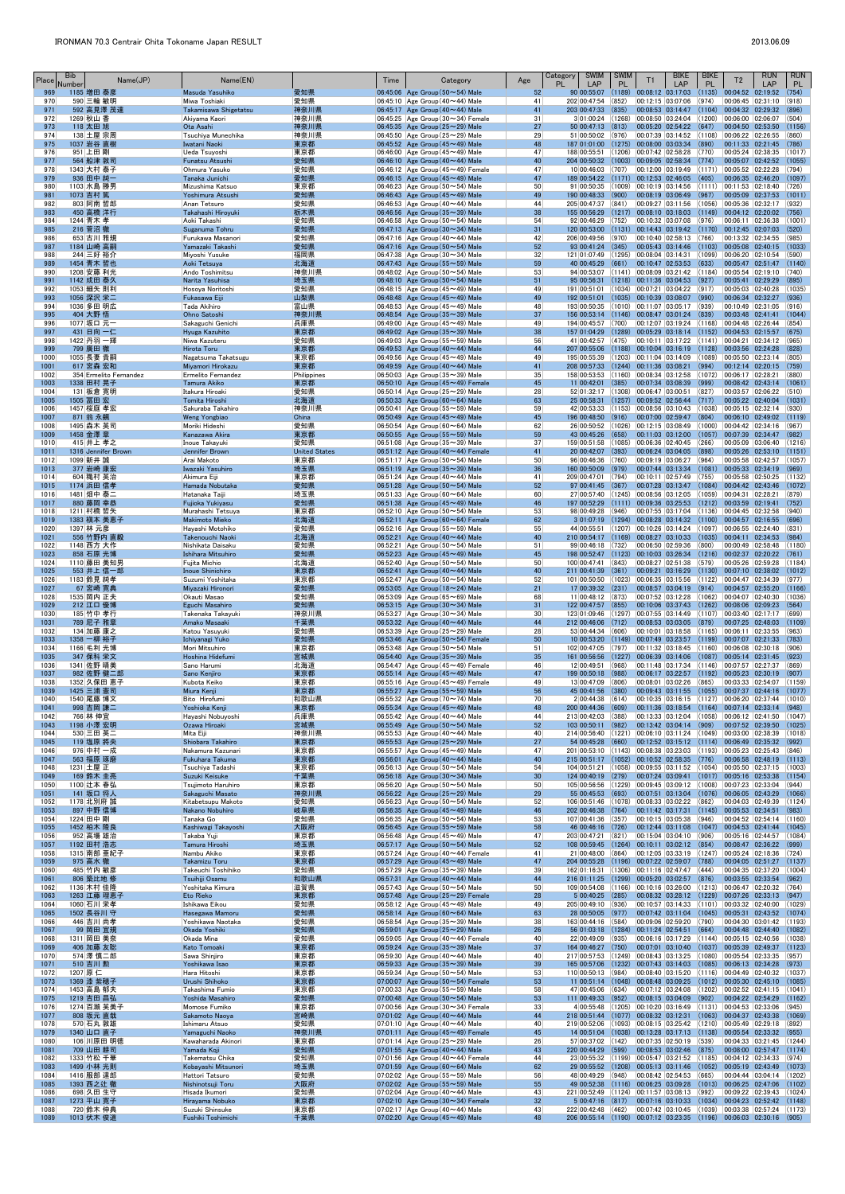| Place        | <b>Bib</b><br>Number     | Name(JP)               | Name(EN)                                    |                             | Time | Category                                                                             | Age             | Category<br><b>SWIM</b><br>PL<br>LAP                                                         | <b>SWIM</b><br>PL | T1                         | <b>BIKE</b><br>LAP                                                                                            | <b>BIKE</b><br><b>PL</b> | T <sub>2</sub>                                                                                        | <b>RUN</b><br>LAP | <b>RUN</b><br>PL |
|--------------|--------------------------|------------------------|---------------------------------------------|-----------------------------|------|--------------------------------------------------------------------------------------|-----------------|----------------------------------------------------------------------------------------------|-------------------|----------------------------|---------------------------------------------------------------------------------------------------------------|--------------------------|-------------------------------------------------------------------------------------------------------|-------------------|------------------|
| 969<br>970   | 1185 増田 泰彦<br>590 三輪 敏明  |                        | Masuda Yasuhiko<br>Miwa Toshiaki            | 愛知県<br>愛知県                  |      | 06:45:06 Age Group $(50 \sim 54)$ Male<br>06:45:10 Age Group $(40 \sim 44)$ Male     | 52<br>41        | 90 00:55:07<br>202 00:47:54                                                                  | (852)             | 00:12:15 03:07:06          | $(1189)$ 00:08:12 03:17:03                                                                                    | (1135)<br>(974)          | 00:04:52 02:19:52 <br>00:06:45 02:31:10                                                               |                   | (754)<br>(918)   |
| 971          |                          | 592 高見澤 茂達             | Takamisawa Shigetatsu                       | 神奈川県                        |      | 06:45:17 Age Group $(40 \sim 44)$ Male                                               | 41              | 203 00:47:33                                                                                 | (835)             |                            | 00:08:53 03:14:47                                                                                             | (1104)                   | 00:04:32 02:29:32                                                                                     |                   | (896)            |
| 972<br>973   | 1269 秋山 香<br>118 太田 旭    |                        | Akiyama Kaori<br>Ota Asahi                  | 神奈川県<br>神奈川県                |      | 06:45:25 Age Group (30~34) Female<br>06:45:35 Age Group $(25 \sim 29)$ Male          | 31<br>27        | $3 01:00:24$ (1268)<br>5000:47:13(813)                                                       |                   |                            | 00:08:50 03:24:04 (1200)<br> 00:05:20 02:54:22 (647)                                                          |                          | 00:06:00 02:06:07<br>00:04:50 02:53:50                                                                |                   | (504)<br>(1156)  |
| 974<br>975   | 138 土屋 宗周<br>1037 岩谷 直樹  |                        | Tsuchiya Munechika                          | 神奈川県                        |      | 06:45:50 Age Group ( $25 \sim 29$ ) Male<br>06:45:52 Age Group (45~49) Male          | 29<br>48        | 51 00:50:02                                                                                  | (976)             |                            | 00:07:39 03:14:52<br>$(1275)$ 00:08:00 03:03:34                                                               | (1108)<br>(890)          | 00:06:22 02:26:55<br>00:11:33 02:21:45                                                                |                   | (860)<br>(786)   |
| 976          | 951 上田 剛                 |                        | Iwatani Naoki<br>Ueda Tsuyoshi              | 東京都<br>東京都                  |      | 06:46:00 Age Group $(45 \sim 49)$ Male                                               | 47              | 187 01:01:00<br>188 00:55:51                                                                 |                   |                            | $(1206)$ 00:07:42 02:58:28                                                                                    | (770)                    | 00:05:24 02:38:35                                                                                     |                   | (1017)           |
| 977<br>978   | 564 船津 敦司<br>1343 大村 泰子  |                        | <b>Funatsu Atsushi</b><br>Ohmura Yasuko     | 愛知県<br>愛知県                  |      | 06:46:10 Age Group $(40 \sim 44)$ Male<br>06:46:12 Age Group $(45 \sim 49)$ Female   | 40<br>47        | 204 00:50:32<br>10 00:46:03                                                                  | (1003)<br>(707)   |                            | $00:09:05$ 02:58:34<br> 00:12:00 03:19:49                                                                     | (774)                    | 00:05:07 02:42:52<br>$(1171)$ 00:05:52 02:22:28                                                       |                   | (1055)<br>(794)  |
| 979          | 936 田中 純一                |                        | Tanaka Junichi                              | 愛知県                         |      | 06:46:15 Age Group $(45 \sim 49)$ Male                                               | 47              | 189 00:54:22 (1171) 00:12:53 02:46:05                                                        |                   |                            |                                                                                                               | (405)                    | 00:06:35 02:46:20                                                                                     |                   | (1097)           |
| 980<br>981   | 1103 水島 勝男<br>1073 吉村 篤  |                        | Mizushima Katsuo<br>Yoshimura Atsushi       | 東京都<br>愛知県                  |      | 06:46:23 Age Group (50 $\sim$ 54) Male<br>06:46:43 Age Group $(45 \sim 49)$ Male     | 50<br>49        | 91 00:50:35<br>190 00:48:33                                                                  | (900)             |                            | $(1009)$ 00:10:19 03:14:56<br>$ 00:08:19 03:06:49 $ (967)                                                     |                          | $(1111)$ 00:11:53 02:18:40<br>00:05:09 02:37:53                                                       |                   | (726)<br>(1011)  |
| 982          | 803 阿南 哲郎                |                        | Anan Tetsuro                                | 愛知県                         |      | 06:46:53 Age Group $(40 \sim 44)$ Male                                               | 44              | 205 00:47:37                                                                                 | (841)             |                            | 00:09:27 03:11:56                                                                                             | (1056)                   | 00:05:36 02:32:17                                                                                     |                   | (932)            |
| 983<br>984   | 450 高橋 洋行<br>1244 青木 孝   |                        | Takahashi Hirovuki<br>Aoki Takashi          | 栃木県<br>愛知県                  |      | 06:46:56 Age Group $(35 \sim 39)$ Male<br>06:46:58 Age Group (50 $\sim$ 54) Male     | 38<br>54        | 155 00:56:29<br>92 00:46:29                                                                  | (1217)<br>(752)   |                            | $00:08:10$ 03:18:03<br>00:10:32 03:07:08                                                                      | (1149)<br>(976)          | 00:04:12 02:20:02<br>00:06:11 02:36:38                                                                |                   | (756)<br>(1001)  |
| 985          | 216 菅沼 徹                 |                        | Suganuma Tohru                              | 愛知県                         |      | 06:47:13 Age Group $(30 \sim 34)$ Male                                               | 31              | 120 00:53:00                                                                                 |                   |                            |                                                                                                               |                          | $(1131)$ 00:14:43 03:19:42 (1170) 00:12:45 02:07:03                                                   |                   | (520)            |
| 986<br>987   | 653  古川 雅規<br>1184 山崎 高嗣 |                        | Furukawa Masanori<br>Yamazaki Takashi       | 愛知県<br>愛知県                  |      | $ 06:47:16 $ Age Group (40 $\sim$ 44) Male<br>06:47:16 Age Group $(50 \sim 54)$ Male | 42<br>52        | 206 00:49:56<br>$93 00:41:24 $ (345)                                                         | (970)             |                            | 00:10:40 02:58:13<br> 00:05:43 03:14:46 (1103)                                                                | (766)                    | 00:13:32 02:34:55<br>00:05:08 02:40:15                                                                |                   | (985)<br>(1033)  |
| 988<br>989   | 244 三好 裕介<br>1454 青木 哲也  |                        | Miyoshi Yusuke<br>Aoki Tetsuya              | 福岡県<br>北海道                  |      | 06:47:38 Age Group $(30 \sim 34)$ Male<br>06:47:43 Age Group ( $55 \sim 59$ ) Male   | 32<br>59        | 121 01:07:49<br>40 00:45:29                                                                  | (661)             |                            | $\vert$ (1295) $\vert$ 00:08:04 $\vert$ 03:14:31 $\vert$ (1099)<br>00:10:47 02:53:53                          | (633)                    | 00:06:20 02:10:54<br>00:05:47 02:51:47                                                                |                   | (590)<br>(1140)  |
| 990          | 1208 安藤 利光               |                        | Ando Toshimitsu                             | 神奈川県                        |      | 06:48:02 Age Group ( $50 \sim 54$ ) Male                                             | 53              | 94 00:53:07                                                                                  |                   |                            |                                                                                                               |                          | $\vert$ (1141) $\vert$ 00:08:09 $\vert$ 03:21:42 $\vert$ (1184) $\vert$ 00:05:54 $\vert$ 02:19:10     |                   | (740)            |
| 991<br>992   | 1142 成田 泰久<br>1053 細矢 則利 |                        | Narita Yasuhisa<br>Hosoya Noritoshi         | 埼玉県<br>愛知県                  |      | 06:48:10 Age Group $(50 \sim 54)$ Male<br>06:48:15 Age Group (45 $\sim$ 49) Male     | 51<br>49        | 95 00:56:31<br>191 00:51:01                                                                  |                   |                            | $(1218)$ 00:11:36 03:04:53<br>$\vert$ (1034) $\vert$ 00:07:21 $\vert$ 03:04:22 $\vert$ (917)                  | (927)                    | 00:05:41 02:29:29<br>00:05:03 02:40:28                                                                |                   | (895)<br>(1035)  |
| 993          | 1056 深沢 栄二               |                        | Fukasawa Eiji                               | 山梨県                         |      | 06:48:48 Age Group $(45 \sim 49)$ Male                                               | 49              | 192 00:51:01                                                                                 |                   |                            | $(1035)$ 00:10:39 03:08:07 (990)                                                                              |                          | 00:06:34 02:32:27                                                                                     |                   | (936)            |
| 994<br>995   | 1036 多田 明広<br>404 大野 悟   |                        | Tada Akihiro<br>Ohno Satoshi                | 富山県<br>神奈川県                 |      | 06:48:53 Age Group $(45 \sim 49)$ Male<br>06:48:54 Age Group $(35 \sim 39)$ Male     | 48<br>37        | 193 00:50:35<br>156 00:53:14 (1146) 00:08:47 03:01:24 (839)                                  |                   |                            | $(1010)$ 00:11:07 03:05:17                                                                                    | (939)                    | 00:10:49 02:31:05<br>00:03:48 02:41:41                                                                |                   | (916)<br>(1044)  |
| 996          | 1077 坂口 元一               |                        | Sakaguchi Genichi                           | 兵庫県                         |      | 06:49:00 Age Group (45 $\sim$ 49) Male                                               | 49              | 194 00:45:57                                                                                 | (700)             |                            | 00:12:07 03:19:24 (1168)                                                                                      |                          | 00:04:48 02:26:44                                                                                     |                   | (854)            |
| 997<br>998   | 431 日向 一仁<br>1422 丹羽 一輝  |                        | Hyuga Kazuhito<br>Niwa Kazuteru             | 東京都<br>愛知県                  |      | 06:49:02 Age Group $(35 \sim 39)$ Male<br>06:49:03 Age Group ( $55 \sim 59$ ) Male   | 38<br>56        | 157 01:04:29<br>41 00:42:57                                                                  | (1289)<br>(475)   |                            | $\vert$ 00:05:29 03:18:14 (1152)<br> 00:10:11 03:17:22                                                        |                          | 00:04:53 02:15:57<br>$(1141)$ 00:04:21 02:34:12                                                       |                   | (675)<br>(965)   |
| 999          | 799 廣田 徹                 |                        | <b>Hirota Toru</b>                          | 東京都                         |      | 06:49:53 Age Group $(40 \sim 44)$ Male                                               | 44              | 207 00:55:06                                                                                 |                   |                            | $(1188)$ 00:10:04 03:16:19 (1128)                                                                             |                          | $ 00:03:56$ 02:24:28                                                                                  |                   | (828)            |
| 1000<br>1001 | 1055 長妻 貴嗣<br>617 宮森 宏和  |                        | Nagatsuma Takatsugu<br>Miyamori Hirokazu    | 東京都<br>東京都                  |      | 06:49:56 Age Group $(45 \sim 49)$ Male<br>06:49:59 Age Group $(40 \sim 44)$ Male     | 49<br>41        | 195 00:55:39<br>208 00:57:33                                                                 |                   | $(1244)$ 00:11:36 03:08:21 | $(1203)$ 00:11:04 03:14:09                                                                                    | (1089)<br>(994)          | 00:05:50 02:23:14<br>00:12:14 02:20:15                                                                |                   | (805)<br>(759)   |
| 1002<br>1003 | 1338 田村 晃子               | 354 Ermelito Fernandez | Ermelito Fernandez<br><b>Tamura Akiko</b>   | Philippines                 |      | 06:50:03 Age Group ( $35 \sim 39$ ) Male<br>06:50:10 Age Group (45~49) Female        | 35<br>45        | 158 00:53:53<br>11 00:42:01                                                                  | (385)             |                            | $(1160)$ 00:08:34 03:12:58<br>00:07:34 03:08:39                                                               | (999)                    | $(1072)$ 00:06:17 02:28:21<br>00:08:42 02:43:14                                                       |                   | (880)<br>(1061)  |
| 1004         | 131 板倉 寛明                |                        | Itakura Hiroaki                             | 東京都<br>愛知県                  |      | 06:50:14 Age Group ( $25 \sim 29$ ) Male                                             | 28              | 52 01:32:17 (1308) 00:06:47 03:00:51                                                         |                   |                            |                                                                                                               | (827)                    | 00:03:57 02:06:22                                                                                     |                   | (510)            |
| 1005<br>1006 | 1505 冨田 宏<br>1457 桜庭 孝宏  |                        | Tomita Hiroshi<br>Sakuraba Takahiro         | 北海道<br>神奈川県                 |      | 06:50:33 Age Group $(60 \sim 64)$ Male<br>06:50:41 Age Group ( $55 \sim 59$ ) Male   | 63<br>59        | 25 00:58:31<br>42 00:53:33                                                                   |                   |                            | $(1257)$ 00:09:52 02:56:44 (717)<br>$(1153)$ $ 00:08:56$ $ 03:10:43$                                          | (1038)                   | 00:05:22 02:40:04<br> 00:05:15 02:32:14                                                               |                   | (1031)<br>(930)  |
| 1007         | 871 翁 永飆                 |                        | <b>Weng Yongbiao</b>                        | China                       |      | 06:50:49 Age Group $(45 \sim 49)$ Male                                               | 45              | 196 00:48:50                                                                                 | (916)             |                            | 00:07:00 02:59:47                                                                                             | (804)                    | 00:06:10 02:49:02                                                                                     |                   | (1119)           |
| 1008<br>1009 | 1495 森木 英司<br>1458 金澤 章  |                        | Moriki Hideshi<br>Kanazawa Akira            | 愛知県<br>東京都                  |      | 06:50:54 Age Group (60 $\sim$ 64) Male<br>06:50:55 Age Group ( $55 \sim 59$ ) Male   | 62<br>59        | 26 00:50:52<br>43 00:45:26                                                                   | (1026)<br>(658)   |                            | 00:12:15 03:08:49<br>00:11:03 03:12:00                                                                        | (1000)<br>(1057)         | 00:04:42 02:34:16<br>00:07:39 02:34:47                                                                |                   | (967)<br>(982)   |
| 1010         | 415 井上 孝之                |                        | Inoue Takayuki                              | 愛知県                         |      | 06:51:08 Age Group (35 $\sim$ 39) Male                                               | 37              | 159 00:51:58 (1085)                                                                          |                   |                            | 00:06:36 02:40:45 (266)                                                                                       |                          | 00:05:09 03:06:40 (1216)                                                                              |                   |                  |
| 1011<br>1012 | 1099 新井 誠                | 1316 Jennifer Brown    | Jennifer Brown<br>Arai Makoto               | <b>United States</b><br>東京都 |      | 06:51:12 Age Group $(40 \sim 44)$ Female<br>$06:51:17$ Age Group (50 $\sim$ 54) Male | 41<br>50        | 20 00:42:07 (393)<br>96 00:46:36                                                             | (760)             |                            | $ 00:06:24 03:04:05 $ (898)<br>00:09:19 03:06:27                                                              | (964)                    | 00:05:26 02:53:10<br>00:05:58 02:42:57                                                                |                   | (1151)<br>(1057) |
| 1013         | 377 岩崎 康宏                |                        | Iwazaki Yasuhiro                            | 埼玉県                         |      | 06:51:19 Age Group $(35 \sim 39)$ Male                                               | 36              | 160 00:50:09                                                                                 | (979)             |                            | 00:07:44 03:13:34                                                                                             | (1081)                   | $ 00:05:33 \t02:34:19$                                                                                |                   | (969)            |
| 1014<br>1015 | 604 穐村 英治<br>1174 浜田 信孝  |                        | Akimura Eiji<br>Hamada Nobutaka             | 東京都<br>愛知県                  |      | 06:51:24 Age Group (40 $\sim$ 44) Male<br>06:51:28 Age Group ( $50 \sim 54$ ) Male   | 41<br>52        | 209 00:47:01<br>97 00:41:45                                                                  | (794)<br>(367)    |                            | 00:10:11 02:57:49<br>00:07:28 03:13:47                                                                        | (755)<br>(1084)          | 00:05:58 02:50:25<br>$[00:04:42 \quad 02:43:46]$                                                      |                   | (1132)<br>(1072) |
| 1016         | 1481 畑中 泰二               |                        | Hatanaka Taiji                              | 埼玉県                         |      | $06:51:33$ Age Group (60 $\sim$ 64) Male                                             | 60              | 27 00:57:40                                                                                  | (1245)            |                            | 00:08:56 03:12:05                                                                                             | (1059)                   | 00:04:31 02:28:21                                                                                     |                   | (879)            |
| 1017<br>1018 | 880 藤岡 幸恭<br>1211 村橋 哲矢  |                        | Fujioka Yukiyasu<br>Murahashi Tetsuya       | 愛知県<br>東京都                  |      | 06:51:38 Age Group $(45 \sim 49)$ Male<br>06:52:10 Age Group (50 $\sim$ 54) Male     | 46<br>53        | 197 00:52:29<br>98 00:49:28                                                                  | (946)             |                            |                                                                                                               |                          | $(1111)$ 00:09:36 03:25:53 (1212) 00:03:59 02:19:41<br>$ 00:07:55 03:17:04 (1136) 00:04:45 02:32:58$  |                   | (752)<br>(940)   |
| 1019         |                          | 1383 槇本 美恵子            | Makimoto Mieko                              | 北海道                         |      | 06:52:11 Age Group (60~64) Female                                                    | 62              | 3 01:07:19 (1294) 00:08:28 03:14:32 (1100) 00:04:57 02:16:55                                 |                   |                            |                                                                                                               |                          | 00:06:55 02:24:40                                                                                     |                   | (696)            |
| 1020<br>1021 | 1397 林 元彦                | 556 竹野内 直毅             | Hayashi Motohiko<br>Takenouchi Naoki        | 愛知県<br>北海道                  |      | 06:52:16 Age Group (55 $\sim$ 59) Male<br>06:52:21 Age Group $(40 \sim 44)$ Male     | 55<br>40        | 44 00:55:51<br>210 00:54:17 (1169)                                                           | (1207)            |                            | 00:10:26 03:14:24 (1097)<br>$00:08:27$ 03:10:33                                                               | (1035)                   | $[00:04:11 \ 02:34:53]$                                                                               |                   | (831)<br>(984)   |
| 1022<br>1023 | 1148 西方 大作<br>858 石原 光博  |                        | Nishikata Daisaku<br>Ishihara Mitsuhiro     | 愛知県<br>愛知県                  |      | 06:52:21 Age Group ( $50 \sim 54$ ) Male<br>06:52:23 Age Group $(45 \sim 49)$ Male   | 51<br>45        | 99 00:46:18<br>198 00:52:47                                                                  | (732)<br>(1123)   |                            | 00:06:50 02:59:36                                                                                             | (800)                    | 00:00:49 02:58:48                                                                                     |                   | (1180)<br>(761)  |
| 1024         |                          | 1110 藤田 美知男            | Fujita Michio                               | 北海道                         |      | 06:52:40 Age Group (50 $\sim$ 54) Male                                               | 50              | 100 00:47:41                                                                                 | (843)             |                            | 00:08:27 02:51:38                                                                                             | (579)                    | 00:05:26 02:59:28                                                                                     |                   | (1184)           |
| 1025<br>1026 | 1183 鈴見 純孝               | 553 井上 信一郎             | <b>Inoue Shinichiro</b><br>Suzumi Yoshitaka | 東京都<br>東京都                  |      | 06:52:41 Age Group $(40 \sim 44)$ Male<br>$ 06:52:47 $ Age Group (50 $\sim$ 54) Male | 40<br>52        | 211 00:41:39<br>101 00:50:50                                                                 | (361)             |                            | 00:09:21 03:16:29<br>$(1023)$ 00:06:35 03:15:56                                                               | (1130)<br>(1122)         | 00:07:10 02:38:02<br> 00:04:47 02:34:39                                                               |                   | (1012)<br>(977)  |
| 1027         |                          | 67 宮崎 寛典               | Miyazaki Hironori                           | 愛知県                         |      | 06:53:05 Age Group $(18 \sim 24)$ Male                                               | 21              | 17 00:39:32                                                                                  | (231)             |                            | 00:08:57 03:04:19                                                                                             | (914)                    | 00:04:57 02:55:20                                                                                     |                   | (1166)           |
| 1028<br>1029 | 1535 岡内 正夫<br>212 江口 優博  |                        | Okauti Masao<br>Eguchi Masahiro             | 愛知県<br>愛知県                  |      | 06:53:09 Age Group ( $65 \sim 69$ ) Male<br>06:53:15 Age Group $(30 \sim 34)$ Male   | 68<br>31        | $11 00:48:12$ (873)<br>122 00:47:57 (855)                                                    |                   |                            | 00:07:52 03:12:28                                                                                             |                          | $(1062)$ 00:04:07 02:40:30<br>00:10:06 03:37:43 (1262) 00:08:06 02:09:23                              |                   | (1036)<br>(564)  |
| 1030         | 185 竹中 孝行                |                        | Takenaka Takayuki                           | 神奈川県                        |      | 06:53:27 Age Group (30 $\sim$ 34) Male                                               | 30              | 123 01:09:46                                                                                 |                   |                            | $(1297)$ 00:07:55 03:14:49                                                                                    | (1107)                   | 00:03:40 02:17:17                                                                                     |                   | (699)            |
| 1031<br>1032 | 789 尼子 雅章<br>134 加藤 康之   |                        | Amako Masaaki<br>Katou Yasuyuki             | 千葉県<br>愛知県                  |      | 06:53:32 Age Group $(40 \sim 44)$ Male<br>$ 06:53:39 $ Age Group (25 $\sim$ 29) Male | 44<br>28        | 212 00:46:06<br>53 00:44:34                                                                  | (712)<br>(606)    |                            | $00:08:53$ 03:03:05 (879)<br> 00:10:01 03:18:58                                                               | (1165)                   | 00:07:25 02:48:03<br> 00:06:11 02:33:55                                                               |                   | (1109)<br>(963)  |
| 1033<br>1034 | 1358 一柳 裕子<br>1166 毛利 光博 |                        | Ichivanagi Yuko<br>Mori Mitsuhiro           | 愛知県<br>東京都                  |      | 06:53:46 Age Group $(50 \sim 54)$ Female<br>06:53:48 Age Group ( $50 \sim 54$ ) Male | 50<br>51        | 10 00:53:20<br>102 00:47:05                                                                  | (1149)<br>(797)   |                            | 00:07:49 03:23:57<br> 00:11:32 03:18:45                                                                       | (1199)<br>(1160)         | $[00:07:07]$ 02:21:33<br> 00:06:08 02:30:18                                                           |                   | (783)<br>(906)   |
| 1035         | 347 保科 栄文                |                        | Hoshina Hidefumi                            | 宮城県                         |      | 06:54:40 Age Group $(35 \sim 39)$ Male                                               | 35              | 161 00:56:56                                                                                 | (1227)            |                            | $\big  00:06:39 \big  03:14:06 \big $                                                                         |                          | $(1087)$ 00:05:14 02:31:45                                                                            |                   | (923)            |
| 1036<br>1037 | 1341 佐野 晴美               | 982 佐野 健二郎             | Sano Harumi<br>Sano Kenjiro                 | 北海道<br>東京都                  |      | 06:54:47 Age Group $(45 \sim 49)$ Female<br>06:55:14 Age Group $(45 \sim 49)$ Male   | 46<br>47        | 12 00:49:51<br>199 00:50:18 (988)                                                            | (968)             |                            | 00:06:17 03:22:57                                                                                             |                          | $ 00:11:48$ $ 03:17:34$ $ (1146)$ $ 00:07:57$ $ 02:27:37$<br>$(1192)$ 00:05:23 02:30:19               |                   | (869)<br>(907)   |
| 1038         |                          | 1352 久保田 恵子            | Kubota Keiko                                | 東京都                         |      | $06:55:16$ Age Group (45 $\sim$ 49) Female                                           | 49              | 13 00:47:09                                                                                  | (806)             |                            | 00:08:01 03:02:26                                                                                             | (865)                    | 00:03:33 02:54:07                                                                                     |                   | (1159)           |
| 1039<br>1040 | 1425 三浦 憲司<br>1540 尾藤 博文 |                        | Miura Kenji<br>Bito Hirofumi                | 東京都<br>和歌山県                 |      | 06:55:27 Age Group ( $55 \sim 59$ ) Male<br>06:55:32 Age Group (70 $\sim$ 74) Male   | 56<br>70        | 45 00:41:56<br>2 00:44:38                                                                    | (380)<br>(614)    |                            | 00:09:43 03:11:55<br>00:10:35 03:16:15                                                                        | (1055)                   | 00:07:37 02:44:16<br>$(1127)$ 00:06:20 02:37:44                                                       |                   | (1077)<br>(1010) |
| 1041         | 998 吉岡 謙二                |                        | Yoshioka Kenji                              | 東京都                         |      | 06:55:34 Age Group $(45 \sim 49)$ Male                                               | 48              | 200 00:44:36                                                                                 | (609)             |                            | 00:11:36 03:18:54                                                                                             | (1164)                   | 00:07:14 02:33:14                                                                                     |                   | (948)            |
| 1042<br>1043 | 766 林 伸宜<br>1198 小澤 宏明   |                        | Hayashi Nobuyoshi<br>Ozawa Hiroaki          | 兵庫県<br>宮城県                  |      | 06:55:42 Age Group (40 $\sim$ 44) Male<br>06:55:49 Age Group $(50 \sim 54)$ Male     | 44<br>52        | 213 00:42:03<br>103 00:50:11 (982)                                                           | (388)             |                            | 00:13:33 03:12:04<br>$\begin{array}{ c c c c c c c c } \hline 00:13:42 & 03:04:14 & (909) \hline \end{array}$ | (1058)                   | 00:06:12 02:41:50<br>00:07:52 02:39:50                                                                |                   | (1047)<br>(1025) |
| 1044<br>1045 | 530 三田 英二<br>119 塩原 將央   |                        | Mita Eiji<br>Shiobara Takahiro              | 神奈川県<br>東京都                 |      | 06:55:53 Age Group $(40 \sim 44)$ Male<br>06:55:53 Age Group $(25 \sim 29)$ Male     | 40<br>27        | 214 00:56:40<br>54 00:45:28                                                                  | (1221)<br>(660)   |                            | 00:06:10 03:11:24 (1049)<br> 00:12:52 03:15:12 (1114)                                                         |                          | 00:03:00 02:38:39<br>$\begin{array}{ c c c c c c c c } \hline 00:06:49 & 02:35:32 \hline \end{array}$ |                   | (1018)<br>(992)  |
| 1046         | 976 中村 一成                |                        | Nakamura Kazunari                           | 東京都                         |      | 06:55:57 Age Group (45~49) Male                                                      | 47              | 201 00:53:10                                                                                 | (1143)            |                            | 00:08:38 03:23:03                                                                                             | (1193)                   | 00:05:23 02:25:43                                                                                     |                   | (846)            |
| 1047<br>1048 | 563 福原 琢磨<br>1231 土屋 正   |                        | Fukuhara Takuma<br>Tsuchiya Tadashi         | 東京都<br>東京都                  |      | 06:56:01 Age Group $(40 \sim 44)$ Male<br>06:56:13 Age Group ( $50 \sim 54$ ) Male   | 40<br>54        | $215\,00:51:17$ (1052)<br>104 00:51:21                                                       |                   |                            | 00:10:52 02:58:35<br>$(1058)$ 00:09:55 03:11:52                                                               | (776)                    | 00:06:58 02:48:19<br>$(1054)$ 00:05:50 02:37:15                                                       |                   | (1113)<br>(1003) |
| 1049         | 169 鈴木 圭亮                |                        | Suzuki Keisuke                              | 千葉県                         |      | 06:56:18 Age Group $(30 \sim 34)$ Male                                               | 30 <sup>°</sup> | 124 00:40:19                                                                                 | (279)             |                            | 00:07:24 03:09:41                                                                                             |                          | $(1017)$ 00:05:16 02:53:38                                                                            |                   | (1154)           |
| 1050<br>1051 | 1100 辻本 春弘<br>141 坂口 将人  |                        | Tsujimoto Haruhiro<br>Sakaguchi Masato      | 東京都<br>神奈川県                 |      | $ 06:56:20 $ Age Group (50 $\sim$ 54) Male<br>06:56:22 Age Group $(25 \sim 29)$ Male | 50<br>29        | 105 00:56:56<br>55 00:45:53                                                                  | (693)             |                            | $(1229)$ 00:09:45 03:09:12 (1008)<br>00:07:51 03:13:04                                                        | (1076)                   | 00:07:23 02:33:04<br> 00:06:05 02:43:29                                                               |                   | (944)<br>(1066)  |
| 1052<br>1053 | 1178 北別府 誠               |                        | Kitabetsupu Makoto<br>Nakano Nobuhiro       | 愛知県<br>岐阜県                  |      | 06:56:23 Age Group (50~54) Male<br>06:56:35 Age Group (45~49) Male                   | 52<br>46        | 106 00:51:46<br>202 00:46:38                                                                 | (1078)<br>(764)   |                            | 00:08:33 03:02:22<br>00:11:42 03:17:31                                                                        | (862)<br>(1145)          | 00:04:03 02:49:39<br>$00:05:53$ 02:34:51                                                              |                   | (1124)<br>(983)  |
| 1054         | 897 中野 信博<br>1224 田中 剛   |                        | Tanaka Go                                   | 愛知県                         |      | 06:56:35 Age Group ( $50 \sim 54$ ) Male                                             | 53              | 107 00:41:36                                                                                 | (357)             |                            | 00:10:15 03:05:38                                                                                             | (946)                    | 00:04:52 02:54:14                                                                                     |                   | (1160)           |
| 1055<br>1056 | 1452 柏木 隆良<br>952 高場 雄治  |                        | Kashiwagi Takayoshi<br>Takaba Yuji          | 大阪府<br>東京都                  |      | 06:56:45 Age Group ( $55 \sim 59$ ) Male<br>06:56:48 Age Group (45 $\sim$ 49) Male   | 58<br>47        | 46 00:46:16 (726)<br>203 00:47:21                                                            | (821)             |                            | $ 00:15:04 03:04:10 006\rangle$                                                                               |                          | 00:12:44 03:11:08 (1047) 00:04:53 02:41:44<br>00:05:16 02:44:57                                       |                   | (1045)<br>(1084) |
| 1057         | 1192 田村 浩志               |                        | Tamura Hiroshi                              | 埼玉県                         |      | 06:57:17 Age Group $(50 \sim 54)$ Male                                               | 52              | 108 00:59:45                                                                                 | (1264)            |                            | $\vert$ 00:10:11 03:02:12 (854)                                                                               |                          | 00:08:47 02:36:22                                                                                     |                   | (999)            |
| 1058<br>1059 | 975 高水 徹                 | 1315 南部 亜紀子            | Nambu Akiko<br><b>Takamizu Toru</b>         | 東京都<br>東京都                  |      | $06:57:24$ Age Group (40 $\sim$ 44) Female<br>06:57:29 Age Group $(45 \sim 49)$ Male | 41<br>47        | 21 00:48:00<br>204 00:55:28                                                                  | (864)             |                            | 00:12:05 03:33:19<br>$(1196)$ 00:07:22 02:59:07                                                               | (788)                    | $(1247)$ 00:05:24 02:18:36<br>00:04:05 02:51:27                                                       |                   | (724)<br>(1137)  |
| 1060         | 485 竹内 敏彦                |                        | ∣Takeuchi Toshihiko                         | 愛知県                         |      | 06:57:29 Age Group (35 $\sim$ 39) Male                                               | 39              | 162 01:16:31                                                                                 |                   |                            | $(1306)$ $ 00:11:16$ $ 02:47:47$                                                                              | (444)                    | 00:04:35 02:37:20                                                                                     |                   | (1004)           |
| 1061<br>1062 | 806 築比地 修<br>1136 木村 佳隆  |                        | Tsuihiji Osamu<br>Yoshitaka Kimura          | 和歌山県<br> 滋賀県                |      | 06:57:31 Age Group $(40 \sim 44)$ Male<br>06:57:43 Age Group ( $50 \sim 54$ ) Male   | 44<br>50        | 216 01:11:25 (1299) 00:05:20 03:02:57<br>109 00:54:08                                        |                   |                            | $(1166)$ 00:10:16 03:26:00                                                                                    | (876)<br>(1213)          | 00:03:55 02:33:54<br> 00:06:47 02:20:32                                                               |                   | (962)<br>(764)   |
| 1063         |                          | 1263 江藤 理恵子            | Eto Rieko                                   | 東京都                         |      | 06:57:48 Age Group $(25 \sim 29)$ Female                                             | 28              | 5 00:40:25                                                                                   | (285)             |                            | 00:08:32 03:28:12                                                                                             | (1229)                   | 00:07:26 02:33:13                                                                                     |                   | (947)            |
| 1064<br>1065 | 1060 石川 栄孝<br>1502 長谷川 守 |                        | Ishikawa Eikou<br>Hasegawa Mamoru           | 愛知県<br>愛知県                  |      | 06:58:12 Age Group (45 $\sim$ 49) Male<br>06:58:14 Age Group $(60 \sim 64)$ Male     | 49<br>63        | 205 00:49:10<br>28 00:50:05                                                                  | (936)<br>(977)    |                            | 00:10:57 03:14:33<br>00:07:42 03:11:04                                                                        | (1101)<br>(1045)         | 00:03:32 02:40:00<br> 00:05:31 02:43:52                                                               |                   | (1029)<br>(1074) |
| 1066         | 446 吉川 尚孝                |                        | Yoshikawa Naotaka                           | 愛知県                         |      | 06:58:54 Age Group $(35 \sim 39)$ Male                                               | 38              | 163 00:44:16                                                                                 | (584)             |                            | 00:09:06 02:59:20                                                                                             | (790)                    | 00:04:30 03:01:42                                                                                     |                   | (1193)           |
| 1067<br>1068 | 1311 岡田 美奈               | 99 岡田 宜規               | Okada Yoshiki<br>Okada Mina                 | 愛知県<br>愛知県                  |      | 06:59:01 Age Group $(25 \sim 29)$ Male<br>06:59:05 Age Group $(40 \sim 44)$ Female   | 26<br>40        | 56 01:03:18 (1284)<br>22 00:49:09                                                            | (935)             |                            | $00:11:24$ 02:54:51<br>00:06:16 03:17:29                                                                      | (664)                    | 00:04:48 02:44:40<br>$(1144)$ 00:05:15 02:40:56                                                       |                   | (1082)<br>(1038) |
| 1069         | 406 加藤 友聡                |                        | Kato Tomoaki                                | 東京都                         |      | 06:59:24 Age Group $(35 \sim 39)$ Male                                               | 37              | 164 00:46:27                                                                                 | (750)             |                            | 00:07:01 03:10:40                                                                                             | (1037)                   | 00:05:39 02:49:37                                                                                     |                   | (1123)           |
| 1070<br>1071 | 574 澤 慎二郎<br>510 吉川 勲    |                        | Sawa Shinjiro<br>Yoshikawa Isao             | 東京都<br>東京都                  |      | 06:59:30 Age Group $(40 \sim 44)$ Male<br>06:59:33 Age Group (35~39) Male            | 40<br>39        | 217 00:57:53<br>165 00:57:06 (1232) 00:07:43 03:14:03 (1085) 00:06:13 02:34:28               | (1249)            |                            | 00:08:43 03:13:25                                                                                             | (1080)                   | 00:05:54 02:33:35                                                                                     |                   | (957)<br>(973)   |
| 1072<br>1073 | 1207 原 仁<br>1369 漆 紫穂子   |                        | Hara Hitoshi<br>Urushi Shihoko              | 東京都                         |      | 06:59:34 Age Group (50 $\sim$ 54) Male<br>07:00:07 Age Group (50~54) Female          | 53<br>53        | $110 00:50:13$ (984)<br>11 00:51:14 (1048) 00:08:48 03:09:25 (1012) 00:05:30 02:45:10 (1085) |                   |                            |                                                                                                               |                          | $ 00:08:40 03:15:20 $ $(1116)$ $ 00:04:49 02:40:32 $ $(1037)$                                         |                   |                  |
| 1074         | 1453 高島 郁夫               |                        | Takashima Fumio                             | 東京都<br> 東京都                 |      | 07:00:33 Age Group ( $55 \sim 59$ ) Male                                             | 58              | 47 00:45:06                                                                                  | (634)             |                            | 00:07:12 03:24:08                                                                                             | (1202)                   | 00:02:52 02:41:15 (1041)                                                                              |                   |                  |
| 1075<br>1076 | 1219 吉田 昌弘               | 1274 百瀬 芙美子            | Yoshida Masahiro<br>Momose Fumiko           | 愛知県<br>東京都                  |      | 07:00:48 Age Group $(50 \sim 54)$ Male<br>07:00:56 Age Group $(30 \sim 34)$ Female   | 53<br>33        | 111 00:49:33<br>4 00:55:48 (1205) 00:10:20 03:16:49 (1131) 00:04:53 02:33:06                 | (952)             |                            | $ 00:08:15 \t03:04:09 \t(902) $                                                                               |                          | 00:04:22 02:54:29                                                                                     |                   | (1162)<br>(945)  |
| 1077         | 808 坂元 直哉                |                        | Sakamoto Naoya                              | 宮崎県                         |      | 07:01:02 Age Group $(40 \sim 44)$ Male                                               | 44              | 218 00:51:44 (1077) 00:08:32 03:12:31 (1063)                                                 |                   |                            |                                                                                                               |                          | $\begin{array}{ c c c c c c c c } \hline 00:04:37 & 02:43:38 \hline \end{array}$                      |                   | (1069)           |
| 1078<br>1079 | 570 石丸 敦雄<br>1340 山口 直子  |                        | Ishimaru Atsuo<br>Yamaguchi Naoko           | 愛知県<br>神奈川県                 |      | 07:01:10 Age Group $(40 \sim 44)$ Male<br>07:01:11 Age Group $(45 \sim 49)$ Female   | 40<br>45        | 219 00:52:06 (1093) 00:08:15 03:25:42 (1210)<br>14 00:51:04 (1038) 00:13:28 03:17:13 (1138)  |                   |                            |                                                                                                               |                          | 00:05:49 02:29:18<br>$ 00:05:54 \t 02:33:32 \t (955)$                                                 |                   | (892)            |
| 1080         |                          | 106 川原田 明徳             | Kawaharada Akinori                          | 東京都                         |      | 07:01:14 Age Group (25~29) Male                                                      | 26              | 57 00:37:02 (142)                                                                            |                   |                            | 00:07:35 02:50:19 (539)                                                                                       |                          | $ 00:04:33 \t  03:21:45 \t  (1244)$                                                                   |                   |                  |
| 1081<br>1082 | 709 山田 耕司<br>1333 竹松 千華  |                        | Yamada Koji<br>Takematsu Chika              | 愛知県<br>愛知県                  |      | 07:01:55 Age Group $(40 \sim 44)$ Male<br>07:01:56 Age Group (40 $\sim$ 44) Female   | 43<br>44        | 220 00:44:29 (599)<br>23 00:55:32 (1199) 00:05:47 03:21:52 (1185)                            |                   |                            | $ 00:08:53 03:02:46 $ (875)                                                                                   |                          | $00:08:00$ 02:57:47 (1174)<br> 00:04:12 02:34:33                                                      |                   | (974)            |
| 1083         | 1499 小林 光則               |                        | Kobayashi Mitsunori                         | 埼玉県                         |      | 07:01:59 Age Group $(60 \sim 64)$ Male                                               | 62              | 29 00:55:52 (1208) 00:05:13 03:11:46 (1052)                                                  |                   |                            |                                                                                                               |                          | $ 00:05:19 \t  02:43:49 \t (1073)$                                                                    |                   |                  |
| 1084<br>1085 | 1416 服部 達郎<br>1393 西之辻 徹 |                        | Hattori Tatsuro<br>Nishinotsuji Toru        | 愛知県<br>大阪府                  |      | 07:02:02 Age Group (55~59) Male<br>07:02:02 Age Group $(55 \sim 59)$ Male            | 56<br>55        | 48 00:49:29<br>49 00:52:38 (1116) 00:06:25 03:09:28 (1013)                                   | (948)             |                            | 00:08:42 02:54:53                                                                                             | (665)                    | $ 00:04:44 \t  03:04:14 \t  (1202)$<br> 00:06:25 02:47:06 (1102)                                      |                   |                  |
| 1086         | 698 久田 生守<br>1273 平山 寛子  |                        | Hisada Ikumori<br>Hirayama Nobuko           | 愛知県                         |      | 07:02:04 Age Group $(40 \sim 44)$ Male<br>07:02:10 Age Group $(30 \sim 34)$ Female   | 43<br>32        | 221 00:52:49 (1124) 00:11:57 03:08:13 (992)<br>$5 00:47:16 $ (817)                           |                   |                            | $ 00:07:16$ 03:10:33 (1034)                                                                                   |                          | 00:09:22 02:39:43 (1024)<br> 00:04:23 02:52:42 (1148)                                                 |                   |                  |
| 1087<br>1088 | 720 鈴木 伸典                |                        | Suzuki Shinsuke                             | 東京都<br>東京都                  |      | $07:02:17$ Age Group (40 $\sim$ 44) Male                                             | 43              | 222 00:42:48 (462)                                                                           |                   |                            | 00:07:42 03:10:45 (1039)                                                                                      |                          | $ 00:03:38 \t  02:57:24 \t  (1173)$                                                                   |                   |                  |
| 1089         | 1013 伏木 俊道               |                        | Fushiki Toshimichi                          | 千葉県                         |      | 07:02:20 Age Group $(45 \sim 49)$ Male                                               | 48              | 206 00:55:14 (1190) 00:07:12 03:23:35 (1196)                                                 |                   |                            |                                                                                                               |                          | $ 00:06:03 02:30:16 $ (905)                                                                           |                   |                  |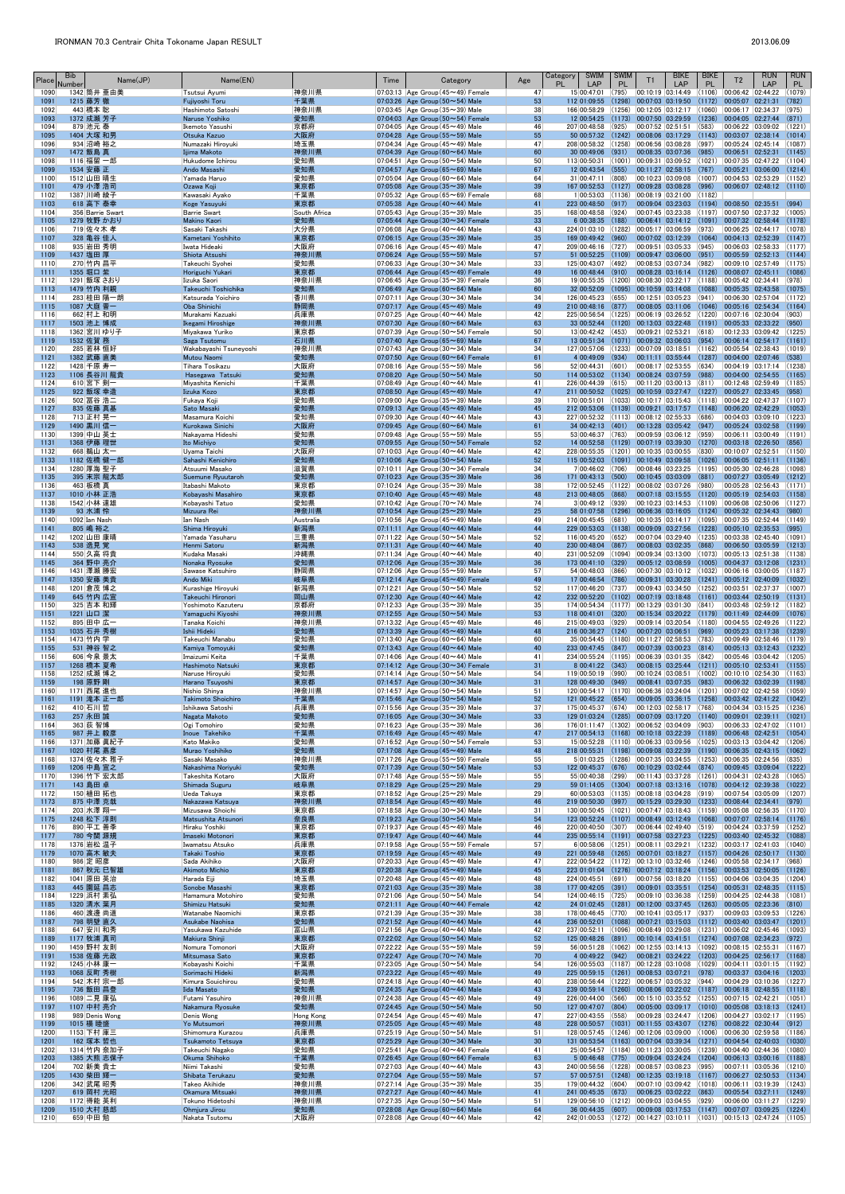| Place        | Bib<br>Name(JP)<br>Number     | Name(EN)                                   |                     | Time | Category                                                                             | Age      | <b>SWIM</b><br>Category<br>PL<br>LAP     | <b>SWIM</b><br><b>PL</b> | <b>BIKE</b><br>T1<br><b>LAP</b>                                                                  | <b>BIKE</b><br><b>PL</b> | <b>RUN</b><br>T <sub>2</sub><br>LAP                                                                | <b>RUN</b><br>PL. |
|--------------|-------------------------------|--------------------------------------------|---------------------|------|--------------------------------------------------------------------------------------|----------|------------------------------------------|--------------------------|--------------------------------------------------------------------------------------------------|--------------------------|----------------------------------------------------------------------------------------------------|-------------------|
| 1090<br>1091 | 1342 筒井 亜由美<br>1215 藤芳 徹      | Tsutsui Ayumi<br>Fujiyoshi Toru            | 神奈川県<br>千葉県         |      | 07:03:13 Age Group $(45 \sim 49)$ Female<br>07:03:26 Age Group $(50 \sim 54)$ Male   | 47<br>53 | 15 00:47:01<br>112 01:09:55              | (795)<br>(1298)          | 00:10:19 03:14:49<br>00:07:03 03:19:50                                                           | (1106)<br>(1172)         | 00:06:42 02:44:22<br>00:05:07 02:21:31                                                             | (1079)<br>(782)   |
| 1092         | 443 橋本 聡                      | Hashimoto Satoshi                          | 神奈川県                |      | 07:03:45 Age Group (35 $\sim$ 39) Male                                               | 38       | 166 00:58:29                             |                          | $(1256)$ 00:12:05 03:12:17                                                                       | (1060)                   | 00:06:17 02:34:37                                                                                  | (975)             |
| 1093<br>1094 | 1372 成瀬 芳子<br>879 池元 泰        | Naruse Yoshiko<br>Ikemoto Yasushi          | 愛知県<br>京都府          |      | 07:04:03 Age Group $(50 \sim 54)$ Female<br>07:04:05 Age Group $(45 \sim 49)$ Male   | 53<br>46 | 12 00:54:25<br>207 00:48:58              | (925)                    | $(1173)$ 00:07:50 03:29:59<br> 00:07:52 02:51:51                                                 | (1236)<br>(583)          | 00:04:05 02:27:44<br> 00:06:22 03:09:02                                                            | (871)<br>(1221)   |
| 1095<br>1096 | 1404 大塚 和男<br>934 沼崎 裕之       | Otsuka Kazuo<br>Numazaki Hiroyuki          | 大阪府<br>埼玉県          |      | 07:04:28 Age Group $(55 \sim 59)$ Male<br>07:04:34 Age Group (45~49) Male            | 55<br>47 | 208 00:58:32                             |                          | 50 00:57:32 (1242) 00:08:06 03:17:29 (1143)<br>$(1258)$ 00:06:56 03:08:28                        | (997)                    | 00:03:07 02:38:14<br>00:05:24 02:45:14                                                             | (1014)<br>(1087)  |
| 1097         | 1472 飯島 真                     | Iijima Makoto                              | 神奈川県                |      | 07:04:39 Age Group $(60 \sim 64)$ Male                                               | 60       | 30 00:49:06                              | (931)                    | 00:08:35 03:07:36                                                                                | (985)                    | 00:06:51 02:52:31                                                                                  | (1145)            |
| 1098<br>1099 | 1116 福留 一郎<br>1534 安藤 正       | Hukudome Ichirou<br>Ando Masashi           | 愛知県<br>愛知県          |      | 07:04:51 Age Group (50 $\sim$ 54) Male<br>07:04:57 Age Group $(65 \sim 69)$ Male     | 50<br>67 | 113 00:50:31<br>12 00:43:54              | (1001)<br>(555)          | 00:09:31 03:09:52<br> 00:11:27 02:58:15 (767)                                                    |                          | $(1021)$ 00:07:35 02:47:22<br>00:05:21 03:06:00                                                    | (1104)<br>(1214)  |
| 1100<br>1101 | 1512 山田 晴生<br>479 小澤 浩司       | Yamada Haruo<br>Ozawa Koii                 | 愛知県                 |      | 07:05:04   Age Group ( $60 \sim 64$ ) Male<br>07:05:08 Age Group $(35 \sim 39)$ Male | 64<br>39 | 31 00:47:11<br>167 00:52:53              | (808)                    | 00:10:23 03:09:08<br>$(1127)$ 00:09:28 03:08:28 (996)                                            |                          | $(1007)$ 00:04:53 02:53:29<br> 00:06:07 02:48:12 (1110)                                            | (1152)            |
| 1102         | 1387 川崎 綾子                    | Kawasaki Ayako                             | 東京都<br>千葉県          |      | 07:05:32 Age Group ( $65 \sim 69$ ) Female                                           | 68       | 1 00:53:03                               |                          | $(1136)$ $ 00:08:19$ $ 03:21:00$ $ (1182)$                                                       |                          |                                                                                                    |                   |
| 1103<br>1104 | 618 高下 泰幸<br>356 Barrie Swart | Koge Yasuyuki<br><b>Barrie Swart</b>       | 東京都<br>South Africa |      | 07:05:38 Age Group $(40 \sim 44)$ Male<br>07:05:43 Age Group $(35 \sim 39)$ Male     | 41<br>35 | 223 00:48:50<br>168 00:48:58             | (917)<br>(924)           | 00:09:04 03:23:03<br>00:07:45 03:23:38                                                           | (1194)                   | 00:08:50 02:35:51<br>$(1197)$ 00:07:50 02:37:32                                                    | (994)<br>(1005)   |
| 1105         | 1279 牧野 かおり                   | <b>Makino Kaori</b>                        | 愛知県                 |      | 07:05:44 Age Group $(30 \sim 34)$ Female                                             | 33       | 6 00:38:35                               | (188)                    | 00:06:41 03:14:12                                                                                | (1091)                   | 00:07:32 02:58:44                                                                                  | (1178)            |
| 1106<br>1107 | 719 佐々木 孝<br>328 亀谷 佳人        | Sasaki Takashi<br>Kametani Yoshihito       | 大分県<br>東京都          |      | 07:06:08 Age Group $(40 \sim 44)$ Male<br>07:06:15 Age Group $(35 \sim 39)$ Male     | 43<br>35 | 224 01:03:10<br>169 00:49:42 (960)       |                          | $(1282)$ $ 00:05:17$ $ 03:06:59$<br> 00:07:02 03:12:39 (1064)                                    | (973)                    | 00:06:25 02:44:17<br> 00:04:13 02:52:39                                                            | (1078)<br>(1147)  |
| 1108<br>1109 | 935 岩田 秀明<br>1437 塩田 厚        | Iwata Hideaki<br>Shiota Atsushi            | 大阪府<br>神奈川県         |      | 07:06:16 Age Group (45 $\sim$ 49) Male<br>07:06:24 Age Group (55~59) Male            | 47<br>57 | 209 00:46:16<br>51 00:52:25              | (727)<br>(1109)          | 00:09:51 03:05:33<br>$[00:09:47 \ 03:06:00 \ (951)]$                                             | (945)                    | 00:06:03 02:58:33<br>00:05:59 02:52:13                                                             | (1177)<br>(1144)  |
| 1110         | 270 竹内 昌平                     | Takeuchi Syohei                            | 愛知県                 |      | 07:06:33 Age Group (30 $\sim$ 34) Male                                               | 33       | 125 00:43:07                             | (492)                    | 00:08:53 03:07:34                                                                                | (982)                    | 00:09:10 02:57:49                                                                                  | (1175)            |
| 1111<br>1112 | 1355 堀口 紫<br>1291 飯塚 さおり      | Horiguchi Yukari<br>Iizuka Saori           | 東京都<br> 神奈川県        |      | 07:06:44 Age Group (45~49) Female<br>07:06:45 Age Group $(35 \sim 39)$ Female        | 49<br>36 | 16 00:48:44<br>19 00:55:35               | (910)                    | $00:08:28$ 03:16:14 (1126)<br>$(1200)$ 00:08:30 03:22:17                                         | (1188)                   | 00:08:07 02:45:11<br> 00:05:42 02:34:41                                                            | (1086)<br>(978)   |
| 1113<br>1114 | 1479 竹内 利親<br>283 桂田 陽一朗      | Takeuchi Toshichika<br>Katsurada Yoichiro  | 愛知県                 |      | 07:06:49 Age Group $(60 \sim 64)$ Male                                               | 60<br>34 | 32 00:52:09                              | (655)                    | $(1095)$ 00:10:59 03:14:08 (1088)<br> 00:12:51 03:05:23                                          | (941)                    | 00:05:35 02:43:58                                                                                  | (1075)<br>(1172)  |
| 1115         | 1087 大庭 晋一                    | Oba Shinichi                               | 香川県<br>静岡県          |      | 07:07:11   Age Group $(30 \sim 34)$ Male<br>07:07:17 Age Group $(45 \sim 49)$ Male   | 49       | 126 00:45:23<br>210 00:48:16             | (877)                    | 00:08:05 03:11:06                                                                                | (1046)                   | 00:06:30 02:57:04<br> 00:05:16 02:54:34                                                            | (1164)            |
| 1116<br>1117 | 662 村上 和明<br>1503 池上 博成       | Murakami Kazuaki<br>Ikegami Hiroshige      | 兵庫県<br>神奈川県         |      | 07:07:25 Age Group $(40 \sim 44)$ Male<br>07:07:30 Age Group $(60 \sim 64)$ Male     | 42<br>63 |                                          |                          | 225 00:56:54 (1225) 00:06:19 03:26:52 (1220)<br>33 00:52:44 (1120) 00:13:03 03:22:48             | (1191)                   | 00:07:16 02:30:04<br> 00:05:33 02:33:22                                                            | (903)<br>(950)    |
| 1118         | 1362 宮川 ゆり子                   | Miyakawa Yuriko                            | 東京都                 |      | 07:07:39 Age Group ( $50 \sim 54$ ) Female                                           | 50       | $13 00:42:42 $ (453)                     |                          | 00:09:21 02:53:21                                                                                | (618)                    | 00:12:33 03:09:42                                                                                  | (1225)            |
| 1119<br>1120 | 1532 佐賀 務<br>285 若林 恒好        | Saga Tsutomu<br>Wakabayashi Tsuneyoshi     | 石川県<br> 神奈川県        |      | 07:07:40 Age Group $(65 \sim 69)$ Male<br>07:07:43 Age Group $(30 \sim 34)$ Male     | 67<br>34 | 127 00:57:06                             |                          | 13 00:51:34 (1071) 00:09:32 03:06:03 (954)<br>$(1233)$ $ 00:07:09$ $ 03:18:51$                   | (1162)                   | 00:06:14 02:54:17<br> 00:05:54 02:38:43                                                            | (1161)<br>(1019)  |
| 1121<br>1122 | 1382 武藤 直美<br>1428 千原 寿一      | Mutou Naomi<br>Tihara Tosikazu             | 愛知県<br> 大阪府         |      | 07:07:50 Age Group $(60 \sim 64)$ Female<br>07:08:16 Age Group ( $55 \sim 59$ ) Male | 61<br>56 | 4 00:49:09<br>52 00:44:31                | (934)<br>(601)           | $[00:11:11 \ 03:55:44 \ (1287)]$<br> 00:08:17 02:53:55                                           | (634)                    | 00:04:00 02:07:46<br>$ 00:04:19$ $ 03:17:14$                                                       | (538)<br>(1238)   |
| 1123         | 1106 長谷川 龍貴                   | Hasegawa Tatsuki                           | 愛知県                 |      | 07:08:20 Age Group $(50 \sim 54)$ Male                                               | 50       | 114 00:53:02                             |                          | $(1134)$ 00:08:24 03:07:59                                                                       | (988)                    | 00:04:00 02:54:55                                                                                  | (1165)            |
| 1124<br>1125 | 610 宮下 剣一<br>922 飯塚 幸造        | Miyashita Kenichi<br>Iizuka Kozo           | 千葉県<br>東京都          |      | 07:08:49 Age Group $(40 \sim 44)$ Male<br>07:08:50 Age Group $(45 \sim 49)$ Male     | 41<br>47 | 226 00:44:39<br>211 00:50:52             | (615)                    | 00:11:20 03:00:13                                                                                | (811)                    | $ 00:12:48$ $ 02:59:49$<br>$(1025)$ 00:10:59 03:27:47 (1227) 00:05:27 02:33:45                     | (1185)<br>(958)   |
| 1126<br>1127 | 502 冨谷 浩二<br>835 佐藤 真基        | Fukaya Koji<br>Sato Masaki                 | 愛知県<br>愛知県          |      | 07:09:00 Age Group $(35 \sim 39)$ Male<br>07:09:13 Age Group $(45 \sim 49)$ Male     | 39<br>45 | 170 00:51:01<br>212 00:53:06             |                          | $(1033)$ $ 00:10:17$ $ 03:15:43$<br>$(1139)$ 00:09:21 03:17:57 (1148)                            | (1118)                   | 00:04:22 02:47:37<br>00:06:20 02:42:29                                                             | (1107)<br>(1053)  |
| 1128         | 713 正村 晃一                     | Masamura Koichi                            | 愛知県                 |      | 07:09:30 Age Group $(40 \sim 44)$ Male                                               | 43       |                                          |                          | 227 00:52:32 (1113) 00:08:12 02:55:33                                                            | (686)                    | 00:04:03 03:09:10                                                                                  | (1223)            |
| 1129<br>1130 | 1490 黒川 信一<br>1399 中山 英士      | Kurokawa Sinichi<br>Nakayama Hideshi       | 大阪府<br>愛知県          |      | 07:09:45 Age Group $(60 \sim 64)$ Male<br>07:09:48 Age Group ( $55 \sim 59$ ) Male   | 61<br>55 | 34 00:42:13<br>53 00:46:37               | (401)<br>(763)           | $ 00:13:28 03:05:42 $ (947)<br>$ 00:09:59 03:06:12 059\rangle$                                   |                          | 00:05:24 03:02:58<br>00:06:11 03:00:49                                                             | (1199)<br>(1191)  |
| 1131         | 1368 伊藤 理世                    | Ito Michiyo                                | 愛知県                 |      | 07:09:55 Age Group (50~54) Female                                                    | 52       | 14 00:52:58                              |                          | $(1129)$ 00:07:19 03:39:30 (1270)                                                                |                          | 00:03:18 02:26:50                                                                                  | (856)             |
| 1132<br>1133 | 668 鵜山 太一<br>1182 佐橋 健一郎      | Uyama Taichi<br>Sahashi Kenichiro          | 大阪府<br>愛知県          |      | 07:10:03 Age Group $(40 \sim 44)$ Male<br>07:10:06 Age Group $(50 \sim 54)$ Male     | 42<br>52 | 228 00:55:35<br>115 00:52:03             |                          | $\vert$ (1201) 00:10:35 03:00:55 (830)<br>$(1091)$ 00:10:49 03:09:58 (1026)                      |                          | 00:10:07 02:52:51<br> 00:06:05 02:51:11                                                            | (1150)<br>(1136)  |
| 1134<br>1135 | 1280 厚海 聖子<br>395 末宗 龍太郎      | Atsuumi Masako<br>Suemune Ryuutaroh        | 滋賀県<br>愛知県          |      | 07:10:11 Age Group $(30 \sim 34)$ Female<br>07:10:23 Age Group $(35 \sim 39)$ Male   | 34<br>36 | 7 00:46:02<br>171 00:43:13 (500)         | (706)                    | 00:08:46 03:23:25<br>00:10:45 03:03:09                                                           | (1195)<br>(881)          | 00:05:30 02:46:28<br>00:07:27 03:05:49                                                             | (1098)<br>(1212)  |
| 1136         | 463 板橋 真                      | Itabashi Makoto                            | 東京都                 |      | 07:10:24   Age Group (35 $\sim$ 39) Male                                             | 38       | $172 00:52:45$ (1122)                    |                          | 00:08:02 03:07:26                                                                                | (980)                    | 00:05:28 02:56:43                                                                                  | (1171)            |
| 1137<br>1138 | 1010 小林 正浩<br>1542 小林 達雄      | Kobavashi Masahiro<br>Kobayashi Tatuo      | 東京都<br>愛知県          |      | 07:10:40 Age Group $(45 \sim 49)$ Male<br>07:10:42 Age Group $(70 \sim 74)$ Male     | 48<br>74 | 213 00:48:05<br>$3 00:49:12 $ (939)      | (868)                    | 00:07:18 03:15:55<br> 00:10:23 03:14:53                                                          | (1120)<br>(1109)         | 00:05:19 02:54:03<br> 00:06:08 02:50:06                                                            | (1158)<br>(1127)  |
| 1139<br>1140 | 93 水浦 怜<br>1092 Ian Nash      | Mizuura Rei<br>Ian Nash                    | 神奈川県<br>Australia   |      | 07:10:54 Age Group $(25 \sim 29)$ Male<br>07:10:56 Age Group $(45 \sim 49)$ Male     | 25<br>49 | $214 00:45:45 $ (681)                    |                          | 00:10:35 03:14:17 (1095)                                                                         |                          | 58 01:07:58 (1296) 00:06:36 03:16:05 (1124) 00:05:32 02:34:43 (980)<br> 00:07:35 02:52:44 (1149)   |                   |
| 1141         | 805 嶋 裕之                      | Shima Hiroyuki                             | 新潟県                 |      | 07:11:11 Age Group $(40 \sim 44)$ Male                                               | 44       | 229 00:53:03                             | (1138)                   | 00:09:09 03:27:56                                                                                | (1228)                   | 00:05:10 02:35:53                                                                                  | (995)             |
| 1142<br>1143 | 1202 山田 康晴<br>538 逸見覚         | Yamada Yasuharu<br>Henmi Satoru            | 三重県<br>新潟県          |      | 07:11:22 Age Group $(50 \sim 54)$ Male<br>07:11:31 Age Group $(40 \sim 44)$ Male     | 52<br>40 | 116 00:45:20<br>230 00:48:04             | (652)<br>(867)           | 00:07:04 03:29:40<br>00:08:03 03:02:35                                                           | (1235)<br>(868)          | 00:03:38 02:45:40<br>00:06:50 03:05:59                                                             | (1091)<br>(1213)  |
| 1144         | 550 久高 将貴<br>364 野中 亮介        | Kudaka Masaki                              | 沖縄県<br>愛知県          |      | 07:11:34 Age Group $(40 \sim 44)$ Male<br>07:12:06 Age Group $(35 \sim 39)$ Male     | 40<br>36 | 231 00:52:09<br>173 00:41:10 (329)       |                          | $(1094)$ 00:09:34 03:13:00                                                                       |                          | $(1073)$ 00:05:13 02:51:38<br>00:05:12 03:08:59 (1005) 00:04:37 03:12:08                           | (1138)<br>(1231)  |
| 1145<br>1146 | 1431 澤瀬 勝宏                    | Nonaka Ryosuke<br>Sawase Katsuhiro         | 静岡県                 |      | 07:12:06 Age Group ( $55 \sim 59$ ) Male                                             | 57       | 54 00:48:03                              | (866)                    | 00:07:30 03:10:12 (1032)                                                                         |                          | 00:06:16 03:00:05                                                                                  | (1187)            |
| 1147<br>1148 | 1350 安藤 美貴<br>1201 倉茂 博之      | Ando Miki<br>Kurashige Hiroyuki            | 岐阜県<br> 新潟県         |      | 07:12:14 Age Group $(45 \sim 49)$ Female<br>07:12:21 Age Group (50 $\sim$ 54) Male   | 49<br>52 | 17 00:46:54<br>117 00:46:20              | (786)<br>(737)           | 00:09:31 03:30:28<br>00:09:43 03:34:50                                                           | (1241)<br>(1252)         | 00:05:12 02:40:09<br> 00:03:51 02:37:37                                                            | (1032)<br>(1007)  |
| 1149         | 645 竹内 広宣                     | Takeuchi Hironori                          | 岡山県                 |      | 07:12:30 Age Group $(40 \sim 44)$ Male                                               | 42       | 232 00:52:20                             | (1102)                   | $\big  00:07:19 \big  03:18:48 \big $                                                            | (1161)                   | 00:03:44 02:50:19                                                                                  | (1131)            |
| 1150<br>1151 | 325 吉本 和輝<br>1221 山口 潔        | Yoshimoto Kazuteru<br>Yamaguchi Kiyoshi    | 京都府<br>神奈川県         |      | 07:12:33 Age Group (35 $\sim$ 39) Male<br>07:12:55 Age Group $(50 \sim 54)$ Male     | 35<br>53 | 118 00:41:01                             | (320)                    | 174 00:54:34 (1177) 00:13:29 03:01:30<br> 00:15:34 03:20:22 (1179)                               | (841)                    | 00:03:48 02:59:12<br> 00:11:49 02:44:09                                                            | (1182)<br>(1076)  |
| 1152<br>1153 | 895 田中 広一<br>1035 石井 秀樹       | Tanaka Koichi<br>Ishii Hideki              | 神奈川県<br>愛知県         |      | 07:13:32 Age Group $(45 \sim 49)$ Male<br>07:13:39 Age Group $(45 \sim 49)$ Male     | 46<br>48 | 215 00:49:03<br>216 00:36:27             | (929)<br>(124)           | 00:09:14 03:20:54 (1180)<br>00:07:20 03:06:51                                                    | (969)                    | 00:04:55 02:49:26<br>00:05:23 03:17:38                                                             | (1122)<br>(1239)  |
| 1154         | 1473 竹内 学                     | Takeuchi Manabu                            | 愛知県                 |      | 07:13:40   Age Group (60 $\sim$ 64) Male                                             | 60       |                                          |                          | 35 00:54:45 (1180) 00:11:27 02:58:53                                                             | (783)                    | 00:09:49 02:58:46                                                                                  | (1179)            |
| 1155<br>1156 | 531 神谷 智之<br>606 今泉 景太        | Kamiya Tomoyuki<br>Imaizumi Keita          | 愛知県<br> 千葉県         |      | 07:13:43 Age Group $(40 \sim 44)$ Male<br>07:14:06 Age Group $(40 \sim 44)$ Male     | 40<br>41 | 233 00:47:45<br>234 00:55:24 (1195)      | (847)                    | 00:07:39 03:00:23<br>00:06:39 03:01:35                                                           | (814)<br>(842)           | 00:05:13 03:12:43<br> 00:05:46 03:04:42                                                            | (1232)<br>(1205)  |
| 1157<br>1158 | 1268 橋本 夏希<br>1252 成瀬 博之      | Hashimoto Natsuki<br>Naruse Hiroyuki       | 東京都<br>愛知県          |      | 07:14:12 Age Group (30~34) Female<br>07:14:14   Age Group (50 $\sim$ 54) Male        | 31<br>54 | $8 00:41:22 $ (343)<br>119 00:50:19      | (990)                    | 00:10:24 03:08:51                                                                                | (1002)                   | 00:08:15 03:25:44 (1211) 00:05:10 02:53:41<br> 00:10:10 02:54:30                                   | (1155)<br>(1163)  |
| 1159         | 198 原野 剛                      | Harano Tsuyoshi                            | 東京都                 |      | 07:14:57 Age Group $(30 \sim 34)$ Male                                               | 31       | 128 00:49:30                             | (949)                    | 00:08:41 03:07:35                                                                                | (983)                    | 00:06:32 03:02:39                                                                                  | (1198)            |
| 1160<br>1161 | 1171 西尾 進也<br>1191 滝本 正一郎     | Nishio Shinya<br><b>Takimoto Shoichiro</b> | 神奈川県<br>千葉県         |      | 07:14:57 Age Group (50 $\sim$ 54) Male<br>07:15:46 Age Group $(50 \sim 54)$ Male     | 51<br>52 | 121 00:45:22                             | (654)                    | 120 00:54:17 (1170) 00:06:36 03:24:04<br>$00:09:05$ $03:36:15$ (1258)                            |                          | $(1201)$ 00:07:02 02:42:58<br> 00:03:42 02:41:22                                                   | (1059)<br>(1042)  |
| 1162<br>1163 | 410 石川 哲<br>257 永田 誠          | Ishikawa Satoshi<br>Nagata Makoto          | 兵庫県<br>愛知県          |      | 07:15:56 Age Group (35 $\sim$ 39) Male<br>07:16:05 Age Group $(30 \sim 34)$ Male     | 37<br>33 | 175 00:45:37                             | (674)                    | 00:12:03 02:58:17<br>129 01:03:24 (1285) 00:07:09 03:17:20 (1140)                                | (768)                    | 00:04:34 03:15:25<br> 00:09:01 02:39:11                                                            | (1236)<br>(1021)  |
| 1164         | 363 荻 智博                      | Ogi Tomohiro                               | 愛知県                 |      | 07:16:23 Age Group (35 $\sim$ 39) Male                                               | 36       |                                          |                          | 176 01:11:47 (1302) 00:06:52 03:04:09                                                            | (903)                    | 00:06:33 02:47:02                                                                                  | (1101)            |
| 1165<br>1166 | 987 井上 毅彦<br>1371 加藤 眞紀子      | Inoue Takehiko<br>Kato Makiko              | 千葉県<br>愛知県          |      | 07:16:49 Age Group $(45 \sim 49)$ Male<br>07:16:52 Age Group (50 $\sim$ 54) Female   | 47<br>53 | 217 00:54:13<br>15 00:52:28              |                          | $(1168)$ 00:10:18 03:22:39<br>$(1110)$ $ 00:06:33$ $ 03:09:56$                                   | (1189)<br>(1025)         | 00:06:48 02:42:51<br> 00:03:13 03:04:42                                                            | (1054)<br>(1206)  |
| 1167         | 1020 村尾 嘉彦                    | Murao Yoshihiko                            | 愛知県                 |      | 07:17:08 Age Group $(45 \sim 49)$ Male                                               | 48<br>55 | 218 00:55:31                             | (1198)                   | 00:09:08 03:22:39                                                                                | (1190)                   | 00:06:35 02:43:15                                                                                  | (1062)            |
| 1168<br>1169 | 1374 佐々木 雅子<br>1206 中島 宣之     | Sasaki Masako<br>Nakashima Noriyuki        | 神奈川県<br>愛知県         |      | 07:17:26 Age Group $(55 \sim 59)$ Female<br>07:17:39 Age Group $(50 \sim 54)$ Male   | 53       | 5 01:03:25<br>122 00:45:37               | (1286)<br>(676)          | 00:07:35 03:34:55<br>$[00:10:29 \mid 03:02:44 \mid (874)]$                                       | (1253)                   | 00:06:35 02:24:56<br>00:09:45 03:09:04                                                             | (835)<br>(1222)   |
| 1170<br>1171 | 1396 竹下 宏太郎<br>143 島田 卓       | Takeshita Kotaro<br>Shimada Suguru         | 大阪府<br>岐阜県          |      | 07:17:48   Age Group (55 $\sim$ 59) Male<br>07:18:29 Age Group $(25 \sim 29)$ Male   | 55<br>29 | 55 00:40:38<br>59 01:14:05               | (299)                    | 00:11:43 03:37:28<br>$(1304)$ 00:07:18 03:13:16 (1078)                                           |                          | $(1261)$ 00:04:31 02:43:28<br>00:04:12 02:39:38                                                    | (1065)<br>(1022)  |
| 1172         | 150 植田 拓也                     | Ueda Takuya                                | 東京都                 |      | 07:18:52 Age Group $(25 \sim 29)$ Male                                               | 29       | 60 00:53:03                              | (1135)                   | 00:08:18 03:04:28                                                                                | (919)                    | 00:07:54 03:05:09                                                                                  | (1207)            |
| 1173<br>1174 | 875 中澤 克哉<br>203 水澤 翔一        | Nakazawa Katsuya<br>Mizusawa Shoichi       | 神奈川県<br> 東京都        |      | 07:18:54 Age Group $(45 \sim 49)$ Male<br>07:18:58 Age Group (30 $\sim$ 34) Male     | 46<br>31 | 219 00:50:30<br>130 00:50:45             | (997)<br>(1021)          | 00:15:29 03:29:30<br> 00:07:47 03:18:43                                                          | (1233)<br>(1159)         | $[00:08:44 \ 02:34:41]$<br> 00:05:08 02:56:35                                                      | (979)<br>(1170)   |
| 1175<br>1176 | 1248 松下 淳則<br>890 平工 善季       | Matsushita Atsunori<br>Hiraku Yoshiki      | 奈良県<br> 東京都         |      | 07:19:23 Age Group $(50 \sim 54)$ Male<br>07:19:37 Age Group (45 $\sim$ 49) Male     | 54<br>46 | 220 00:40:50                             | (307)                    | 123 00:52:24 (1107) 00:08:49 03:12:49 (1068)<br> 00:06:44 02:49:40 (519)                         |                          | 00:07:07 02:58:14<br>00:04:24 03:37:59                                                             | (1176)<br>(1252)  |
| 1177         | 780 今関 源規                     | Imaseki Motonori                           | 東京都                 |      | 07:19:47 Age Group $(40 \sim 44)$ Male                                               | 44       | 235 00:55:14                             |                          | $(1191)$ 00:07:58 03:27:23                                                                       | (1225)                   | 00:03:40 02:45:32                                                                                  | (1088)            |
| 1178<br>1179 | 1376 岩松 温子<br>1070 高木 敏夫      | Iwamatsu Atsuko<br>Takaki Toshio           | 兵庫県<br>東京都          |      | 07:19:58 Age Group (55 $\sim$ 59) Female<br>07:19:59 Age Group $(45 \sim 49)$ Male   | 57<br>49 | 6 00:58:06<br>221 00:59:48               |                          | $(1251)$ $ 00:08:11$ $ 03:29:21$<br>$(1265)$ 00:07:01 03:18:27                                   | (1232)<br>(1157)         | 00:03:17 02:41:03<br>00:04:26 02:50:17                                                             | (1040)<br>(1130)  |
| 1180<br>1181 | 986 定 昭彦<br>867 秋元 巳智雄        | Sada Akihiko<br><b>Akimoto Michio</b>      | 大阪府<br>東京都          |      | 07:20:33 Age Group $(45 \sim 49)$ Male<br>07:20:38 Age Group $(45 \sim 49)$ Male     | 47<br>45 | 222 00:54:22                             |                          | $\vert$ (1172) $\vert$ 00:13:10 $\vert$ 03:32:46<br>223 01:01:04 (1276) 00:07:12 03:18:24 (1156) | (1246)                   | 00:05:58 02:34:17<br>00:03:53 02:50:05                                                             | (968)<br>(1126)   |
| 1182         | 1041 原田 英治                    | Harada Eiii                                | 埼玉県                 |      | 07:20:48 Age Group (45 $\sim$ 49) Male                                               | 48       | 224 00:45:51                             | (691)                    |                                                                                                  |                          | $ 00:07:56 03:18:20 $ (1155) $ 00:04:06 03:04:35$                                                  | (1204)            |
| 1183<br>1184 | 445 園延 昌志<br>1229 浜村 素弘       | Sonobe Masashi<br>Hamamura Motohiro        | 東京都<br> 愛知県         |      | 07:21:03 Age Group $(35 \sim 39)$ Male<br>07:21:06 Age Group $(50 \sim 54)$ Male     | 38<br>54 | 177 00:42:05<br>124 00:46:15             | (391)<br>(725)           | 00:09:01 03:35:51<br> 00:09:10 03:36:38                                                          | (1254)<br>(1259)         | 00:05:31 02:48:35<br> 00:04:25 02:44:38                                                            | (1115)<br>(1081)  |
| 1185<br>1186 | 1320 清水 葉月<br>460 渡邊 尚道       | Shimizu Hatsuki<br>Watanabe Naomichi       | 愛知県<br> 東京都         |      | 07:21:11 Age Group $(40 \sim 44)$ Female<br>07:21:39 Age Group (35 $\sim$ 39) Male   | 42<br>38 | 178 00:46:45 (770)                       |                          | 24 01:02:45 (1281) 00:12:00 03:37:45<br>00:10:41 03:05:17                                        | (1263)<br>(937)          | 00:05:05 02:23:36<br> 00:09:03 03:09:53                                                            | (810)<br>(1226)   |
| 1187         | 798 明壁 直久                     | Asukabe Naohisa                            | 愛知県                 |      | 07:21:52 Age Group $(40 \sim 44)$ Male                                               | 44       | 236 00:52:01                             | (1088)                   | 00:07:21 03:15:03                                                                                | (1112)                   | 00:03:40 03:03:47                                                                                  | (1201)            |
| 1188<br>1189 | 647 安川 和秀<br>1177 牧浦 真司       | Yasukawa Kazuhide<br>Makiura Shinji        | 富山県<br>東京都          |      | 07:21:56 Age Group $(40 \sim 44)$ Male<br>07:22:02 Age Group $(50 \sim 54)$ Male     | 42<br>52 | 237 00:52:11<br>125 00:48:26             | (891)                    | $(1096)$ 00:08:49 03:29:08<br>$ 00:10:14$ $ 03:41:51$ (1274)                                     |                          | $(1231)$ 00:06:02 02:45:46<br>00:07:08 02:34:23                                                    | (1093)<br>(972)   |
| 1190<br>1191 | 1459 野村 友則<br>1538 佐藤 光政      | Nomura Tomonori<br>Mitsumasa Sato          | 大阪府<br>東京都          |      | 07:22:22 Age Group (55~59) Male<br>07:22:47 Age Group $(70 \sim 74)$ Male            | 59<br>70 | 56 00:51:28<br>4 00:49:22                | (942)                    | $(1062)$ $ 00:12:55$ $ 03:14:13$ $ (1092)$<br>$[00:08:21 \mid 03:24:22 \mid (1203)]$             |                          | $ 00:08:15$ $ 02:55:31$<br>00:04:25 02:56:17                                                       | (1167)<br>(1168)  |
| 1192         | 1245 小林 康一                    | Kobayashi Koichi                           | 千葉県                 |      | 07:23:05 Age Group (50 $\sim$ 54) Male                                               | 54       |                                          |                          |                                                                                                  |                          | 126 00:55:03 (1187) 00:12:28 03:10:08 (1029) 00:04:11 03:01:15 (1192)                              |                   |
| 1193<br>1194 | 1068 反町 秀樹<br>542 木村 宗一郎      | Sorimachi Hideki<br>Kimura Souichirou      | 新潟県<br>愛知県          |      | 07:23:22 Age Group (45~49) Male<br>07:24:18 Age Group (40 $\sim$ 44) Male            | 49<br>40 |                                          |                          | 238 00:56:44 (1222) 00:06:57 03:05:32 (944)                                                      |                          | 225 00:59:15 (1261) 00:08:53 03:07:21 (978) 00:03:37 03:04:16 (1203)<br> 00:04:29 03:10:36 (1227)  |                   |
| 1195         | 736 飯田 昌登                     | Iida Masato                                | 愛知県                 |      | 07:24:35 Age Group $(40 \sim 44)$ Male                                               | 43       |                                          |                          |                                                                                                  |                          | 239 00:59:14 (1260) 00:08:06 03:22:02 (1187) 00:06:18 02:48:55 (1118)                              |                   |
| 1196<br>1197 | 1089 二見 康弘<br>1107 中村 亮介      | Futami Yasuhiro<br>Nakamura Ryosuke        | 神奈川県<br>愛知県         |      | 07:24:38 Age Group (45 $\sim$ 49) Male<br>07:24:45 Age Group $(50 \sim 54)$ Male     | 49<br>50 | 226 00:44:00 (566)<br>127 00:47:07 (804) |                          | $[00:05:00]$ $[03:09:17]$ $(1010)$                                                               |                          | $ 00:15:10 03:35:52 (1255) 00:07:15 02:42:21 (1051)$<br>$\vert$ 00:05:08 03:18:13 (1241)           |                   |
| 1198<br>1199 | 989 Denis Wong<br>1015 楊 睦盛   | Denis Wong<br>Yo Mutsumori                 | Hong Kong<br>神奈川県   |      | 07:24:54 Age Group $(45 \sim 49)$ Male<br>07:25:05 Age Group $(45 \sim 49)$ Male     | 47<br>48 | 227 00:43:55 (558)                       |                          | 228 00:50:57 (1031) 00:11:55 03:43:07 (1276)                                                     |                          | $ 00:09:28 03:24:47 $ (1206) $ 00:04:27 03:02:17 $ (1195)<br> 00:08:22 02:30:44 (912)              |                   |
| 1200         | 1153 下村 庫三                    | Shimomura Kurazou                          | 兵庫県                 |      | 07:25:19 Age Group $(50 \sim 54)$ Male                                               | 51       |                                          |                          |                                                                                                  |                          | 128 00:57:45 (1246) 00:12:06 03:09:00 (1006) 00:06:30 02:59:58 (1186)                              |                   |
| 1201<br>1202 | 162 塚本 哲也<br>1314 竹内 奈加子      | Tsukamoto Tetsuva<br>Takeuchi Nagako       | 東京都<br>愛知県          |      | 07:25:29 Age Group $(30 \sim 34)$ Male<br>07:25:41 Age Group (40 $\sim$ 44) Female   | 30<br>41 |                                          |                          | 25 00:54:57 (1184) 00:11:23 03:30:05 (1239)                                                      |                          | 131 00:53:54 (1163) 00:07:04 03:39:34 (1271) 00:04:54 02:40:03 (1030)<br> 00:04:40 02:44:36 (1080) |                   |
| 1203<br>1204 | 1385 大熊 志保子<br>702   新美 貴士    | Okuma Shihoko<br>Niimi Takashi             | 千葉県<br> 愛知県         |      | 07:26:45 Age Group $(60 \sim 64)$ Female<br>07:27:03 Age Group $(40 \sim 44)$ Male   | 63<br>43 | $5 00:46:48 $ (775)                      |                          | 00:09:04 03:24:24 (1204) <br>240 00:56:56 (1228) 00:08:57 03:08:23 (995)                         |                          | 00:06:13 03:00:16 (1188)<br> 00:07:11 03:05:36                                                     | (1210)            |
| 1205         | 1430 柴田 輝一                    | Shibata Terukazu                           | 愛知県                 |      | 07:27:04 Age Group $(55 \sim 59)$ Male                                               | 57       |                                          |                          |                                                                                                  |                          | 57 00:57:51 (1248) 00:12:35 03:19:18 (1167) 00:06:27 02:50:53 (1134)                               |                   |
| 1206<br>1207 | 342 武尾 昭秀<br>619 岡村 光昭        | Takeo Akihide<br>Okamura Mitsuaki          | 神奈川県<br>神奈川県        |      | 07:27:14 Age Group $(35 \sim 39)$ Male<br>07:27:27 Age Group $(40 \sim 44)$ Male     | 35<br>41 | 179 00:44:32 (604)<br>241 00:45:35 (673) |                          | $ 00:06:25 03:02:22 $ (863)                                                                      |                          | $ 00:07:10 03:09:42 (1018) 00:06:11 03:19:39 (1243)$<br>$[00:05:54 \t 03:27:11 \t (1249)]$         |                   |
| 1208<br>1209 | 1172 得能 英利<br>1510 大村 慈郎      | Tokuno Hidetoshi<br>Ohmjura Jirou          | 神奈川県<br>愛知県         |      | 07:27:35 Age Group (50 $\sim$ 54) Male<br>07:28:08 Age Group $(60 \sim 64)$ Male     | 51<br>64 | $36 00:44:35 $ (607)                     |                          | 129 00:56:10 (1212) 00:09:03 03:04:55 (929)                                                      |                          | 00:06:00 03:11:27 (1229)<br>00:09:08 03:17:53 (1147) 00:07:07 03:09:25 (1224)                      |                   |
| 1210         | 659 中田 勉                      | Nakata Tsutomu                             | 大阪府                 |      | 07:28:08 Age Group $(40 \sim 44)$ Male                                               | 42       |                                          |                          |                                                                                                  |                          | 242 01:00:53 (1272) 00:14:27 03:10:11 (1031) 00:15:13 02:47:24 (1105)                              |                   |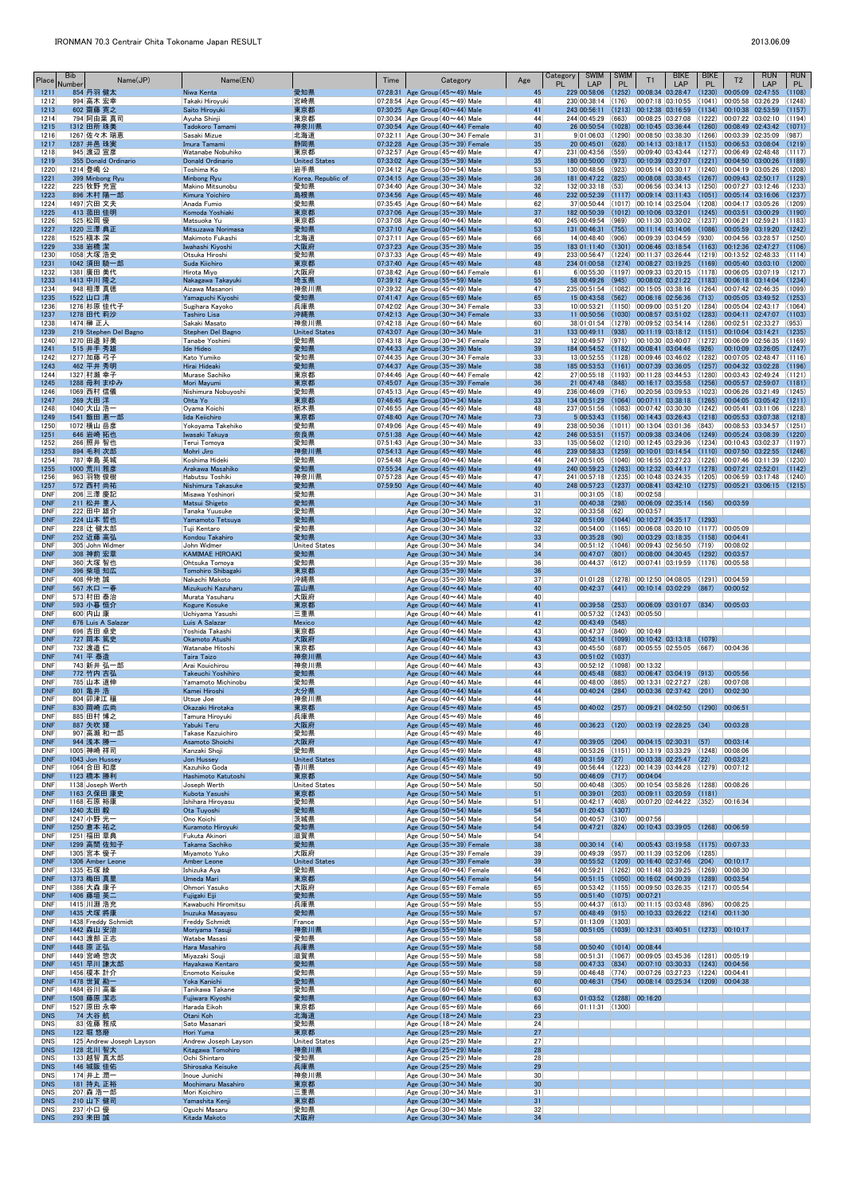| Place                    | Bib<br>Number | Name(JP)                              | Name(EN)                                  |                              | Time | Category                                                                                   | Age                   | <b>SWIM</b><br>Category<br>PL<br>LAP                                                          | <b>SWIM</b><br><b>PL</b> | T1                                       | <b>BIKE</b><br>LAP                                                                                                 | <b>BIKE</b><br>PL | T <sub>2</sub>                                         | <b>RUN</b><br>LAP                          | <b>RUN</b><br>PL |
|--------------------------|---------------|---------------------------------------|-------------------------------------------|------------------------------|------|--------------------------------------------------------------------------------------------|-----------------------|-----------------------------------------------------------------------------------------------|--------------------------|------------------------------------------|--------------------------------------------------------------------------------------------------------------------|-------------------|--------------------------------------------------------|--------------------------------------------|------------------|
| 1211<br>1212             |               | 854 丹羽 健太<br>994 高木 宏幸                | Niwa Kenta<br>Takaki Hiroyuki             | 愛知県<br>宮崎県                   |      | 07:28:31 Age Group $(45 \sim 49)$ Male<br>07:28:54 Age Group (45~49) Male                  | 45<br>48              | 229 00:58:06<br>230 00:38:14                                                                  | (1252)<br>(176)          | $00:08:34$ 03:28:47<br>00:07:18 03:10:55 |                                                                                                                    | (1230)<br>(1041)  | 00:05:09 02:47:55<br> 00:05:58 03:26:29                |                                            | (1108)<br>(1248) |
| 1213                     |               | 602 齋藤 寛之                             | Saito Hiroyuki                            | 東京都                          |      | 07:30:25 Age Group $(40 \sim 44)$ Male                                                     | 41                    | 243 00:56:11                                                                                  | (1213)                   | 00:12:38 03:16:59                        |                                                                                                                    |                   | $(1134)$ 00:10:38 02:53:59                             |                                            | (1157)           |
| 1214<br>1215             |               | 794 阿由葉 真司<br>1312 田所 珠美              | Ayuha Shinji<br>Tadokoro Tamami           | 東京都<br>神奈川県                  |      | $ 07:30:34 $ Age Group (40 $\sim$ 44) Male<br>07:30:54 Age Group $(40 \sim 44)$ Female     | 44<br>40              | 244 00:45:29<br>26 00:50:54 (1028)                                                            | (663)                    | 00:08:25 03:27:08<br>$00:10:45$ 03:36:44 |                                                                                                                    |                   | $(1222)$ 00:07:22 03:02:10                             | $(1260)$ 00:08:49 02:43:42 (1071)          | (1194)           |
| 1216                     |               | 1267 佐々木 瑞恵                           | Sasaki Mizue                              | 北海道                          |      | $ 07:32:11 $ Age Group (30 $\sim$ 34) Female                                               | 31                    | $9 01:06:03$ (1290)                                                                           |                          |                                          | 00:08:50 03:38:30                                                                                                  |                   | $(1266)$ $ 00:03:39$ $ 02:35:09$                       |                                            | (987)            |
| 1217                     |               | 1287 井邑 珠実                            | Imura Tamami                              | 静岡県                          |      | 07:32:28 Age Group $(35 \sim 39)$ Female                                                   | 35                    | 20 00:45:01                                                                                   | (628)                    | 00:14:13 03:18:17                        |                                                                                                                    | (1153)            | 00:06:53 03:08:04                                      |                                            | (1219)<br>(1117) |
| 1218<br>1219             |               | 945 渡辺 宣彦<br>355 Donald Ordinario     | Watanabe Nobuhiko<br>Donald Ordinario     | 東京都<br><b>United States</b>  |      | 07:32:57 Age Group $(45 \sim 49)$ Male<br>07:33:02 Age Group $(35 \sim 39)$ Male           | 47<br>35              | 231 00:43:56 (559)<br>180 00:50:00 (973)                                                      |                          | 00:10:39 03:27:07                        | 00:09:40 03:43:44                                                                                                  | (1221)            | $(1277)$ 00:06:49 02:48:48<br> 00:04:50 03:00:26       |                                            | (1189)           |
| 1220                     |               | 1214 登嶋 公                             | Toshima Ko                                | 岩手県                          |      | $ 07:34:12 $ Age Group (50 $\sim$ 54) Male                                                 | 53                    | 130 00:48:56 (923)                                                                            |                          | 00:05:14 03:30:17                        |                                                                                                                    |                   | $(1240)$ $ 00:04:19$ $ 03:05:26$                       |                                            | (1208)           |
| 1221<br>1222             |               | 399 Minbong Ryu<br>225 牧野 充宣          | <b>Minbong Ryu</b><br>Makino Mitsunobu    | Korea, Republic of<br>愛知県    |      | 07:34:15 Age Group $(35 \sim 39)$ Male<br>$ 07:34:40 $ Age Group (30 $\sim$ 34) Male       | 36<br>32              | 181 00:47:22 (825)<br>$132 00:33:18$ (53)                                                     |                          |                                          | $00:08:08$ $03:38:45$ (1267) 00:09:43 02:50:17 (1129)<br>$ 00:06:56 03:34:13 $ (1250) $ 00:07:27 03:12:46 $ (1233) |                   |                                                        |                                            |                  |
| 1223                     |               | 896 木村 陽一郎                            | Kimura Yoichiro                           | 島根県                          |      | 07:34:56 Age Group $(45 \sim 49)$ Male                                                     | 46                    | 232 00:52:39 (1117)                                                                           |                          |                                          | $00:09:14$ 03:11:43                                                                                                | (1051)            | 00:05:14 03:16:06                                      |                                            | (1237)           |
| 1224<br>1225             |               | 1497 穴田 文夫<br>413 菰田 佳明               | Anada Fumio<br>Komoda Yoshiaki            | 愛知県<br>東京都                   |      | $ 07:35:45 $ Age Group (60 $\sim$ 64) Male<br>07:37:06 Age Group $(35 \sim 39)$ Male       | 62<br>37              | 37 00:50:44 (1017) 00:10:14 03:25:04<br>182 00:50:39 (1012)                                   |                          | 00:10:06 03:32:01                        |                                                                                                                    | (1208)            | 00:04:17 03:05:26<br>$(1245)$ 00:03:51 03:00:29        |                                            | (1209)<br>(1190) |
| 1226                     |               | 525 松岡 優                              | Matsuoka Yu                               | 東京都                          |      | $ 07:37:08 $ Age Group (40 $\sim$ 44) Male                                                 | 40                    | 245 00:49:54                                                                                  | (969)                    | 00:11:30 03:30:02                        |                                                                                                                    |                   | $\vert$ (1237) $\vert$ 00:06:21 $\vert$ 02:59:21       |                                            | (1183)           |
| 1227<br>1228             |               | 1220 三澤 典正<br>1525 槇本 深               | Mitsuzawa Norimasa<br>Makimoto Fukashi    | 愛知県<br>北海道                   |      | 07:37:10 Age Group $(50 \sim 54)$ Male<br>$ 07:37:11 $ Age Group (65 $\sim$ 69) Male       | 53<br>66              | 131 00:46:31<br>14 00:48:40 (906)                                                             | (755)                    | 00:11:14 03:14:06                        | 00:09:39 03:04:59                                                                                                  | (930)             | $(1086)$ 00:05:59 03:19:20                             | $ 00:04:56 \t  03:28:57 \t  (1250)$        | (1242)           |
| 1229                     |               | 338 岩橋 潔                              | Iwahashi Kiyoshi                          | 大阪府                          |      | 07:37:23 Age Group $(35 \sim 39)$ Male                                                     | 35                    | 183 01:11:40 (1301)                                                                           |                          | 00:06:46 03:18:54                        |                                                                                                                    |                   | $(1163)$ 00:12:36 02:47:27                             |                                            | (1106)           |
| 1230<br>1231             |               | 1058 大塚 浩史<br>1042 須田 騎一郎             | Otsuka Hiroshi<br>Suda Kiichiro           | 愛知県<br>東京都                   |      | $ 07:37:33 $ Age Group (45 $\sim$ 49) Male<br>07:37:40 Age Group $(45 \sim 49)$ Male       | 49<br>48              | 233 00:56:47 (1224) 00:11:37 03:26:44<br>234 01:00:58 (1274) 00:08:27 03:19:25                |                          |                                          |                                                                                                                    | (1169)            | $(1219)$ 00:13:52 02:48:33<br> 00:05:40 03:03:10       |                                            | (1114)<br>(1200) |
| 1232                     |               | 1381 廣田 美代                            | Hirota Miyo                               | 大阪府                          |      | $ 07:38:42 $ Age Group (60 $\sim$ 64) Female                                               | 61                    | 6 00:55:30 (1197) 00:09:33 03:20:15                                                           |                          |                                          |                                                                                                                    |                   | $(1178)$ 00:06:05 03:07:19                             |                                            | (1217)           |
| 1233<br>1234             |               | 1413 中川 隆之<br>948 相澤 真徳               | Nakagawa Takayuki<br>Aizawa Masanori      | 埼玉県<br> 神奈川県                 |      | 07:39:12 Age Group ( $55 \sim 59$ ) Male<br>07:39:32 Age Group (45 $\sim$ 49) Male         | 55<br>47              | 58 00:49:26 (945)<br>235 00:51:54 (1082) 00:15:05 03:38:16 (1264) 00:07:42 02:46:35           |                          |                                          | 00:08:02 03:21:22 (1183)                                                                                           |                   | 00:06:18 03:14:04                                      |                                            | (1234)<br>(1099) |
| 1235                     | 1522 山口 清     |                                       | Yamaguchi Kiyoshi                         | 愛知県                          |      | 07:41:47 Age Group ( $65 \sim 69$ ) Male                                                   | 65                    | 15 00:43:58 (562)                                                                             |                          |                                          | $ 00:06:16 \t02:56:36 \t(713) $                                                                                    |                   | 00:05:05 03:49:52                                      |                                            | (1253)           |
| 1236<br>1237             |               | 1276 杉原 佳代子<br>1278 田代 莉沙             | Sugihara Kayoko<br><b>Tashiro Lisa</b>    | 兵庫県<br>沖縄県                   |      | $ 07:42:02 $ Age Group (30 $\sim$ 34) Female<br>$07:42:13$ Age Group (30 $\sim$ 34) Female | 33<br>33              | $10 00:53:21$ (1150)<br>$11$ 00:50:56 (1030)                                                  |                          |                                          | 00:09:00 03:51:20 (1284)<br> 00:08:57 03:51:02                                                                     | (1283)            | $[00:04:11 \quad 02:47:07]$                            | 00:05:04 02:43:17 (1064)                   | (1103)           |
| 1238                     |               | 1474 榊 正人                             | Sakaki Masato                             | 神奈川県                         |      | $ 07:42:18 $ Age Group (60 $\sim$ 64) Male                                                 | 60                    | 38 01:01:54 (1279)                                                                            |                          |                                          | $ 00:09:52 03:54:14 (1286) 00:02:51 02:33:27$                                                                      |                   |                                                        |                                            | (953)            |
| 1239<br>1240             |               | 219 Stephen Del Bagno<br>1270 田邉 好美   | Stephen Del Bagno<br>Tanabe Yoshimi       | <b>United States</b><br>愛知県  |      | 07:43:07 Age Group $(30 \sim 34)$ Male<br>$ 07:43:18$ Age Group $(30 \sim 34)$ Female      | 31<br>32              | 133 00:49:11<br>12 00:49:57 (971)                                                             | (938)                    | 00:10:30 03:40:07                        | $[00:11:19 \t 03:18:12 \t (1151) \t 00:10:04 \t 03:14:21]$                                                         |                   | $(1272)$ 00:06:09 02:56:35                             |                                            | (1235)<br>(1169) |
| 1241                     |               | 515 井手 秀雄                             | Ide Hideo                                 | 愛知県                          |      | 07:44:33 Age Group $(35 \sim 39)$ Male                                                     | 39                    | 184 00:54:52 (1182)                                                                           |                          | $00:08:41$ 03:04:46                      |                                                                                                                    | (926)             | $[00:10:09 \quad 03:26:05]$                            |                                            | (1247)           |
| 1242<br>1243             |               | 1277 加藤 弓子<br>462 平井 秀明               | Kato Yumiko<br>Hirai Hideaki              | 愛知県<br>愛知県                   |      | $ 07:44:35 $ Age Group (30 $\sim$ 34) Female<br>07:44:37 Age Group $(35 \sim 39)$ Male     | 33<br>38              | $13 00:52:55$ (1128) 00:09:46 03:46:02 (1282) 00:07:05 02:48:47 (1116)<br>185 00:53:53 (1161) |                          | 00:07:39 03:36:05                        |                                                                                                                    | (1257)            | 00:04:32 03:02:28                                      |                                            | (1196)           |
| 1244                     |               | 1327 村瀬 幸子                            | Murase Sachiko                            | 東京都                          |      | $ 07:44:46 $ Age Group (40 $\sim$ 44) Female                                               | 42                    | $27 00:55:18$ (1193)                                                                          |                          | 00:11:28 03:44:53                        |                                                                                                                    |                   |                                                        | $(1280)$ $ 00:03:43$ $ 02:49:24$ $ (1121)$ |                  |
| 1245<br>1246             |               | 1288 母利 まゆみ<br>1069 西村 信儀             | Mori Mayumi<br>Nishimura Nobuyoshi        | 東京都<br>愛知県                   |      | 07:45:07 Age Group (35~39) Female<br>$ 07:45:13 $ Age Group (45 $\sim$ 49) Male            | 36<br>49              | 21 00:47:48 (848)<br>236 00:46:09 (716)                                                       |                          | 00:16:17 03:35:58<br>00:20:56 03:09:53   |                                                                                                                    | (1256)            | 00:05:57 02:59:07<br>$(1023)$ 00:06:26 03:21:49        |                                            | (1181)<br>(1245) |
| 1247                     |               | 269 大田洋                               | Ohta Yo                                   | 東京都                          |      | 07:46:45 Age Group $(30 \sim 34)$ Male                                                     | 33                    | 134 00:51:29 (1064) 00:07:11 03:38:18 (1265) 00:04:05 03:05:42                                |                          |                                          |                                                                                                                    |                   |                                                        |                                            | (1211)           |
| 1248<br>1249             |               | 1040 大山 浩一<br>1541 飯田 恵一郎             | Oyama Koichi<br>Iida Keiichiro            | 栃木県<br>東京都                   |      | $ 07:46:55 $ Age Group (45 $\sim$ 49) Male<br>07:48:40 Age Group $(70 \sim 74)$ Male       | 48<br>73              | 237 00:51:56 (1083)<br>5 00:53:43 (1156) 00:14:43 03:26:43                                    |                          |                                          | 00:07:42 03:30:30                                                                                                  | (1218)            | $(1242)$ $ 00:05:41$ $ 03:11:06$<br> 00:05:53 03:07:38 |                                            | (1228)<br>(1218) |
| 1250                     |               | 1072 横山 岳彦                            | Yokoyama Takehiko                         | 愛知県                          |      | 07:49:06 Age Group $(45 \sim 49)$ Male                                                     | 49                    | 238 00:50:36                                                                                  |                          | $(1011)$ 00:13:04 03:01:36               |                                                                                                                    | (843)             | 00:08:53 03:34:57                                      |                                            | (1251)           |
| 1251<br>1252             |               | 646 岩崎 拓也<br>266   照井 智也              | Iwasaki Takuya<br>Terui Tomoya            | 奈良県<br>愛知県                   |      | 07:51:38 Age Group $(40 \sim 44)$ Male<br>$ 07:51:43 $ Age Group (30 $\sim$ 34) Male       | 42<br>33              | 246 00:53:51<br>135 00:56:02 (1210) 00:12:45 03:29:36                                         |                          | $(1157)$ 00:09:38 03:34:06               |                                                                                                                    | (1249)            | $00:05:24$ 03:08:39<br>$(1234)$ 00:10:43 03:02:37      |                                            | (1220)<br>(1197) |
| 1253                     |               | 894 毛利 次郎                             | Mohri Jiro                                | 神奈川県                         |      | 07:54:13 Age Group $(45 \sim 49)$ Male                                                     | 46                    | 239 00:58:33 (1259) 00:10:01 03:14:54 (1110) 00:07:50 03:22:55                                |                          |                                          |                                                                                                                    |                   |                                                        |                                            | (1246)           |
| 1254<br>1255             |               | 787 幸島 英城<br>1000 荒川 雅彦               | Koshima Hideki<br>Arakawa Masahiko        | 愛知県<br>愛知県                   |      | $ 07:54:48 $ Age Group (40 $\sim$ 44) Male<br>07:55:34 Age Group $(45 \sim 49)$ Male       | 44<br>49              | 247 00:51:05 (1040) 00:16:55 03:27:23<br>240 00:59:23                                         | (1263)                   | 00:12:32 03:44:17                        |                                                                                                                    | (1278)            | $(1226)$ 00:07:46 03:11:39<br> 00:07:21 02:52:01       |                                            | (1230)<br>(1142) |
| 1256                     |               | 963 羽物 俊樹                             | Habutsu Toshiki                           | 神奈川県                         |      | $ 07:57:28 $ Age Group (45 $\sim$ 49) Male                                                 | 47                    | 241 00:57:18                                                                                  |                          |                                          | $(1235)$ 00:10:48 03:24:35                                                                                         | (1205)            | 00:06:59 03:17:48                                      |                                            | (1240)           |
| 1257<br><b>DNF</b>       |               | 572 西村 尚祐<br>206 三澤 慶記                | Nishimura Takasuke<br>Misawa Yoshinori    | 愛知県<br>愛知県                   |      | 07:59:50 Age Group $(40 \sim 44)$ Male<br>Age Group $(30 \sim 34)$ Male                    | 40<br>31              | 248 00:57:23 (1237)<br>$00:31:05$ (18)                                                        |                          | 00:02:58                                 | $\big  00:08:41 \big  03:42:10 \big  (1275) \big $                                                                 |                   | 00:05:21 03:06:15                                      |                                            | (1215)           |
| <b>DNF</b>               |               | 211 松井 重人                             | Matsui Shigeto                            | 愛知県                          |      | Age Group $(30 \sim 34)$ Male                                                              | 31                    | $ 00:40:38 $ (298)                                                                            |                          |                                          | $[00:06:09 \t 02:35:14 \t (156)]$                                                                                  |                   | 00:03:59                                               |                                            |                  |
| DNF<br><b>DNF</b>        |               | 222 田中 雄介<br>224 山本 哲也                | Tanaka Yuusuke<br>Yamamoto Tetsuva        | 愛知県<br>愛知県                   |      | $ {\sf Age}$ Group (30 $\sim$ 34) Male<br>Age Group (30~34) Male                           | 32<br>32              | $ 00:33:58 $ (62)<br>$[00:51:09]$ $(1044)$                                                    |                          | 00:03:57                                 | 00:10:27 04:35:17 (1293)                                                                                           |                   |                                                        |                                            |                  |
| DNF                      |               | 228 辻 健太郎                             | Tuji Kentaro                              | 愛知県                          |      | Age Group $(30 \sim 34)$ Male                                                              | 32                    |                                                                                               |                          |                                          | $ 00:54:00 $ (1165) $ 00:06:08 03:20:10 $ (1177) $ 00:05:09 $                                                      |                   |                                                        |                                            |                  |
| <b>DNF</b><br>DNF        |               | 252 近藤 高弘<br>305 John Widmer          | Kondou Takahiro<br>John Widmer            | 愛知県<br><b>United States</b>  |      | Age Group $(30 \sim 34)$ Male<br>Age Group $(30 \sim 34)$ Male                             | 33<br>34              | $00:35:28$ (90)<br>$ 00:51:12 $ (1046)                                                        |                          |                                          | 00:03:29 03:18:35<br> 00:09:43 02:56:50                                                                            | (719)             | $(1158)$ 00:04:41<br>00:08:02                          |                                            |                  |
| <b>DNF</b>               |               | 308 神前 宏章                             | <b>KAMIMAE HIROAKI</b>                    | 愛知県                          |      | Age Group $(30 \sim 34)$ Male                                                              | 34                    | $[00:47:07]$ (801)                                                                            |                          |                                          | 00:08:00 04:30:45 (1292) 00:03:57                                                                                  |                   |                                                        |                                            |                  |
| DNF<br><b>DNF</b>        |               | 360 大塚 智也<br>396 柴垣 知広                | Ohtsuka Tomoya<br>Tomohiro Shibagaki      | 愛知県<br>東京都                   |      | Age Group $(35 \sim 39)$ Male<br>Age Group $(35 \sim 39)$ Male                             | 36<br>36              | 00:44:37                                                                                      | (612)                    |                                          | 00:07:41 03:19:59 (1176) 00:05:58                                                                                  |                   |                                                        |                                            |                  |
| <b>DNF</b>               |               | 408 仲地 誠                              | Nakachi Makoto                            | 沖縄県                          |      | $  \text{Age Group} (35 \textcolor{red}{\sim} 39)$ Male                                    | 37                    |                                                                                               |                          |                                          | $ 01:01:28$ (1278) 00:12:50 04:08:05 (1291) 00:04:59                                                               |                   |                                                        |                                            |                  |
| <b>DNF</b><br><b>DNF</b> |               | 567 水口 一春<br>573 村田 泰治                | Mizukuchi Kazuharu<br>Murata Yasuharu     | 富山県<br> 大阪府                  |      | Age Group (40~44) Male<br>Age Group (40~44) Male                                           | 40<br>40              | 00:42:37                                                                                      | (441)                    | 00:10:14 03:02:29                        |                                                                                                                    | (867)             | 00:00:52                                               |                                            |                  |
| <b>DNF</b>               |               | 593 小暮 恒介                             | <b>Kogure Kosuke</b>                      | 東京都                          |      | Age Group $(40 \sim 44)$ Male                                                              | 41                    | $00:39:58$ (253)                                                                              |                          |                                          | 00:06:09 03:01:07                                                                                                  | (834)             | 00:05:03                                               |                                            |                  |
| DNF<br><b>DNF</b>        |               | 600 内山康<br>676 Luis A Salazar         | Uchiyama Yasushi<br>Luis A Salazar        | 三重県<br><b>Mexico</b>         |      | Age Group $(40 \sim 44)$ Male<br>Age Group $(40 \sim 44)$ Male                             | 41<br>42              | $ 00:57:32 $ (1243)<br>$00:43:49$ (548)                                                       |                          | 00:05:50                                 |                                                                                                                    |                   |                                                        |                                            |                  |
| <b>DNF</b>               |               | 696 吉田 卓史                             | Yoshida Takashi                           | 東京都                          |      | Age Group (40~44) Male                                                                     | 43                    | $ 00:47:37 $ (840)                                                                            |                          | 00:10:49                                 |                                                                                                                    |                   |                                                        |                                            |                  |
| <b>DNF</b><br>DNF        |               | 727 岡本 篤史<br>732 渡邉 仁                 | Okamoto Atushi<br>Watanabe Hitoshi        | 大阪府<br> 東京都                  |      | Age Group (40~44) Male<br>Age Group $(40 \sim 44)$ Male                                    | 43<br>43              | $[00:52:14]$ (1099)<br>$ 00:45:50 $ (687)                                                     |                          |                                          | 00:10:42 03:13:18<br>00:05:55 02:55:05                                                                             | (1079)<br>(667)   | 00:04:36                                               |                                            |                  |
| <b>DNF</b>               |               | 741 平 泰造                              | Taira Taizo                               | 神奈川県                         |      | Age Group $(40 \sim 44)$ Male                                                              | 43                    | $ 00:51:02 $ (1037)                                                                           |                          |                                          |                                                                                                                    |                   |                                                        |                                            |                  |
| <b>DNF</b><br><b>DNF</b> |               | 743 新井 弘一郎<br>772 竹内 吉弘               | Arai Kouichirou<br>Takeuchi Yoshihiro     | 神奈川県<br>愛知県                  |      | Age Group $(40 \sim 44)$ Male<br>Age Group $(40 \sim 44)$ Male                             | 43<br>44              | $ 00:52:12 $ (1098) $ 00:13:32 $<br>$00:45:48$ (683)                                          |                          |                                          | 00:06:47 03:04:19                                                                                                  | (913)             | 00:05:56                                               |                                            |                  |
| DNF                      |               | 785 山本 道伸                             | Yamamoto Michinobu                        | 愛知県                          |      | Age Group $(40 \sim 44)$ Male                                                              | 44                    | $ 00:48:00 $ (865)                                                                            |                          |                                          | 00:13:31 02:27:27 (28)                                                                                             |                   | 00:07:08                                               |                                            |                  |
| <b>DNF</b><br>DNF        |               | 801 亀井 浩<br>804 卯津江 穣                 | Kamei Hiroshi<br>Utsue Joe                | 大分県<br> 神奈川県                 |      | Age Group $(40 \sim 44)$ Male<br>Age Group $(40 \sim 44)$ Male                             | 44<br>44              | $00:40:24$ (284)                                                                              |                          |                                          | $[00:03:36 \t 02:37:42 \t (201)]$                                                                                  |                   | 00:02:30                                               |                                            |                  |
| <b>DNF</b>               |               | 830 岡崎 広尚                             | Okazaki Hirotaka                          | 東京都                          |      | Age Group $(45 \sim 49)$ Male                                                              | 45                    | $00:40:02$ (257)                                                                              |                          |                                          | 00:09:21 04:02:50                                                                                                  | (1290)            | 00:06:51                                               |                                            |                  |
| DNF<br><b>DNF</b>        |               | 885 田村 博之<br>887 矢吹 輝                 | Tamura Hiroyuki<br>Yabuki Teru            | 兵庫県<br>大阪府                   |      | Age Group $(45 \sim 49)$ Male<br>Age Group $(45 \sim 49)$ Male                             | 46<br>46              | $00:36:23$ (120)                                                                              |                          |                                          | $ 00:03:19 02:28:25 $ (34)                                                                                         |                   | 00:03:28                                               |                                            |                  |
| DNF                      |               | 907 高瀬 和一郎                            | Takase Kazuichiro                         | 愛知県                          |      | Age Group $(45 \sim 49)$ Male                                                              | 46                    |                                                                                               |                          |                                          |                                                                                                                    |                   |                                                        |                                            |                  |
| <b>DNF</b><br><b>DNF</b> |               | 944 浅本 勝一<br>1005 神崎 祥司               | Asamoto Shoichi<br>Kanzaki Shoji          | 大阪府<br>愛知県                   |      | Age Group $(45 \sim 49)$ Male<br>Age Group $(45 \sim 49)$ Male                             | 47<br>48              | 00:39:05<br>$00:53:26$ (1151)                                                                 | (204)                    | 00:04:15 02:30:31<br> 00:13:19 03:33:29  |                                                                                                                    | (57)              | 00:03:14<br>$(1248)$ 00:08:06                          |                                            |                  |
| <b>DNF</b>               |               | 1043 Jon Hussey                       | Jon Hussey                                | <b>United States</b>         |      | Age Group $(45 \sim 49)$ Male                                                              | 48                    | $ 00:31:59 $ (27)                                                                             |                          |                                          | 00:03:38 02:25:47                                                                                                  | (22)              | 00:03:21                                               |                                            |                  |
| DNF<br><b>DNF</b>        |               | 1064 合田 和彦<br>1123 橋本 勝利              | Kazuhiko Goda<br>Hashimoto Katutoshi      | 香川県<br>東京都                   |      | Age Group $(45 \sim 49)$ Male<br>Age Group $(50 \sim 54)$ Male                             | 49<br>50              | $00:56:44$ (1223)<br>$[00:46:09]$ (717)                                                       |                          | 00:14:39 03:44:28<br>00:04:04            |                                                                                                                    |                   | $(1279)$ 00:07:12                                      |                                            |                  |
| <b>DNF</b>               |               | 1138 Joseph Werth                     | Joseph Werth                              | <b>United States</b>         |      | Age Group $(50 \sim 54)$ Male                                                              | 50                    | $ 00:40:48 $ (305)                                                                            |                          |                                          | 00:10:54 03:58:26 (1288) 00:08:26                                                                                  |                   |                                                        |                                            |                  |
| <b>DNF</b><br><b>DNF</b> |               | 1163 久保田 康史<br>1168 石原 裕康             | Kubota Yasushi<br>Ishihara Hiroyasu       | 東京都<br> 愛知県                  |      | Age Group $(50 \sim 54)$ Male<br>Age Group (50 $\sim$ 54) Male                             | 51<br>51              | 00:39:01<br>00:42:17                                                                          | (203)<br>(408)           | 00:09:11 03:20:59                        | 00:07:20 02:44:22                                                                                                  | (1181)<br>(352)   | 00:16:34                                               |                                            |                  |
| <b>DNF</b>               |               | 1240 太田 毅                             | Ota Tuyoshi                               | 愛知県                          |      | Age Group $(50 \sim 54)$ Male                                                              | 54                    | $01:20:43$ (1307)                                                                             |                          |                                          |                                                                                                                    |                   |                                                        |                                            |                  |
| <b>DNF</b><br><b>DNF</b> |               | 1247 小野 光一<br>1250 倉本 祐之              | Ono Koichi<br>Kuramoto Hiroyuki           | 茨城県<br>愛知県                   |      | Age Group (50 $\sim$ 54) Male<br>Age Group $(50 \sim 54)$ Male                             | 54<br>54              | $ 00:40:57 $ (310)<br>$[00:47:21]$ $(824)$                                                    |                          | 00:07:56<br>00:10:43 03:39:05            |                                                                                                                    | (1268)            | 00:06:59                                               |                                            |                  |
| <b>DNF</b>               |               | 1251 福田 章典                            | Fukuta Akinori                            | 滋賀県                          |      | Age Group (50 $\sim$ 54) Male                                                              | 54                    |                                                                                               |                          |                                          |                                                                                                                    |                   |                                                        |                                            |                  |
| <b>DNF</b><br><b>DNF</b> |               | 1299 高間 佐知子<br>1305 宮本 優子             | Takama Sachiko<br>Miyamoto Yuko           | 愛知県<br> 大阪府                  |      | Age Group $(35 \sim 39)$ Female<br>Age Group $(35 \sim 39)$ Female                         | 38<br>39              | $[00:30:14]$ $(14)$<br>00:49:39                                                               | (957)                    | 00:11:39 03:52:06                        | 00:05:43 03:19:58                                                                                                  | (1285)            | $(1175)$ 00:07:33                                      |                                            |                  |
| <b>DNF</b>               |               | 1306 Amber Leone                      | <b>Amber Leone</b>                        | <b>United States</b><br>愛知県  |      | Age Group $(35 \sim 39)$ Female                                                            | 39                    | $ 00:55:52 $ (1209)                                                                           |                          | 00:16:40 02:37:46                        | $ 00:59:21 $ (1262) $ 00:11:48 03:39:25 $ (1269) $ 00:08:30 $                                                      | (204)             | 00:10:17                                               |                                            |                  |
| DNF<br><b>DNF</b>        |               | 1335 石塚 綾<br>1373 梅田 真里               | Ishizuka Aya<br>Umeda Mari                | 東京都                          |      | Age Group $(40 \sim 44)$ Female<br>Age Group $(50 \sim 54)$ Female                         | 44<br>54              |                                                                                               |                          |                                          | 00:51:15 (1050) 00:16:02 04:00:39                                                                                  |                   | $(1289)$ 00:03:54                                      |                                            |                  |
| <b>DNF</b>               |               | 1386 大森 康子                            | Ohmori Yasuko                             | 大阪府                          |      | Age Group (65 $\sim$ 69) Female                                                            | 65                    | $ 00:53:42 $ (1155)                                                                           |                          | 00:09:50 03:26:35                        |                                                                                                                    |                   | $(1217)$ 00:05:54                                      |                                            |                  |
| <b>DNF</b><br><b>DNF</b> |               | 1406 藤垣 英二<br>1415 川淵 浩充              | Fujigaki Eiji<br>Kawabuchi Hiromitsu      | 愛知県<br> 兵庫県                  |      | Age Group $(55 \sim 59)$ Male<br>Age Group (55 $\sim$ 59) Male                             | 55<br>55              | $[00:51:40]$ (1075)<br>$ 00:44:37 $ (613)                                                     |                          | 00:07:21                                 | $ 00:11:15 03:03:48 $ (896)                                                                                        |                   | 00:08:25                                               |                                            |                  |
| <b>DNF</b>               |               | 1435 犬塚 將康                            | Inuzuka Masayasu                          | 愛知県                          |      | Age Group (55~59) Male                                                                     | 57                    | $[00:48:49]$ $(915)$                                                                          |                          |                                          | 00:10:33 03:26:22                                                                                                  |                   | $(1214)$ 00:11:30                                      |                                            |                  |
| <b>DNF</b><br><b>DNF</b> |               | 1438 Freddy Schmidt<br>1442 森山 安治     | Freddy Schmidt<br>Moriyama Yasuji         | France<br>神奈川県               |      | Age Group (55 $\sim$ 59) Male<br>Age Group $(55 \sim 59)$ Male                             | 57<br>58              | 01:13:09                                                                                      | (1303)                   | 00:51:05 (1039) 00:12:31 03:40:51        |                                                                                                                    |                   | $(1273)$ 00:10:17                                      |                                            |                  |
| <b>DNF</b><br><b>DNF</b> |               | 1443 渡部 正志<br>1448 原 正弘               | Watabe Masasi<br>Hara Masahiro            | 愛知県<br>兵庫県                   |      | Age Group (55 $\sim$ 59) Male<br>Age Group $(55 \sim 59)$ Male                             | 58<br>58              | 00:50:40                                                                                      | (1014)                   | 00:08:44                                 |                                                                                                                    |                   |                                                        |                                            |                  |
| DNF                      |               | 1449 宮崎 惣次                            | Miyazaki Souji                            | 滋賀県                          |      | Age Group (55 $\sim$ 59) Male                                                              | 58                    | 00:51:31                                                                                      |                          |                                          | $(1067)$ 00:09:05 03:45:36 (1281) 00:05:19                                                                         |                   |                                                        |                                            |                  |
| <b>DNF</b><br><b>DNF</b> |               | 1451 早川 謙太郎<br>1456 榎本 計介             | Hayakawa Kentaro<br>Enomoto Keisuke       | 愛知県<br>愛知県                   |      | Age Group $(55 \sim 59)$ Male<br>Age Group (55 $\sim$ 59) Male                             | 58<br>59              | $ 00:47:33 $ (834)                                                                            |                          |                                          | $[00:07:10 \t 03:30:33 \t (1243) \t 00:04:56]$<br>00:46:48 (774) 00:07:26 03:27:23 (1224) 00:04:41                 |                   |                                                        |                                            |                  |
| <b>DNF</b>               |               | 1478 世賀 勘一                            | Yoka Kanichi                              | 愛知県                          |      | Age Group $(60 \sim 64)$ Male                                                              | 60                    |                                                                                               |                          |                                          | 00:46:31 (754) 00:08:14 03:25:34 (1209) 00:04:38                                                                   |                   |                                                        |                                            |                  |
| DNF<br><b>DNF</b>        |               | 1484 谷川 高峯<br>1508 藤原 潔志              | Tanikawa Takane<br>Fujiwara Kiyoshi       | 愛知県<br>愛知県                   |      | Age Group (60 $\sim$ 64) Male<br>Age Group $(60 \sim 64)$ Male                             | 60<br>63              | 01:03:52 (1288) 00:16:20                                                                      |                          |                                          |                                                                                                                    |                   |                                                        |                                            |                  |
| DNF                      |               | 1527 原田 永幸                            | Harada Eikoh                              | 東京都                          |      | Age Group $(65 \sim 69)$ Male                                                              | 66                    | $01:11:31$ (1300)                                                                             |                          |                                          |                                                                                                                    |                   |                                                        |                                            |                  |
| <b>DNS</b><br><b>DNS</b> |               | 74 大谷 航<br>83 佐藤 雅成                   | Otani Koh<br>Sato Masanari                | 北海道<br>愛知県                   |      | Age Group (18~24) Male<br>Age Group (18 $\sim$ 24) Male                                    | 23<br>24              |                                                                                               |                          |                                          |                                                                                                                    |                   |                                                        |                                            |                  |
| <b>DNS</b>               |               | 122 堀 悠磨                              | Hori Yuma                                 | 東京都                          |      | Age Group $(25 \sim 29)$ Male                                                              | 27                    |                                                                                               |                          |                                          |                                                                                                                    |                   |                                                        |                                            |                  |
| <b>DNS</b><br><b>DNS</b> |               | 125 Andrew Joseph Layson<br>128 北川 智大 | Andrew Joseph Layson<br>Kitagawa Tomohiro | <b>United States</b><br>神奈川県 |      | Age Group $(25 \sim 29)$ Male<br>Age Group $(25 \sim 29)$ Male                             | 27<br>28              |                                                                                               |                          |                                          |                                                                                                                    |                   |                                                        |                                            |                  |
| <b>DNS</b>               |               | 133 越智 真太郎                            | Ochi Shintaro                             | 愛知県                          |      | Age Group ( $25 \sim 29$ ) Male                                                            | 28                    |                                                                                               |                          |                                          |                                                                                                                    |                   |                                                        |                                            |                  |
| <b>DNS</b><br><b>DNS</b> |               | 146 城阪 佳佑<br>174 井上 潤一                | Shirosaka Keisuke<br>Inoue Junichi        | 兵庫県<br> 神奈川県                 |      | Age Group $(25 \sim 29)$ Male<br>Age Group $(30 \sim 34)$ Male                             | 29<br>30 <sup>°</sup> |                                                                                               |                          |                                          |                                                                                                                    |                   |                                                        |                                            |                  |
| <b>DNS</b>               |               | 181 持丸 正裕                             | Mochimaru Masahiro                        | 東京都                          |      | Age Group $(30 \sim 34)$ Male                                                              | 30 <sub>2</sub>       |                                                                                               |                          |                                          |                                                                                                                    |                   |                                                        |                                            |                  |
| <b>DNS</b><br><b>DNS</b> |               | 207 森 浩一郎<br>210 山下 健司                | Mori Koichiro<br>Yamashita Kenji          | 三重県<br>東京都                   |      | Age Group $(30 \sim 34)$ Male<br>Age Group $(30 \sim 34)$ Male                             | 31<br>31              |                                                                                               |                          |                                          |                                                                                                                    |                   |                                                        |                                            |                  |
| <b>DNS</b>               |               | 237 小口 優                              | Oguchi Masaru                             | 愛知県                          |      | Age Group $(30 \sim 34)$ Male                                                              | 32                    |                                                                                               |                          |                                          |                                                                                                                    |                   |                                                        |                                            |                  |
| <b>DNS</b>               |               | 293 来田 誠                              | Kitada Makoto                             | 大阪府                          |      | Age Group $(30 \sim 34)$ Male                                                              | 34                    |                                                                                               |                          |                                          |                                                                                                                    |                   |                                                        |                                            |                  |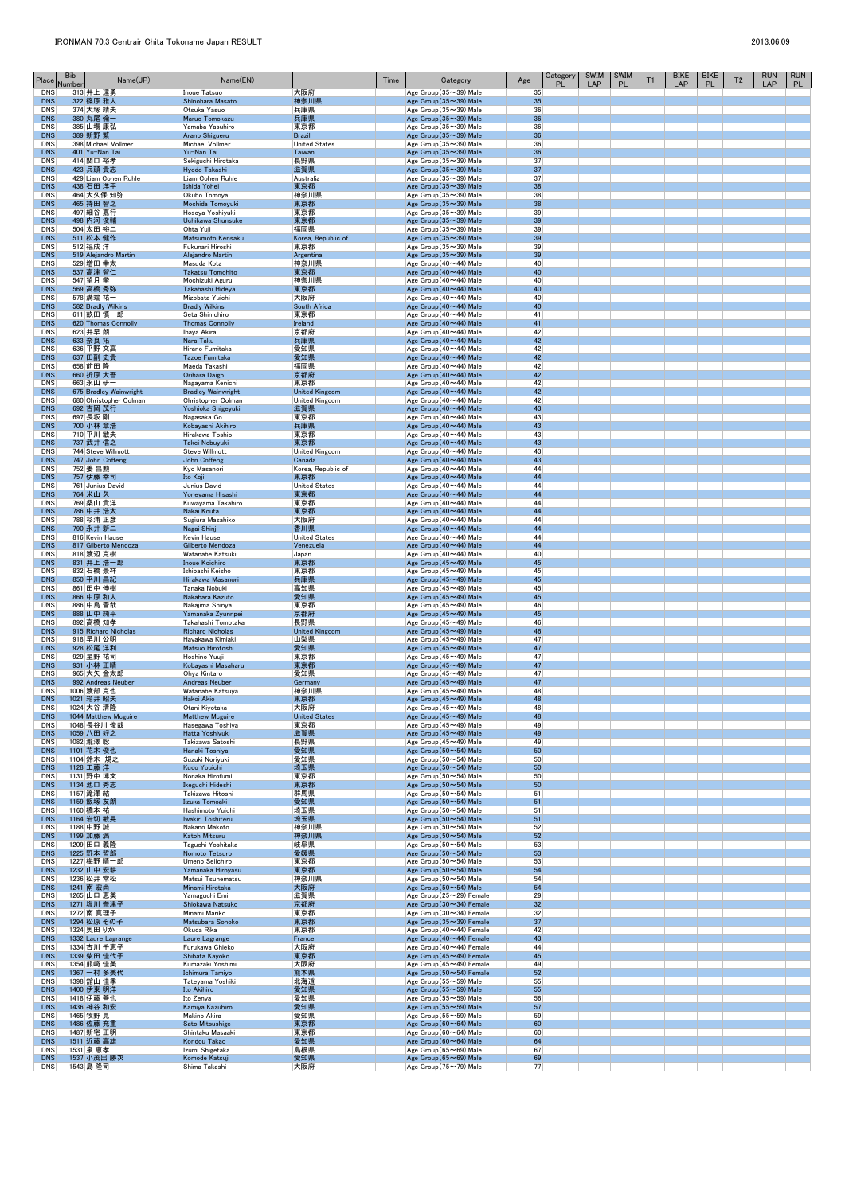| Place                    | <b>Bib</b><br>Name(JP)<br>Number    | Name(EN)                                    |                                       | Time | Category                                                                  | Age      | Category<br><b>PL</b> | <b>SWIM</b><br>LAP | <b>SWIM</b><br><b>PL</b> | T1 | <b>BIKE</b><br>LAP | <b>BIKE</b><br>PL | T <sub>2</sub> | <b>RUN</b><br><b>LAP</b> | <b>RUN</b><br>PL |
|--------------------------|-------------------------------------|---------------------------------------------|---------------------------------------|------|---------------------------------------------------------------------------|----------|-----------------------|--------------------|--------------------------|----|--------------------|-------------------|----------------|--------------------------|------------------|
| <b>DNS</b><br><b>DNS</b> | 313 井上 達勇<br>322 篠原 雅人              | Inoue Tatsuo<br>Shinohara Masato            | 大阪府<br>神奈川県                           |      | $ Age~Group(35\sim39)$ Male<br>Age Group $(35 \sim 39)$ Male              | 35<br>35 |                       |                    |                          |    |                    |                   |                |                          |                  |
| <b>DNS</b>               | 374 大塚 靖夫                           | Otsuka Yasuo                                | 兵庫県                                   |      | $ Age~Group(35\sim39)$ Male                                               | 36       |                       |                    |                          |    |                    |                   |                |                          |                  |
| <b>DNS</b><br><b>DNS</b> | 380 丸尾 倫一<br>385 山場 康弘              | Maruo Tomokazu<br>Yamaba Yasuhiro           | 兵庫県<br>東京都                            |      | Age Group $(35 \sim 39)$ Male<br>$ Age~Group(35\sim39)$ Male              | 36<br>36 |                       |                    |                          |    |                    |                   |                |                          |                  |
| <b>DNS</b><br><b>DNS</b> | 389 新野 繁<br>398 Michael Vollmer     | Arano Shigueru<br><b>Michael Vollmer</b>    | <b>Brazil</b><br><b>United States</b> |      | Age Group $(35 \sim 39)$ Male<br>Age Group $(35 \sim 39)$ Male            | 36<br>36 |                       |                    |                          |    |                    |                   |                |                          |                  |
| <b>DNS</b>               | 401 Yu-Nan Tai                      | Yu-Nan Tai                                  | Taiwan                                |      | Age Group $(35 \sim 39)$ Male                                             | 36       |                       |                    |                          |    |                    |                   |                |                          |                  |
| <b>DNS</b><br><b>DNS</b> | 414 関口 裕孝<br>423 兵頭 貴志              | Sekiguchi Hirotaka<br>Hyodo Takashi         | 長野県<br>滋賀県                            |      | $ {\sf Age}$ Group (35 $\sim$ 39) Male<br>Age Group $(35 \sim 39)$ Male   | 37<br>37 |                       |                    |                          |    |                    |                   |                |                          |                  |
| <b>DNS</b>               | 429 Liam Cohen Ruhle                | Liam Cohen Ruhle                            | Australia                             |      | $ Age\$ Group (35 $\sim$ 39) Male<br>Age Group $(35 \sim 39)$ Male        | 37       |                       |                    |                          |    |                    |                   |                |                          |                  |
| <b>DNS</b><br><b>DNS</b> | 438 石田洋平<br>464 大久保 知弥              | Ishida Yohei<br>Okubo Tomoya                | 東京都<br> 神奈川県                          |      | $ Age~Group(35\sim39)$ Male                                               | 38<br>38 |                       |                    |                          |    |                    |                   |                |                          |                  |
| <b>DNS</b><br><b>DNS</b> | 465 持田 智之<br>497 細谷 嘉行              | Mochida Tomoyuki<br>Hosoya Yoshiyuki        | 東京都<br>東京都                            |      | Age Group $(35 \sim 39)$ Male<br>$ Age~Group(35\sim39)$ Male              | 38<br>39 |                       |                    |                          |    |                    |                   |                |                          |                  |
| <b>DNS</b>               | 498 内河 俊輔                           | Uchikawa Shunsuke                           | 東京都                                   |      | Age Group (35~39) Male                                                    | 39       |                       |                    |                          |    |                    |                   |                |                          |                  |
| <b>DNS</b><br><b>DNS</b> | 504 太田 裕二<br>511 松本 健作              | Ohta Yuji<br>Matsumoto Kensaku              | 福岡県<br>Korea, Republic of             |      | $ Age\$ Group (35 $\sim$ 39) Male<br>Age Group $(35 \sim 39)$ Male        | 39<br>39 |                       |                    |                          |    |                    |                   |                |                          |                  |
| <b>DNS</b><br><b>DNS</b> | 512 福成 洋<br>519 Alejandro Martin    | Fukunari Hiroshi<br>Alejandro Martin        | 東京都<br>Argentina                      |      | $ Age~Group(35\sim39)$ Male<br>Age Group $(35 \sim 39)$ Male              | 39<br>39 |                       |                    |                          |    |                    |                   |                |                          |                  |
| <b>DNS</b>               | 529 増田 幸太                           | Masuda Kota                                 | 神奈川県                                  |      | $ Age~Group(40\sim44)$ Male                                               | 40       |                       |                    |                          |    |                    |                   |                |                          |                  |
| <b>DNS</b><br><b>DNS</b> | 537 高津 智仁<br>547 望月 挙               | Takatsu Tomohito<br>Mochizuki Aguru         | 東京都<br> 神奈川県                          |      | Age Group $(40 \sim 44)$ Male<br>Age Group (40 $\sim$ 44) Male            | 40<br>40 |                       |                    |                          |    |                    |                   |                |                          |                  |
| <b>DNS</b><br><b>DNS</b> | 569 高橋 秀弥<br>578 溝端 祐一              | Takahashi Hideya<br>Mizobata Yuichi         | 東京都<br>大阪府                            |      | Age Group $(40 \sim 44)$ Male<br>$ Age~Group(40\sim44)$ Male              | 40<br>40 |                       |                    |                          |    |                    |                   |                |                          |                  |
| <b>DNS</b>               | 582 Bradly Wilkins                  | <b>Bradly Wilkins</b>                       | South Africa                          |      | Age Group $(40 \sim 44)$ Male                                             | 40       |                       |                    |                          |    |                    |                   |                |                          |                  |
| <b>DNS</b><br><b>DNS</b> | 611 畝田 慎一郎<br>620 Thomas Connolly   | Seta Shinichiro<br><b>Thomas Connolly</b>   | 東京都<br>Ireland                        |      | $ Age~Group(40\sim44)$ Male<br>Age Group $(40 \sim 44)$ Male              | 41<br>41 |                       |                    |                          |    |                    |                   |                |                          |                  |
| <b>DNS</b><br><b>DNS</b> | 623 井早 朗<br>633 奈良 拓                | Ihaya Akira<br>Nara Taku                    | 京都府<br>兵庫県                            |      | $ Age~Group(40\sim44)$ Male<br>Age Group $(40 \sim 44)$ Male              | 42<br>42 |                       |                    |                          |    |                    |                   |                |                          |                  |
| <b>DNS</b>               | 636 平野 文高                           | Hirano Fumitaka                             | 愛知県                                   |      | $ Age~Group(40\sim44)$ Male                                               | 42       |                       |                    |                          |    |                    |                   |                |                          |                  |
| <b>DNS</b><br><b>DNS</b> | 637 田副 史貴<br>658 前田 隆               | <b>Tazoe Fumitaka</b><br>Maeda Takashi      | 愛知県<br> 福岡県                           |      | Age Group $(40 \sim 44)$ Male<br>$ Age~Group(40\sim44)$ Male              | 42<br>42 |                       |                    |                          |    |                    |                   |                |                          |                  |
| <b>DNS</b><br><b>DNS</b> | 660 折原 大吾<br>663 永山 研一              | Orihara Daigo<br>Nagayama Kenichi           | 京都府<br> 東京都                           |      | Age Group $(40 \sim 44)$ Male<br>$ Age~Group(40\sim44)$ Male              | 42<br>42 |                       |                    |                          |    |                    |                   |                |                          |                  |
| <b>DNS</b>               | 675 Bradley Wainwright              | <b>Bradley Wainwright</b>                   | <b>United Kingdom</b>                 |      | Age Group $(40 \sim 44)$ Male                                             | 42       |                       |                    |                          |    |                    |                   |                |                          |                  |
| <b>DNS</b><br><b>DNS</b> | 680 Christopher Colman<br>692 吉岡 茂行 | Christopher Colman<br>Yoshioka Shigeyuki    | <b>United Kingdom</b><br>滋賀県          |      | $ Age~Group(40\sim44)$ Male<br>Age Group $(40 \sim 44)$ Male              | 42<br>43 |                       |                    |                          |    |                    |                   |                |                          |                  |
| <b>DNS</b><br><b>DNS</b> | 697 長坂 剛<br>700 小林 章浩               | Nagasaka Go<br>Kobayashi Akihiro            | 東京都<br>兵庫県                            |      | $ Age~Group(40\sim44)$ Male<br>Age Group $(40 \sim 44)$ Male              | 43<br>43 |                       |                    |                          |    |                    |                   |                |                          |                  |
| <b>DNS</b>               | 710 平川 敏夫                           | Hirakawa Toshio                             | 東京都                                   |      | $ {\sf Age}$ Group (40 $\sim$ 44) Male                                    | 43       |                       |                    |                          |    |                    |                   |                |                          |                  |
| <b>DNS</b><br><b>DNS</b> | 737 武井 信之<br>744 Steve Willmott     | Takei Nobuyuki<br><b>Steve Willmott</b>     | 東京都<br><b>United Kingdom</b>          |      | Age Group $(40 \sim 44)$ Male<br>Age Group (40 $\sim$ 44) Male            | 43<br>43 |                       |                    |                          |    |                    |                   |                |                          |                  |
| <b>DNS</b><br><b>DNS</b> | 747 John Coffeng<br>752   姜 昌勲      | John Coffeng<br>Kyo Masanori                | Canada<br>Korea, Republic of          |      | Age Group $(40 \sim 44)$ Male<br>$ Age\$ Group (40 $\sim$ 44) Male        | 43<br>44 |                       |                    |                          |    |                    |                   |                |                          |                  |
| <b>DNS</b>               | 757 伊藤 幸司                           | Ito Koji                                    | 東京都                                   |      | Age Group $(40 \sim 44)$ Male                                             | 44       |                       |                    |                          |    |                    |                   |                |                          |                  |
| <b>DNS</b><br><b>DNS</b> | 761 Junius David<br>764 米山 久        | Junius David<br>Yoneyama Hisashi            | <b>United States</b><br>東京都           |      | $ Age\$ Group (40 $\sim$ 44) Male<br>Age Group $(40 \sim 44)$ Male        | 44<br>44 |                       |                    |                          |    |                    |                   |                |                          |                  |
| <b>DNS</b>               | 769 桑山 貴洋<br>786 中井 浩太              | Kuwayama Takahiro                           | 東京都                                   |      | $ Age~Group(40\sim44)$ Male<br>Age Group $(40 \sim 44)$ Male              | 44<br>44 |                       |                    |                          |    |                    |                   |                |                          |                  |
| <b>DNS</b><br><b>DNS</b> | 788 杉浦 正彦                           | Nakai Kouta<br>Sugiura Masahiko             | 東京都<br>大阪府                            |      | $ Age~Group(40\sim44)$ Male                                               | 44       |                       |                    |                          |    |                    |                   |                |                          |                  |
| <b>DNS</b><br><b>DNS</b> | 790 永井 新二<br>816 Kevin Hause        | Nagai Shinji<br>Kevin Hause                 | 香川県<br><b>United States</b>           |      | Age Group $(40 \sim 44)$ Male<br>Age Group (40~44) Male                   | 44<br>44 |                       |                    |                          |    |                    |                   |                |                          |                  |
| <b>DNS</b>               | 817 Gilberto Mendoza                | Gilberto Mendoza                            | Venezuela                             |      | Age Group $(40 \sim 44)$ Male                                             | 44       |                       |                    |                          |    |                    |                   |                |                          |                  |
| <b>DNS</b><br><b>DNS</b> | 818 渡辺 克樹<br>831 井上 浩一郎             | Watanabe Katsuki<br><b>Inoue Koichiro</b>   | Japan<br>東京都                          |      | $ Age\$ Group (40 $\sim$ 44) Male<br>Age Group $(45 \sim 49)$ Male        | 40<br>45 |                       |                    |                          |    |                    |                   |                |                          |                  |
| <b>DNS</b><br><b>DNS</b> | 832 石橋 景祥<br>850 平川 昌紀              | Ishibashi Keisho<br>Hirakawa Masanori       | 東京都<br>兵庫県                            |      | $ Age~Group(45\sim49)$ Male<br>Age Group $(45 \sim 49)$ Male              | 45<br>45 |                       |                    |                          |    |                    |                   |                |                          |                  |
| <b>DNS</b>               | 861 田中 伸樹                           | Tanaka Nobuki                               | 高知県                                   |      | $ {\sf Age}$ Group (45 $\sim$ 49) Male                                    | 45<br>45 |                       |                    |                          |    |                    |                   |                |                          |                  |
| <b>DNS</b><br><b>DNS</b> | 866 中原 和人<br>886 中島 晋哉              | Nakahara Kazuto<br>Nakajima Shinya          | 愛知県<br>東京都                            |      | Age Group $(45 \sim 49)$ Male<br>$ Age~Group(45\sim49)$ Male              | 46       |                       |                    |                          |    |                    |                   |                |                          |                  |
| <b>DNS</b><br><b>DNS</b> | 888 山中 純平<br>892 高橋 知孝              | Yamanaka Zyunnpei<br>Takahashi Tomotaka     | 京都府<br> 長野県                           |      | Age Group $(45 \sim 49)$ Male<br>$ Age~Group(45\sim49)$ Male              | 45<br>46 |                       |                    |                          |    |                    |                   |                |                          |                  |
| <b>DNS</b><br><b>DNS</b> | 915 Richard Nicholas<br>918 早川 公明   | <b>Richard Nicholas</b><br>Hayakawa Kimiaki | <b>United Kingdom</b><br> 山梨県         |      | Age Group $(45 \sim 49)$ Male<br>$ Age~Group(45\sim49)$ Male              | 46<br>47 |                       |                    |                          |    |                    |                   |                |                          |                  |
| <b>DNS</b>               | 928 松尾洋利                            | Matsuo Hirotoshi                            | 愛知県                                   |      | Age Group $(45 \sim 49)$ Male                                             | 47       |                       |                    |                          |    |                    |                   |                |                          |                  |
| <b>DNS</b><br><b>DNS</b> | 929 星野 祐司<br>931 小林 正晴              | Hoshino Yuuji<br>Kobayashi Masaharu         | 東京都<br>東京都                            |      | $ {\sf Age}$ Group (45 $\sim$ 49) Male<br>Age Group $(45 \sim 49)$ Male   | 47<br>47 |                       |                    |                          |    |                    |                   |                |                          |                  |
| <b>DNS</b><br><b>DNS</b> | 965 大矢 金太郎<br>992 Andreas Neuber    | Ohya Kintaro<br>Andreas Neuber              | 愛知県<br>Germany                        |      | $ Age~Group(45\sim49)$ Male<br>Age Group $(45 \sim 49)$ Male              | 47<br>47 |                       |                    |                          |    |                    |                   |                |                          |                  |
| <b>DNS</b>               | 1006 渡部 克也                          | Watanabe Katsuya                            | 神奈川県                                  |      | $ Age~Group(45\sim49)$ Male                                               | 48       |                       |                    |                          |    |                    |                   |                |                          |                  |
| <b>DNS</b><br><b>DNS</b> | 1021 箱井 昭夫<br>1024 大谷 清隆            | Hakoi Akio<br>Otani Kiyotaka                | 東京都<br> 大阪府                           |      | Age Group $(45 \sim 49)$ Male<br>$ Age~Group(45\sim49)$ Male              | 48<br>48 |                       |                    |                          |    |                    |                   |                |                          |                  |
| <b>DNS</b><br><b>DNS</b> | 1044 Matthew Mcguire<br>1048 長谷川 俊哉 | <b>Matthew Mcguire</b><br>Hasegawa Toshiya  | <b>United States</b><br>東京都           |      | Age Group $(45 \sim 49)$ Male<br>$ Age~Group(45\sim49)$ Male              | 48<br>49 |                       |                    |                          |    |                    |                   |                |                          |                  |
| <b>DNS</b>               | 1059 八田 好之                          | Hatta Yoshiyuki                             | 滋賀県                                   |      | Age Group $(45 \sim 49)$ Male                                             | 49       |                       |                    |                          |    |                    |                   |                |                          |                  |
| <b>DNS</b><br><b>DNS</b> | 1082 瀧澤 聡<br>1101 花木 俊也             | Takizawa Satoshi<br>Hanaki Toshiya          | 長野県<br>愛知県                            |      | $ Age~Group(45\sim49)$ Male<br>Age Group $(50 \sim 54)$ Male              | 49<br>50 |                       |                    |                          |    |                    |                   |                |                          |                  |
| <b>DNS</b><br><b>DNS</b> | 1104 鈴木 規之<br>1128 工藤 洋一            | Suzuki Noriyuki<br>Kudo Youichi             | 愛知県<br>埼玉県                            |      | $ Age\$ Group (50 $\sim$ 54) Male<br>Age Group (50~54) Male               | 50<br>50 |                       |                    |                          |    |                    |                   |                |                          |                  |
| <b>DNS</b>               | 1131 野中 博文                          | Nonaka Hirofumi                             | 東京都                                   |      | $ Age\$ Group (50 $\sim$ 54) Male                                         | 50       |                       |                    |                          |    |                    |                   |                |                          |                  |
| <b>DNS</b><br><b>DNS</b> | 1134 池口 秀志<br>1157 滝澤 結             | Ikeguchi Hideshi<br>Takizawa Hitoshi        | 東京都<br>群馬県                            |      | Age Group $(50 \sim 54)$ Male<br>$ Age~Group(50 \sim 54)$ Male            | 50<br>51 |                       |                    |                          |    |                    |                   |                |                          |                  |
| <b>DNS</b><br><b>DNS</b> | 1159 飯塚 友朗<br>1160 橋本 祐一            | Iizuka Tomoaki<br>Hashimoto Yuichi          | 愛知県<br> 埼玉県                           |      | Age Group $(50 \sim 54)$ Male<br>$ Age\$ Group (50 $\sim$ 54) Male        | 51<br>51 |                       |                    |                          |    |                    |                   |                |                          |                  |
| <b>DNS</b>               | 1164 岩切 敏晃                          | Iwakiri Toshiteru                           | 埼玉県                                   |      | Age Group (50~54) Male                                                    | 51       |                       |                    |                          |    |                    |                   |                |                          |                  |
| <b>DNS</b><br><b>DNS</b> | 1188 中野 誠<br>1199 加藤 満              | Nakano Makoto<br>Katoh Mitsuru              | 神奈川県<br>神奈川県                          |      | $ Age\$ Group (50 $\sim$ 54) Male<br>Age Group $(50 \sim 54)$ Male        | 52<br>52 |                       |                    |                          |    |                    |                   |                |                          |                  |
| <b>DNS</b><br><b>DNS</b> | 1209 田口 義隆<br>1225 野本 哲郎            | Taguchi Yoshitaka<br>Nomoto Tetsuro         | 岐阜県<br>愛媛県                            |      | $ Age\$ Group (50 $\sim$ 54) Male<br>Age Group $(50 \sim 54)$ Male        | 53<br>53 |                       |                    |                          |    |                    |                   |                |                          |                  |
| <b>DNS</b>               | 1227 梅野 晴一郎                         | Umeno Seiichiro                             | 東京都                                   |      | $ Age~Group(50 \sim 54)$ Male                                             | 53       |                       |                    |                          |    |                    |                   |                |                          |                  |
| <b>DNS</b><br><b>DNS</b> | 1232 山中 宏耕<br>1236 松井 常松            | Yamanaka Hiroyasu<br>Matsui Tsunematsu      | 東京都<br> 神奈川県                          |      | Age Group $(50 \sim 54)$ Male<br>$ Age\$ Group (50 $\sim$ 54) Male        | 54<br>54 |                       |                    |                          |    |                    |                   |                |                          |                  |
| <b>DNS</b><br><b>DNS</b> | 1241 南 宏尚<br>1265 山口 恵美             | Minami Hirotaka<br>Yamaguchi Emi            | 大阪府<br> 滋賀県                           |      | Age Group $(50 \sim 54)$ Male<br>$ {\sf Age}$ Group (25 $\sim$ 29) Female | 54<br>29 |                       |                    |                          |    |                    |                   |                |                          |                  |
| <b>DNS</b>               | 1271 塩川 奈津子                         | Shiokawa Natsuko                            | 京都府                                   |      | Age Group $(30 \sim 34)$ Female                                           | 32       |                       |                    |                          |    |                    |                   |                |                          |                  |
| <b>DNS</b><br><b>DNS</b> | 1272 南 真理子<br> 1294  松原 その子         | Minami Mariko<br>Matsubara Sonoko           | 東京都<br>東京都                            |      | $ Age~Group(30\sim34)$ Female<br>Age Group $(35 \sim 39)$ Female          | 32<br>37 |                       |                    |                          |    |                    |                   |                |                          |                  |
| <b>DNS</b><br><b>DNS</b> | 1324 奥田 りか<br>1332 Laure Lagrange   | Okuda Rika<br>Laure Lagrange                | 東京都<br>France                         |      | $ Age~Group(40\sim44)$ Female<br>Age Group $(40 \sim 44)$ Female          | 42<br>43 |                       |                    |                          |    |                    |                   |                |                          |                  |
| <b>DNS</b>               | 1334 古川 千恵子                         | Furukawa Chieko                             | 大阪府                                   |      | $ Age~Group(40\sim44)$ Female                                             | 44       |                       |                    |                          |    |                    |                   |                |                          |                  |
| <b>DNS</b><br><b>DNS</b> | 1339 柴田 佳代子<br>1354 熊﨑 佳美           | Shibata Kayoko<br>Kumazaki Yoshimi          | 東京都<br> 大阪府                           |      | Age Group $(45 \sim 49)$ Female<br>$ A$ ge Group (45 $\sim$ 49) Female    | 45<br>49 |                       |                    |                          |    |                    |                   |                |                          |                  |
| <b>DNS</b><br>DNS        | 1367 一村 多美代<br>1398 舘山 佳季           | Ichimura Tamiyo<br>Tateyama Yoshiki         | 熊本県<br>北海道                            |      | Age Group (50~54) Female<br>$ Age~Group(55\sim59)$ Male                   | 52<br>55 |                       |                    |                          |    |                    |                   |                |                          |                  |
| <b>DNS</b>               | 1400 伊東 明洋                          | Ito Akihiro                                 | 愛知県                                   |      | Age Group $(55 \sim 59)$ Male                                             | 55       |                       |                    |                          |    |                    |                   |                |                          |                  |
| <b>DNS</b><br><b>DNS</b> | 1418 伊藤 善也<br>1436 神谷 和宏            | Ito Zenya<br>Kamiya Kazuhiro                | 愛知県<br>愛知県                            |      | $ Age~Group(55\sim59)$ Male<br>Age Group $(55 \sim 59)$ Male              | 56<br>57 |                       |                    |                          |    |                    |                   |                |                          |                  |
| <b>DNS</b><br><b>DNS</b> | 1465 牧野 晃<br>1486 佐藤 充重             | Makino Akira<br>Sato Mitsushige             | 愛知県<br>東京都                            |      | $ Age~Group(55\sim59)$ Male<br>Age Group $(60 \sim 64)$ Male              | 59<br>60 |                       |                    |                          |    |                    |                   |                |                          |                  |
| DNS                      | 1487 新宅 正明                          | Shintaku Masaaki                            | 東京都                                   |      | $ Age~Group(60 \sim 64)$ Male                                             | 60       |                       |                    |                          |    |                    |                   |                |                          |                  |
| <b>DNS</b><br>DNS        | 1511 近藤 高雄<br>1531 泉 恵孝             | Kondou Takao<br>Izumi Shigetaka             | 愛知県<br>島根県                            |      | Age Group $(60 \sim 64)$ Male<br>$ Age~Group(65\sim69)$ Male              | 64<br>67 |                       |                    |                          |    |                    |                   |                |                          |                  |
| <b>DNS</b><br>DNS        | 1537 小茂出 勝次<br>1543 島 隆司            | Komode Katsuji<br>Shima Takashi             | 愛知県<br>大阪府                            |      | Age Group $(65 \sim 69)$ Male<br>Age Group (75~79) Male                   | 69<br>77 |                       |                    |                          |    |                    |                   |                |                          |                  |